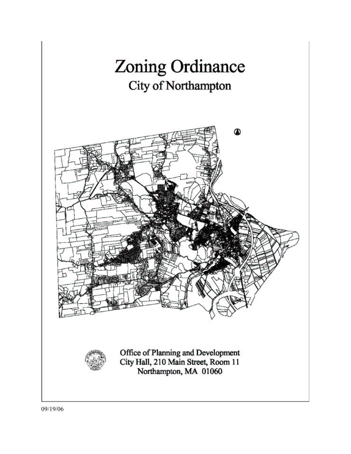

09/19/06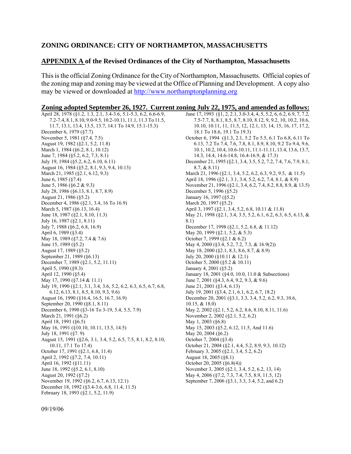## **ZONING ORDINANCE: CITY OF NORTHAMPTON, MASSACHUSETTS**

## **APPENDIX A of the Revised Ordinances of the City of Northampton, Massachusetts**

This is the official Zoning Ordinance for the City of Northampton, Massachusetts. Official copies of the zoning map and zoning may be viewed at the Office of Planning and Development. A copy also may be viewed or downloaded at http://www.northamptonplanning.org

| Zoning adopted September 26, 1927. Current zoning July 22, 1975, and amended as follows: |  |  |
|------------------------------------------------------------------------------------------|--|--|
|                                                                                          |  |  |

| April 28, 1978 (§1.2, 1.3, 2.1, 3.4-3.6, 5.1-5.3, 6.2, 6.6-6.9,     | June 17, 1993 (§1, 2, 2.1, 3.0-3.4, 4, 5, 5.2, 6, 6.2, 6.9, 7, 7.2,                                  |
|---------------------------------------------------------------------|------------------------------------------------------------------------------------------------------|
| 7.2-7.4, 8.1, 8.10, 9.0-9.5, 10.2-10.11, 11.1, 11.3 To 11.5,        | 7.5-7.7, 8, 8.1, 8.5, 8.7, 8.10, 8.12, 9, 9.2, 10, 10.2, 10.6,                                       |
| 11.7, 13.1, 13.4, 13.5, 13.7, 14.1 To 14.9, 15.1-15.3)              | 10.10, 10.11, 11, 11.5, 12, 12.1, 13, 14, 15, 16, 17, 17.2,                                          |
| December 6, 1979 (§7.7)                                             | 18.1 To 18.6, 19.1 To 19.3)                                                                          |
| November 5, 1981 (§7.4, 7.5)                                        | October 6, 1994 (§1.3, 2.1, 5.2 To 5.5, 6.1 To 6.8, 6.11 To                                          |
| August 19, 1982 (§2.1, 5.2, 11.8)                                   | 6.13, 7.2 To 7.4, 7.6, 7.8, 8.1, 8.9, 8.10, 9.2 To 9.4, 9.6,                                         |
| March 1, 1984 (§6.2, 8.1, 10.12)                                    | 10.1, 10.2, 10.4, 10.6-10.11, 11.1-11.11, 13.4, 13.6, 13.7,                                          |
| June 7, 1984 (§5.2, 6.2, 7.3, 8.1)                                  | 14.3, 14.4, 14.6-14.8, 16.4-16.9, & 17.3)                                                            |
| July 19, 1984 (§5.2, 6.2, 6.10, 6.11)                               | December 21, 1995 (§2.1, 3.4, 3.5, 5.2, 7.2, 7.4, 7.6, 7.9, 8.1,                                     |
| August 16, 1984 (§5.2, 8.1, 9.3, 9.4, 10.13)                        | $8.7, \& 8.11)$                                                                                      |
| March 21, 1985 (§2.1, 6.12, 9.3)                                    | March 21, 1996 (§2.1, 3.4, 5.2, 6.2, 6.3, 9.2, 9.5, & 11.5)                                          |
| June 6, 1985 (§7.4)                                                 | April 18, 1996 (§2.1, 3.1, 3.4, 5.2, 6.2, 7.4, 8.1, & 8.9)                                           |
| June 5, 1986 (§6.2 & 9.3)                                           | November 21, 1996 (§2.1, 3.4, 6.2, 7.4, 8.2, 8.8, 8.9, & 13.5)                                       |
| July 28, 1986 (§6.13, 8.1, 8.7, 8.9)                                | December 5, 1996 (§5.2)                                                                              |
| August 21, 1986 (§5.2)                                              | January 16, 1997 (§5.2)                                                                              |
| December 4, 1986 (§2.1, 3.4, 16 To 16.9)                            | March 20, 1997 (§5.2)                                                                                |
| March 5, 1987 (§6.13, 16.4)                                         | April 3, 1997 (§2.1, 3.4, 5.2, 6.8, 10.11 & 11.8)                                                    |
| June 18, 1987 (§2.1, 8.10, 11.3)                                    | May 21, 1998 (§2.1, 3.4, 3.5, 5.2, 6.1, 6.2, 6.3, 6.5, 6.13, &                                       |
| July 16, 1987 (§2.1, 8.11)                                          | 8.1)                                                                                                 |
| July 7, 1988 (§6.2, 6.8, 16.9)                                      | December 17, 1998 (§2.1, 5.2, 6.8, & 11.12)                                                          |
| April 6, 1989 (§3.4)                                                | May 20, 1999 (§2.1, 5.2, & 5.3)                                                                      |
| May 18, 1989 (§7.2, 7.4 & 7.6)                                      | October 7, 1999 (§2.1 & 6.2)                                                                         |
| June 15, 1989 (§5.2)                                                | May 4, 2000 (§3.4, 5.2, 7.2, 7.3, & 16.9(2))                                                         |
| August 17, 1989 (§5.2)                                              | May 18, 2000 (§2.1, 8.3, 8.6, 8.7, & 8.9)                                                            |
| September 21, 1989 (§6.13)                                          | July 20, 2000 (§10.11 & 12.1)                                                                        |
| December 7, 1989 (§2.1, 5.2, 11.11)                                 | October 5, 2000 (§5.2 & 10.11)                                                                       |
| April 5, 1990 (§9.3)                                                | January 4, 2001 (§5.2)                                                                               |
| April 12, 1990 (§5.4)                                               | January 18, 2001 (§4.0, 10.0, 11.0 & Subsections)                                                    |
| May 17, 1990 (§7.14 & 11.1)                                         | June 7, 2001 (§4.3, 6.4, 9.2, 9.3, & 9.6)                                                            |
| July 19, 1990 (§2.1, 3.1, 3.4, 3.6, 5.2, 6.2, 6.3, 6.5, 6.7, 6.8,   | June 21, 2001 (§3.4, 6.13)                                                                           |
| 6.12, 6.13, 8.1, 8.5, 8.10, 9.3, 9.6                                | July 19, 2001 (§3.4, 2.1, 6.1, 6.2, 6.7, 18.2)                                                       |
| August 16, 1990 (§16.4, 16.5, 16.7, 16.9)                           | December 20, 2001 (§3.1, 3.3, 3.4, 5.2, 6.2, 9.3, 10.6,                                              |
| September 20, 1990 (§8.1, 8.11)                                     | $10.15, \& 18.0$                                                                                     |
| December 6, 1990 (§3-16 To 3-19, 5.4, 5.5, 7.9)                     | May 2, 2002 (§2.1, 5.2, 6.2, 8.6, 8.10, 8.11, 11.6)                                                  |
| March 21, 1991 (§6.2)                                               | November 2, 2002 (§2.1, 5.2, 6.2)                                                                    |
| April 18, 1991 (§6.5)                                               | May 1, 2003 ( $\S 6.8$ )                                                                             |
| May 16, 1991 (§10.10, 10.11, 13.5, 14.5)                            | May 15, 2003 (§5.2, 6.12, 11.5, And 11.6)                                                            |
| July 18, 1991 (§7. 9)                                               | May 20, 2004 $(\S6.2)$                                                                               |
| August 15, 1991 (§2.6, 3.1, 3.4, 5.2, 6.5, 7.5, 8.1, 8.2, 8.10,     | October 7, 2004 (§3.4)                                                                               |
| 10.11, 17.1 To 17.4)                                                | October 21, 2004 (§2.1, 4.4, 5.2, 8.9, 9.3, 10.12)                                                   |
| October 17, 1991 (§2.1, 6.8, 11.4)                                  | February 3, 2005 (§2.1, 3.4, 5.2, 6.2)                                                               |
| April 2, 1992 (§7.2, 7.4, 10.11)                                    | August 18, 2005 (§8.1)<br>October 20, 2005 (§6.8(4))                                                 |
| April 16, 1992 (§11.11)<br>June 18, 1992 (§5.2, 6.1, 8.10)          | November 3, 2005 (§2.1, 3.4, 5.2, 6.2, 13, 14)                                                       |
|                                                                     |                                                                                                      |
| August 20, 1992 (§7.2)<br>November 19, 1992 (§6.2, 6.7, 6.13, 12.1) | May 4, 2006 (§7.2, 7.3, 7.4, 7.5, 8.9, 11.5, 12)<br>September 7, 2006 (§3.1, 3.3, 3.4, 5.2, and 6.2) |
| December 18, 1992 (§3.4-3.6, 6.8, 11.4, 11.5)                       |                                                                                                      |
| February 18, 1993 (§2.1, 5.2, 11.9)                                 |                                                                                                      |
|                                                                     |                                                                                                      |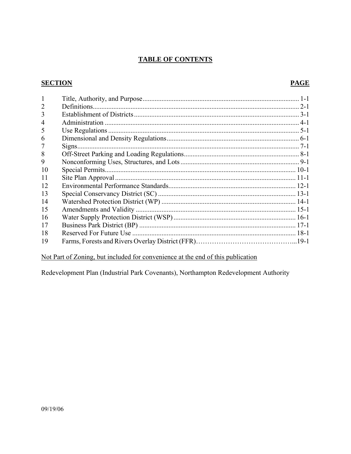## **TABLE OF CONTENTS**

## **SECTION**

## **PAGE**

| $\overline{2}$ |  |
|----------------|--|
| 3              |  |
| 4              |  |
| 5              |  |
| 6              |  |
|                |  |
| 8              |  |
| 9              |  |
| 10             |  |
| 11             |  |
| 12             |  |
| 13             |  |
| 14             |  |
| 15             |  |
| 16             |  |
| 17             |  |
| 18             |  |
| 19             |  |

# Not Part of Zoning, but included for convenience at the end of this publication

Redevelopment Plan (Industrial Park Covenants), Northampton Redevelopment Authority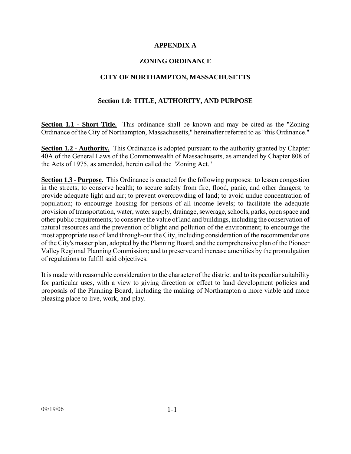### **APPENDIX A**

## **ZONING ORDINANCE**

### **CITY OF NORTHAMPTON, MASSACHUSETTS**

### **Section 1.0: TITLE, AUTHORITY, AND PURPOSE**

**Section 1.1 - Short Title.** This ordinance shall be known and may be cited as the "Zoning" Ordinance of the City of Northampton, Massachusetts," hereinafter referred to as "this Ordinance."

**Section 1.2 - Authority.** This Ordinance is adopted pursuant to the authority granted by Chapter 40A of the General Laws of the Commonwealth of Massachusetts, as amended by Chapter 808 of the Acts of 1975, as amended, herein called the "Zoning Act."

**Section 1.3 - Purpose.** This Ordinance is enacted for the following purposes: to lessen congestion in the streets; to conserve health; to secure safety from fire, flood, panic, and other dangers; to provide adequate light and air; to prevent overcrowding of land; to avoid undue concentration of population; to encourage housing for persons of all income levels; to facilitate the adequate provision of transportation, water, water supply, drainage, sewerage, schools, parks, open space and other public requirements; to conserve the value of land and buildings, including the conservation of natural resources and the prevention of blight and pollution of the environment; to encourage the most appropriate use of land through-out the City, including consideration of the recommendations of the City's master plan, adopted by the Planning Board, and the comprehensive plan of the Pioneer Valley Regional Planning Commission; and to preserve and increase amenities by the promulgation of regulations to fulfill said objectives.

It is made with reasonable consideration to the character of the district and to its peculiar suitability for particular uses, with a view to giving direction or effect to land development policies and proposals of the Planning Board, including the making of Northampton a more viable and more pleasing place to live, work, and play.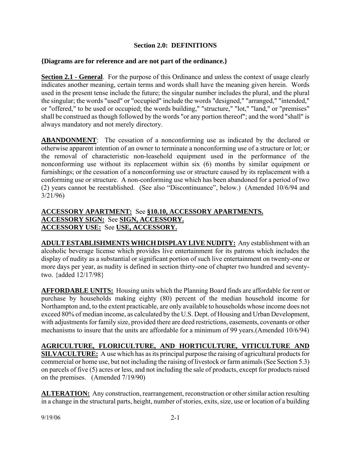## **Section 2.0: DEFINITIONS**

### **{Diagrams are for reference and are not part of the ordinance.}**

**Section 2.1 - General.** For the purpose of this Ordinance and unless the context of usage clearly indicates another meaning, certain terms and words shall have the meaning given herein. Words used in the present tense include the future; the singular number includes the plural, and the plural the singular; the words "used" or "occupied" include the words "designed," "arranged," "intended," or "offered," to be used or occupied; the words building," "structure," "lot," "land," or "premises" shall be construed as though followed by the words "or any portion thereof"; and the word "shall" is always mandatory and not merely directory.

**ABANDONMENT**: The cessation of a nonconforming use as indicated by the declared or otherwise apparent intention of an owner to terminate a nonconforming use of a structure or lot; or the removal of characteristic non-leasehold equipment used in the performance of the nonconforming use without its replacement within six (6) months by similar equipment or furnishings; or the cessation of a nonconforming use or structure caused by its replacement with a conforming use or structure. A non-conforming use which has been abandoned for a period of two (2) years cannot be reestablished. (See also "Discontinuance", below.) (Amended 10/6/94 and 3/21/96)

## **ACCESSORY APARTMENT:** See **§10.10, ACCESSORY APARTMENTS. ACCESSORY SIGN:** See **SIGN, ACCESSORY. ACCESSORY USE:** See **USE, ACCESSORY.**

**ADULT ESTABLISHMENTS WHICH DISPLAY LIVE NUDITY:** Any establishment with an alcoholic beverage license which provides live entertainment for its patrons which includes the display of nudity as a substantial or significant portion of such live entertainment on twenty-one or more days per year, as nudity is defined in section thirty-one of chapter two hundred and seventytwo. {added 12/17/98}

**AFFORDABLE UNITS:** Housing units which the Planning Board finds are affordable for rent or purchase by households making eighty (80) percent of the median household income for Northampton and, to the extent practicable, are only available to households whose income does not exceed 80% of median income, as calculated by the U.S. Dept. of Housing and Urban Development, with adjustments for family size, provided there are deed restrictions, easements, covenants or other mechanisms to insure that the units are affordable for a minimum of 99 years.(Amended 10/6/94)

**AGRICULTURE, FLORICULTURE, AND HORTICULTURE, VITICULTURE AND SILVACULTURE:** A use which has as its principal purpose the raising of agricultural products for commercial or home use, but not including the raising of livestock or farm animals (See Section 5.3) on parcels of five (5) acres or less, and not including the sale of products, except for products raised on the premises. (Amended 7/19/90)

**ALTERATION:** Any construction, rearrangement, reconstruction or other similar action resulting in a change in the structural parts, height, number of stories, exits, size, use or location of a building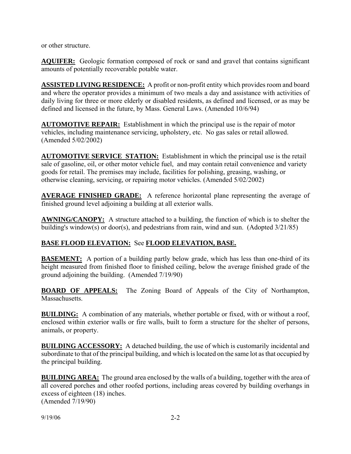or other structure.

**AQUIFER:** Geologic formation composed of rock or sand and gravel that contains significant amounts of potentially recoverable potable water.

**ASSISTED LIVING RESIDENCE:** A profit or non-profit entity which provides room and board and where the operator provides a minimum of two meals a day and assistance with activities of daily living for three or more elderly or disabled residents, as defined and licensed, or as may be defined and licensed in the future, by Mass. General Laws. (Amended 10/6/94)

**AUTOMOTIVE REPAIR:** Establishment in which the principal use is the repair of motor vehicles, including maintenance servicing, upholstery, etc. No gas sales or retail allowed. (Amended 5/02/2002)

**AUTOMOTIVE SERVICE STATION:** Establishment in which the principal use is the retail sale of gasoline, oil, or other motor vehicle fuel, and may contain retail convenience and variety goods for retail. The premises may include, facilities for polishing, greasing, washing, or otherwise cleaning, servicing, or repairing motor vehicles. (Amended 5/02/2002)

**AVERAGE FINISHED GRADE:** A reference horizontal plane representing the average of finished ground level adjoining a building at all exterior walls.

**AWNING/CANOPY:** A structure attached to a building, the function of which is to shelter the building's window(s) or door(s), and pedestrians from rain, wind and sun. (Adopted 3/21/85)

## **BASE FLOOD ELEVATION:** See **FLOOD ELEVATION, BASE.**

**BASEMENT:** A portion of a building partly below grade, which has less than one-third of its height measured from finished floor to finished ceiling, below the average finished grade of the ground adjoining the building. (Amended 7/19/90)

**BOARD OF APPEALS:** The Zoning Board of Appeals of the City of Northampton, Massachusetts.

**BUILDING:** A combination of any materials, whether portable or fixed, with or without a roof, enclosed within exterior walls or fire walls, built to form a structure for the shelter of persons, animals, or property.

**BUILDING ACCESSORY:** A detached building, the use of which is customarily incidental and subordinate to that of the principal building, and which is located on the same lot as that occupied by the principal building.

**BUILDING AREA:** The ground area enclosed by the walls of a building, together with the area of all covered porches and other roofed portions, including areas covered by building overhangs in excess of eighteen (18) inches. (Amended 7/19/90)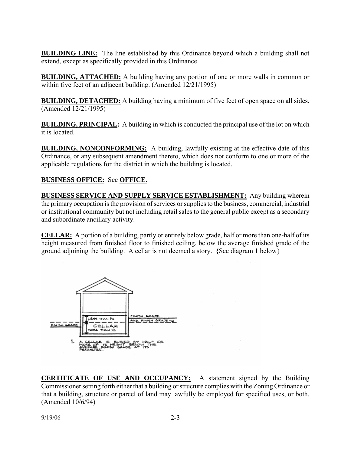**BUILDING LINE:** The line established by this Ordinance beyond which a building shall not extend, except as specifically provided in this Ordinance.

**BUILDING, ATTACHED:** A building having any portion of one or more walls in common or within five feet of an adjacent building. (Amended 12/21/1995)

**BUILDING, DETACHED:** A building having a minimum of five feet of open space on all sides. (Amended 12/21/1995)

**BUILDING, PRINCIPAL:** A building in which is conducted the principal use of the lot on which it is located.

**BUILDING, NONCONFORMING:** A building, lawfully existing at the effective date of this Ordinance, or any subsequent amendment thereto, which does not conform to one or more of the applicable regulations for the district in which the building is located.

# **BUSINESS OFFICE:** See **OFFICE.**

**BUSINESS SERVICE AND SUPPLY SERVICE ESTABLISHMENT:** Any building wherein the primary occupation is the provision of services or supplies to the business, commercial, industrial or institutional community but not including retail sales to the general public except as a secondary and subordinate ancillary activity.

**CELLAR:** A portion of a building, partly or entirely below grade, half or more than one-half of its height measured from finished floor to finished ceiling, below the average finished grade of the ground adjoining the building. A cellar is not deemed a story. {See diagram 1 below}



**CERTIFICATE OF USE AND OCCUPANCY:** A statement signed by the Building Commissioner setting forth either that a building or structure complies with the Zoning Ordinance or that a building, structure or parcel of land may lawfully be employed for specified uses, or both. (Amended 10/6/94)

9/19/06 2-3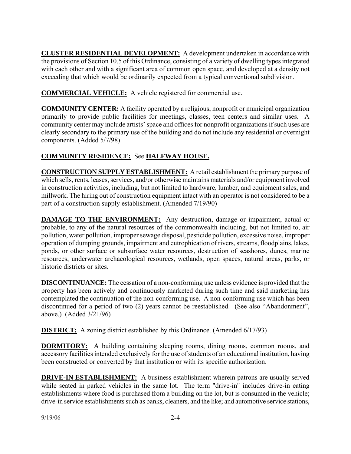**CLUSTER RESIDENTIAL DEVELOPMENT:** A development undertaken in accordance with the provisions of Section 10.5 of this Ordinance, consisting of a variety of dwelling types integrated with each other and with a significant area of common open space, and developed at a density not exceeding that which would be ordinarily expected from a typical conventional subdivision.

**COMMERCIAL VEHICLE:** A vehicle registered for commercial use.

**COMMUNITY CENTER:** A facility operated by a religious, nonprofit or municipal organization primarily to provide public facilities for meetings, classes, teen centers and similar uses. A community center may include artists' space and offices for nonprofit organizations if such uses are clearly secondary to the primary use of the building and do not include any residential or overnight components. (Added 5/7/98)

# **COMMUNITY RESIDENCE:** See **HALFWAY HOUSE.**

**CONSTRUCTION SUPPLY ESTABLISHMENT:** A retail establishment the primary purpose of which sells, rents, leases, services, and/or otherwise maintains materials and/or equipment involved in construction activities, including, but not limited to hardware, lumber, and equipment sales, and millwork. The hiring out of construction equipment intact with an operator is not considered to be a part of a construction supply establishment. (Amended 7/19/90)

**DAMAGE TO THE ENVIRONMENT:** Any destruction, damage or impairment, actual or probable, to any of the natural resources of the commonwealth including, but not limited to, air pollution, water pollution, improper sewage disposal, pesticide pollution, excessive noise, improper operation of dumping grounds, impairment and eutrophication of rivers, streams, floodplains, lakes, ponds, or other surface or subsurface water resources, destruction of seashores, dunes, marine resources, underwater archaeological resources, wetlands, open spaces, natural areas, parks, or historic districts or sites.

**DISCONTINUANCE:** The cessation of a non-conforming use unless evidence is provided that the property has been actively and continuously marketed during such time and said marketing has contemplated the continuation of the non-conforming use. A non-conforming use which has been discontinued for a period of two (2) years cannot be reestablished. (See also "Abandonment", above.) (Added 3/21/96)

**DISTRICT:** A zoning district established by this Ordinance. (Amended 6/17/93)

**DORMITORY:** A building containing sleeping rooms, dining rooms, common rooms, and accessory facilities intended exclusively for the use of students of an educational institution, having been constructed or converted by that institution or with its specific authorization.

**DRIVE-IN ESTABLISHMENT:** A business establishment wherein patrons are usually served while seated in parked vehicles in the same lot. The term "drive-in" includes drive-in eating establishments where food is purchased from a building on the lot, but is consumed in the vehicle; drive-in service establishments such as banks, cleaners, and the like; and automotive service stations,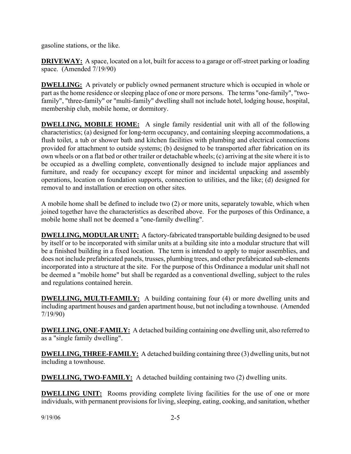gasoline stations, or the like.

**DRIVEWAY:** A space, located on a lot, built for access to a garage or off-street parking or loading space. (Amended 7/19/90)

**DWELLING:** A privately or publicly owned permanent structure which is occupied in whole or part as the home residence or sleeping place of one or more persons. The terms "one-family", "twofamily", "three-family" or "multi-family" dwelling shall not include hotel, lodging house, hospital, membership club, mobile home, or dormitory.

**DWELLING, MOBILE HOME:** A single family residential unit with all of the following characteristics; (a) designed for long-term occupancy, and containing sleeping accommodations, a flush toilet, a tub or shower bath and kitchen facilities with plumbing and electrical connections provided for attachment to outside systems; (b) designed to be transported after fabrication on its own wheels or on a flat bed or other trailer or detachable wheels; (c) arriving at the site where it is to be occupied as a dwelling complete, conventionally designed to include major appliances and furniture, and ready for occupancy except for minor and incidental unpacking and assembly operations, location on foundation supports, connection to utilities, and the like; (d) designed for removal to and installation or erection on other sites.

A mobile home shall be defined to include two (2) or more units, separately towable, which when joined together have the characteristics as described above. For the purposes of this Ordinance, a mobile home shall not be deemed a "one-family dwelling".

**DWELLING, MODULAR UNIT:** A factory-fabricated transportable building designed to be used by itself or to be incorporated with similar units at a building site into a modular structure that will be a finished building in a fixed location. The term is intended to apply to major assemblies, and does not include prefabricated panels, trusses, plumbing trees, and other prefabricated sub-elements incorporated into a structure at the site. For the purpose of this Ordinance a modular unit shall not be deemed a "mobile home" but shall be regarded as a conventional dwelling, subject to the rules and regulations contained herein.

**DWELLING, MULTI-FAMILY:** A building containing four (4) or more dwelling units and including apartment houses and garden apartment house, but not including a townhouse. (Amended 7/19/90)

**DWELLING, ONE-FAMILY:** A detached building containing one dwelling unit, also referred to as a "single family dwelling".

**DWELLING, THREE-FAMILY:** A detached building containing three (3) dwelling units, but not including a townhouse.

**DWELLING, TWO-FAMILY:** A detached building containing two (2) dwelling units.

**DWELLING UNIT:** Rooms providing complete living facilities for the use of one or more individuals, with permanent provisions for living, sleeping, eating, cooking, and sanitation, whether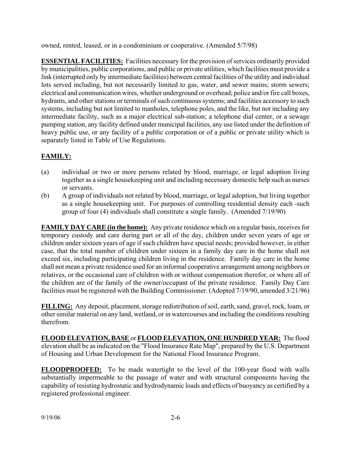owned, rented, leased, or in a condominium or cooperative. (Amended 5/7/98)

**ESSENTIAL FACILITIES:** Facilities necessary for the provision of services ordinarily provided by municipalities, public corporations, and public or private utilities, which facilities must provide a link (interrupted only by intermediate facilities) between central facilities of the utility and individual lots served including, but not necessarily limited to gas, water, and sewer mains; storm sewers; electrical and communication wires, whether underground or overhead; police and/or fire call boxes, hydrants, and other stations or terminals of such continuous systems; and facilities accessory to such systems, including but not limited to manholes, telephone poles, and the like, but not including any intermediate facility, such as a major electrical sub-station; a telephone dial center, or a sewage pumping station, any facility defined under municipal facilities, any use listed under the definition of heavy public use, or any facility of a public corporation or of a public or private utility which is separately listed in Table of Use Regulations.

# **FAMILY:**

- (a) individual or two or more persons related by blood, marriage, or legal adoption living together as a single housekeeping unit and including necessary domestic help such as nurses or servants.
- (b) A group of individuals not related by blood, marriage, or legal adoption, but living together as a single housekeeping unit. For purposes of controlling residential density each -such group of four (4) individuals shall constitute a single family. (Amended 7/19/90)

**FAMILY DAY CARE (in the home):** Any private residence which on a regular basis, receives for temporary custody and care during part or all of the day, children under seven years of age or children under sixteen years of age if such children have special needs; provided however, in either case, that the total number of children under sixteen in a family day care in the home shall not exceed six, including participating children living in the residence. Family day care in the home shall not mean a private residence used for an informal cooperative arrangement among neighbors or relatives, or the occasional care of children with or without compensation therefor, or where all of the children are of the family of the owner/occupant of the private residence. Family Day Care facilities must be registered with the Building Commissioner. (Adopted 7/19/90, amended 3/21/96)

**FILLING:** Any deposit, placement, storage redistribution of soil, earth, sand, gravel, rock, loam, or other similar material on any land, wetland, or in watercourses and including the conditions resulting therefrom.

**FLOOD ELEVATION, BASE** or **FLOOD ELEVATION, ONE HUNDRED YEAR:** The flood elevation shall be as indicated on the "Flood Insurance Rate Map", prepared by the U.S. Department of Housing and Urban Development for the National Flood Insurance Program.

**FLOODPROOFED:** To be made watertight to the level of the 100-year flood with walls substantially impermeable to the passage of water and with structural components having the capability of resisting hydrostatic and hydrodynamic loads and effects of buoyancy as certified by a registered professional engineer.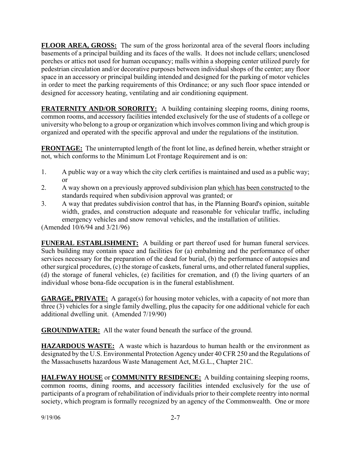**FLOOR AREA, GROSS:** The sum of the gross horizontal area of the several floors including basements of a principal building and its faces of the walls. It does not include cellars; unenclosed porches or attics not used for human occupancy; malls within a shopping center utilized purely for pedestrian circulation and/or decorative purposes between individual shops of the center; any floor space in an accessory or principal building intended and designed for the parking of motor vehicles in order to meet the parking requirements of this Ordinance; or any such floor space intended or designed for accessory heating, ventilating and air conditioning equipment.

**FRATERNITY AND/OR SORORITY:** A building containing sleeping rooms, dining rooms, common rooms, and accessory facilities intended exclusively for the use of students of a college or university who belong to a group or organization which involves common living and which group is organized and operated with the specific approval and under the regulations of the institution.

**FRONTAGE:** The uninterrupted length of the front lot line, as defined herein, whether straight or not, which conforms to the Minimum Lot Frontage Requirement and is on:

- 1. A public way or a way which the city clerk certifies is maintained and used as a public way; or
- 2. A way shown on a previously approved subdivision plan which has been constructed to the standards required when subdivision approval was granted; or
- 3. A way that predates subdivision control that has, in the Planning Board's opinion, suitable width, grades, and construction adequate and reasonable for vehicular traffic, including emergency vehicles and snow removal vehicles, and the installation of utilities.

(Amended 10/6/94 and 3/21/96)

**FUNERAL ESTABLISHMENT:** A building or part thereof used for human funeral services. Such building may contain space and facilities for (a) embalming and the performance of other services necessary for the preparation of the dead for burial, (b) the performance of autopsies and other surgical procedures, (c) the storage of caskets, funeral urns, and other related funeral supplies, (d) the storage of funeral vehicles, (e) facilities for cremation, and (f) the living quarters of an individual whose bona-fide occupation is in the funeral establishment.

**GARAGE, PRIVATE:** A garage(s) for housing motor vehicles, with a capacity of not more than three (3) vehicles for a single family dwelling, plus the capacity for one additional vehicle for each additional dwelling unit. (Amended 7/19/90)

**GROUNDWATER:** All the water found beneath the surface of the ground.

**HAZARDOUS WASTE:** A waste which is hazardous to human health or the environment as designated by the U.S. Environmental Protection Agency under 40 CFR 250 and the Regulations of the Massachusetts hazardous Waste Management Act, M.G.L., Chapter 21C.

**HALFWAY HOUSE** or **COMMUNITY RESIDENCE:** A building containing sleeping rooms, common rooms, dining rooms, and accessory facilities intended exclusively for the use of participants of a program of rehabilitation of individuals prior to their complete reentry into normal society, which program is formally recognized by an agency of the Commonwealth. One or more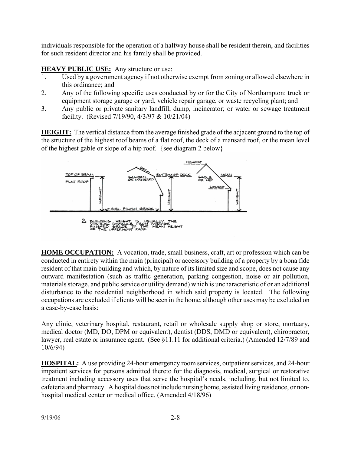individuals responsible for the operation of a halfway house shall be resident therein, and facilities for such resident director and his family shall be provided.

## **HEAVY PUBLIC USE:** Any structure or use:

- 1. Used by a government agency if not otherwise exempt from zoning or allowed elsewhere in this ordinance; and
- 2. Any of the following specific uses conducted by or for the City of Northampton: truck or equipment storage garage or yard, vehicle repair garage, or waste recycling plant; and
- 3. Any public or private sanitary landfill, dump, incinerator; or water or sewage treatment facility. (Revised 7/19/90, 4/3/97 & 10/21/04)

**HEIGHT:** The vertical distance from the average finished grade of the adjacent ground to the top of the structure of the highest roof beams of a flat roof, the deck of a mansard roof, or the mean level of the highest gable or slope of a hip roof. {see diagram 2 below}



**HOME OCCUPATION:** A vocation, trade, small business, craft, art or profession which can be conducted in entirety within the main (principal) or accessory building of a property by a bona fide resident of that main building and which, by nature of its limited size and scope, does not cause any outward manifestation (such as traffic generation, parking congestion, noise or air pollution, materials storage, and public service or utility demand) which is uncharacteristic of or an additional disturbance to the residential neighborhood in which said property is located. The following occupations are excluded if clients will be seen in the home, although other uses may be excluded on a case-by-case basis:

Any clinic, veterinary hospital, restaurant, retail or wholesale supply shop or store, mortuary, medical doctor (MD, DO, DPM or equivalent), dentist (DDS, DMD or equivalent), chiropractor, lawyer, real estate or insurance agent. (See §11.11 for additional criteria.) (Amended 12/7/89 and 10/6/94)

**HOSPITAL:** A use providing 24-hour emergency room services, outpatient services, and 24-hour impatient services for persons admitted thereto for the diagnosis, medical, surgical or restorative treatment including accessory uses that serve the hospital's needs, including, but not limited to, cafeteria and pharmacy. A hospital does not include nursing home, assisted living residence, or nonhospital medical center or medical office. (Amended 4/18/96)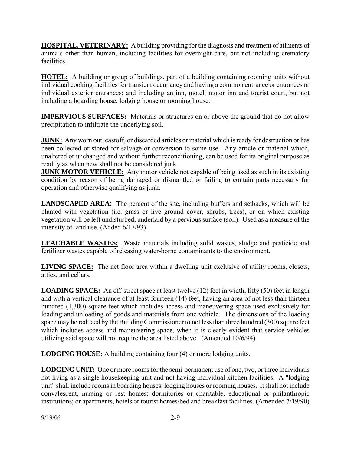**HOSPITAL, VETERINARY:** A building providing for the diagnosis and treatment of ailments of animals other than human, including facilities for overnight care, but not including crematory facilities.

**HOTEL:** A building or group of buildings, part of a building containing rooming units without individual cooking facilities for transient occupancy and having a common entrance or entrances or individual exterior entrances; and including an inn, motel, motor inn and tourist court, but not including a boarding house, lodging house or rooming house.

**IMPERVIOUS SURFACES:** Materials or structures on or above the ground that do not allow precipitation to infiltrate the underlying soil.

**JUNK:** Any worn out, castoff, or discarded articles or material which is ready for destruction or has been collected or stored for salvage or conversion to some use. Any article or material which, unaltered or unchanged and without further reconditioning, can be used for its original purpose as readily as when new shall not be considered junk.

**JUNK MOTOR VEHICLE:** Any motor vehicle not capable of being used as such in its existing condition by reason of being damaged or dismantled or failing to contain parts necessary for operation and otherwise qualifying as junk.

**LANDSCAPED AREA:** The percent of the site, including buffers and setbacks, which will be planted with vegetation (i.e. grass or live ground cover, shrubs, trees), or on which existing vegetation will be left undisturbed, underlaid by a pervious surface (soil). Used as a measure of the intensity of land use. (Added 6/17/93)

**LEACHABLE WASTES:** Waste materials including solid wastes, sludge and pesticide and fertilizer wastes capable of releasing water-borne contaminants to the environment.

**LIVING SPACE:** The net floor area within a dwelling unit exclusive of utility rooms, closets, attics, and cellars.

**LOADING SPACE:** An off-street space at least twelve (12) feet in width, fifty (50) feet in length and with a vertical clearance of at least fourteen (14) feet, having an area of not less than thirteen hundred (1,300) square feet which includes access and maneuvering space used exclusively for loading and unloading of goods and materials from one vehicle. The dimensions of the loading space may be reduced by the Building Commissioner to not less than three hundred (300) square feet which includes access and maneuvering space, when it is clearly evident that service vehicles utilizing said space will not require the area listed above. (Amended 10/6/94)

**LODGING HOUSE:** A building containing four (4) or more lodging units.

**LODGING UNIT:** One or more rooms for the semi-permanent use of one, two, or three individuals not living as a single housekeeping unit and not having individual kitchen facilities. A "lodging unit" shall include rooms in boarding houses, lodging houses or rooming houses. It shall not include convalescent, nursing or rest homes; dormitories or charitable, educational or philanthropic institutions; or apartments, hotels or tourist homes/bed and breakfast facilities. (Amended 7/19/90)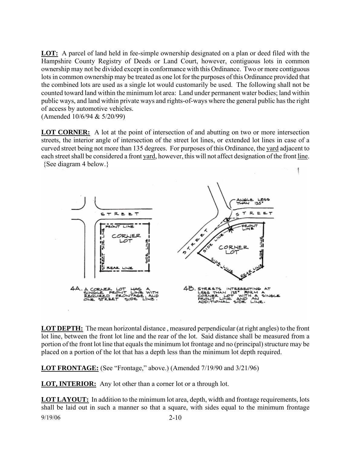**LOT:** A parcel of land held in fee-simple ownership designated on a plan or deed filed with the Hampshire County Registry of Deeds or Land Court, however, contiguous lots in common ownership may not be divided except in conformance with this Ordinance. Two or more contiguous lots in common ownership may be treated as one lot for the purposes of this Ordinance provided that the combined lots are used as a single lot would customarily be used. The following shall not be counted toward land within the minimum lot area: Land under permanent water bodies; land within public ways, and land within private ways and rights-of-ways where the general public has the right of access by automotive vehicles.

(Amended 10/6/94 & 5/20/99)

**LOT CORNER:** A lot at the point of intersection of and abutting on two or more intersection streets, the interior angle of intersection of the street lot lines, or extended lot lines in case of a curved street being not more than 135 degrees. For purposes of this Ordinance, the yard adjacent to each street shall be considered a front yard, however, this will not affect designation of the front line. {See diagram 4 below.}



**LOT DEPTH:** The mean horizontal distance , measured perpendicular (at right angles) to the front lot line, between the front lot line and the rear of the lot. Said distance shall be measured from a portion of the front lot line that equals the minimum lot frontage and no (principal) structure may be placed on a portion of the lot that has a depth less than the minimum lot depth required.

**LOT FRONTAGE:** (See "Frontage," above.) (Amended 7/19/90 and 3/21/96)

**LOT, INTERIOR:** Any lot other than a corner lot or a through lot.

9/19/06 2-10 **LOT LAYOUT:** In addition to the minimum lot area, depth, width and frontage requirements, lots shall be laid out in such a manner so that a square, with sides equal to the minimum frontage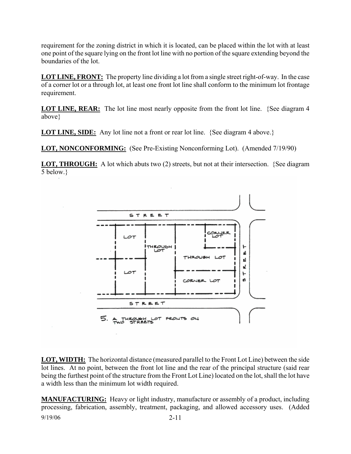requirement for the zoning district in which it is located, can be placed within the lot with at least one point of the square lying on the front lot line with no portion of the square extending beyond the boundaries of the lot.

**LOT LINE, FRONT:** The property line dividing a lot from a single street right-of-way. In the case of a corner lot or a through lot, at least one front lot line shall conform to the minimum lot frontage requirement.

**LOT LINE, REAR:** The lot line most nearly opposite from the front lot line. {See diagram 4} above}

**LOT LINE, SIDE:** Any lot line not a front or rear lot line. {See diagram 4 above.}

**LOT, NONCONFORMING:** (See Pre-Existing Nonconforming Lot). (Amended 7/19/90)

**LOT, THROUGH:** A lot which abuts two (2) streets, but not at their intersection. {See diagram 5 below.}



**LOT, WIDTH:** The horizontal distance (measured parallel to the Front Lot Line) between the side lot lines. At no point, between the front lot line and the rear of the principal structure (said rear being the furthest point of the structure from the Front Lot Line) located on the lot, shall the lot have a width less than the minimum lot width required.

9/19/06 2-11 **MANUFACTURING:** Heavy or light industry, manufacture or assembly of a product, including processing, fabrication, assembly, treatment, packaging, and allowed accessory uses. (Added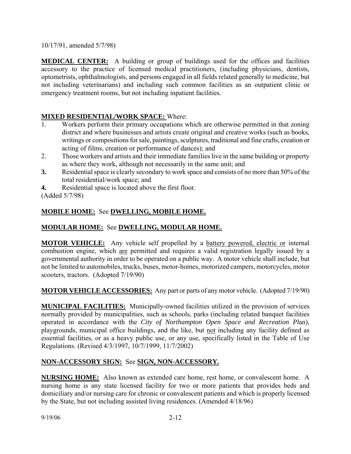10/17/91, amended 5/7/98)

**MEDICAL CENTER:** A building or group of buildings used for the offices and facilities accessory to the practice of licensed medical practitioners, (including physicians, dentists, optometrists, ophthalmologists, and persons engaged in all fields related generally to medicine, but not including veterinarians) and including such common facilities as an outpatient clinic or emergency treatment rooms, but not including inpatient facilities.

# **MIXED RESIDENTIAL/WORK SPACE:** Where:

- 1. Workers perform their primary occupations which are otherwise permitted in that zoning district and where businesses and artists create original and creative works (such as books, writings or compositions for sale, paintings, sculptures, traditional and fine crafts, creation or acting of films, creation or performance of dances); and
- 2. Those workers and artists and their immediate families live in the same building or property as where they work, although not necessarily in the same unit; and
- **3.** Residential space is clearly secondary to work space and consists of no more than 50% of the total residential/work space; and

**4.** Residential space is located above the first floor.

(Added 5/7/98)

# **MOBILE HOME:** See **DWELLING, MOBILE HOME.**

# **MODULAR HOME:** See **DWELLING, MODULAR HOME.**

**MOTOR VEHICLE:** Any vehicle self propelled by a battery powered, electric or internal combustion engine, which are permitted and requires a valid registration legally issued by a governmental authority in order to be operated on a public way. A motor vehicle shall include, but not be limited to automobiles, trucks, buses, motor-homes, motorized campers, motorcycles, motor scooters, tractors. (Adopted 7/19/90)

## **MOTOR VEHICLE ACCESSORIES:** Any part or parts of any motor vehicle. (Adopted 7/19/90)

**MUNICIPAL FACILITIES:** Municipally-owned facilities utilized in the provision of services normally provided by municipalities, such as schools, parks (including related banquet facilities operated in accordance with the *City of Northampton Open Space and Recreation Pl*an), playgrounds, municipal office buildings, and the like, but not including any facility defined as essential facilities, or as a heavy public use, or any use, specifically listed in the Table of Use Regulations. (Revised 4/3/1997, 10/7/1999, 11/7/2002)

## **NON-ACCESSORY SIGN:** See **SIGN, NON-ACCESSORY.**

**NURSING HOME:** Also known as extended care home, rest home, or convalescent home. A nursing home is any state licensed facility for two or more patients that provides beds and domiciliary and/or nursing care for chronic or convalescent patients and which is properly licensed by the State, but not including assisted living residences. (Amended 4/18/96)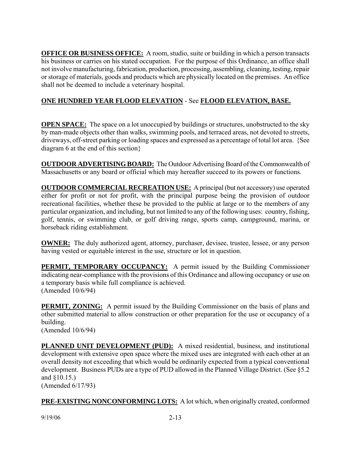**OFFICE OR BUSINESS OFFICE:** A room, studio, suite or building in which a person transacts his business or carries on his stated occupation. For the purpose of this Ordinance, an office shall not involve manufacturing, fabrication, production, processing, assembling, cleaning, testing, repair or storage of materials, goods and products which are physically located on the premises. An office shall not be deemed to include a veterinary hospital.

# **ONE HUNDRED YEAR FLOOD ELEVATION** - See **FLOOD ELEVATION, BASE.**

**OPEN SPACE:** The space on a lot unoccupied by buildings or structures, unobstructed to the sky by man-made objects other than walks, swimming pools, and terraced areas, not devoted to streets, driveways, off-street parking or loading spaces and expressed as a percentage of total lot area. {See diagram 6 at the end of this section}

**OUTDOOR ADVERTISING BOARD:** The Outdoor Advertising Board of the Commonwealth of Massachusetts or any board or official which may hereafter succeed to its powers or functions.

**OUTDOOR COMMERCIAL RECREATION USE:** A principal (but not accessory) use operated either for profit or not for profit, with the principal purpose being the provision of outdoor recreational facilities, whether these be provided to the public at large or to the members of any particular organization, and including, but not limited to any of the following uses: country, fishing, golf, tennis, or swimming club, or golf driving range, sports camp, campground, marina, or horseback riding establishment.

**OWNER:** The duly authorized agent, attorney, purchaser, devisee, trustee, lessee, or any person having vested or equitable interest in the use, structure or lot in question.

**PERMIT, TEMPORARY OCCUPANCY:** A permit issued by the Building Commissioner indicating near-compliance with the provisions of this Ordinance and allowing occupancy or use on a temporary basis while full compliance is achieved. (Amended 10/6/94)

**PERMIT, ZONING:** A permit issued by the Building Commissioner on the basis of plans and other submitted material to allow construction or other preparation for the use or occupancy of a building. (Amended 10/6/94)

**PLANNED UNIT DEVELOPMENT (PUD):** A mixed residential, business, and institutional development with extensive open space where the mixed uses are integrated with each other at an overall density not exceeding that which would be ordinarily expected from a typical conventional development. Business PUDs are a type of PUD allowed in the Planned Village District. (See §5.2 and §10.15.)

(Amended 6/17/93)

**PRE-EXISTING NONCONFORMING LOTS:** A lot which, when originally created, conformed

9/19/06 2-13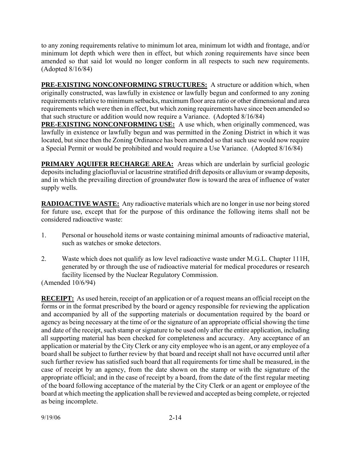to any zoning requirements relative to minimum lot area, minimum lot width and frontage, and/or minimum lot depth which were then in effect, but which zoning requirements have since been amended so that said lot would no longer conform in all respects to such new requirements. (Adopted 8/16/84)

**PRE-EXISTING NONCONFORMING STRUCTURES:** A structure or addition which, when originally constructed, was lawfully in existence or lawfully begun and conformed to any zoning requirements relative to minimum setbacks, maximum floor area ratio or other dimensional and area requirements which were then in effect, but which zoning requirements have since been amended so that such structure or addition would now require a Variance. (Adopted 8/16/84)

**PRE-EXISTING NONCONFORMING USE:** A use which, when originally commenced, was lawfully in existence or lawfully begun and was permitted in the Zoning District in which it was located, but since then the Zoning Ordinance has been amended so that such use would now require a Special Permit or would be prohibited and would require a Use Variance. (Adopted 8/16/84)

**PRIMARY AQUIFER RECHARGE AREA:** Areas which are underlain by surficial geologic deposits including glaciofluvial or lacustrine stratified drift deposits or alluvium or swamp deposits, and in which the prevailing direction of groundwater flow is toward the area of influence of water supply wells.

**RADIOACTIVE WASTE:** Any radioactive materials which are no longer in use nor being stored for future use, except that for the purpose of this ordinance the following items shall not be considered radioactive waste:

- 1. Personal or household items or waste containing minimal amounts of radioactive material, such as watches or smoke detectors.
- 2. Waste which does not qualify as low level radioactive waste under M.G.L. Chapter 111H, generated by or through the use of radioactive material for medical procedures or research facility licensed by the Nuclear Regulatory Commission.

(Amended 10/6/94)

**RECEIPT:** As used herein, receipt of an application or of a request means an official receipt on the forms or in the format prescribed by the board or agency responsible for reviewing the application and accompanied by all of the supporting materials or documentation required by the board or agency as being necessary at the time of or the signature of an appropriate official showing the time and date of the receipt, such stamp or signature to be used only after the entire application, including all supporting material has been checked for completeness and accuracy. Any acceptance of an application or material by the City Clerk or any city employee who is an agent, or any employee of a board shall be subject to further review by that board and receipt shall not have occurred until after such further review has satisfied such board that all requirements for time shall be measured, in the case of receipt by an agency, from the date shown on the stamp or with the signature of the appropriate official; and in the case of receipt by a board, from the date of the first regular meeting of the board following acceptance of the material by the City Clerk or an agent or employee of the board at which meeting the application shall be reviewed and accepted as being complete, or rejected as being incomplete.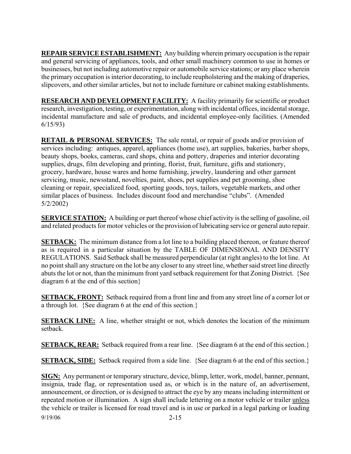**REPAIR SERVICE ESTABLISHMENT:** Any building wherein primary occupation is the repair and general servicing of appliances, tools, and other small machinery common to use in homes or businesses, but not including automotive repair or automobile service stations; or any place wherein the primary occupation is interior decorating, to include reupholstering and the making of draperies, slipcovers, and other similar articles, but not to include furniture or cabinet making establishments.

**RESEARCH AND DEVELOPMENT FACILITY:** A facility primarily for scientific or product research, investigation, testing, or experimentation, along with incidental offices, incidental storage, incidental manufacture and sale of products, and incidental employee-only facilities. (Amended 6/15/93)

**RETAIL & PERSONAL SERVICES:** The sale rental, or repair of goods and/or provision of services including: antiques, apparel, appliances (home use), art supplies, bakeries, barber shops, beauty shops, books, cameras, card shops, china and pottery, draperies and interior decorating supplies, drugs, film developing and printing, florist, fruit, furniture, gifts and stationery, grocery, hardware, house wares and home furnishing, jewelry, laundering and other garment servicing, music, newsstand, novelties, paint, shoes, pet supplies and pet grooming, shoe cleaning or repair, specialized food, sporting goods, toys, tailors, vegetable markets, and other similar places of business. Includes discount food and merchandise "clubs". (Amended 5/2/2002)

**SERVICE STATION:** A building or part thereof whose chief activity is the selling of gasoline, oil and related products for motor vehicles or the provision of lubricating service or general auto repair.

**SETBACK:** The minimum distance from a lot line to a building placed thereon, or feature thereof as is required in a particular situation by the TABLE OF DIMENSIONAL AND DENSITY REGULATIONS. Said Setback shall be measured perpendicular (at right angles) to the lot line. At no point shall any structure on the lot be any closer to any street line, whether said street line directly abuts the lot or not, than the minimum front yard setback requirement for that Zoning District. {See diagram 6 at the end of this section}

**SETBACK, FRONT:** Setback required from a front line and from any street line of a corner lot or a through lot. {See diagram 6 at the end of this section.}

**SETBACK LINE:** A line, whether straight or not, which denotes the location of the minimum setback.

**SETBACK, REAR:** Setback required from a rear line. {See diagram 6 at the end of this section.}

**SETBACK, SIDE:** Setback required from a side line. {See diagram 6 at the end of this section.}

9/19/06 2-15 **SIGN:** Any permanent or temporary structure, device, blimp, letter, work, model, banner, pennant, insignia, trade flag, or representation used as, or which is in the nature of, an advertisement, announcement, or direction, or is designed to attract the eye by any means including intermittent or repeated motion or illumination. A sign shall include lettering on a motor vehicle or trailer unless the vehicle or trailer is licensed for road travel and is in use or parked in a legal parking or loading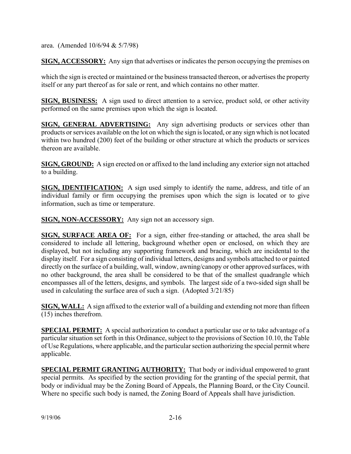area. (Amended 10/6/94 & 5/7/98)

**SIGN, ACCESSORY:** Any sign that advertises or indicates the person occupying the premises on

which the sign is erected or maintained or the business transacted thereon, or advertises the property itself or any part thereof as for sale or rent, and which contains no other matter.

**SIGN, BUSINESS:** A sign used to direct attention to a service, product sold, or other activity performed on the same premises upon which the sign is located.

**SIGN, GENERAL ADVERTISING:** Any sign advertising products or services other than products or services available on the lot on which the sign is located, or any sign which is not located within two hundred (200) feet of the building or other structure at which the products or services thereon are available.

**SIGN, GROUND:** A sign erected on or affixed to the land including any exterior sign not attached to a building.

**SIGN, IDENTIFICATION:** A sign used simply to identify the name, address, and title of an individual family or firm occupying the premises upon which the sign is located or to give information, such as time or temperature.

**SIGN, NON-ACCESSORY:** Any sign not an accessory sign.

**SIGN, SURFACE AREA OF:** For a sign, either free-standing or attached, the area shall be considered to include all lettering, background whether open or enclosed, on which they are displayed, but not including any supporting framework and bracing, which are incidental to the display itself. For a sign consisting of individual letters, designs and symbols attached to or painted directly on the surface of a building, wall, window, awning/canopy or other approved surfaces, with no other background, the area shall be considered to be that of the smallest quadrangle which encompasses all of the letters, designs, and symbols. The largest side of a two-sided sign shall be used in calculating the surface area of such a sign. (Adopted 3/21/85)

**SIGN, WALL:** A sign affixed to the exterior wall of a building and extending not more than fifteen (15) inches therefrom.

**SPECIAL PERMIT:** A special authorization to conduct a particular use or to take advantage of a particular situation set forth in this Ordinance, subject to the provisions of Section 10.10, the Table of Use Regulations, where applicable, and the particular section authorizing the special permit where applicable.

**SPECIAL PERMIT GRANTING AUTHORITY:** That body or individual empowered to grant special permits. As specified by the section providing for the granting of the special permit, that body or individual may be the Zoning Board of Appeals, the Planning Board, or the City Council. Where no specific such body is named, the Zoning Board of Appeals shall have jurisdiction.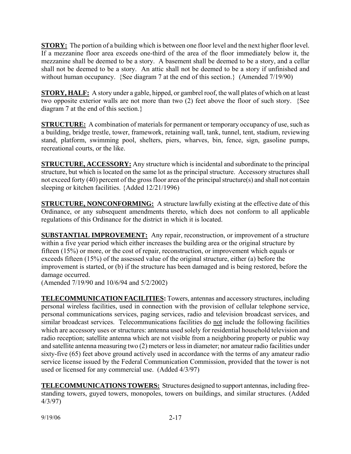**STORY:** The portion of a building which is between one floor level and the next higher floor level. If a mezzanine floor area exceeds one-third of the area of the floor immediately below it, the mezzanine shall be deemed to be a story. A basement shall be deemed to be a story, and a cellar shall not be deemed to be a story. An attic shall not be deemed to be a story if unfinished and without human occupancy. {See diagram 7 at the end of this section.} (Amended 7/19/90)

**STORY, HALF:** A story under a gable, hipped, or gambrel roof, the wall plates of which on at least two opposite exterior walls are not more than two (2) feet above the floor of such story. {See diagram 7 at the end of this section.}

**STRUCTURE:** A combination of materials for permanent or temporary occupancy of use, such as a building, bridge trestle, tower, framework, retaining wall, tank, tunnel, tent, stadium, reviewing stand, platform, swimming pool, shelters, piers, wharves, bin, fence, sign, gasoline pumps, recreational courts, or the like.

**STRUCTURE, ACCESSORY:** Any structure which is incidental and subordinate to the principal structure, but which is located on the same lot as the principal structure. Accessory structures shall not exceed forty (40) percent of the gross floor area of the principal structure(s) and shall not contain sleeping or kitchen facilities. {Added 12/21/1996)

**STRUCTURE, NONCONFORMING:** A structure lawfully existing at the effective date of this Ordinance, or any subsequent amendments thereto, which does not conform to all applicable regulations of this Ordinance for the district in which it is located.

**SUBSTANTIAL IMPROVEMENT:** Any repair, reconstruction, or improvement of a structure within a five year period which either increases the building area or the original structure by fifteen (15%) or more, or the cost of repair, reconstruction, or improvement which equals or exceeds fifteen (15%) of the assessed value of the original structure, either (a) before the improvement is started, or (b) if the structure has been damaged and is being restored, before the damage occurred.

(Amended 7/19/90 and 10/6/94 and 5/2/2002)

**TELECOMMUNICATION FACILITIES:** Towers, antennas and accessory structures, including personal wireless facilities, used in connection with the provision of cellular telephone service, personal communications services, paging services, radio and television broadcast services, and similar broadcast services. Telecommunications facilities do not include the following facilities which are accessory uses or structures: antenna used solely for residential household television and radio reception; satellite antenna which are not visible from a neighboring property or public way and satellite antenna measuring two (2) meters or less in diameter; nor amateur radio facilities under sixty-five (65) feet above ground actively used in accordance with the terms of any amateur radio service license issued by the Federal Communication Commission, provided that the tower is not used or licensed for any commercial use. (Added 4/3/97)

**TELECOMMUNICATIONS TOWERS:** Structures designed to support antennas, including freestanding towers, guyed towers, monopoles, towers on buildings, and similar structures. (Added 4/3/97)

9/19/06 2-17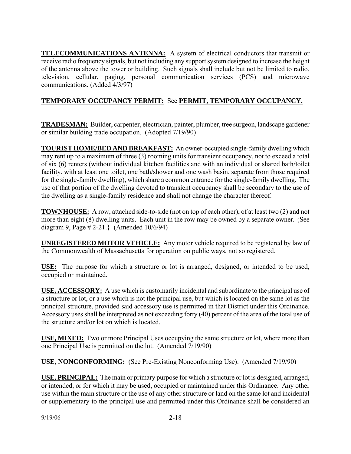**TELECOMMUNICATIONS ANTENNA:** A system of electrical conductors that transmit or receive radio frequency signals, but not including any support system designed to increase the height of the antenna above the tower or building. Such signals shall include but not be limited to radio, television, cellular, paging, personal communication services (PCS) and microwave communications. (Added 4/3/97)

# **TEMPORARY OCCUPANCY PERMIT:** See **PERMIT, TEMPORARY OCCUPANCY.**

**TRADESMAN:** Builder, carpenter, electrician, painter, plumber, tree surgeon, landscape gardener or similar building trade occupation. (Adopted 7/19/90)

**TOURIST HOME/BED AND BREAKFAST:** An owner-occupied single-family dwelling which may rent up to a maximum of three (3) rooming units for transient occupancy, not to exceed a total of six (6) renters (without individual kitchen facilities and with an individual or shared bath/toilet facility, with at least one toilet, one bath/shower and one wash basin, separate from those required for the single-family dwelling), which share a common entrance for the single-family dwelling. The use of that portion of the dwelling devoted to transient occupancy shall be secondary to the use of the dwelling as a single-family residence and shall not change the character thereof.

**TOWNHOUSE:** A row, attached side-to-side (not on top of each other), of at least two (2) and not more than eight (8) dwelling units. Each unit in the row may be owned by a separate owner. {See diagram 9, Page # 2-21.} (Amended 10/6/94)

**UNREGISTERED MOTOR VEHICLE:** Any motor vehicle required to be registered by law of the Commonwealth of Massachusetts for operation on public ways, not so registered.

**USE:** The purpose for which a structure or lot is arranged, designed, or intended to be used, occupied or maintained.

**USE, ACCESSORY:** A use which is customarily incidental and subordinate to the principal use of a structure or lot, or a use which is not the principal use, but which is located on the same lot as the principal structure, provided said accessory use is permitted in that District under this Ordinance. Accessory uses shall be interpreted as not exceeding forty (40) percent of the area of the total use of the structure and/or lot on which is located.

**USE, MIXED:** Two or more Principal Uses occupying the same structure or lot, where more than one Principal Use is permitted on the lot. (Amended 7/19/90)

**USE, NONCONFORMING:** (See Pre-Existing Nonconforming Use). (Amended 7/19/90)

**USE, PRINCIPAL:** The main or primary purpose for which a structure or lot is designed, arranged, or intended, or for which it may be used, occupied or maintained under this Ordinance. Any other use within the main structure or the use of any other structure or land on the same lot and incidental or supplementary to the principal use and permitted under this Ordinance shall be considered an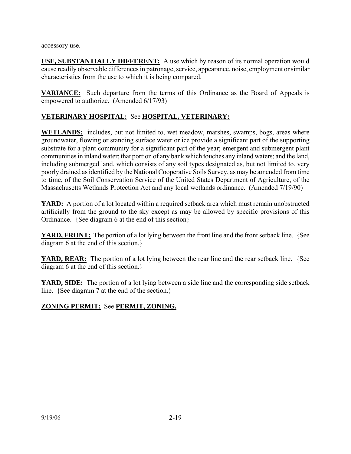accessory use.

**USE, SUBSTANTIALLY DIFFERENT:** A use which by reason of its normal operation would cause readily observable differences in patronage, service, appearance, noise, employment or similar characteristics from the use to which it is being compared.

**VARIANCE:** Such departure from the terms of this Ordinance as the Board of Appeals is empowered to authorize. (Amended 6/17/93)

## **VETERINARY HOSPITAL:** See **HOSPITAL, VETERINARY:**

**WETLANDS:** includes, but not limited to, wet meadow, marshes, swamps, bogs, areas where groundwater, flowing or standing surface water or ice provide a significant part of the supporting substrate for a plant community for a significant part of the year; emergent and submergent plant communities in inland water; that portion of any bank which touches any inland waters; and the land, including submerged land, which consists of any soil types designated as, but not limited to, very poorly drained as identified by the National Cooperative Soils Survey, as may be amended from time to time, of the Soil Conservation Service of the United States Department of Agriculture, of the Massachusetts Wetlands Protection Act and any local wetlands ordinance. (Amended 7/19/90)

**YARD:** A portion of a lot located within a required setback area which must remain unobstructed artificially from the ground to the sky except as may be allowed by specific provisions of this Ordinance. {See diagram 6 at the end of this section}

**YARD, FRONT:** The portion of a lot lying between the front line and the front setback line. {See diagram 6 at the end of this section.}

**YARD, REAR:** The portion of a lot lying between the rear line and the rear setback line. {See diagram 6 at the end of this section.}

**YARD, SIDE:** The portion of a lot lying between a side line and the corresponding side setback line. {See diagram 7 at the end of the section.}

## **ZONING PERMIT:** See **PERMIT, ZONING.**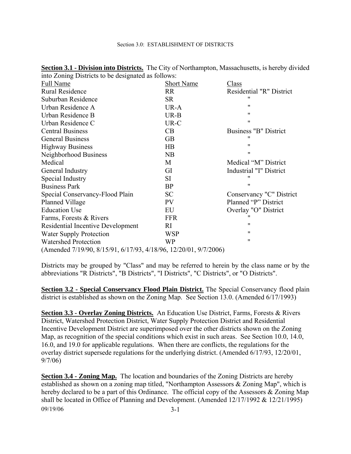| $\frac{1}{2}$ $\frac{1}{2}$ $\frac{1}{2}$ $\frac{1}{2}$ $\frac{1}{2}$ $\frac{1}{2}$ $\frac{1}{2}$ $\frac{1}{2}$ $\frac{1}{2}$ $\frac{1}{2}$ $\frac{1}{2}$ $\frac{1}{2}$ $\frac{1}{2}$ $\frac{1}{2}$ $\frac{1}{2}$ $\frac{1}{2}$ $\frac{1}{2}$ $\frac{1}{2}$ $\frac{1}{2}$ $\frac{1}{2}$ $\frac{1}{2}$ $\frac{1}{2}$ |                   |                          |
|---------------------------------------------------------------------------------------------------------------------------------------------------------------------------------------------------------------------------------------------------------------------------------------------------------------------|-------------------|--------------------------|
| Full Name                                                                                                                                                                                                                                                                                                           | <b>Short Name</b> | Class                    |
| <b>Rural Residence</b>                                                                                                                                                                                                                                                                                              | <b>RR</b>         | Residential "R" District |
| Suburban Residence                                                                                                                                                                                                                                                                                                  | <b>SR</b>         | "                        |
| Urban Residence A                                                                                                                                                                                                                                                                                                   | UR-A              | 11                       |
| Urban Residence B                                                                                                                                                                                                                                                                                                   | $UR-B$            | 11                       |
| Urban Residence C                                                                                                                                                                                                                                                                                                   | UR-C              | $^{\prime\prime}$        |
| <b>Central Business</b>                                                                                                                                                                                                                                                                                             | CB                | Business "B" District    |
| <b>General Business</b>                                                                                                                                                                                                                                                                                             | <b>GB</b>         | 11                       |
| <b>Highway Business</b>                                                                                                                                                                                                                                                                                             | $\overline{AB}$   | $^{\prime\prime}$        |
| Neighborhood Business                                                                                                                                                                                                                                                                                               | NB                | 11                       |
| Medical                                                                                                                                                                                                                                                                                                             | M                 | Medical "M" District     |
| General Industry                                                                                                                                                                                                                                                                                                    | GI                | Industrial "I" District  |
| Special Industry                                                                                                                                                                                                                                                                                                    | SI.               | "                        |
| <b>Business Park</b>                                                                                                                                                                                                                                                                                                | BP                | $^{\prime\prime}$        |
| Special Conservancy-Flood Plain                                                                                                                                                                                                                                                                                     | <b>SC</b>         | Conservancy "C" District |
| Planned Village                                                                                                                                                                                                                                                                                                     | <b>PV</b>         | Planned "P" District     |
| <b>Education Use</b>                                                                                                                                                                                                                                                                                                | EU                | Overlay "O" District     |
| Farms, Forests & Rivers                                                                                                                                                                                                                                                                                             | <b>FFR</b>        | "                        |
| Residential Incentive Development                                                                                                                                                                                                                                                                                   | RI                | 11                       |
| <b>Water Supply Protection</b>                                                                                                                                                                                                                                                                                      | <b>WSP</b>        | 11                       |
| <b>Watershed Protection</b>                                                                                                                                                                                                                                                                                         | WP                | 11                       |
| (Amended 7/19/90, 8/15/91, 6/17/93, 4/18/96, 12/20/01, 9/7/2006)                                                                                                                                                                                                                                                    |                   |                          |

**Section 3.1 - Division into Districts.** The City of Northampton, Massachusetts, is hereby divided into Zoning Districts to be designated as follows:

Districts may be grouped by "Class" and may be referred to herein by the class name or by the abbreviations "R Districts", "B Districts", "I Districts", "C Districts", or "O Districts".

**Section 3.2 - Special Conservancy Flood Plain District.** The Special Conservancy flood plain district is established as shown on the Zoning Map. See Section 13.0. (Amended 6/17/1993)

**Section 3.3 - Overlay Zoning Districts.** An Education Use District, Farms, Forests & Rivers District, Watershed Protection District, Water Supply Protection District and Residential Incentive Development District are superimposed over the other districts shown on the Zoning Map, as recognition of the special conditions which exist in such areas. See Section 10.0, 14.0, 16.0, and 19.0 for applicable regulations. When there are conflicts, the regulations for the overlay district supersede regulations for the underlying district. (Amended 6/17/93, 12/20/01, 9/7/06)

09/19/06 3-1 **Section 3.4 - Zoning Map.** The location and boundaries of the Zoning Districts are hereby established as shown on a zoning map titled, "Northampton Assessors & Zoning Map", which is hereby declared to be a part of this Ordinance. The official copy of the Assessors & Zoning Map shall be located in Office of Planning and Development. (Amended 12/17/1992 & 12/21/1995)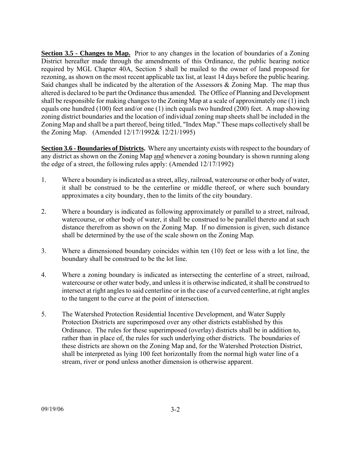**Section 3.5 - Changes to Map.** Prior to any changes in the location of boundaries of a Zoning District hereafter made through the amendments of this Ordinance, the public hearing notice required by MGL Chapter 40A, Section 5 shall be mailed to the owner of land proposed for rezoning, as shown on the most recent applicable tax list, at least 14 days before the public hearing. Said changes shall be indicated by the alteration of the Assessors  $\&$  Zoning Map. The map thus altered is declared to be part the Ordinance thus amended. The Office of Planning and Development shall be responsible for making changes to the Zoning Map at a scale of approximately one (1) inch equals one hundred (100) feet and/or one (1) inch equals two hundred (200) feet. A map showing zoning district boundaries and the location of individual zoning map sheets shall be included in the Zoning Map and shall be a part thereof, being titled, "Index Map." These maps collectively shall be the Zoning Map. (Amended 12/17/1992& 12/21/1995)

**Section 3.6 - Boundaries of Districts.** Where any uncertainty exists with respect to the boundary of any district as shown on the Zoning Map and whenever a zoning boundary is shown running along the edge of a street, the following rules apply: (Amended 12/17/1992)

- 1. Where a boundary is indicated as a street, alley, railroad, watercourse or other body of water, it shall be construed to be the centerline or middle thereof, or where such boundary approximates a city boundary, then to the limits of the city boundary.
- 2. Where a boundary is indicated as following approximately or parallel to a street, railroad, watercourse, or other body of water, it shall be construed to be parallel thereto and at such distance therefrom as shown on the Zoning Map. If no dimension is given, such distance shall be determined by the use of the scale shown on the Zoning Map.
- 3. Where a dimensioned boundary coincides within ten (10) feet or less with a lot line, the boundary shall be construed to be the lot line.
- 4. Where a zoning boundary is indicated as intersecting the centerline of a street, railroad, watercourse or other water body, and unless it is otherwise indicated, it shall be construed to intersect at right angles to said centerline or in the case of a curved centerline, at right angles to the tangent to the curve at the point of intersection.
- 5. The Watershed Protection Residential Incentive Development, and Water Supply Protection Districts are superimposed over any other districts established by this Ordinance. The rules for these superimposed (overlay) districts shall be in addition to, rather than in place of, the rules for such underlying other districts. The boundaries of these districts are shown on the Zoning Map and, for the Watershed Protection District, shall be interpreted as lying 100 feet horizontally from the normal high water line of a stream, river or pond unless another dimension is otherwise apparent.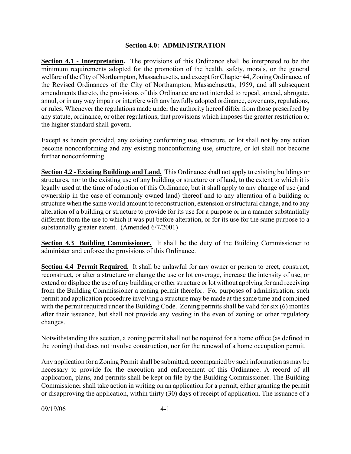### **Section 4.0: ADMINISTRATION**

**Section 4.1 - Interpretation.** The provisions of this Ordinance shall be interpreted to be the minimum requirements adopted for the promotion of the health, safety, morals, or the general welfare of the City of Northampton, Massachusetts, and except for Chapter 44, Zoning Ordinance, of the Revised Ordinances of the City of Northampton, Massachusetts, 1959, and all subsequent amendments thereto, the provisions of this Ordinance are not intended to repeal, amend, abrogate, annul, or in any way impair or interfere with any lawfully adopted ordinance, covenants, regulations, or rules. Whenever the regulations made under the authority hereof differ from those prescribed by any statute, ordinance, or other regulations, that provisions which imposes the greater restriction or the higher standard shall govern.

Except as herein provided, any existing conforming use, structure, or lot shall not by any action become nonconforming and any existing nonconforming use, structure, or lot shall not become further nonconforming.

**Section 4.2 - Existing Buildings and Land.** This Ordinance shall not apply to existing buildings or structures, nor to the existing use of any building or structure or of land, to the extent to which it is legally used at the time of adoption of this Ordinance, but it shall apply to any change of use (and ownership in the case of commonly owned land) thereof and to any alteration of a building or structure when the same would amount to reconstruction, extension or structural change, and to any alteration of a building or structure to provide for its use for a purpose or in a manner substantially different from the use to which it was put before alteration, or for its use for the same purpose to a substantially greater extent. (Amended 6/7/2001)

**Section 4.3 Building Commissioner.** It shall be the duty of the Building Commissioner to administer and enforce the provisions of this Ordinance.

**Section 4.4 Permit Required.** It shall be unlawful for any owner or person to erect, construct, reconstruct, or alter a structure or change the use or lot coverage, increase the intensity of use, or extend or displace the use of any building or other structure or lot without applying for and receiving from the Building Commissioner a zoning permit therefor. For purposes of administration, such permit and application procedure involving a structure may be made at the same time and combined with the permit required under the Building Code. Zoning permits shall be valid for six (6) months after their issuance, but shall not provide any vesting in the even of zoning or other regulatory changes.

Notwithstanding this section, a zoning permit shall not be required for a home office (as defined in the zoning) that does not involve construction, nor for the renewal of a home occupation permit.

Any application for a Zoning Permit shall be submitted, accompanied by such information as may be necessary to provide for the execution and enforcement of this Ordinance. A record of all application, plans, and permits shall be kept on file by the Building Commissioner. The Building Commissioner shall take action in writing on an application for a permit, either granting the permit or disapproving the application, within thirty (30) days of receipt of application. The issuance of a

09/19/06 4-1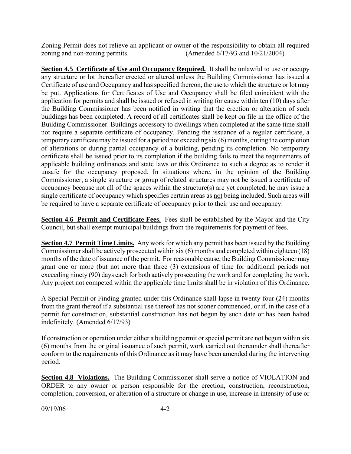Zoning Permit does not relieve an applicant or owner of the responsibility to obtain all required zoning and non-zoning permits. (Amended 6/17/93 and 10/21/2004)

**Section 4.5 Certificate of Use and Occupancy Required.** It shall be unlawful to use or occupy any structure or lot thereafter erected or altered unless the Building Commissioner has issued a Certificate of use and Occupancy and has specified thereon, the use to which the structure or lot may be put. Applications for Certificates of Use and Occupancy shall be filed coincident with the application for permits and shall be issued or refused in writing for cause within ten (10) days after the Building Commissioner has been notified in writing that the erection or alteration of such buildings has been completed. A record of all certificates shall be kept on file in the office of the Building Commissioner. Buildings accessory to dwellings when completed at the same time shall not require a separate certificate of occupancy. Pending the issuance of a regular certificate, a temporary certificate may be issued for a period not exceeding six (6) months, during the completion of alterations or during partial occupancy of a building, pending its completion. No temporary certificate shall be issued prior to its completion if the building fails to meet the requirements of applicable building ordinances and state laws or this Ordinance to such a degree as to render it unsafe for the occupancy proposed. In situations where, in the opinion of the Building Commissioner, a single structure or group of related structures may not be issued a certificate of occupancy because not all of the spaces within the structure(s) are yet completed, he may issue a single certificate of occupancy which specifies certain areas as not being included. Such areas will be required to have a separate certificate of occupancy prior to their use and occupancy.

**Section 4.6 Permit and Certificate Fees.** Fees shall be established by the Mayor and the City Council, but shall exempt municipal buildings from the requirements for payment of fees.

**Section 4.7 Permit Time Limits.** Any work for which any permit has been issued by the Building Commissioner shall be actively prosecuted within six (6) months and completed within eighteen (18) months of the date of issuance of the permit. For reasonable cause, the Building Commissioner may grant one or more (but not more than three (3) extensions of time for additional periods not exceeding ninety (90) days each for both actively prosecuting the work and for completing the work. Any project not competed within the applicable time limits shall be in violation of this Ordinance.

A Special Permit or Finding granted under this Ordinance shall lapse in twenty-four (24) months from the grant thereof if a substantial use thereof has not sooner commenced, or if, in the case of a permit for construction, substantial construction has not begun by such date or has been halted indefinitely. (Amended 6/17/93)

If construction or operation under either a building permit or special permit are not begun within six (6) months from the original issuance of such permit, work carried out thereunder shall thereafter conform to the requirements of this Ordinance as it may have been amended during the intervening period.

**Section 4.8 Violations.** The Building Commissioner shall serve a notice of VIOLATION and ORDER to any owner or person responsible for the erection, construction, reconstruction, completion, conversion, or alteration of a structure or change in use, increase in intensity of use or

09/19/06 4-2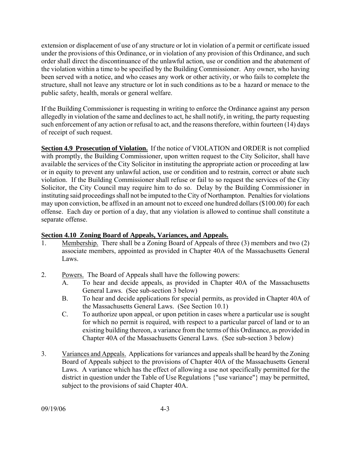extension or displacement of use of any structure or lot in violation of a permit or certificate issued under the provisions of this Ordinance, or in violation of any provision of this Ordinance, and such order shall direct the discontinuance of the unlawful action, use or condition and the abatement of the violation within a time to be specified by the Building Commissioner. Any owner, who having been served with a notice, and who ceases any work or other activity, or who fails to complete the structure, shall not leave any structure or lot in such conditions as to be a hazard or menace to the public safety, health, morals or general welfare.

If the Building Commissioner is requesting in writing to enforce the Ordinance against any person allegedly in violation of the same and declines to act, he shall notify, in writing, the party requesting such enforcement of any action or refusal to act, and the reasons therefore, within fourteen (14) days of receipt of such request.

**Section 4.9 Prosecution of Violation.** If the notice of VIOLATION and ORDER is not complied with promptly, the Building Commissioner, upon written request to the City Solicitor, shall have available the services of the City Solicitor in instituting the appropriate action or proceeding at law or in equity to prevent any unlawful action, use or condition and to restrain, correct or abate such violation. If the Building Commissioner shall refuse or fail to so request the services of the City Solicitor, the City Council may require him to do so. Delay by the Building Commissioner in instituting said proceedings shall not be imputed to the City of Northampton. Penalties for violations may upon conviction, be affixed in an amount not to exceed one hundred dollars (\$100.00) for each offense. Each day or portion of a day, that any violation is allowed to continue shall constitute a separate offense.

## **Section 4.10 Zoning Board of Appeals, Variances, and Appeals.**

- 1. Membership. There shall be a Zoning Board of Appeals of three (3) members and two (2) associate members, appointed as provided in Chapter 40A of the Massachusetts General Laws.
- 2. Powers. The Board of Appeals shall have the following powers:
	- A. To hear and decide appeals, as provided in Chapter 40A of the Massachusetts General Laws. (See sub-section 3 below)
	- B. To hear and decide applications for special permits, as provided in Chapter 40A of the Massachusetts General Laws. (See Section 10.1)
	- C. To authorize upon appeal, or upon petition in cases where a particular use is sought for which no permit is required, with respect to a particular parcel of land or to an existing building thereon, a variance from the terms of this Ordinance, as provided in Chapter 40A of the Massachusetts General Laws. (See sub-section 3 below)
- 3. Variances and Appeals. Applications for variances and appeals shall be heard by the Zoning Board of Appeals subject to the provisions of Chapter 40A of the Massachusetts General Laws. A variance which has the effect of allowing a use not specifically permitted for the district in question under the Table of Use Regulations {"use variance"} may be permitted, subject to the provisions of said Chapter 40A.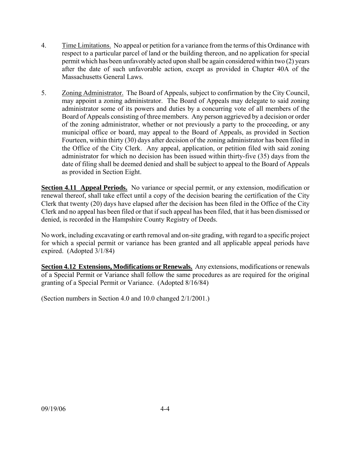- 4. Time Limitations. No appeal or petition for a variance from the terms of this Ordinance with respect to a particular parcel of land or the building thereon, and no application for special permit which has been unfavorably acted upon shall be again considered within two (2) years after the date of such unfavorable action, except as provided in Chapter 40A of the Massachusetts General Laws.
- 5. Zoning Administrator. The Board of Appeals, subject to confirmation by the City Council, may appoint a zoning administrator. The Board of Appeals may delegate to said zoning administrator some of its powers and duties by a concurring vote of all members of the Board of Appeals consisting of three members. Any person aggrieved by a decision or order of the zoning administrator, whether or not previously a party to the proceeding, or any municipal office or board, may appeal to the Board of Appeals, as provided in Section Fourteen, within thirty (30) days after decision of the zoning administrator has been filed in the Office of the City Clerk. Any appeal, application, or petition filed with said zoning administrator for which no decision has been issued within thirty-five (35) days from the date of filing shall be deemed denied and shall be subject to appeal to the Board of Appeals as provided in Section Eight.

**Section 4.11 Appeal Periods.** No variance or special permit, or any extension, modification or renewal thereof, shall take effect until a copy of the decision bearing the certification of the City Clerk that twenty (20) days have elapsed after the decision has been filed in the Office of the City Clerk and no appeal has been filed or that if such appeal has been filed, that it has been dismissed or denied, is recorded in the Hampshire County Registry of Deeds.

No work, including excavating or earth removal and on-site grading, with regard to a specific project for which a special permit or variance has been granted and all applicable appeal periods have expired. (Adopted 3/1/84)

**Section 4.12 Extensions, Modifications or Renewals.** Any extensions, modifications or renewals of a Special Permit or Variance shall follow the same procedures as are required for the original granting of a Special Permit or Variance. (Adopted 8/16/84)

(Section numbers in Section 4.0 and 10.0 changed 2/1/2001.)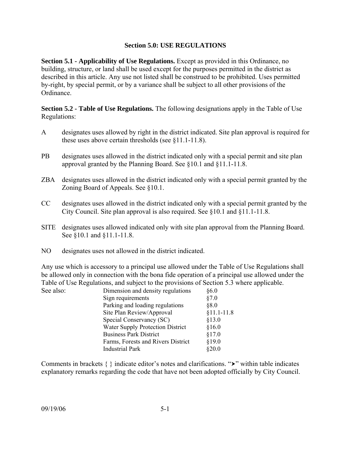### **Section 5.0: USE REGULATIONS**

**Section 5.1 - Applicability of Use Regulations.** Except as provided in this Ordinance, no building, structure, or land shall be used except for the purposes permitted in the district as described in this article. Any use not listed shall be construed to be prohibited. Uses permitted by-right, by special permit, or by a variance shall be subject to all other provisions of the Ordinance.

**Section 5.2 - Table of Use Regulations.** The following designations apply in the Table of Use Regulations:

- A designates uses allowed by right in the district indicated. Site plan approval is required for these uses above certain thresholds (see §11.1-11.8).
- PB designates uses allowed in the district indicated only with a special permit and site plan approval granted by the Planning Board. See §10.1 and §11.1-11.8.
- ZBA designates uses allowed in the district indicated only with a special permit granted by the Zoning Board of Appeals. See §10.1.
- CC designates uses allowed in the district indicated only with a special permit granted by the City Council. Site plan approval is also required. See §10.1 and §11.1-11.8.
- SITE designates uses allowed indicated only with site plan approval from the Planning Board. See §10.1 and §11.1-11.8.
- NO designates uses not allowed in the district indicated.

Any use which is accessory to a principal use allowed under the Table of Use Regulations shall be allowed only in connection with the bona fide operation of a principal use allowed under the Table of Use Regulations, and subject to the provisions of Section 5.3 where applicable. See also:

| See also: | Dimension and density regulations  | §6.0         |
|-----------|------------------------------------|--------------|
|           | Sign requirements                  | §7.0         |
|           | Parking and loading regulations    | § 8.0        |
|           | Site Plan Review/Approval          | $§11.1-11.8$ |
|           | Special Conservancy (SC)           | §13.0        |
|           | Water Supply Protection District   | \$16.0       |
|           | <b>Business Park District</b>      | \$17.0       |
|           | Farms, Forests and Rivers District | \$19.0       |
|           | <b>Industrial Park</b>             | \$20.0       |
|           |                                    |              |

Comments in brackets  $\{\}$  indicate editor's notes and clarifications. " $\rightarrow$ " within table indicates explanatory remarks regarding the code that have not been adopted officially by City Council.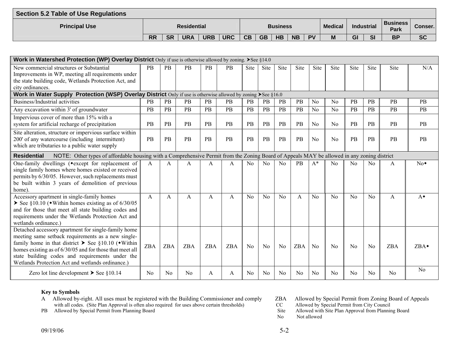| Section 5.2 Table of Use Regulations |           |           |                    |            |            |           |           |                 |           |           |                |            |           |                                |           |
|--------------------------------------|-----------|-----------|--------------------|------------|------------|-----------|-----------|-----------------|-----------|-----------|----------------|------------|-----------|--------------------------------|-----------|
| <b>Principal Use</b>                 |           |           | <b>Residential</b> |            |            |           |           | <b>Business</b> |           |           | <b>Medical</b> | Industrial |           | <b>Business</b><br><b>Park</b> | Conser.   |
|                                      | <b>RR</b> | <b>SR</b> | <b>URA</b>         | <b>URB</b> | <b>URC</b> | <b>CB</b> | <b>GB</b> | <b>HB</b>       | <b>NB</b> | <b>DV</b> | M              | GI         | <b>SI</b> | <b>BP</b>                      | <b>SC</b> |

| Work in Watershed Protection (WP) Overlay District Only if use is otherwise allowed by zoning. $\blacktriangleright$ See §14.0                                                                                                                                                                                                                                |            |            |                |            |            |                |                |                |            |                |                |                |                |                |                  |
|---------------------------------------------------------------------------------------------------------------------------------------------------------------------------------------------------------------------------------------------------------------------------------------------------------------------------------------------------------------|------------|------------|----------------|------------|------------|----------------|----------------|----------------|------------|----------------|----------------|----------------|----------------|----------------|------------------|
| New commercial structures or Substantial                                                                                                                                                                                                                                                                                                                      | <b>PB</b>  | PB         | <b>PB</b>      | PB         | PB         | <b>Site</b>    | <b>Site</b>    | Site           | Site       | <b>Site</b>    | Site           | <b>Site</b>    | Site           | <b>Site</b>    | N/A              |
| Improvements in WP, meeting all requirements under<br>the state building code, Wetlands Protection Act, and                                                                                                                                                                                                                                                   |            |            |                |            |            |                |                |                |            |                |                |                |                |                |                  |
| city ordinances.                                                                                                                                                                                                                                                                                                                                              |            |            |                |            |            |                |                |                |            |                |                |                |                |                |                  |
| Work in Water Supply Protection (WSP) Overlay District Only if use is otherwise allowed by zoning $\blacktriangleright$ See §16.0                                                                                                                                                                                                                             |            |            |                |            |            |                |                |                |            |                |                |                |                |                |                  |
| Business/Industrial activities                                                                                                                                                                                                                                                                                                                                | <b>PB</b>  | PB         | <b>PB</b>      | <b>PB</b>  | <b>PB</b>  | PB             | PB             | <b>PB</b>      | <b>PB</b>  | N <sub>0</sub> | No             | PB             | <b>PB</b>      | <b>PB</b>      | PB               |
| Any excavation within 3' of groundwater                                                                                                                                                                                                                                                                                                                       | <b>PB</b>  | <b>PB</b>  | <b>PB</b>      | <b>PB</b>  | <b>PB</b>  | <b>PB</b>      | PB             | PB             | <b>PB</b>  | No             | N <sub>0</sub> | PB             | PB             | <b>PB</b>      | <b>PB</b>        |
| Impervious cover of more than 15% with a<br>system for artificial recharge of precipitation                                                                                                                                                                                                                                                                   | PB         | PB         | <b>PB</b>      | PB         | <b>PB</b>  | PB             | PB             | PB             | PB         | N <sub>0</sub> | No             | PB             | PB             | PB             | PB               |
| Site alteration, structure or impervious surface within<br>200' of any watercourse (including intermittent)<br>which are tributaries to a public water supply                                                                                                                                                                                                 | PB         | PB         | <b>PB</b>      | PB         | <b>PB</b>  | PB             | PB             | PB             | PB         | N <sub>0</sub> | No             | <b>PB</b>      | PB             | PB             | PB               |
| NOTE: Other types of affordable housing with a Comprehensive Permit from the Zoning Board of Appeals MAY be allowed in any zoning district<br><b>Residential</b>                                                                                                                                                                                              |            |            |                |            |            |                |                |                |            |                |                |                |                |                |                  |
| One-family dwellings (*except for replacement of<br>single family homes where homes existed or received<br>permits by 6/30/05. However, such replacements must<br>be built within 3 years of demolition of previous<br>home).                                                                                                                                 | A          | A          | A              | A          | A          | No             | N <sub>0</sub> | N <sub>0</sub> | <b>PB</b>  | $A^*$          | N <sub>0</sub> | N <sub>0</sub> | No             | A              | $No*$            |
| Accessory apartment in single-family homes<br>See $§10.10$ ( $\bullet$ Within homes existing as of 6/30/05<br>and for those that meet all state building codes and<br>requirements under the Wetlands Protection Act and<br>wetlands ordinance.                                                                                                               | A          | A          | A              | A          | A          | No             | N <sub>0</sub> | $\rm No$       | A          | N <sub>0</sub> | N <sub>0</sub> | N <sub>0</sub> | No             | A              | $A^{\bullet}$    |
| Detached accessory apartment for single-family home<br>meeting same setback requirements as a new single-<br>family home in that district $\triangleright$ See §10.10 ( $\triangle$ Within<br>homes existing as of 6/30/05 and for those that meet all<br>state building codes and requirements under the<br>Wetlands Protection Act and wetlands ordinance.) | <b>ZBA</b> | <b>ZBA</b> | <b>ZBA</b>     | <b>ZBA</b> | <b>ZBA</b> | N <sub>o</sub> | N <sub>0</sub> | N <sub>0</sub> | <b>ZBA</b> | N <sub>0</sub> | N <sub>o</sub> | N <sub>0</sub> | No             | <b>ZBA</b>     | ZBA <sup>+</sup> |
| Zero lot line development $\triangleright$ See §10.14                                                                                                                                                                                                                                                                                                         | No         | No         | N <sub>0</sub> | A          | A          | No             | No             | N <sub>0</sub> | No         | No             | No             | N <sub>0</sub> | N <sub>0</sub> | N <sub>0</sub> | No               |

- A Allowed by-right. All uses must be registered with the Building Commissioner and comply ZBA Allowed by Special Permit from Zoning Board of Appeals with all codes. (Site Plan Approval is often also required for uses above certain thresholds) CC Allowed by Special Permit from City Council
- 
- 
- 
- PB Allowed by Special Permit from Planning Board Site Allowed with Site Plan Approval from Planning Board
	- No Not allowed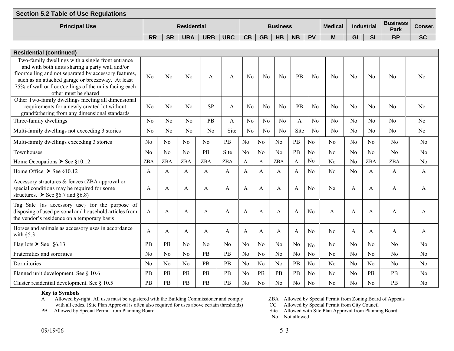| Section 5.2 Table of Use Regulations |           |           |                    |            |            |           |           |                 |           |           |                |    |            |                                |           |
|--------------------------------------|-----------|-----------|--------------------|------------|------------|-----------|-----------|-----------------|-----------|-----------|----------------|----|------------|--------------------------------|-----------|
| <b>Principal Use</b>                 |           |           | <b>Residential</b> |            |            |           |           | <b>Business</b> |           |           | <b>Medical</b> |    | Industrial | <b>Business</b><br><b>Park</b> | Conser.l  |
|                                      | <b>RR</b> | <b>SR</b> | <b>URA</b>         | <b>URB</b> | <b>URC</b> | <b>CB</b> | <b>GB</b> | <b>HB</b>       | <b>NB</b> | <b>PV</b> | M              | GI | SI         | <b>BP</b>                      | <b>SC</b> |

| <b>Residential (continued)</b>                                                                                                                                                                                                                                                                        |                |                |                |                |              |                |                |                |                |                |                |                |                |                |                |
|-------------------------------------------------------------------------------------------------------------------------------------------------------------------------------------------------------------------------------------------------------------------------------------------------------|----------------|----------------|----------------|----------------|--------------|----------------|----------------|----------------|----------------|----------------|----------------|----------------|----------------|----------------|----------------|
| Two-family dwellings with a single front entrance<br>and with both units sharing a party wall and/or<br>floor/ceiling and not separated by accessory features,<br>such as an attached garage or breezeway. At least<br>75% of wall or floor/ceilings of the units facing each<br>other must be shared | No             | No             | No             | A              | A            | N <sub>0</sub> | N <sub>0</sub> | <b>No</b>      | PB             | No             | No             | $\rm No$       | N <sub>0</sub> | No             | N <sub>0</sub> |
| Other Two-family dwellings meeting all dimensional<br>requirements for a newly created lot without<br>grandfathering from any dimensional standards                                                                                                                                                   | $\rm No$       | No             | $\rm No$       | <b>SP</b>      | $\mathsf{A}$ | No             | N <sub>o</sub> | $\rm No$       | PB             | No             | No             | No             | No             | N <sub>0</sub> | N <sub>0</sub> |
| Three-family dwellings                                                                                                                                                                                                                                                                                | No             | N <sub>o</sub> | No             | PB             | A            | N <sub>0</sub> | N <sub>o</sub> | N <sub>0</sub> | A              | No             | No             | N <sub>o</sub> | No             | No             | No             |
| Multi-family dwellings not exceeding 3 stories                                                                                                                                                                                                                                                        | No             | N <sub>0</sub> | No             | No             | Site         | N <sub>0</sub> | N <sub>o</sub> | <b>No</b>      | Site           | No             | No             | N <sub>0</sub> | N <sub>0</sub> | No             | N <sub>o</sub> |
| Multi-family dwellings exceeding 3 stories                                                                                                                                                                                                                                                            | N <sub>0</sub> | N <sub>0</sub> | No             | No             | PB           | No             | N <sub>o</sub> | No             | PB             | N <sub>o</sub> | N <sub>0</sub> | N <sub>0</sub> | No             | No             | N <sub>0</sub> |
| Townhouses                                                                                                                                                                                                                                                                                            | N <sub>0</sub> | No             | No             | PB             | Site         | No             | N <sub>o</sub> | No             | PB             | No             | No             | N <sub>0</sub> | No             | No             | No             |
| Home Occupations $\triangleright$ See §10.12                                                                                                                                                                                                                                                          | ZBA            | <b>ZBA</b>     | <b>ZBA</b>     | ZBA            | ZBA          | $\mathbf{A}$   | A              | <b>ZBA</b>     | $\mathbf{A}$   | N <sub>o</sub> | N <sub>0</sub> | No             | <b>ZBA</b>     | <b>ZBA</b>     | No             |
| Home Office $\triangleright$ See §10.12                                                                                                                                                                                                                                                               | A              | A              | A              | A              | A            | A              | A              | A              | A              | N <sub>o</sub> | N <sub>0</sub> | No             | A              | A              | A              |
| Accessory structures & fences (ZBA approval or<br>special conditions may be required for some<br>structures. $\triangleright$ See §6.7 and §6.8)                                                                                                                                                      | A              | A              | A              | A              | $\mathsf{A}$ | A              | A              | A              | $\mathsf{A}$   | N <sub>o</sub> | No             | $\mathsf{A}$   | A              | A              | A              |
| Tag Sale {as accessory use} for the purpose of<br>disposing of used personal and household articles from<br>the vendor's residence on a temporary basis                                                                                                                                               | A              | A              | A              | A              | A            | A              | A              | A              | A              | N <sub>o</sub> | A              | A              | A              | A              | A              |
| Horses and animals as accessory uses in accordance<br>with $§5.3$                                                                                                                                                                                                                                     | A              | A              | A              | A              | A            | A              | A              | A              | A              | N <sub>o</sub> | No             | A              | A              | A              | A              |
| Flag lots $\triangleright$ See §6.13                                                                                                                                                                                                                                                                  | PB             | PB             | N <sub>o</sub> | N <sub>0</sub> | No           | N <sub>o</sub> | N <sub>o</sub> | N <sub>0</sub> | No             | N <sub>o</sub> | N <sub>0</sub> | N <sub>0</sub> | N <sub>o</sub> | N <sub>o</sub> | N <sub>0</sub> |
| Fraternities and sororities                                                                                                                                                                                                                                                                           | N <sub>0</sub> | N <sub>0</sub> | N <sub>0</sub> | PB             | <b>PB</b>    | N <sub>0</sub> | No             | N <sub>0</sub> | N <sub>0</sub> | N <sub>o</sub> | N <sub>0</sub> | N <sub>0</sub> | N <sub>o</sub> | N <sub>0</sub> | No             |
| Dormitories                                                                                                                                                                                                                                                                                           | N <sub>0</sub> | No             | No             | PB             | PB           | No             | N <sub>o</sub> | No             | PB             | N <sub>o</sub> | No             | No             | No             | No             | No             |
| Planned unit development. See § 10.6                                                                                                                                                                                                                                                                  | <b>PB</b>      | PB             | PB             | PB             | PB           | No             | PB             | PB             | PB             | N <sub>o</sub> | N <sub>0</sub> | N <sub>0</sub> | PB             | PB             | No             |
| Cluster residential development. See § 10.5                                                                                                                                                                                                                                                           | PB             | PB             | PB             | PB             | PB           | No             | N <sub>0</sub> | N <sub>0</sub> | N <sub>0</sub> | N <sub>o</sub> | N <sub>0</sub> | N <sub>0</sub> | N <sub>0</sub> | PB             | No             |

A Allowed by-right. All uses must be registered with the Building Commissioner and comply ZBA Allowed by Special Permit from Zoning Board of Appeals with all codes. (Site Plan Approval is often also required for uses above certain thresholds) CC Allowed by Special Permit from City Council

PB Allowed by Special Permit from Planning Board Site Allowed with Site Plan Approval from Planning Board Site Allowed with Site Plan Approval from Planning Board

No Not allowed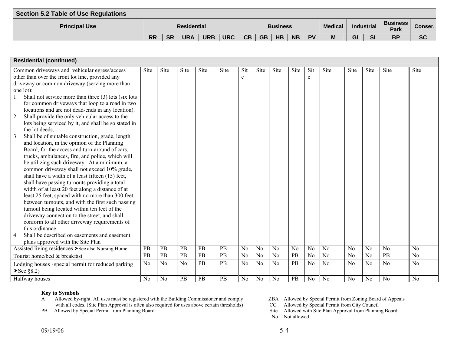| Section 5.2 Table of Use Regulations |           |           |                    |            |            |           |           |                 |           |           |                |    |                   |                                |           |
|--------------------------------------|-----------|-----------|--------------------|------------|------------|-----------|-----------|-----------------|-----------|-----------|----------------|----|-------------------|--------------------------------|-----------|
| <b>Principal Use</b>                 |           |           | <b>Residential</b> |            |            |           |           | <b>Business</b> |           |           | <b>Medical</b> |    | <b>Industrial</b> | <b>Business</b><br><b>Park</b> | Conser.   |
|                                      | <b>RR</b> | <b>SR</b> | <b>URA</b>         | <b>URB</b> | <b>URC</b> | <b>CB</b> | <b>GB</b> | <b>HB</b>       | <b>NB</b> | <b>PV</b> | M              | GI | <b>SI</b>         | <b>BP</b>                      | <b>SC</b> |

| <b>Residential (continued)</b>                                     |                |                |      |      |           |                |                |                |                |                |                |                |                |                |                |
|--------------------------------------------------------------------|----------------|----------------|------|------|-----------|----------------|----------------|----------------|----------------|----------------|----------------|----------------|----------------|----------------|----------------|
| Common driveways and vehicular egress/access                       | Site           | Site           | Site | Site | Site      | Sit            | Site           | Site           | Site           | Sit            | Site           | Site           | Site           | Site           | Site           |
| other than over the front lot line, provided any                   |                |                |      |      |           | e              |                |                |                | e              |                |                |                |                |                |
| driveway or common driveway (serving more than                     |                |                |      |      |           |                |                |                |                |                |                |                |                |                |                |
| one lot):                                                          |                |                |      |      |           |                |                |                |                |                |                |                |                |                |                |
| Shall not service more than three (3) lots (six lots<br>1.         |                |                |      |      |           |                |                |                |                |                |                |                |                |                |                |
| for common driveways that loop to a road in two                    |                |                |      |      |           |                |                |                |                |                |                |                |                |                |                |
| locations and are not dead-ends in any location).                  |                |                |      |      |           |                |                |                |                |                |                |                |                |                |                |
| $\overline{2}$ .<br>Shall provide the only vehicular access to the |                |                |      |      |           |                |                |                |                |                |                |                |                |                |                |
| lots being serviced by it, and shall be so stated in               |                |                |      |      |           |                |                |                |                |                |                |                |                |                |                |
| the lot deeds,                                                     |                |                |      |      |           |                |                |                |                |                |                |                |                |                |                |
| 3.<br>Shall be of suitable construction, grade, length             |                |                |      |      |           |                |                |                |                |                |                |                |                |                |                |
| and location, in the opinion of the Planning                       |                |                |      |      |           |                |                |                |                |                |                |                |                |                |                |
| Board, for the access and turn-around of cars,                     |                |                |      |      |           |                |                |                |                |                |                |                |                |                |                |
| trucks, ambulances, fire, and police, which will                   |                |                |      |      |           |                |                |                |                |                |                |                |                |                |                |
| be utilizing such driveway. At a minimum, a                        |                |                |      |      |           |                |                |                |                |                |                |                |                |                |                |
| common driveway shall not exceed 10% grade,                        |                |                |      |      |           |                |                |                |                |                |                |                |                |                |                |
| shall have a width of a least fifteen (15) feet,                   |                |                |      |      |           |                |                |                |                |                |                |                |                |                |                |
| shall have passing turnouts providing a total                      |                |                |      |      |           |                |                |                |                |                |                |                |                |                |                |
| width of at least 20 feet along a distance of at                   |                |                |      |      |           |                |                |                |                |                |                |                |                |                |                |
| least 25 feet, spaced with no more than 300 feet                   |                |                |      |      |           |                |                |                |                |                |                |                |                |                |                |
| between turnouts, and with the first such passing                  |                |                |      |      |           |                |                |                |                |                |                |                |                |                |                |
| turnout being located within ten feet of the                       |                |                |      |      |           |                |                |                |                |                |                |                |                |                |                |
| driveway connection to the street, and shall                       |                |                |      |      |           |                |                |                |                |                |                |                |                |                |                |
| conform to all other driveway requirements of                      |                |                |      |      |           |                |                |                |                |                |                |                |                |                |                |
| this ordinance.                                                    |                |                |      |      |           |                |                |                |                |                |                |                |                |                |                |
| Shall be described on easements and easement                       |                |                |      |      |           |                |                |                |                |                |                |                |                |                |                |
| plans approved with the Site Plan                                  |                |                |      |      |           |                |                |                |                |                |                |                |                |                |                |
| Assisted living residences > See also Nursing Home                 | PB             | PB             | PB   | PB   | PB        | N <sub>0</sub> | N <sub>0</sub> | N <sub>0</sub> | N <sub>o</sub> | N <sub>o</sub> | N <sub>0</sub> | N <sub>o</sub> | N <sub>o</sub> | N <sub>o</sub> | N <sub>o</sub> |
| Tourist home/bed & breakfast                                       | PB             | PB             | PB   | PB   | PB        | N <sub>0</sub> | N <sub>o</sub> | N <sub>0</sub> | PB             | N <sub>0</sub> | N <sub>0</sub> | No             | N <sub>0</sub> | <b>PB</b>      | N <sub>0</sub> |
| Lodging houses {special permit for reduced parking<br>$\S 8.2$     | No             | N <sub>0</sub> | No   | PB   | <b>PB</b> | N <sub>o</sub> | No             | No             | PB             | N <sub>o</sub> | No             | No             | No             | No             | N <sub>o</sub> |
| Halfway houses                                                     | N <sub>o</sub> | N <sub>0</sub> | PB   | PB   | PB        | N <sub>0</sub> | N <sub>o</sub> | N <sub>0</sub> | PB             | N <sub>o</sub> | N <sub>0</sub> | N <sub>0</sub> | N <sub>0</sub> | No             | N <sub>o</sub> |

- A Allowed by-right. All uses must be registered with the Building Commissioner and comply ZBA Allowed by Special Permit from Zoning Board of Appeals with all codes. (Site Plan Approval is often also required for uses above certain thresholds) CC Allowed by Special Permit from City Council
- 
- 
- 
- PB Allowed by Special Permit from Planning Board Site Allowed with Site Plan Approval from Planning Board Site Allowed with Site Plan Approval from Planning Board
	- No Not allowed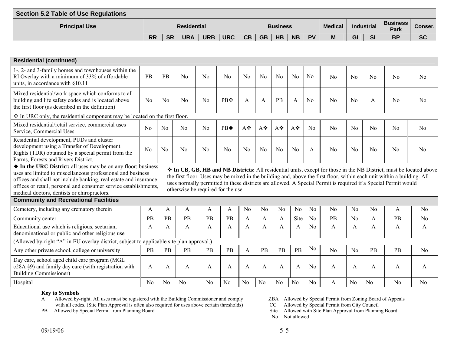| <b>Section 5.2 Table of Use Regulations</b> |           |           |                    |            |            |           |           |                 |           |           |                |    |                   |                           |                |
|---------------------------------------------|-----------|-----------|--------------------|------------|------------|-----------|-----------|-----------------|-----------|-----------|----------------|----|-------------------|---------------------------|----------------|
| <b>Principal Use</b>                        |           |           | <b>Residential</b> |            |            |           |           | <b>Business</b> |           |           | <b>Medical</b> |    | <b>Industrial</b> | Business  <br><b>Park</b> | <b>Conser.</b> |
|                                             | <b>RR</b> | <b>SR</b> | <b>URA</b>         | <b>URB</b> | <b>URC</b> | <b>CB</b> | <b>GB</b> | <b>HB</b>       | <b>NB</b> | <b>PV</b> | M              | GI | SI                | <b>BP</b>                 | <b>SC</b>      |

| <b>Residential (continued)</b>                                                                                                                                                                                                                                                                                                                                                                                                                                                                                                                                                                                                                                                                                               |                |                |                |                |     |                |                |                |                |                |                |                |                |                |                |
|------------------------------------------------------------------------------------------------------------------------------------------------------------------------------------------------------------------------------------------------------------------------------------------------------------------------------------------------------------------------------------------------------------------------------------------------------------------------------------------------------------------------------------------------------------------------------------------------------------------------------------------------------------------------------------------------------------------------------|----------------|----------------|----------------|----------------|-----|----------------|----------------|----------------|----------------|----------------|----------------|----------------|----------------|----------------|----------------|
|                                                                                                                                                                                                                                                                                                                                                                                                                                                                                                                                                                                                                                                                                                                              |                |                |                |                |     |                |                |                |                |                |                |                |                |                |                |
| 1-, 2- and 3-family homes and townhouses within the<br>RI Overlay with a minimum of 33% of affordable<br>units, in accordance with §10.11                                                                                                                                                                                                                                                                                                                                                                                                                                                                                                                                                                                    | PB             | PB             | N <sub>0</sub> | N <sub>o</sub> | No  | No             | No             | No             | No             | N <sub>o</sub> | No             | N <sub>o</sub> | No             | N <sub>0</sub> | No             |
| Mixed residential/work space which conforms to all<br>building and life safety codes and is located above<br>the first floor (as described in the definition)                                                                                                                                                                                                                                                                                                                                                                                                                                                                                                                                                                | N <sub>0</sub> | N <sub>0</sub> | N <sub>0</sub> | N <sub>0</sub> | PB❖ | A              | A              | PB             | A              | N <sub>0</sub> | N <sub>0</sub> | N <sub>0</sub> | A              | N <sub>0</sub> | N <sub>0</sub> |
| $\div$ In URC only, the residential component may be located on the first floor.                                                                                                                                                                                                                                                                                                                                                                                                                                                                                                                                                                                                                                             |                |                |                |                |     |                |                |                |                |                |                |                |                |                |                |
| Mixed residential/retail service, commercial uses<br>Service, Commercial Uses                                                                                                                                                                                                                                                                                                                                                                                                                                                                                                                                                                                                                                                | N <sub>0</sub> | N <sub>0</sub> | N <sub>0</sub> | N <sub>0</sub> | PB  | A❖             | A❖             | A❖             | A❖             | No             | No             | N <sub>o</sub> | No             | No             | N <sub>o</sub> |
| Residential development, PUDs and cluster<br>development using a Transfer of Development<br>Rights (TDR) obtained by a special permit from the<br>Farms, Forests and Rivers District.                                                                                                                                                                                                                                                                                                                                                                                                                                                                                                                                        | No             | No             | N <sub>0</sub> | No             | No  | No             | N <sub>o</sub> | No             | No             | A              | No             | N <sub>o</sub> | No             | No             | No             |
| • In the URC District: all uses may be on any floor; business<br>❖ In CB, GB, HB and NB Districts: All residential units, except for those in the NB District, must be located above<br>uses are limited to miscellaneous professional and business<br>the first floor. Uses may be mixed in the building and, above the first floor, within each unit within a building. All<br>offices and shall not include banking, real estate and insurance<br>uses normally permitted in these districts are allowed. A Special Permit is required if a Special Permit would<br>offices or retail, personal and consumer service establishments,<br>otherwise be required for the use.<br>medical doctors, dentists or chiropractors. |                |                |                |                |     |                |                |                |                |                |                |                |                |                |                |
| <b>Community and Recreational Facilities</b>                                                                                                                                                                                                                                                                                                                                                                                                                                                                                                                                                                                                                                                                                 |                |                |                |                |     |                |                |                |                |                |                |                |                |                |                |
| Cemetery, including any crematory therein                                                                                                                                                                                                                                                                                                                                                                                                                                                                                                                                                                                                                                                                                    | A              | A              | A              | A              | A   | N <sub>0</sub> | N <sub>0</sub> | N <sub>0</sub> | No.            | No             | N <sub>0</sub> | N <sub>0</sub> | N <sub>0</sub> | A              | N <sub>0</sub> |
| Community center                                                                                                                                                                                                                                                                                                                                                                                                                                                                                                                                                                                                                                                                                                             | <b>PB</b>      | PB             | <b>PB</b>      | PB             | PB  | $\mathsf{A}$   | $\mathsf{A}$   | $\mathsf{A}$   | Site           | N <sub>o</sub> | PB             | No             | $\mathsf{A}$   | <b>PB</b>      | No             |
| Educational use which is religious, sectarian,<br>denominational or public and other religious use                                                                                                                                                                                                                                                                                                                                                                                                                                                                                                                                                                                                                           | A              | A              | A              | A              | A   | A              | A              | A              | A              | N <sub>0</sub> | $\mathbf{A}$   | A              | A              | A              | $\mathbf{A}$   |
| (Allowed by-right "A" in EU overlay district, subject to applicable site plan approval.)                                                                                                                                                                                                                                                                                                                                                                                                                                                                                                                                                                                                                                     |                |                |                |                |     |                |                |                |                |                |                |                |                |                |                |
| Any other private school, college or university                                                                                                                                                                                                                                                                                                                                                                                                                                                                                                                                                                                                                                                                              | <b>PB</b>      | PB             | PB             | PB             | PB  | A              | PB             | PB             | PB             | No             | N <sub>o</sub> | N <sub>0</sub> | PB             | PB             | N <sub>0</sub> |
| Day care, school aged child care program (MGL<br>c28A §9) and family day care (with registration with<br><b>Building Commissioner)</b>                                                                                                                                                                                                                                                                                                                                                                                                                                                                                                                                                                                       | A              | A              | A              | A              | A   | A              | A              | A              | A              | N <sub>0</sub> | A              | A              | $\mathbf{A}$   | A              | A              |
| Hospital                                                                                                                                                                                                                                                                                                                                                                                                                                                                                                                                                                                                                                                                                                                     | N <sub>o</sub> | N <sub>o</sub> | N <sub>o</sub> | N <sub>o</sub> | No  | No             | N <sub>0</sub> | N <sub>0</sub> | N <sub>o</sub> | N <sub>0</sub> | A              | N <sub>0</sub> | N <sub>0</sub> | N <sub>0</sub> | N <sub>o</sub> |

A Allowed by-right. All uses must be registered with the Building Commissioner and comply ZBA Allowed by Special Permit from Zoning Board of Appeals with all codes. (Site Plan Approval is often also required for uses above certain thresholds) CC Allowed by Special Permit from City Council

PB Allowed by Special Permit from Planning Board Site Allowed with Site Plan Approval from Planning Board Site Allowed with Site Plan Approval from Planning Board

No Not allowed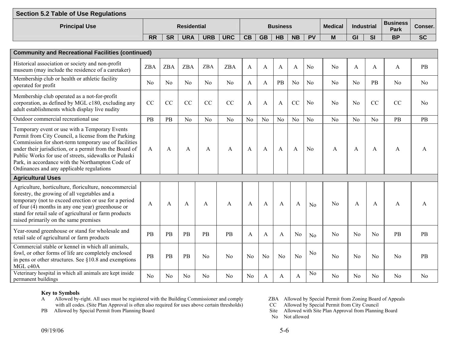| Section 5.2 Table of Use Regulations |           |           |                    |            |            |           |           |                 |           |           |                |    |                   |                                |           |
|--------------------------------------|-----------|-----------|--------------------|------------|------------|-----------|-----------|-----------------|-----------|-----------|----------------|----|-------------------|--------------------------------|-----------|
| <b>Principal Use</b>                 |           |           | <b>Residential</b> |            |            |           |           | <b>Business</b> |           |           | <b>Medical</b> |    | <b>Industrial</b> | <b>Business</b><br><b>Park</b> | Conser.   |
|                                      | <b>RR</b> | <b>SR</b> | <b>URA</b>         | <b>URB</b> | <b>URC</b> | <b>CB</b> | <b>GB</b> | HB              | <b>NB</b> | <b>PV</b> | M              | GI | SI                | <b>BP</b>                      | <b>SC</b> |

| <b>Community and Recreational Facilities (continued)</b>                                                                                                                                                                                                                                                                                                                             |                |                |                |                |            |                |                |              |                |                |                |                |                |           |                |
|--------------------------------------------------------------------------------------------------------------------------------------------------------------------------------------------------------------------------------------------------------------------------------------------------------------------------------------------------------------------------------------|----------------|----------------|----------------|----------------|------------|----------------|----------------|--------------|----------------|----------------|----------------|----------------|----------------|-----------|----------------|
| Historical association or society and non-profit<br>museum (may include the residence of a caretaker)                                                                                                                                                                                                                                                                                | <b>ZBA</b>     | <b>ZBA</b>     | <b>ZBA</b>     | <b>ZBA</b>     | <b>ZBA</b> | A              | $\mathbf{A}$   | A            | $\mathbf{A}$   | N <sub>o</sub> | N <sub>0</sub> | A              | A              | A         | PB             |
| Membership club or health or athletic facility<br>operated for profit                                                                                                                                                                                                                                                                                                                | No             | No             | No             | No             | No         | A              | $\overline{A}$ | <b>PB</b>    | N <sub>0</sub> | No             | No             | No             | PB             | No        | No             |
| Membership club operated as a not-for-profit<br>corporation, as defined by MGL c180, excluding any<br>adult establishments which display live nudity                                                                                                                                                                                                                                 | CC             | CC             | CC             | CC             | CC         | A              | A              | $\mathbf{A}$ | CC             | N <sub>o</sub> | No             | N <sub>0</sub> | CC             | CC        | N <sub>0</sub> |
| Outdoor commercial recreational use                                                                                                                                                                                                                                                                                                                                                  | PB             | <b>PB</b>      | No             | No             | No         | N <sub>0</sub> | N <sub>o</sub> | No           | N <sub>o</sub> | No             | No             | No             | No             | <b>PB</b> | <b>PB</b>      |
| Temporary event or use with a Temporary Events<br>Permit from City Council, a license from the Parking<br>Commission for short-term temporary use of facilities<br>under their jurisdiction, or a permit from the Board of<br>Public Works for use of streets, sidewalks or Pulaski<br>Park, in accordance with the Northampton Code of<br>Ordinances and any applicable regulations | A              | A              | A              | A              | A          | A              | A              | $\mathbf{A}$ | A              | N <sub>0</sub> | A              | A              | A              | A         | A              |
| <b>Agricultural Uses</b>                                                                                                                                                                                                                                                                                                                                                             |                |                |                |                |            |                |                |              |                |                |                |                |                |           |                |
| Agriculture, horticulture, floriculture, noncommercial<br>forestry, the growing of all vegetables and a<br>temporary (not to exceed erection or use for a period<br>of four (4) months in any one year) greenhouse or<br>stand for retail sale of agricultural or farm products<br>raised primarily on the same premises                                                             | A              | $\mathsf{A}$   | A              | A              | A          | A              | A              | A            | A              | N <sub>0</sub> | No             | A              | A              | A         | A              |
| Year-round greenhouse or stand for wholesale and<br>retail sale of agricultural or farm products                                                                                                                                                                                                                                                                                     | PB             | PB             | PB             | PB             | PB         | A              | A              | $\mathbf{A}$ | No             | No             | N <sub>0</sub> | N <sub>0</sub> | N <sub>0</sub> | PB        | PB             |
| Commercial stable or kennel in which all animals,<br>fowl, or other forms of life are completely enclosed<br>in pens or other structures. See $§10.8$ and exemptions<br>MGL c40A                                                                                                                                                                                                     | PB             | PB             | PB             | No             | No         | No             | No             | No           | No             | No             | No             | No             | No             | No        | PB             |
| Veterinary hospital in which all animals are kept inside<br>permanent buildings                                                                                                                                                                                                                                                                                                      | N <sub>0</sub> | N <sub>0</sub> | N <sub>0</sub> | N <sub>0</sub> | No         | N <sub>0</sub> | A              | A            | A              | N <sub>0</sub> | N <sub>0</sub> | No             | No             | No        | No             |

A Allowed by-right. All uses must be registered with the Building Commissioner and comply ZBA Allowed by Special Permit from Zoning Board of Appeals with all codes. (Site Plan Approval is often also required for uses above certain thresholds) CC Allowed by Special Permit from City Council

PB Allowed by Special Permit from Planning Board Site Allowed with Site Plan Approval from Planning Board Site Allowed with Site Plan Approval from Planning Board

No Not allowed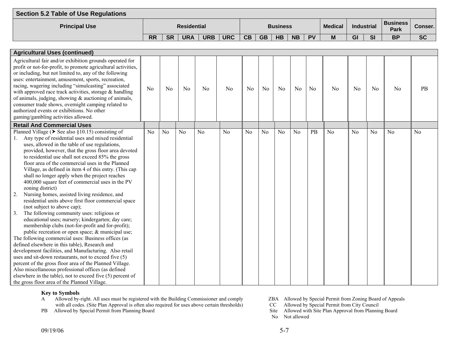| Section 5.2 Table of Use Regulations |                    |           |            |            |            |    |           |                 |           |           |                |            |           |                         |           |
|--------------------------------------|--------------------|-----------|------------|------------|------------|----|-----------|-----------------|-----------|-----------|----------------|------------|-----------|-------------------------|-----------|
| <b>Principal Use</b>                 | <b>Residential</b> |           |            |            |            |    |           | <b>Business</b> |           |           | <b>Medical</b> | Industrial |           | <b>Business</b><br>Park | Conser.   |
|                                      | <b>RR</b>          | <b>SR</b> | <b>URA</b> | <b>URB</b> | <b>URC</b> | CB | <b>GB</b> | <b>HB</b>       | <b>NB</b> | <b>PV</b> | <b>NA</b><br>ш | GI         | <b>SI</b> | <b>BP</b>               | <b>SC</b> |

| <b>Agricultural Uses (continued)</b>                                                                                                                                                                                                                                                                                                                                                                                                                                                                                                                                                                                                                                                                                                                                                                                                                                                                                                                                                                                                                                                                                                                                                                                                                                                                                                                         |                |                |                |                |                |                |                |                |                |                |                |                |                |                |                |
|--------------------------------------------------------------------------------------------------------------------------------------------------------------------------------------------------------------------------------------------------------------------------------------------------------------------------------------------------------------------------------------------------------------------------------------------------------------------------------------------------------------------------------------------------------------------------------------------------------------------------------------------------------------------------------------------------------------------------------------------------------------------------------------------------------------------------------------------------------------------------------------------------------------------------------------------------------------------------------------------------------------------------------------------------------------------------------------------------------------------------------------------------------------------------------------------------------------------------------------------------------------------------------------------------------------------------------------------------------------|----------------|----------------|----------------|----------------|----------------|----------------|----------------|----------------|----------------|----------------|----------------|----------------|----------------|----------------|----------------|
| Agricultural fair and/or exhibition grounds operated for<br>profit or not-for-profit, to promote agricultural activities,<br>or including, but not limited to, any of the following<br>uses: entertainment, amusement, sports, recreation,<br>racing, wagering including "simulcasting" associated<br>with approved race track activities, storage & handling<br>of animals, judging, showing $&$ auctioning of animals,<br>consumer trade shows, overnight camping related to<br>authorized events or exhibitions. No other<br>gaming/gambling activities allowed.                                                                                                                                                                                                                                                                                                                                                                                                                                                                                                                                                                                                                                                                                                                                                                                          | N <sub>0</sub> | N <sub>0</sub> | N <sub>0</sub> | N <sub>0</sub> | N <sub>0</sub> | N <sub>o</sub> | N <sub>0</sub> | N <sub>0</sub> | N <sub>0</sub> | N <sub>0</sub> | N <sub>0</sub> | N <sub>0</sub> | No             | N <sub>0</sub> | PB             |
| <b>Retail And Commercial Uses</b>                                                                                                                                                                                                                                                                                                                                                                                                                                                                                                                                                                                                                                                                                                                                                                                                                                                                                                                                                                                                                                                                                                                                                                                                                                                                                                                            |                |                |                |                |                |                |                |                |                |                |                |                |                |                |                |
| Planned Village ( $\triangleright$ See also §10.15) consisting of<br>Any type of residential uses and mixed residential<br>uses, allowed in the table of use regulations,<br>provided, however, that the gross floor area devoted<br>to residential use shall not exceed 85% the gross<br>floor area of the commercial uses in the Planned<br>Village, as defined in item 4 of this entry. (This cap<br>shall no longer apply when the project reaches<br>400,000 square feet of commercial uses in the PV<br>zoning district)<br>Nursing homes, assisted living residence, and<br>2.<br>residential units above first floor commercial space<br>(not subject to above cap);<br>The following community uses: religious or<br>3.<br>educational uses; nursery; kindergarten; day care;<br>membership clubs (not-for-profit and for-profit);<br>public recreation or open space; & municipal use;<br>The following commercial uses: Business offices (as<br>defined elsewhere in this table), Research and<br>development facilities, and Manufacturing. Also retail<br>uses and sit-down restaurants, not to exceed five (5)<br>percent of the gross floor area of the Planned Village.<br>Also miscellaneous professional offices (as defined<br>elsewhere in the table), not to exceed five (5) percent of<br>the gross floor area of the Planned Village. | N <sub>0</sub> | N <sub>o</sub> | N <sub>0</sub> | N <sub>0</sub> | N <sub>0</sub> | N <sub>0</sub> | N <sub>0</sub> | N <sub>0</sub> | N <sub>0</sub> | PB             | N <sub>o</sub> | N <sub>o</sub> | N <sub>o</sub> | N <sub>0</sub> | N <sub>0</sub> |

- A Allowed by-right. All uses must be registered with the Building Commissioner and comply ZBA Allowed by Special Permit from Zoning Board of Appeals with all codes. (Site Plan Approval is often also required for uses above certain thresholds) CC Allowed by Special Permit from City Council
- 
- 
- 
- PB Allowed by Special Permit from Planning Board Site Allowed with Site Plan Approval from Planning Board
	- No Not allowed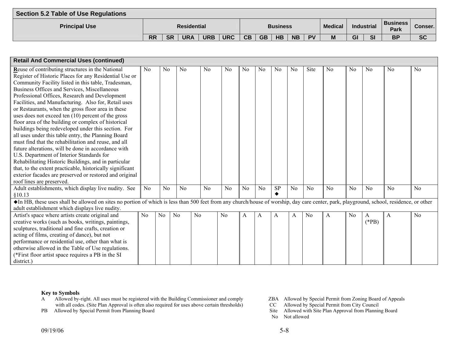| Section 5.2 Table of Use Regulations |           |           |                    |            |            |           |           |                 |           |           |                |                 |                                |           |
|--------------------------------------|-----------|-----------|--------------------|------------|------------|-----------|-----------|-----------------|-----------|-----------|----------------|-----------------|--------------------------------|-----------|
| <b>Principal Use</b>                 |           |           | <b>Residential</b> |            |            |           |           | <b>Business</b> |           |           | <b>Medical</b> | Industrial      | <b>Business</b><br><b>Park</b> | Conser.   |
|                                      | <b>RR</b> | <b>SR</b> | <b>URA</b>         | <b>URB</b> | <b>URC</b> | <b>CB</b> | <b>GB</b> | <b>HB</b>       | <b>NB</b> | <b>PV</b> | M              | GI<br><b>SI</b> | <b>BP</b>                      | <b>SC</b> |

| <b>Retail And Commercial Uses (continued)</b>                                                                                                                                           |                |                |                |                |                |                |                |                |                |                |                |                |                |                |                |
|-----------------------------------------------------------------------------------------------------------------------------------------------------------------------------------------|----------------|----------------|----------------|----------------|----------------|----------------|----------------|----------------|----------------|----------------|----------------|----------------|----------------|----------------|----------------|
| Reuse of contributing structures in the National                                                                                                                                        | N <sub>0</sub> | N <sub>0</sub> | N <sub>o</sub> | N <sub>0</sub> | N <sub>0</sub> | N <sub>0</sub> | N <sub>0</sub> | N <sub>0</sub> | N <sub>0</sub> | Site           | N <sub>0</sub> | N <sub>0</sub> | N <sub>0</sub> | N <sub>0</sub> | N <sub>0</sub> |
| Register of Historic Places for any Residential Use or                                                                                                                                  |                |                |                |                |                |                |                |                |                |                |                |                |                |                |                |
| Community Facility listed in this table, Tradesman,                                                                                                                                     |                |                |                |                |                |                |                |                |                |                |                |                |                |                |                |
| Business Offices and Services, Miscellaneous                                                                                                                                            |                |                |                |                |                |                |                |                |                |                |                |                |                |                |                |
| Professional Offices, Research and Development                                                                                                                                          |                |                |                |                |                |                |                |                |                |                |                |                |                |                |                |
| Facilities, and Manufacturing. Also for, Retail uses                                                                                                                                    |                |                |                |                |                |                |                |                |                |                |                |                |                |                |                |
| or Restaurants, when the gross floor area in these                                                                                                                                      |                |                |                |                |                |                |                |                |                |                |                |                |                |                |                |
| uses does not exceed ten (10) percent of the gross                                                                                                                                      |                |                |                |                |                |                |                |                |                |                |                |                |                |                |                |
| floor area of the building or complex of historical                                                                                                                                     |                |                |                |                |                |                |                |                |                |                |                |                |                |                |                |
| buildings being redeveloped under this section. For                                                                                                                                     |                |                |                |                |                |                |                |                |                |                |                |                |                |                |                |
| all uses under this table entry, the Planning Board                                                                                                                                     |                |                |                |                |                |                |                |                |                |                |                |                |                |                |                |
| must find that the rehabilitation and reuse, and all                                                                                                                                    |                |                |                |                |                |                |                |                |                |                |                |                |                |                |                |
| future alterations, will be done in accordance with                                                                                                                                     |                |                |                |                |                |                |                |                |                |                |                |                |                |                |                |
| U.S. Department of Interior Standards for                                                                                                                                               |                |                |                |                |                |                |                |                |                |                |                |                |                |                |                |
| Rehabilitating Historic Buildings, and in particular                                                                                                                                    |                |                |                |                |                |                |                |                |                |                |                |                |                |                |                |
| that, to the extent practicable, historically significant                                                                                                                               |                |                |                |                |                |                |                |                |                |                |                |                |                |                |                |
| exterior facades are preserved or restored and original                                                                                                                                 |                |                |                |                |                |                |                |                |                |                |                |                |                |                |                |
| roof lines are preserved.                                                                                                                                                               |                |                |                |                |                |                |                |                |                |                |                |                |                |                |                |
| Adult establishments, which display live nudity. See                                                                                                                                    | No             | No             | No             | N <sub>0</sub> | No             | No             | No             | <b>SP</b>      | No             | No             | No             | No             | No             | No             | No             |
| §10.13                                                                                                                                                                                  |                |                |                |                |                |                |                |                |                |                |                |                |                |                |                |
| The HB, these uses shall be allowed on sites no portion of which is less than 500 feet from any church/house of worship, day care center, park, playground, school, residence, or other |                |                |                |                |                |                |                |                |                |                |                |                |                |                |                |
| adult establishment which displays live nudity.                                                                                                                                         |                |                |                |                |                |                |                |                |                |                |                |                |                |                |                |
| Artist's space where artists create original and                                                                                                                                        | N <sub>o</sub> | N <sub>0</sub> | N <sub>o</sub> | N <sub>0</sub> | N <sub>0</sub> | A              | A              | $\mathbf{A}$   | A              | N <sub>0</sub> | A              | N <sub>0</sub> | $\mathbf{A}$   | A              | N <sub>0</sub> |
| creative works (such as books, writings, paintings,                                                                                                                                     |                |                |                |                |                |                |                |                |                |                |                |                | $(*PB)$        |                |                |
| sculptures, traditional and fine crafts, creation or                                                                                                                                    |                |                |                |                |                |                |                |                |                |                |                |                |                |                |                |
| acting of films, creating of dance), but not                                                                                                                                            |                |                |                |                |                |                |                |                |                |                |                |                |                |                |                |
| performance or residential use, other than what is                                                                                                                                      |                |                |                |                |                |                |                |                |                |                |                |                |                |                |                |
| otherwise allowed in the Table of Use regulations.                                                                                                                                      |                |                |                |                |                |                |                |                |                |                |                |                |                |                |                |
| (*First floor artist space requires a PB in the SI                                                                                                                                      |                |                |                |                |                |                |                |                |                |                |                |                |                |                |                |
| district.)                                                                                                                                                                              |                |                |                |                |                |                |                |                |                |                |                |                |                |                |                |

- A Allowed by-right. All uses must be registered with the Building Commissioner and comply ZBA Allowed by Special Permit from Zoning Board of Appeals with all codes. (Site Plan Approval is often also required for uses above certain thresholds) CC Allowed by Special Permit from City Council
- 
- 
- 
- PB Allowed by Special Permit from Planning Board Site Allowed with Site Plan Approval from Planning Board Site Allowed with Site Plan Approval from Planning Board
	- No Not allowed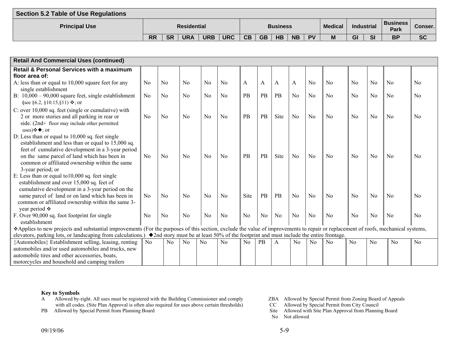| Section 5.2 Table of Use Regulations |           |           |                    |            |            |    |           |                 |           |           |                |    |                   |                                |           |
|--------------------------------------|-----------|-----------|--------------------|------------|------------|----|-----------|-----------------|-----------|-----------|----------------|----|-------------------|--------------------------------|-----------|
| <b>Principal Use</b>                 |           |           | <b>Residential</b> |            |            |    |           | <b>Business</b> |           |           | <b>Medical</b> |    | <b>Industrial</b> | <b>Business</b><br><b>Park</b> | Conser.   |
|                                      | <b>RR</b> | <b>SR</b> | <b>URA</b>         | <b>URB</b> | <b>URC</b> | CB | <b>GB</b> | <b>HB</b>       | <b>NB</b> | <b>PV</b> | M              | GI | <b>SI</b>         | <b>BP</b>                      | <b>SC</b> |

| <b>Retail And Commercial Uses (continued)</b>                                                                                                                                    |                |                |                |                |                |                |                |      |                |                |                |                |                |                |                |
|----------------------------------------------------------------------------------------------------------------------------------------------------------------------------------|----------------|----------------|----------------|----------------|----------------|----------------|----------------|------|----------------|----------------|----------------|----------------|----------------|----------------|----------------|
| <b>Retail &amp; Personal Services with a maximum</b>                                                                                                                             |                |                |                |                |                |                |                |      |                |                |                |                |                |                |                |
| floor area of:                                                                                                                                                                   |                |                |                |                |                |                |                |      |                |                |                |                |                |                |                |
| A: less than or equal to 10,000 square feet for any                                                                                                                              | No             | No             | N <sub>0</sub> | N <sub>0</sub> | N <sub>0</sub> | A              | A              | A    | A              | No             | N <sub>0</sub> | No             | N <sub>o</sub> | N <sub>0</sub> | N <sub>0</sub> |
| single establishment                                                                                                                                                             |                |                |                |                |                |                |                |      |                |                |                |                |                |                |                |
| B: $10,000 - 90,000$ square feet, single establishment                                                                                                                           | N <sub>o</sub> | N <sub>0</sub> | No             | N <sub>o</sub> | N <sub>0</sub> | PB             | <b>PB</b>      | PB   | N <sub>0</sub> | N <sub>0</sub> | N <sub>0</sub> | N <sub>o</sub> | No             | N <sub>0</sub> | $\rm No$       |
| (see §6.2, §10.15,§11) $\diamond$ ; or                                                                                                                                           |                |                |                |                |                |                |                |      |                |                |                |                |                |                |                |
| C: over 10,000 sq. feet (single or cumulative) with                                                                                                                              |                |                |                |                |                |                |                |      |                |                |                |                |                |                |                |
| 2 or more stories and all parking in rear or                                                                                                                                     | N <sub>0</sub> | N <sub>0</sub> | N <sub>0</sub> | N <sub>o</sub> | No             | PB             | PB             | Site | N <sub>o</sub> | N <sub>0</sub> | N <sub>0</sub> | N <sub>0</sub> | No             | No             | N <sub>0</sub> |
| side. (2nd+ floor may include other permitted                                                                                                                                    |                |                |                |                |                |                |                |      |                |                |                |                |                |                |                |
| uses) $\diamondsuit$ $\blacklozenge$ ; or                                                                                                                                        |                |                |                |                |                |                |                |      |                |                |                |                |                |                |                |
| D: Less than or equal to 10,000 sq. feet single                                                                                                                                  |                |                |                |                |                |                |                |      |                |                |                |                |                |                |                |
| establishment and less than or equal to 15,000 sq.                                                                                                                               |                |                |                |                |                |                |                |      |                |                |                |                |                |                |                |
| feet of cumulative development in a 3-year period                                                                                                                                |                |                |                |                |                |                |                |      |                |                |                |                |                |                |                |
| on the same parcel of land which has been in                                                                                                                                     | No             | No             | No             | N <sub>o</sub> | No             | PB             | PB             | Site | N <sub>o</sub> | N <sub>0</sub> | No             | N <sub>o</sub> | No             | No             | No             |
| common or affiliated ownership within the same                                                                                                                                   |                |                |                |                |                |                |                |      |                |                |                |                |                |                |                |
| 3-year period; or                                                                                                                                                                |                |                |                |                |                |                |                |      |                |                |                |                |                |                |                |
| E: Less than or equal to $10,000$ sq. feet single                                                                                                                                |                |                |                |                |                |                |                |      |                |                |                |                |                |                |                |
| establishment and over 15,000 sq. feet of                                                                                                                                        |                |                |                |                |                |                |                |      |                |                |                |                |                |                |                |
| cumulative development in a 3-year period on the                                                                                                                                 |                |                |                |                |                |                |                |      |                |                |                |                |                |                |                |
| same parcel of land or on land which has been in                                                                                                                                 | No             | No             | No             | $\overline{N}$ | No             | Site           | <b>PB</b>      | PB   | N <sub>o</sub> | No             | No             | No             | No             | No             | N <sub>0</sub> |
| common or affiliated ownership within the same 3-                                                                                                                                |                |                |                |                |                |                |                |      |                |                |                |                |                |                |                |
| year period $\div$                                                                                                                                                               |                |                |                |                |                |                |                |      |                |                |                |                |                |                |                |
| F. Over 90,000 sq. foot footprint for single                                                                                                                                     | No             | No             | No             | No             | No             | No             | N <sub>o</sub> | No   | N <sub>o</sub> | No             | No             | No             | No             | No             | <b>No</b>      |
| establishment                                                                                                                                                                    |                |                |                |                |                |                |                |      |                |                |                |                |                |                |                |
| Applies to new projects and substantial improvements (For the purposes of this section, exclude the value of improvements to repair or replacement of roofs, mechanical systems, |                |                |                |                |                |                |                |      |                |                |                |                |                |                |                |
| elevators, parking lots, or landscaping from calculations.) $\bullet$ 2nd story must be at least 50% of the footprint and must include the entire frontage.                      |                |                |                |                |                |                |                |      |                |                |                |                |                |                |                |
| {Automobiles} Establishment selling, leasing, renting                                                                                                                            | No             | N <sub>0</sub> | N <sub>0</sub> | N <sub>0</sub> | N <sub>0</sub> | N <sub>0</sub> | <b>PB</b>      | A    | N <sub>0</sub> | N <sub>0</sub> | N <sub>0</sub> | No             | N <sub>o</sub> | No             | N <sub>o</sub> |
| automobiles and/or used automobiles and trucks, new                                                                                                                              |                |                |                |                |                |                |                |      |                |                |                |                |                |                |                |
| automobile tires and other accessories, boats,                                                                                                                                   |                |                |                |                |                |                |                |      |                |                |                |                |                |                |                |
| motorcycles and household and camping trailers                                                                                                                                   |                |                |                |                |                |                |                |      |                |                |                |                |                |                |                |

- A Allowed by-right. All uses must be registered with the Building Commissioner and comply ZBA Allowed by Special Permit from Zoning Board of Appeals with all codes. (Site Plan Approval is often also required for uses above certain thresholds) CC Allowed by Special Permit from City Council
- 
- 
- 
- PB Allowed by Special Permit from Planning Board Site Allowed with Site Plan Approval from Planning Board Site Allowed with Site Plan Approval from Planning Board
	- No Not allowed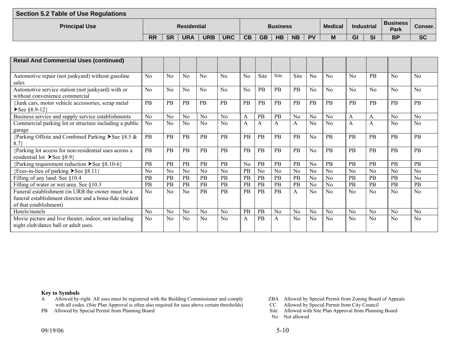| <b>Section 5.2 Table of Use Regulations</b> |                                                                                                  |           |            |            |            |           |           |           |           |           |   |    |           |           |           |
|---------------------------------------------|--------------------------------------------------------------------------------------------------|-----------|------------|------------|------------|-----------|-----------|-----------|-----------|-----------|---|----|-----------|-----------|-----------|
| <b>Principal Use</b>                        | <b>Business</b><br><b>Medical</b><br><b>Residential</b><br>Industrial<br><b>Business</b><br>Park |           |            |            |            |           |           |           |           |           |   |    |           |           | Conser.   |
|                                             | <b>RR</b>                                                                                        | <b>SR</b> | <b>URA</b> | <b>URB</b> | <b>URC</b> | <b>CB</b> | <b>GB</b> | <b>HB</b> | <b>NB</b> | <b>PV</b> | M | GI | <b>SI</b> | <b>BP</b> | <b>SC</b> |

| <b>Retail And Commercial Uses (continued)</b>                                                                                          |                |                |                |                |                |           |                |                |                |                |                |                |                |                |                |
|----------------------------------------------------------------------------------------------------------------------------------------|----------------|----------------|----------------|----------------|----------------|-----------|----------------|----------------|----------------|----------------|----------------|----------------|----------------|----------------|----------------|
| Automotive repair (not junkyard) without gasoline<br>sales                                                                             | N <sub>0</sub> | N <sub>0</sub> | No             | No             | No             | No        | Site           | Site           | Site           | No             | No             | No             | <b>PB</b>      | No             | No             |
| Automotive service station (not junkyard) with or<br>without convenience commercial                                                    | No             | No             | No             | No             | No             | No        | PB             | <b>PB</b>      | PB             | No             | No             | No             | No             | No             | No             |
| Junk cars, motor vehicle accessories, scrap metal<br>$\S 8.9-12$ }                                                                     | <b>PB</b>      | PB             | <b>PB</b>      | <b>PB</b>      | <b>PB</b>      | <b>PB</b> | PB             | <b>PB</b>      | <b>PB</b>      | <b>PB</b>      | PB             | <b>PB</b>      | <b>PB</b>      | <b>PB</b>      | <b>PB</b>      |
| Business service and supply service establishments                                                                                     | N <sub>0</sub> | N <sub>o</sub> | N <sub>o</sub> | N <sub>o</sub> | N <sub>o</sub> | A         | PB             | PB             | No             | No             | N <sub>o</sub> | A              | A              | No             | No             |
| Commercial parking lot or structure including a public<br>garage                                                                       | N <sub>0</sub> | N <sub>0</sub> | N <sub>0</sub> | N <sub>0</sub> | No             | A         | A              | A              | A              | N <sub>0</sub> | No             | A              | A              | No             | No             |
| {Parking Offsite and Combined Parking > See §8.5 &<br>8.7                                                                              | <b>PB</b>      | <b>PB</b>      | PB             | PB             | <b>PB</b>      | <b>PB</b> | PB             | PB             | PB             | No             | PB             | PB             | <b>PB</b>      | <b>PB</b>      | <b>PB</b>      |
| {Parking lot access for non-residential uses across a<br>residential lot $\blacktriangleright$ See §8.9}                               | <b>PB</b>      | PB             | <b>PB</b>      | PB             | PB             | <b>PB</b> | PB             | <b>PB</b>      | PB             | No             | PB             | PB             | <b>PB</b>      | PB             | PB             |
| {Parking requirement reduction $\blacktriangleright$ See §8.10-6}                                                                      | PB             | PB             | <b>PB</b>      | PB             | PB             | No        | PB             | <b>PB</b>      | PB             | No             | PB             | PB             | <b>PB</b>      | <b>PB</b>      | PB             |
| {Fees-in-lieu of parking $\triangleright$ See §8.11}                                                                                   | N <sub>0</sub> | N <sub>0</sub> | N <sub>0</sub> | N <sub>0</sub> | N <sub>0</sub> | PB        | N <sub>0</sub> | N <sub>0</sub> | N <sub>0</sub> | N <sub>0</sub> | N <sub>0</sub> | N <sub>o</sub> | N <sub>0</sub> | N <sub>0</sub> | No             |
| Filling of any land. See §10.4                                                                                                         | PB             | PB             | PB             | PB             | <b>PB</b>      | <b>PB</b> | PB             | PB             | PB             | N <sub>o</sub> | N <sub>0</sub> | PB             | PB             | <b>PB</b>      | No             |
| Filling of water or wet area. See §10.3                                                                                                | PB             | PB             | <b>PB</b>      | PB             | PB             | <b>PB</b> | PB             | <b>PB</b>      | PB             | N <sub>0</sub> | N <sub>0</sub> | PB             | <b>PB</b>      | PB             | <b>PB</b>      |
| Funeral establishment (in URB the owner must be a<br>funeral establishment director and a bona-fide resident<br>of that establishment) | No             | N <sub>0</sub> | N <sub>0</sub> | PB             | PB             | <b>PB</b> | PB             | <b>PB</b>      | A              | N <sub>0</sub> | No             | No             | N <sub>0</sub> | N <sub>0</sub> | No             |
| Hotels/motels                                                                                                                          | N <sub>0</sub> | N <sub>0</sub> | N <sub>0</sub> | N <sub>0</sub> | No             | PB        | PB             | N <sub>o</sub> | N <sub>0</sub> | N <sub>0</sub> | N <sub>o</sub> | N <sub>o</sub> | No             | No             | No             |
| Movie picture and live theater, indoor, not including<br>night club/dance hall or adult uses.                                          | No             | N <sub>0</sub> | N <sub>0</sub> | N <sub>0</sub> | N <sub>0</sub> | A         | <b>PB</b>      | $\mathsf{A}$   | No             | N <sub>0</sub> | No             | No             | N <sub>0</sub> | N <sub>0</sub> | N <sub>0</sub> |

- A Allowed by-right. All uses must be registered with the Building Commissioner and comply ZBA Allowed by Special Permit from Zoning Board of Appeals with all codes. (Site Plan Approval is often also required for uses above certain thresholds) CC Allowed by Special Permit from City Council
- 
- 
- 
- PB Allowed by Special Permit from Planning Board Site Allowed with Site Plan Approval from Planning Board Site Allowed with Site Plan Approval from Planning Board
	- No Not allowed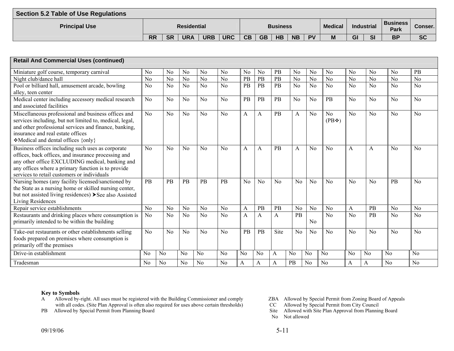| Section 5.2 Table of Use Regulations |           |           |                    |            |            |    |           |                 |           |           |                |    |            |                          |           |
|--------------------------------------|-----------|-----------|--------------------|------------|------------|----|-----------|-----------------|-----------|-----------|----------------|----|------------|--------------------------|-----------|
| <b>Principal Use</b>                 |           |           | <b>Residential</b> |            |            |    |           | <b>Business</b> |           |           | <b>Medical</b> |    | Industrial | 'Business<br><b>Park</b> | Conser.   |
|                                      | <b>RR</b> | <b>SR</b> | <b>URA</b>         | <b>URB</b> | <b>URC</b> | CB | <b>GB</b> | <b>HB</b>       | <b>NB</b> | <b>PV</b> | M              | GI | <b>SI</b>  | <b>BP</b>                | <b>SC</b> |

| <b>Retail And Commercial Uses (continued)</b>                                                                                                                                                                                                                    |                |                |                |                |                |                |                |           |                |                |                |                |                |                |                |
|------------------------------------------------------------------------------------------------------------------------------------------------------------------------------------------------------------------------------------------------------------------|----------------|----------------|----------------|----------------|----------------|----------------|----------------|-----------|----------------|----------------|----------------|----------------|----------------|----------------|----------------|
| Miniature golf course, temporary carnival                                                                                                                                                                                                                        | N <sub>0</sub> | N <sub>0</sub> | N <sub>0</sub> | N <sub>0</sub> | N <sub>0</sub> | N <sub>0</sub> | N <sub>0</sub> | <b>PB</b> | N <sub>0</sub> | N <sub>o</sub> | No             | N <sub>0</sub> | N <sub>0</sub> | N <sub>0</sub> | PB             |
| Night club/dance hall                                                                                                                                                                                                                                            | N <sub>o</sub> | No             | N <sub>o</sub> | N <sub>o</sub> | N <sub>o</sub> | PB             | PB             | PB        | N <sub>o</sub> | N <sub>0</sub> | N <sub>o</sub> | N <sub>o</sub> | N <sub>0</sub> | N <sub>o</sub> | No             |
| Pool or billiard hall, amusement arcade, bowling<br>alley, teen center                                                                                                                                                                                           | No             | No             | N <sub>o</sub> | No             | No             | <b>PB</b>      | PB             | PB        | N <sub>0</sub> | N <sub>o</sub> | N <sub>o</sub> | No             | No             | No             | No             |
| Medical center including accessory medical research<br>and associated facilities                                                                                                                                                                                 | No             | No             | No             | No             | No             | PB             | PB             | <b>PB</b> | N <sub>0</sub> | N <sub>o</sub> | PB             | No             | No             | No             | No             |
| Miscellaneous professional and business offices and<br>services including, but not limited to, medical, legal,<br>and other professional services and finance, banking,<br>insurance and real estate offices<br>❖Medical and dental offices {only}               | No             | N <sub>o</sub> | N <sub>o</sub> | No             | No             | A              | A              | <b>PB</b> | A              | N <sub>0</sub> | No<br>$(PB$ ❖) | No             | No             | No             | No             |
| Business offices including such uses as corporate<br>offices, back offices, and insurance processing and<br>any other office EXCLUDING medical, banking and<br>any offices where a primary function is to provide<br>services to retail customers or individuals | No             | No             | No             | No             | No             | A              | A              | <b>PB</b> | A              | No             | No             | A              | A              | No             | No             |
| Nursing homes (any facility licensed/sanctioned by<br>the State as a nursing home or skilled nursing center,<br>but not assisted living residences) > See also Assisted<br>Living Residences                                                                     | <b>PB</b>      | PB             | <b>PB</b>      | <b>PB</b>      | PB             | No             | No             | $\rm N_0$ | No             | No             | $\overline{N}$ | No             | $\rm No$       | <b>PB</b>      | No             |
| Repair service establishments                                                                                                                                                                                                                                    | No             | N <sub>0</sub> | N <sub>o</sub> | No             | $\rm No$       | A              | PB             | PB        | N <sub>0</sub> | N <sub>0</sub> | N <sub>0</sub> | A              | <b>PB</b>      | No             | No             |
| Restaurants and drinking places where consumption is<br>primarily intended to be within the building                                                                                                                                                             | N <sub>0</sub> | No             | No             | N <sub>0</sub> | N <sub>0</sub> | A              | A              | A         | PB             | No             | N <sub>o</sub> | No             | <b>PB</b>      | No             | No             |
| Take-out restaurants or other establishments selling<br>foods prepared on premises where consumption is<br>primarily off the premises                                                                                                                            | No             | No             | No             | No             | $\rm No$       | <b>PB</b>      | PB             | Site      | No             | N <sub>0</sub> | No             | No             | No             | No             | No             |
| Drive-in establishment                                                                                                                                                                                                                                           | N <sub>0</sub> | N <sub>0</sub> | N <sub>o</sub> | No             | N <sub>0</sub> | N <sub>0</sub> | N <sub>0</sub> | A         | N <sub>0</sub> | N <sub>o</sub> | No             | N <sub>0</sub> | N <sub>0</sub> | N <sub>o</sub> | N <sub>0</sub> |
| Tradesman                                                                                                                                                                                                                                                        | No             | N <sub>o</sub> | N <sub>0</sub> | N <sub>0</sub> | N <sub>0</sub> | A              | A              | A         | PB             | N <sub>0</sub> | N <sub>0</sub> | A              | A              | N <sub>0</sub> | N <sub>0</sub> |

- A Allowed by-right. All uses must be registered with the Building Commissioner and comply ZBA Allowed by Special Permit from Zoning Board of Appeals with all codes. (Site Plan Approval is often also required for uses above certain thresholds) CC Allowed by Special Permit from City Council
- 
- 
- 
- PB Allowed by Special Permit from Planning Board Site Allowed with Site Plan Approval from Planning Board
	- No Not allowed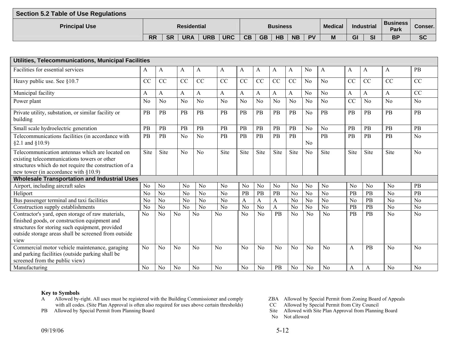| <b>Section 5.2 Table of Use Regulations</b> |           |           |                    |            |            |           |           |                 |           |           |                |    |                   |                                |           |
|---------------------------------------------|-----------|-----------|--------------------|------------|------------|-----------|-----------|-----------------|-----------|-----------|----------------|----|-------------------|--------------------------------|-----------|
| <b>Principal Use</b>                        |           |           | <b>Residential</b> |            |            |           |           | <b>Business</b> |           |           | <b>Medical</b> |    | <b>Industrial</b> | <b>Business</b><br><b>Park</b> | Conser. I |
|                                             | <b>RR</b> | <b>SR</b> | <b>URA</b>         | <b>URB</b> | <b>URC</b> | <b>CB</b> | <b>GB</b> | <b>HB</b>       | <b>NB</b> | <b>PV</b> | M              | GI | <b>SI</b>         | <b>BP</b>                      | <b>SC</b> |

| Utilities, Telecommunications, Municipal Facilities                                                                                                                                                                   |                |                |                |                |                |                |                |                |                |                |                |                 |                 |                 |                |
|-----------------------------------------------------------------------------------------------------------------------------------------------------------------------------------------------------------------------|----------------|----------------|----------------|----------------|----------------|----------------|----------------|----------------|----------------|----------------|----------------|-----------------|-----------------|-----------------|----------------|
| Facilities for essential services                                                                                                                                                                                     | A              | A              | A              | A              | A              | A              | A              | A              | A              | N <sub>0</sub> | A              | A               | A               | A               | PB             |
| Heavy public use. See §10.7                                                                                                                                                                                           | CC             | <b>CC</b>      | CC             | CC             | CC             | CC             | CC             | CC             | CC             | N <sub>0</sub> | No             | CC              | CC              | CC              | CC             |
| Municipal facility                                                                                                                                                                                                    | A              | A              | A              | A              | A              | A              | A              | A              | A              | N <sub>0</sub> | No             | A               | A               | A               | CC             |
| Power plant                                                                                                                                                                                                           | No             | N <sub>0</sub> | No             | No             | N <sub>0</sub> | N <sub>0</sub> | No             | No             | No             | N <sub>o</sub> | No             | <b>CC</b>       | N <sub>o</sub>  | $\overline{No}$ | N <sub>o</sub> |
| Private utility, substation, or similar facility or<br>building                                                                                                                                                       | PB             | PB             | PB             | PB             | PB             | PB             | PB             | PB             | PB             | N <sub>o</sub> | PB             | PB              | <b>PB</b>       | $\overline{PB}$ | PB             |
| Small scale hydroelectric generation                                                                                                                                                                                  | PB             | PB             | PB             | PB             | PB             | PB             | PB             | PB             | PB             | N <sub>o</sub> | No             | PB              | <b>PB</b>       | PB              | PB             |
| Telecommunications facilities (in accordance with<br>$§2.1$ and $§10.9)$                                                                                                                                              | PB             | PB             | N <sub>0</sub> | N <sub>0</sub> | PB             | PB             | PB             | PB             | PB             | N <sub>0</sub> | PB             | PB              | PB              | PB              | N <sub>0</sub> |
| Telecommunication antennas which are located on<br>existing telecommunications towers or other<br>structures which do not require the construction of a<br>new tower (in accordance with $\S 10.9$ )                  | Site           | <b>Site</b>    | $\overline{N}$ | $\rm No$       | Site           | Site           | Site           | Site           | Site           | No             | Site           | Site            | Site            | Site            | $\rm No$       |
| <b>Wholesale Transportation and Industrial Uses</b>                                                                                                                                                                   |                |                |                |                |                |                |                |                |                |                |                |                 |                 |                 |                |
| Airport, including aircraft sales                                                                                                                                                                                     | N <sub>0</sub> | N <sub>o</sub> | N <sub>0</sub> | N <sub>0</sub> | N <sub>0</sub> | N <sub>0</sub> | N <sub>o</sub> | No             | N <sub>0</sub> | No             | N <sub>0</sub> | N <sub>0</sub>  | N <sub>0</sub>  | N <sub>0</sub>  | PB             |
| Heliport                                                                                                                                                                                                              | No             | No             | No             | No             | No             | PB             | PB             | PB             | N <sub>o</sub> | N <sub>o</sub> | No             | PB              | PB              | No              | PB             |
| Bus passenger terminal and taxi facilities                                                                                                                                                                            | N <sub>0</sub> | N <sub>o</sub> | N <sub>o</sub> | N <sub>o</sub> | N <sub>o</sub> | A              | A              | A              | N <sub>o</sub> | N <sub>0</sub> | N <sub>o</sub> | N <sub>o</sub>  | PB              | N <sub>o</sub>  | N <sub>o</sub> |
| Construction supply establishments                                                                                                                                                                                    | N <sub>o</sub> | N <sub>o</sub> | N <sub>o</sub> | N <sub>o</sub> | N <sub>o</sub> | N <sub>o</sub> | N <sub>0</sub> | $\overline{A}$ | N <sub>o</sub> | N <sub>o</sub> | N <sub>o</sub> | $\overline{PB}$ | $\overline{PB}$ | N <sub>o</sub>  | N <sub>o</sub> |
| Contractor's yard, open storage of raw materials,<br>finished goods, or construction equipment and<br>structures for storing such equipment, provided<br>outside storage areas shall be screened from outside<br>view | N <sub>o</sub> | N <sub>o</sub> | N <sub>0</sub> | N <sub>o</sub> | N <sub>o</sub> | No.            | N <sub>0</sub> | PB             | N <sub>o</sub> | N <sub>o</sub> | N <sub>o</sub> | PB              | PB              | N <sub>o</sub>  | N <sub>o</sub> |
| Commercial motor vehicle maintenance, garaging<br>and parking facilities (outside parking shall be<br>screened from the public view)                                                                                  | N <sub>0</sub> | No             | N <sub>o</sub> | N <sub>0</sub> | No             | N <sub>0</sub> | N <sub>0</sub> | N <sub>0</sub> | N <sub>o</sub> | N <sub>0</sub> | No             | A               | PB              | No              | No             |
| Manufacturing                                                                                                                                                                                                         | N <sub>0</sub> | N <sub>o</sub> | No             | No             | N <sub>0</sub> | N <sub>o</sub> | N <sub>0</sub> | PB             | N <sub>0</sub> | N <sub>0</sub> | No             | A               | A               | No              | No             |

- A Allowed by-right. All uses must be registered with the Building Commissioner and comply ZBA Allowed by Special Permit from Zoning Board of Appeals with all codes. (Site Plan Approval is often also required for uses above certain thresholds) CC Allowed by Special Permit from City Council
- 
- 
- 
- PB Allowed by Special Permit from Planning Board Site Allowed with Site Plan Approval from Planning Board
	- No Not allowed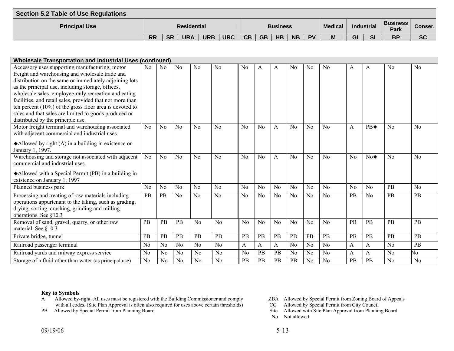| <b>Section 5.2 Table of Use Regulations</b> |           |           |                    |            |            |    |           |                 |           |           |                |    |            |                                |           |
|---------------------------------------------|-----------|-----------|--------------------|------------|------------|----|-----------|-----------------|-----------|-----------|----------------|----|------------|--------------------------------|-----------|
| <b>Principal Use</b>                        |           |           | <b>Residential</b> |            |            |    |           | <b>Business</b> |           |           | <b>Medical</b> |    | Industrial | <b>Business</b><br><b>Park</b> | Conser.l  |
|                                             | <b>RR</b> | <b>SR</b> | <b>URA</b>         | <b>URB</b> | <b>URC</b> | CB | <b>GB</b> | <b>HB</b>       | <b>NB</b> | <b>PV</b> | M              | GI | SI         | <b>BP</b>                      | <b>SC</b> |

| <b>Wholesale Transportation and Industrial Uses (continued)</b>    |                |                |                |                |                |                |                |                |                |                |                |                |                   |                |                |
|--------------------------------------------------------------------|----------------|----------------|----------------|----------------|----------------|----------------|----------------|----------------|----------------|----------------|----------------|----------------|-------------------|----------------|----------------|
| Accessory uses supporting manufacturing, motor                     | N <sub>o</sub> | N <sub>0</sub> | No             | N <sub>0</sub> | N <sub>0</sub> | N <sub>0</sub> | A              | A              | N <sub>0</sub> | No             | N <sub>0</sub> | A              | A                 | N <sub>0</sub> | N <sub>0</sub> |
| freight and warehousing and wholesale trade and                    |                |                |                |                |                |                |                |                |                |                |                |                |                   |                |                |
| distribution on the same or immediately adjoining lots             |                |                |                |                |                |                |                |                |                |                |                |                |                   |                |                |
| as the principal use, including storage, offices,                  |                |                |                |                |                |                |                |                |                |                |                |                |                   |                |                |
| wholesale sales, employee-only recreation and eating               |                |                |                |                |                |                |                |                |                |                |                |                |                   |                |                |
| facilities, and retail sales, provided that not more than          |                |                |                |                |                |                |                |                |                |                |                |                |                   |                |                |
| ten percent $(10\%)$ of the gross floor area is devoted to         |                |                |                |                |                |                |                |                |                |                |                |                |                   |                |                |
| sales and that sales are limited to goods produced or              |                |                |                |                |                |                |                |                |                |                |                |                |                   |                |                |
| distributed by the principle use.                                  |                |                |                |                |                |                |                |                |                |                |                |                |                   |                |                |
| Motor freight terminal and warehousing associated                  | No             | No             | No             | No             | No             | No             | No             | $\mathsf{A}$   | No             | No             | $\rm No$       | A              | $PB\triangleleft$ | $\rm No$       | No             |
| with adjacent commercial and industrial uses.                      |                |                |                |                |                |                |                |                |                |                |                |                |                   |                |                |
| $\blacklozenge$ Allowed by right (A) in a building in existence on |                |                |                |                |                |                |                |                |                |                |                |                |                   |                |                |
| January 1, 1997.                                                   |                |                |                |                |                |                |                |                |                |                |                |                |                   |                |                |
| Warehousing and storage not associated with adjacent               | N <sub>0</sub> | No             | No             | No             | No             | No             | N <sub>0</sub> | A              | No             | No             | N <sub>0</sub> | N <sub>0</sub> | $No\blacklozenge$ | No             | N <sub>0</sub> |
| commercial and industrial uses.                                    |                |                |                |                |                |                |                |                |                |                |                |                |                   |                |                |
| Allowed with a Special Permit (PB) in a building in                |                |                |                |                |                |                |                |                |                |                |                |                |                   |                |                |
| existence on January 1, 1997                                       |                |                |                |                |                |                |                |                |                |                |                |                |                   |                |                |
| Planned business park                                              | N <sub>o</sub> | N <sub>0</sub> | N <sub>o</sub> | N <sub>o</sub> | N <sub>0</sub> | N <sub>o</sub> | N <sub>o</sub> | N <sub>o</sub> | N <sub>0</sub> | N <sub>0</sub> | No             | N <sub>o</sub> | N <sub>0</sub>    | PB             | No             |
| Processing and treating of raw materials including                 | PB             | PB             | No             | N <sub>0</sub> | N <sub>0</sub> | N <sub>o</sub> | N <sub>o</sub> | N <sub>o</sub> | No             | N <sub>o</sub> | No             | PB             | N <sub>0</sub>    | <b>PB</b>      | <b>PB</b>      |
| operations appurtenant to the taking, such as grading,             |                |                |                |                |                |                |                |                |                |                |                |                |                   |                |                |
| drying, sorting, crushing, grinding and milling                    |                |                |                |                |                |                |                |                |                |                |                |                |                   |                |                |
| operations. See §10.3                                              |                |                |                |                |                |                |                |                |                |                |                |                |                   |                |                |
| Removal of sand, gravel, quarry, or other raw                      | PB             | PB             | PB             | No             | N <sub>0</sub> | No             | N <sub>0</sub> | No             | No             | No             | No             | PB             | PB                | PB             | <b>PB</b>      |
| material. See §10.3                                                |                |                |                |                |                |                |                |                |                |                |                |                |                   |                |                |
| Private bridge, tunnel                                             | PB             | PB             | PB             | PB             | PB             | PB             | PB             | PB             | PB             | PB             | <b>PB</b>      | PB             | <b>PB</b>         | PB             | PB             |
| Railroad passenger terminal                                        | N <sub>0</sub> | N <sub>0</sub> | N <sub>o</sub> | N <sub>0</sub> | N <sub>o</sub> | A              | A              | A              | N <sub>o</sub> | N <sub>o</sub> | N <sub>o</sub> | A              | A                 | N <sub>o</sub> | PB             |
| Railroad yards and railway express service                         | N <sub>0</sub> | N <sub>0</sub> | N <sub>o</sub> | N <sub>0</sub> | No             | N <sub>o</sub> | PB             | PB             | N <sub>0</sub> | N <sub>0</sub> | No             | А              | A                 | No             | No             |
| Storage of a fluid other than water (as principal use)             | N <sub>0</sub> | N <sub>0</sub> | No             | No             | N <sub>o</sub> | PB             | PB             | PB             | PB             | N <sub>0</sub> | N <sub>0</sub> | PB             | PB                | N <sub>o</sub> | N <sub>0</sub> |

- A Allowed by-right. All uses must be registered with the Building Commissioner and comply ZBA Allowed by Special Permit from Zoning Board of Appeals with all codes. (Site Plan Approval is often also required for uses above certain thresholds) CC Allowed by Special Permit from City Council
- 
- 
- 
- PB Allowed by Special Permit from Planning Board Site Allowed with Site Plan Approval from Planning Board
	- No Not allowed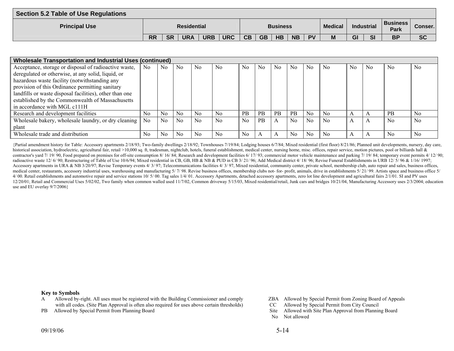| Section 5.2 Table of Use Regulations |                    |           |                 |            |            |           |           |                |           |            |                         |           |           |           |           |
|--------------------------------------|--------------------|-----------|-----------------|------------|------------|-----------|-----------|----------------|-----------|------------|-------------------------|-----------|-----------|-----------|-----------|
| <b>Principal Use</b>                 | <b>Residential</b> |           | <b>Business</b> |            |            |           |           | <b>Medical</b> |           | Industrial | <b>Business</b><br>Park | Conser. I |           |           |           |
|                                      | <b>RR</b>          | <b>SR</b> | <b>URA</b>      | <b>URB</b> | <b>URC</b> | <b>CB</b> | <b>GB</b> | <b>HB</b>      | <b>NB</b> | <b>PV</b>  | M                       | GI        | <b>SI</b> | <b>BP</b> | <b>SC</b> |

| <b>Wholesale Transportation and Industrial Uses (continued)</b> |                |                |                |                |                |                |           |                |           |    |                |                |                |                |                |
|-----------------------------------------------------------------|----------------|----------------|----------------|----------------|----------------|----------------|-----------|----------------|-----------|----|----------------|----------------|----------------|----------------|----------------|
| Acceptance, storage or disposal of radioactive waste,           | N <sub>0</sub> | N <sub>0</sub> | N <sub>0</sub> | N <sub>0</sub> | N <sub>0</sub> | N <sub>0</sub> | No        | N <sub>0</sub> | $\rm No$  | No | N <sub>0</sub> | N <sub>0</sub> | N <sub>0</sub> | N <sub>0</sub> | N <sub>0</sub> |
| deregulated or otherwise, at any solid, liquid, or              |                |                |                |                |                |                |           |                |           |    |                |                |                |                |                |
| hazardous waste facility (notwithstanding any                   |                |                |                |                |                |                |           |                |           |    |                |                |                |                |                |
| provision of this Ordinance permitting sanitary                 |                |                |                |                |                |                |           |                |           |    |                |                |                |                |                |
| landfills or waste disposal facilities), other than one         |                |                |                |                |                |                |           |                |           |    |                |                |                |                |                |
| established by the Commonwealth of Massachusetts                |                |                |                |                |                |                |           |                |           |    |                |                |                |                |                |
| in accordance with MGL c111H                                    |                |                |                |                |                |                |           |                |           |    |                |                |                |                |                |
| Research and development facilities                             | No             | N <sub>0</sub> | N <sub>0</sub> | N <sub>0</sub> | No             | <b>PB</b>      | <b>PB</b> | <b>PB</b>      | <b>PB</b> | No | N <sub>0</sub> |                | A              | <b>PB</b>      | No             |
| Wholesale bakery, wholesale laundry, or dry cleaning            | No             | $\rm No$       | N <sub>0</sub> | N <sub>0</sub> | N <sub>0</sub> | N <sub>0</sub> | <b>PB</b> | $\mathsf{A}$   | $\rm No$  | No | N <sub>0</sub> |                | A              | N <sub>0</sub> | N <sub>0</sub> |
| plant                                                           |                |                |                |                |                |                |           |                |           |    |                |                |                |                |                |
| Wholesale trade and distribution                                | No             | No             | No             | N <sub>0</sub> | N <sub>0</sub> | N <sub>0</sub> |           | A              | No        | No | N <sub>0</sub> |                |                | N <sub>0</sub> | N <sub>0</sub> |

{Partial amendment history for Table: Accessory apartments 2/18/93; Two-family dwellings 2/18/92; Townhouses 7/19/84; Lodging houses 6/7/84; Mixed residential (first floor) 8/21/86; Planned unit developments, nursery, day historical association, hydroelectric, agricultural fair, retail >10,000 sq. ft, tradesman, nightclub, hotels, funeral establishment, medical center, nursing home, misc. offices, repair service, motion pictures, pool or bi contractor's vard 7/19/90, Food prepared on premises for off-site consumption 8/16/84; Research and development facilities 6/17/93; commercial motor vehicle maintenance and parking 7/19/84; temporary event permits 4/12/90; radioactive waste 12/ 6/ 90; Restructuring of Table of Use 10/6/94; Mixed residential in CB, GB, HB & NB & PUD in CB 3/ 21/ 96; Add Medical district 4/ 18/ 96; Revise Funeral Establishments in URB 12/ 5/ 96 & 1/16/ 1997; Accessory apartments in URA & NB 3/20/97; Revise Temporary events 4/3/97; Telecommunications facilities 4/3/97, Mixed residential, community center, private school, membership club, auto repair and sales, business offices, medical center, restaurants, accessory industrial uses, warehousing and manufacturing 5/7/98. Revise business offices, membership clubs not- for- profit, animals, drive in establishments 5/21/99. Artists space and business 4/00. Retail establishments and automotive repair and service stations 10/5/00. Tag sales 1/4/01. Accessory Apartments, detached accessory apartments, zero lot line development and agricultural fairs 2/1/01. SI and PV uses 12/20/01; Retail and Commercial Uses 5/02/02, Two family when common walled used 11/7/02, Common driveway 5/15/03, Mixed residential/retail, Junk cars and bridges 10/21/04, Manufacturing Accessory uses 2/3/2004; education use and EU overlay 9/7/2006}

#### **Key to Symbols**

- A Allowed by-right. All uses must be registered with the Building Commissioner and comply ZBA Allowed by Special Permit from Zoning Board of Appeals with all codes. (Site Plan Approval is often also required for uses above with all codes. (Site Plan Approval is often also required for uses above certain thresholds) CC
- 
- 
- 
- PB Allowed by Special Permit from Planning Board Site Allowed with Site Plan Approval from Planning Board
	- No Not allowed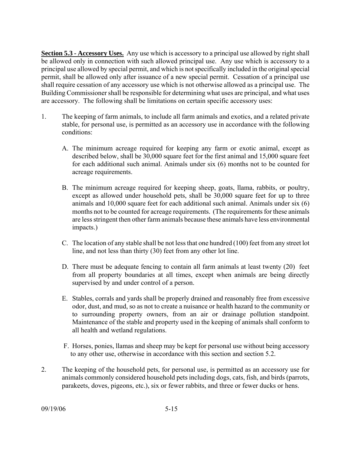**Section 5.3 - Accessory Uses.** Any use which is accessory to a principal use allowed by right shall be allowed only in connection with such allowed principal use. Any use which is accessory to a principal use allowed by special permit, and which is not specifically included in the original special permit, shall be allowed only after issuance of a new special permit. Cessation of a principal use shall require cessation of any accessory use which is not otherwise allowed as a principal use. The Building Commissioner shall be responsible for determining what uses are principal, and what uses are accessory. The following shall be limitations on certain specific accessory uses:

- 1. The keeping of farm animals, to include all farm animals and exotics, and a related private stable, for personal use, is permitted as an accessory use in accordance with the following conditions:
	- A. The minimum acreage required for keeping any farm or exotic animal, except as described below, shall be 30,000 square feet for the first animal and 15,000 square feet for each additional such animal. Animals under six (6) months not to be counted for acreage requirements.
	- B. The minimum acreage required for keeping sheep, goats, llama, rabbits, or poultry, except as allowed under household pets, shall be 30,000 square feet for up to three animals and 10,000 square feet for each additional such animal. Animals under six (6) months not to be counted for acreage requirements. (The requirements for these animals are less stringent then other farm animals because these animals have less environmental impacts.)
	- C. The location of any stable shall be not less that one hundred (100) feet from any street lot line, and not less than thirty (30) feet from any other lot line.
	- D. There must be adequate fencing to contain all farm animals at least twenty (20) feet from all property boundaries at all times, except when animals are being directly supervised by and under control of a person.
	- E. Stables, corrals and yards shall be properly drained and reasonably free from excessive odor, dust, and mud, so as not to create a nuisance or health hazard to the community or to surrounding property owners, from an air or drainage pollution standpoint. Maintenance of the stable and property used in the keeping of animals shall conform to all health and wetland regulations.
	- F. Horses, ponies, llamas and sheep may be kept for personal use without being accessory to any other use, otherwise in accordance with this section and section 5.2.
- 2. The keeping of the household pets, for personal use, is permitted as an accessory use for animals commonly considered household pets including dogs, cats, fish, and birds (parrots, parakeets, doves, pigeons, etc.), six or fewer rabbits, and three or fewer ducks or hens.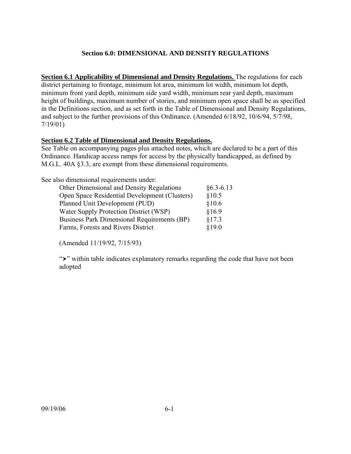## **Section 6.0: DIMENSIONAL AND DENSITY REGULATIONS**

**Section 6.1 Applicability of Dimensional and Density Regulations.** The regulations for each district pertaining to frontage, minimum lot area, minimum lot width, minimum lot depth, minimum front yard depth, minimum side yard width, minimum rear yard depth, maximum height of buildings, maximum number of stories, and minimum open space shall be as specified in the Definitions section, and as set forth in the Table of Dimensional and Density Regulations, and subject to the further provisions of this Ordinance. (Amended 6/18/92, 10/6/94, 5/7/98, 7/19/01)

## **Section 6.2 Table of Dimensional and Density Regulations.**

See Table on accompanying pages plus attached notes, which are declared to be a part of this Ordinance. Handicap access ramps for access by the physically handicapped, as defined by M.G.L. 40A §3.3, are exempt from these dimensional requirements.

See also dimensional requirements under:

| Other Dimensional and Density Regulations     | $§6.3 - 6.13$ |
|-----------------------------------------------|---------------|
| Open Space Residential Development (Clusters) | §10.5         |
| Planned Unit Development (PUD)                | \$10.6        |
| Water Supply Protection District (WSP)        | §16.9         |
| Business Park Dimensional Requirements (BP)   | §17.3         |
| Farms, Forests and Rivers District            | \$19.0        |

(Amended 11/19/92, 7/15/93)

" $\rightarrow$ " within table indicates explanatory remarks regarding the code that have not been adopted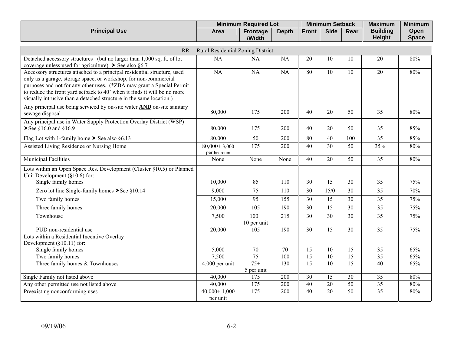|                                                                                                                                                                                                                                                                                                                                                                          |                                   | <b>Minimum Required Lot</b> |              |                 | <b>Minimum Setback</b> |                 | <b>Maximum</b>            | <b>Minimum</b>       |
|--------------------------------------------------------------------------------------------------------------------------------------------------------------------------------------------------------------------------------------------------------------------------------------------------------------------------------------------------------------------------|-----------------------------------|-----------------------------|--------------|-----------------|------------------------|-----------------|---------------------------|----------------------|
| <b>Principal Use</b>                                                                                                                                                                                                                                                                                                                                                     | Area                              | <b>Frontage</b><br>/Width   | <b>Depth</b> | <b>Front</b>    | <b>Side</b>            | Rear            | <b>Building</b><br>Height | Open<br><b>Space</b> |
| <b>RR</b>                                                                                                                                                                                                                                                                                                                                                                | Rural Residential Zoning District |                             |              |                 |                        |                 |                           |                      |
| Detached accessory structures (but no larger than 1,000 sq. ft. of lot<br>coverage unless used for agriculture) $\triangleright$ See also §6.7                                                                                                                                                                                                                           | <b>NA</b>                         | <b>NA</b>                   | <b>NA</b>    | 20              | 10                     | 10              | 20                        | 80%                  |
| Accessory structures attached to a principal residential structure, used<br>only as a garage, storage space, or workshop, for non-commercial<br>purposes and not for any other uses. (*ZBA may grant a Special Permit<br>to reduce the front yard setback to 40' when it finds it will be no more<br>visually intrusive than a detached structure in the same location.) | NA                                | <b>NA</b>                   | <b>NA</b>    | 80              | $\overline{10}$        | 10              | 20                        | 80%                  |
| Any principal use being serviced by on-site water <b>AND</b> on-site sanitary<br>sewage disposal                                                                                                                                                                                                                                                                         | 80,000                            | 175                         | 200          | 40              | 20                     | 50              | 35                        | 80%                  |
| Any principal use in Water Supply Protection Overlay District (WSP)<br>≻See §16.0 and §16.9                                                                                                                                                                                                                                                                              | 80,000                            | 175                         | 200          | 40              | 20                     | 50              | 35                        | 85%                  |
| Flag Lot with 1-family home $\triangleright$ See also §6.13                                                                                                                                                                                                                                                                                                              | 80,000                            | 50                          | 200          | 80              | 40                     | 100             | 35                        | 85%                  |
| Assisted Living Residence or Nursing Home                                                                                                                                                                                                                                                                                                                                | $80,000+3,000$<br>per bedroom     | 175                         | 200          | 40              | 30                     | 50              | 35%                       | 80%                  |
| Municipal Facilities                                                                                                                                                                                                                                                                                                                                                     | None                              | None                        | None         | 40              | 20                     | 50              | $\overline{35}$           | 80%                  |
| Lots within an Open Space Res. Development (Cluster §10.5) or Planned<br>Unit Development $(\S 10.6)$ for:                                                                                                                                                                                                                                                               |                                   |                             |              |                 |                        |                 |                           |                      |
| Single family homes                                                                                                                                                                                                                                                                                                                                                      | 10,000                            | 85                          | 110          | 30              | 15                     | 30              | 35                        | 75%                  |
| Zero lot line Single-family homes $\blacktriangleright$ See §10.14                                                                                                                                                                                                                                                                                                       | 9,000                             | 75                          | 110          | $\overline{30}$ | 15/0                   | 30              | $\overline{35}$           | 70%                  |
| Two family homes                                                                                                                                                                                                                                                                                                                                                         | 15,000                            | 95                          | 155          | 30              | 15                     | 30              | 35                        | 75%                  |
| Three family homes                                                                                                                                                                                                                                                                                                                                                       | 20,000                            | $\overline{105}$            | 190          | $\overline{30}$ | $\overline{15}$        | $\overline{30}$ | $\overline{35}$           | 75%                  |
| Townhouse                                                                                                                                                                                                                                                                                                                                                                | 7,500                             | $100+$<br>10 per unit       | 215          | 30              | 30                     | 30              | 35                        | 75%                  |
| PUD non-residential use                                                                                                                                                                                                                                                                                                                                                  | 20,000                            | 105                         | 190          | $\overline{30}$ | $\overline{15}$        | 30              | 35                        | 75%                  |
| Lots within a Residential Incentive Overlay<br>Development $(\S10.11)$ for:                                                                                                                                                                                                                                                                                              |                                   |                             |              |                 |                        |                 |                           |                      |
| Single family homes                                                                                                                                                                                                                                                                                                                                                      | 5,000                             | 70                          | 70           | 15              | 10                     | 15              | 35                        | 65%                  |
| Two family homes                                                                                                                                                                                                                                                                                                                                                         | 7,500                             | 75                          | 100          | $\overline{15}$ | $\overline{10}$        | 15              | $\overline{35}$           | 65%                  |
| Three family homes & Townhouses                                                                                                                                                                                                                                                                                                                                          | $4,000$ per unit                  | $75+$<br>5 per unit         | 130          | $\overline{15}$ | 10                     | 15              | 40                        | 65%                  |
| Single Family not listed above                                                                                                                                                                                                                                                                                                                                           | 40,000                            | 175                         | 200          | $\overline{30}$ | 15                     | 30              | 35                        | 80%                  |
| Any other permitted use not listed above                                                                                                                                                                                                                                                                                                                                 | 40,000                            | 175                         | 200          | 40              | $\overline{20}$        | 50              | 35                        | 80%                  |
| Preexisting nonconforming uses                                                                                                                                                                                                                                                                                                                                           | $40,000+1,000$<br>per unit        | 175                         | 200          | 40              | 20                     | 50              | $\overline{35}$           | 80%                  |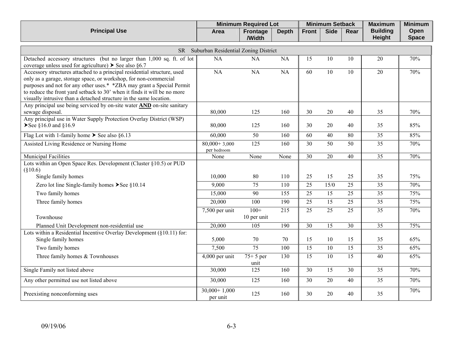|                                                                                                                                                                                                                                                                                                                                                                         |                                      | <b>Minimum Required Lot</b> |              |                 | <b>Minimum Setback</b> |                 | <b>Maximum</b>            | <b>Minimum</b>       |
|-------------------------------------------------------------------------------------------------------------------------------------------------------------------------------------------------------------------------------------------------------------------------------------------------------------------------------------------------------------------------|--------------------------------------|-----------------------------|--------------|-----------------|------------------------|-----------------|---------------------------|----------------------|
| <b>Principal Use</b>                                                                                                                                                                                                                                                                                                                                                    | Area                                 | Frontage<br>/Width          | <b>Depth</b> | <b>Front</b>    | <b>Side</b>            | Rear            | <b>Building</b><br>Height | Open<br><b>Space</b> |
| SR <sub>1</sub>                                                                                                                                                                                                                                                                                                                                                         | Suburban Residential Zoning District |                             |              |                 |                        |                 |                           |                      |
| Detached accessory structures (but no larger than 1,000 sq. ft. of lot<br>coverage unless used for agriculture) $\triangleright$ See also §6.7                                                                                                                                                                                                                          | <b>NA</b>                            | <b>NA</b>                   | <b>NA</b>    | 15              | 10                     | 10              | 20                        | 70%                  |
| Accessory structures attached to a principal residential structure, used<br>only as a garage, storage space, or workshop, for non-commercial<br>purposes and not for any other uses.* *ZBA may grant a Special Permit<br>to reduce the front yard setback to 30' when it finds it will be no more<br>visually intrusive than a detached structure in the same location. | NA                                   | <b>NA</b>                   | <b>NA</b>    | 60              | 10                     | 10              | 20                        | 70%                  |
| Any principal use being serviced by on-site water <b>AND</b> on-site sanitary<br>sewage disposal.                                                                                                                                                                                                                                                                       | 80,000                               | 125                         | 160          | 30              | 20                     | 40              | 35                        | 70%                  |
| Any principal use in Water Supply Protection Overlay District (WSP)<br>≻See §16.0 and §16.9                                                                                                                                                                                                                                                                             | 80,000                               | 125                         | 160          | 30              | 20                     | 40              | 35                        | 85%                  |
| Flag Lot with 1-family home $\triangleright$ See also §6.13                                                                                                                                                                                                                                                                                                             | 60,000                               | 50                          | 160          | $\overline{60}$ | 40                     | 80              | $\overline{35}$           | 85%                  |
| Assisted Living Residence or Nursing Home                                                                                                                                                                                                                                                                                                                               | $80,000+3,000$<br>per bedroom        | $\overline{125}$            | 160          | 30              | $\overline{50}$        | 50              | 35                        | 70%                  |
| <b>Municipal Facilities</b>                                                                                                                                                                                                                                                                                                                                             | None                                 | None                        | None         | 30              | $20\,$                 | 40              | 35                        | 70%                  |
| Lots within an Open Space Res. Development (Cluster §10.5) or PUD<br>$(\$10.6)$<br>Single family homes                                                                                                                                                                                                                                                                  | 10,000                               | 80                          | 110          | 25              | 15                     | 25              | 35                        | 75%                  |
| Zero lot line Single-family homes $\blacktriangleright$ See §10.14                                                                                                                                                                                                                                                                                                      | 9,000                                | $\overline{75}$             | 110          | $\overline{25}$ | 15/0                   | $\overline{25}$ | $\overline{35}$           | 70%                  |
| Two family homes                                                                                                                                                                                                                                                                                                                                                        | 15,000                               | 90                          | 155          | 25              | 15                     | 25              | $\overline{35}$           | 75%                  |
| Three family homes                                                                                                                                                                                                                                                                                                                                                      | 20,000                               | 100                         | 190          | 25              | 15                     | 25              | 35                        | 75%                  |
| Townhouse                                                                                                                                                                                                                                                                                                                                                               | $7,500$ per unit                     | $100+$<br>10 per unit       | 215          | $\overline{25}$ | $\overline{25}$        | $\overline{25}$ | $\overline{35}$           | 70%                  |
| Planned Unit Development non-residential use                                                                                                                                                                                                                                                                                                                            | 20,000                               | 105                         | 190          | 30              | 15                     | 30              | $\overline{35}$           | 75%                  |
| Lots within a Residential Incentive Overlay Development $(\S 10.11)$ for:<br>Single family homes                                                                                                                                                                                                                                                                        | 5,000                                | 70                          | 70           | 15              | 10                     | 15              | 35                        | 65%                  |
| Two family homes                                                                                                                                                                                                                                                                                                                                                        | 7,500                                | $\overline{75}$             | 100          | 15              | 10                     | 15              | 35                        | 65%                  |
| Three family homes & Townhouses                                                                                                                                                                                                                                                                                                                                         | 4,000 per unit                       | $75+5$ per<br>unit          | 130          | $\overline{15}$ | $\overline{10}$        | $\overline{15}$ | $\overline{40}$           | 65%                  |
| Single Family not listed above                                                                                                                                                                                                                                                                                                                                          | 30,000                               | 125                         | 160          | 30              | 15                     | 30              | $\overline{35}$           | 70%                  |
| Any other permitted use not listed above                                                                                                                                                                                                                                                                                                                                | 30,000                               | 125                         | 160          | 30              | 20                     | 40              | $\overline{35}$           | 70%                  |
| Preexisting nonconforming uses                                                                                                                                                                                                                                                                                                                                          | $30,000+1,000$<br>per unit           | 125                         | 160          | 30              | 20                     | 40              | 35                        | 70%                  |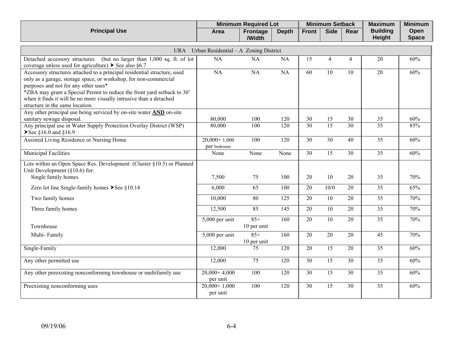|                                                                                                                                                                                                                                                                                                                                                                           |                                       | <b>Minimum Required Lot</b> |                  |                 | <b>Minimum Setback</b> |                 | <b>Maximum</b>            | <b>Minimum</b>       |
|---------------------------------------------------------------------------------------------------------------------------------------------------------------------------------------------------------------------------------------------------------------------------------------------------------------------------------------------------------------------------|---------------------------------------|-----------------------------|------------------|-----------------|------------------------|-----------------|---------------------------|----------------------|
| <b>Principal Use</b>                                                                                                                                                                                                                                                                                                                                                      | Area                                  | Frontage<br>/Width          | <b>Depth</b>     | <b>Front</b>    | <b>Side</b>            | Rear            | <b>Building</b><br>Height | Open<br><b>Space</b> |
| URA                                                                                                                                                                                                                                                                                                                                                                       | Urban Residential - A Zoning District |                             |                  |                 |                        |                 |                           |                      |
| (but no larger than $1,000$ sq. ft. of lot<br>Detached accessory structures<br>coverage unless used for agriculture) $\triangleright$ See also §6.7                                                                                                                                                                                                                       | <b>NA</b>                             | NA                          | NA               | 15              | $\overline{4}$         | $\overline{4}$  | 20                        | 60%                  |
| Accessory structures attached to a principal residential structure, used<br>only as a garage, storage space, or workshop, for non-commercial<br>purposes and not for any other uses*<br>*ZBA may grant a Special Permit to reduce the front yard setback to 30'<br>when it finds it will be no more visually intrusive than a detached<br>structure in the same location. | $\overline{NA}$                       | <b>NA</b>                   | NA               | 60              | 10                     | 10              | 20                        | 60%                  |
| Any other principal use being serviced by on-site water <b>AND</b> on-site<br>sanitary sewage disposal.                                                                                                                                                                                                                                                                   | 80,000                                | 100                         | 120              | 30              | 15                     | $30\,$          | 35                        | 60%                  |
| Any principal use in Water Supply Protection Overlay District (WSP)<br>≻See §16.0 and §16.9                                                                                                                                                                                                                                                                               | 80,000                                | 100                         | 120              | 30              | $\overline{15}$        | $\overline{30}$ | $\overline{35}$           | 85%                  |
| Assisted Living Residence or Nursing Home                                                                                                                                                                                                                                                                                                                                 | $20,000+1,000$<br>per bedroom         | 100                         | 120              | 30              | 30                     | 40              | 35                        | 60%                  |
| Municipal Facilities                                                                                                                                                                                                                                                                                                                                                      | None                                  | None                        | None             | 30              | 15                     | 30              | $\overline{35}$           | 60%                  |
| Lots within an Open Space Res. Development (Cluster §10.5) or Planned<br>Unit Development $(\S 10.6)$ for:<br>Single family homes                                                                                                                                                                                                                                         | 7,500                                 | 75                          | 100              | 20              | 10                     | 20              | 35                        | 70%                  |
| Zero lot line Single-family homes $\blacktriangleright$ See §10.14                                                                                                                                                                                                                                                                                                        | 6,000                                 | 65                          | 100              | 20              | 10/0                   | 20              | 35                        | 65%                  |
| Two family homes                                                                                                                                                                                                                                                                                                                                                          | 10,000                                | 80                          | 125              | 20              | 10                     | 20              | 35                        | 70%                  |
| Three family homes                                                                                                                                                                                                                                                                                                                                                        | 12,500                                | 85                          | $\overline{145}$ | 20              | $\overline{10}$        | 20              | $\overline{35}$           | 70%                  |
| Townhouse                                                                                                                                                                                                                                                                                                                                                                 | $\overline{5,000}$ per unit           | $85+$<br>10 per unit        | 160              | $\overline{20}$ | $\overline{10}$        | 20              | $\overline{35}$           | 70%                  |
| Multi-Family                                                                                                                                                                                                                                                                                                                                                              | 5,000 per unit                        | $85+$<br>10 per unit        | 160              | 20              | 20                     | 20              | $\overline{45}$           | 70%                  |
| Single-Family                                                                                                                                                                                                                                                                                                                                                             | 12,000                                | 75                          | 120              | 20              | 15                     | 20              | 35                        | 60%                  |
| Any other permitted use                                                                                                                                                                                                                                                                                                                                                   | 12,000                                | 75                          | 120              | $\overline{30}$ | $\overline{15}$        | $\overline{30}$ | $\overline{35}$           | 60%                  |
| Any other preexisting nonconforming townhouse or multifamily use                                                                                                                                                                                                                                                                                                          | $20,000+4,000$<br>per unit            | 100                         | $\overline{120}$ | $\overline{30}$ | $\overline{15}$        | $\overline{30}$ | $\overline{35}$           | 60%                  |
| Preexisting nonconforming uses                                                                                                                                                                                                                                                                                                                                            | $20,000+1,000$<br>per unit            | 100                         | 120              | $\overline{30}$ | $\overline{15}$        | 30              | $\overline{35}$           | 60%                  |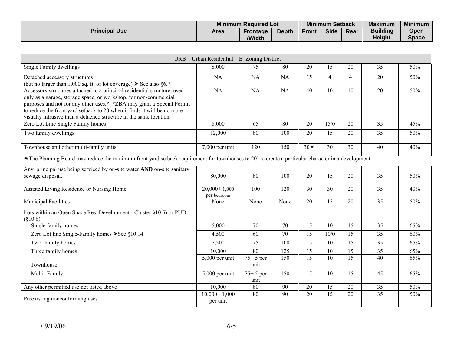|                      |      | <b>Minimum Required Lot</b> |              |              | <b>Minimum Setback</b><br><b>Maximum</b> |      |                                  | <b>Minimum</b>       |
|----------------------|------|-----------------------------|--------------|--------------|------------------------------------------|------|----------------------------------|----------------------|
| <b>Principal Use</b> | Area | <b>Frontage</b><br>/Width   | <b>Depth</b> | <b>Front</b> | <b>Side</b>                              | Rear | <b>Building</b><br><b>Height</b> | Open<br><b>Space</b> |

| <b>URB</b>                                                                                                                                                                                                                                                                                                                                                             | Urban Residential - B Zoning District |                    |                 |                  |                 |                 |                 |     |
|------------------------------------------------------------------------------------------------------------------------------------------------------------------------------------------------------------------------------------------------------------------------------------------------------------------------------------------------------------------------|---------------------------------------|--------------------|-----------------|------------------|-----------------|-----------------|-----------------|-----|
| Single Family dwellings                                                                                                                                                                                                                                                                                                                                                | 8,000                                 | 75                 | 80              | 20               | 15              | 20              | 35              | 50% |
| Detached accessory structures<br>(but no larger than 1,000 sq. ft. of lot coverage) $\triangleright$ See also §6.7                                                                                                                                                                                                                                                     | <b>NA</b>                             | NA                 | NA              | 15               | $\overline{4}$  | $\overline{4}$  | 20              | 50% |
| Accessory structures attached to a principal residential structure, used<br>only as a garage, storage space, or workshop, for non-commercial<br>purposes and not for any other uses.* *ZBA may grant a Special Permit<br>to reduce the front yard setback to 20 when it finds it will be no more<br>visually intrusive than a detached structure in the same location. | <b>NA</b>                             | NA                 | NA              | 40               | 10              | 10              | $\overline{20}$ | 50% |
| Zero Lot Line Single Family homes                                                                                                                                                                                                                                                                                                                                      | 8,000                                 | 65                 | 80              | $\overline{20}$  | 15/0            | 20              | 35              | 45% |
| Two family dwellings                                                                                                                                                                                                                                                                                                                                                   | 12,000                                | 80                 | 100             | $\overline{20}$  | $\overline{15}$ | 20              | 35              | 50% |
| Townhouse and other multi-family units                                                                                                                                                                                                                                                                                                                                 | 7,000 per unit                        | $\overline{120}$   | 150             | $\overline{30*}$ | 30              | $\overline{30}$ | $\overline{40}$ | 40% |
| *The Planning Board may reduce the minimum front yard setback requirement for townhouses to 20' to create a particular character in a development                                                                                                                                                                                                                      |                                       |                    |                 |                  |                 |                 |                 |     |
| Any principal use being serviced by on-site water <b>AND</b> on-site sanitary<br>sewage disposal.                                                                                                                                                                                                                                                                      | 80,000                                | 80                 | 100             | 20               | 15              | 20              | 35              | 50% |
| Assisted Living Residence or Nursing Home                                                                                                                                                                                                                                                                                                                              | $20,000+1,000$<br>per bedroom         | 100                | 120             | 30               | 30              | 20              | 35              | 40% |
| Municipal Facilities                                                                                                                                                                                                                                                                                                                                                   | None                                  | None               | None            | 20               | 15              | 20              | 35              | 50% |
| Lots within an Open Space Res. Development (Cluster §10.5) or PUD<br>$(\$10.6)$                                                                                                                                                                                                                                                                                        |                                       |                    |                 |                  |                 |                 |                 |     |
| Single family homes                                                                                                                                                                                                                                                                                                                                                    | 5,000                                 | 70                 | 70              | 15               | 10              | 15              | 35              | 65% |
| Zero Lot line Single-Family homes ▶ See §10.14                                                                                                                                                                                                                                                                                                                         | 4,500                                 | 60                 | $\overline{70}$ | $\overline{15}$  | 10/0            | 15              | 35              | 60% |
| Two family homes                                                                                                                                                                                                                                                                                                                                                       | 7,500                                 | 75                 | 100             | 15               | 10              | 15              | 35              | 65% |
| Three family homes                                                                                                                                                                                                                                                                                                                                                     | 10,000                                | 80                 | 125             | 15               | 10              | 15              | 35              | 65% |
| Townhouse                                                                                                                                                                                                                                                                                                                                                              | $5,000$ per unit                      | $75+5$ per<br>unit | 150             | $\overline{15}$  | 10              | 15              | 40              | 65% |
| Multi-Family                                                                                                                                                                                                                                                                                                                                                           | 5,000 per unit                        | $75+5$ per<br>unit | 150             | $\overline{15}$  | $\overline{10}$ | $\overline{15}$ | 45              | 65% |
| Any other permitted use not listed above                                                                                                                                                                                                                                                                                                                               | 10,000                                | 80                 | 90              | 20               | $\overline{15}$ | 20              | $\overline{35}$ | 50% |
| Preexisting nonconforming uses                                                                                                                                                                                                                                                                                                                                         | $10,000+1,000$<br>per unit            | 80                 | 90              | 20               | $\overline{15}$ | 20              | $\overline{35}$ | 50% |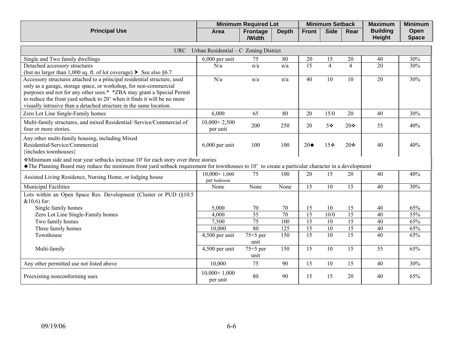|                      |      | <b>Minimum Required Lot</b> |              | <b>Minimum Setback</b><br><b>Maximum</b> |             |      | <b>Minimum</b>  |              |
|----------------------|------|-----------------------------|--------------|------------------------------------------|-------------|------|-----------------|--------------|
| <b>Principal Use</b> | Area | <b>Frontage</b>             | <b>Depth</b> | <b>Front</b>                             | <b>Side</b> | Rear | <b>Building</b> | <b>Open</b>  |
|                      |      | /Width                      |              |                                          |             |      | <b>Height</b>   | <b>Space</b> |

|                                                                                                                                                                  | URC Urban Residential $-C$ Zoning District |                    |      |                   |                |                 |                 |     |
|------------------------------------------------------------------------------------------------------------------------------------------------------------------|--------------------------------------------|--------------------|------|-------------------|----------------|-----------------|-----------------|-----|
| Single and Two family dwellings                                                                                                                                  | $6,000$ per unit                           | 75                 | 80   | $20\,$            | 15             | 20              | 40              | 30% |
| Detached accessory structures                                                                                                                                    | N/a                                        | n/a                | n/a  | $\overline{15}$   | $\overline{4}$ | $\overline{4}$  | $\overline{20}$ | 30% |
| (but no larger than 1,000 sq. ft. of lot coverage) $\triangleright$ See also §6.7                                                                                |                                            |                    |      |                   |                |                 |                 |     |
| Accessory structures attached to a principal residential structure, used                                                                                         | N/a                                        | n/a                | n/a  | 40                | 10             | 10              | 20              | 30% |
| only as a garage, storage space, or workshop, for non-commercial                                                                                                 |                                            |                    |      |                   |                |                 |                 |     |
| purposes and not for any other uses.* * ZBA may grant a Special Permit<br>to reduce the front yard setback to 20' when it finds it will be no more               |                                            |                    |      |                   |                |                 |                 |     |
| visually intrusive than a detached structure in the same location.                                                                                               |                                            |                    |      |                   |                |                 |                 |     |
| Zero Lot Line Single-Family homes                                                                                                                                | 6,000                                      | 65                 | 80   | 20                | 15/0           | 20              | 40              | 30% |
|                                                                                                                                                                  |                                            |                    |      |                   |                |                 |                 |     |
| Multi-family structures, and mixed Residential/ Service/Commercial of<br>four or more stories.                                                                   | $10,000+2,500$                             | 200                | 250  | 20                | $5 \cdot$      | $20 \cdot$      | 55              | 40% |
|                                                                                                                                                                  | per unit                                   |                    |      |                   |                |                 |                 |     |
| Any other multi-family housing, including Mixed                                                                                                                  |                                            |                    |      |                   |                |                 |                 |     |
| Residential/Service/Commercial                                                                                                                                   | $6,000$ per unit                           | 100                | 100  | $20\blacklozenge$ | 15※            | 20❖             | 40              | 40% |
| {includes townhouses}                                                                                                                                            |                                            |                    |      |                   |                |                 |                 |     |
| Minimum side and rear year setbacks increase 10' for each story over three stories                                                                               |                                            |                    |      |                   |                |                 |                 |     |
| $\blacklozenge$ The Planning Board may reduce the minimum front yard setback requirement for townhouses to 10' to create a particular character in a development |                                            |                    |      |                   |                |                 |                 |     |
| Assisted Living Residence, Nursing Home, or lodging house                                                                                                        | $10,000+1,000$<br>per bedroom              | 75                 | 100  | 20                | 15             | 20              | 40              | 40% |
| <b>Municipal Facilities</b>                                                                                                                                      | None                                       | None               | None | 15                | 10             | 15              | 40              | 30% |
| Lots within an Open Space Res. Development (Cluster or PUD (§10.5)                                                                                               |                                            |                    |      |                   |                |                 |                 |     |
| $& 10.6$ ) for:                                                                                                                                                  |                                            |                    |      |                   |                |                 |                 |     |
| Single family homes                                                                                                                                              | 5,000                                      | 70                 | 70   | 15                | 10             | 15              | 40              | 65% |
| Zero Lot Line Single-Family homes                                                                                                                                | 4,000                                      | $\overline{55}$    | 70   | $\overline{15}$   | 10/0           | $\overline{15}$ | 40              | 55% |
| Two family homes                                                                                                                                                 | 7,500                                      | 75                 | 100  | $\overline{15}$   | 10             | $\overline{15}$ | 40              | 65% |
| Three family homes                                                                                                                                               | 10,000                                     | 80                 | 125  | 15                | 10             | $\overline{15}$ | 40              | 65% |
| Townhouse                                                                                                                                                        | $4,500$ per unit                           | $75+5$ per         | 150  | $\overline{15}$   | 10             | $\overline{15}$ | 40              | 65% |
|                                                                                                                                                                  |                                            | unit               |      |                   |                |                 |                 |     |
| Multi-family                                                                                                                                                     | $\overline{4,}500$ per unit                | $75+5$ per<br>unit | 150  | 15                | 10             | 15              | 55              | 65% |
| Any other permitted use not listed above                                                                                                                         | 10,000                                     | 75                 | 90   | 15                | 10             | 15              | 40              | 30% |
| Preexisting nonconforming uses                                                                                                                                   | $10,000+1,000$<br>per unit                 | 80                 | 90   | 15                | 15             | 20              | 40              | 65% |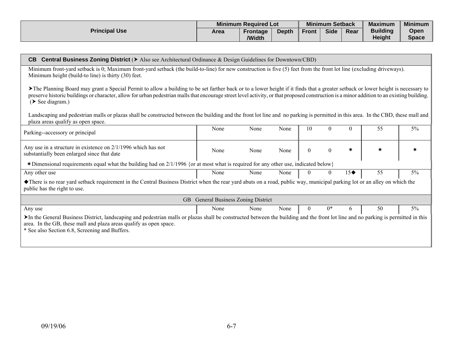|                      |      | <b>Minimum Required Lot</b> |              |              | <b>Minimum Setback</b> |      | <b>Maximum</b>                   | <b>Minimum</b>       |
|----------------------|------|-----------------------------|--------------|--------------|------------------------|------|----------------------------------|----------------------|
| <b>Principal Use</b> | Area | <b>Frontage</b><br>/Width   | <b>Depth</b> | <b>Front</b> | <b>Side</b>            | Rear | <b>Building</b><br><b>Height</b> | Open<br><b>Space</b> |

| <b>Central Business Zoning District (&gt;</b> Also see Architectural Ordinance & Design Guidelines for Downtown/CBD)<br>CB.                                                                                                                                                                                                                                                                          |                                  |      |      |                |                  |                   |    |       |  |  |  |  |
|------------------------------------------------------------------------------------------------------------------------------------------------------------------------------------------------------------------------------------------------------------------------------------------------------------------------------------------------------------------------------------------------------|----------------------------------|------|------|----------------|------------------|-------------------|----|-------|--|--|--|--|
| Minimum front-yard setback is 0; Maximum front-yard setback (the build-to-line) for new construction is five (5) feet from the front lot line (excluding driveways).<br>Minimum height (build-to line) is thirty (30) feet.                                                                                                                                                                          |                                  |      |      |                |                  |                   |    |       |  |  |  |  |
| The Planning Board may grant a Special Permit to allow a building to be set farther back or to a lower height if it finds that a greater setback or lower height is necessary to<br>preserve historic buildings or character, allow for urban pedestrian malls that encourage street level activity, or that proposed construction is a minor addition to an existing building.<br>$($ See diagram.) |                                  |      |      |                |                  |                   |    |       |  |  |  |  |
| Landscaping and pedestrian malls or plazas shall be constructed between the building and the front lot line and no parking is permitted in this area. In the CBD, these mall and<br>plaza areas qualify as open space.                                                                                                                                                                               |                                  |      |      |                |                  |                   |    |       |  |  |  |  |
| Parking--accessory or principal                                                                                                                                                                                                                                                                                                                                                                      | None                             | None | None | 10             | $\Omega$         | $\Omega$          | 55 | $5\%$ |  |  |  |  |
| Any use in a structure in existence on 2/1/1996 which has not<br>substantially been enlarged since that date                                                                                                                                                                                                                                                                                         | None                             | None | None | $\overline{0}$ | $\boldsymbol{0}$ | ☀                 |    |       |  |  |  |  |
| *Dimensional requirements equal what the building had on 2/1/1996 {or at most what is required for any other use, indicated below}                                                                                                                                                                                                                                                                   |                                  |      |      |                |                  |                   |    |       |  |  |  |  |
| Any other use                                                                                                                                                                                                                                                                                                                                                                                        | None                             | None | None | $\mathbf{0}$   | $\overline{0}$   | $15\blacklozenge$ | 55 | 5%    |  |  |  |  |
| • There is no rear yard setback requirement in the Central Business District when the rear yard abuts on a road, public way, municipal parking lot or an alley on which the<br>public has the right to use.                                                                                                                                                                                          |                                  |      |      |                |                  |                   |    |       |  |  |  |  |
| GB.                                                                                                                                                                                                                                                                                                                                                                                                  | General Business Zoning District |      |      |                |                  |                   |    |       |  |  |  |  |
| Any use                                                                                                                                                                                                                                                                                                                                                                                              | None                             | None | None | 0              | $0*$             | 6                 | 50 | $5\%$ |  |  |  |  |
| >In the General Business District, landscaping and pedestrian malls or plazas shall be constructed between the building and the front lot line and no parking is permitted in this<br>area. In the GB, these mall and plaza areas qualify as open space.<br>* See also Section 6.8, Screening and Buffers.                                                                                           |                                  |      |      |                |                  |                   |    |       |  |  |  |  |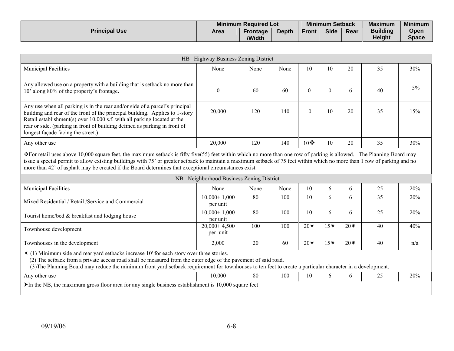|                      | <b>Minimum Required Lot</b> |                           |              |              | <b>Minimum Setback</b> |      | <b>Maximum</b>                   | <b>Minimum</b>       |
|----------------------|-----------------------------|---------------------------|--------------|--------------|------------------------|------|----------------------------------|----------------------|
| <b>Principal Use</b> | Area                        | <b>Frontage</b><br>/Width | <b>Depth</b> | <b>Front</b> | <b>Side</b>            | Rear | <b>Building</b><br><b>Height</b> | Open<br><b>Space</b> |

| HB Highway Business Zoning District                                                                                                                                                                                                                                                                                                                                                                                                                         |                            |      |      |                  |                  |       |    |       |
|-------------------------------------------------------------------------------------------------------------------------------------------------------------------------------------------------------------------------------------------------------------------------------------------------------------------------------------------------------------------------------------------------------------------------------------------------------------|----------------------------|------|------|------------------|------------------|-------|----|-------|
| <b>Municipal Facilities</b>                                                                                                                                                                                                                                                                                                                                                                                                                                 | None                       | None | None | 10               | 10               | 20    | 35 | 30%   |
| Any allowed use on a property with a building that is setback no more than<br>10' along 80% of the property's frontage.                                                                                                                                                                                                                                                                                                                                     | $\boldsymbol{0}$           | 60   | 60   | $\boldsymbol{0}$ | $\boldsymbol{0}$ | 6     | 40 | $5\%$ |
| Any use when all parking is in the rear and/or side of a parcel's principal<br>building and rear of the front of the principal building. Applies to 1-story<br>Retail establishment(s) over 10,000 s.f. with all parking located at the<br>rear or side. (parking in front of building defined as parking in front of<br>longest façade facing the street.)                                                                                                 | 20,000                     | 120  | 140  | $\theta$         | 10               | 20    | 35 | 15%   |
| Any other use                                                                                                                                                                                                                                                                                                                                                                                                                                               | 20,000                     | 120  | 140  | $10$ $\bullet$   | 10               | 20    | 35 | 30%   |
| *For retail uses above 10,000 square feet, the maximum setback is fifty five(55) feet within which no more than one row of parking is allowed. The Planning Board may<br>issue a special permit to allow existing buildings with 75' or greater setback to maintain a maximum setback of 75 feet within which no more than 1 row of parking and no<br>more than 42' of asphalt may be created if the Board determines that exceptional circumstances exist. |                            |      |      |                  |                  |       |    |       |
| NB Neighborhood Business Zoning District                                                                                                                                                                                                                                                                                                                                                                                                                    |                            |      |      |                  |                  |       |    |       |
| <b>Municipal Facilities</b>                                                                                                                                                                                                                                                                                                                                                                                                                                 | None                       | None | None | 10               | 6                | 6     | 25 | 20%   |
| Mixed Residential / Retail / Service and Commercial                                                                                                                                                                                                                                                                                                                                                                                                         | $10,000+1,000$<br>per unit | 80   | 100  | 10               | 6                | 6     | 35 | 20%   |
| Tourist home/bed & breakfast and lodging house                                                                                                                                                                                                                                                                                                                                                                                                              | $10,000+1,000$<br>per unit | 80   | 100  | 10               | 6                | 6     | 25 | 20%   |
| Townhouse development                                                                                                                                                                                                                                                                                                                                                                                                                                       | $20,000+4,500$<br>per unit | 100  | 100  | $20*$            | $15*$            | $20*$ | 40 | 40%   |
| Townhouses in the development                                                                                                                                                                                                                                                                                                                                                                                                                               | 2,000                      | 20   | 60   | $20*$            | $15*$            | $20*$ | 40 | n/a   |
| * (1) Minimum side and rear yard setbacks increase 10' for each story over three stories.<br>(2) The setback from a private access road shall be measured from the outer edge of the pavement of said road.<br>(3) The Planning Board may reduce the minimum front yard setback requirement for townhouses to ten feet to create a particular character in a development.                                                                                   |                            |      |      |                  |                  |       |    |       |
| Any other use                                                                                                                                                                                                                                                                                                                                                                                                                                               | 10,000                     | 80   | 100  | 10               | 6                | 6     | 25 | 20%   |
| In the NB, the maximum gross floor area for any single business establishment is $10,000$ square feet                                                                                                                                                                                                                                                                                                                                                       |                            |      |      |                  |                  |       |    |       |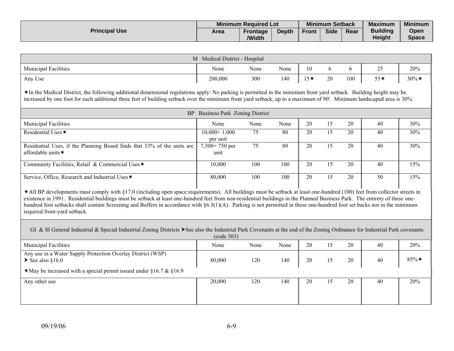|                      | <b>Minimum Required Lot</b> |                    |              |              | <b>Minimum Setback</b> |      | <b>Maximum</b>                   | <b>Minimum</b>       |
|----------------------|-----------------------------|--------------------|--------------|--------------|------------------------|------|----------------------------------|----------------------|
| <b>Principal Use</b> | Area                        | Frontage<br>/Width | <b>Depth</b> | <b>Front</b> | <b>Side</b>            | Rear | <b>Building</b><br><b>Height</b> | Open<br><b>Space</b> |

| M Medical District - Hospital                                                                                                                                                                                                                                                                                                                                                                                                                                                                                                                                      |                                  |                 |      |       |                 |        |       |          |  |
|--------------------------------------------------------------------------------------------------------------------------------------------------------------------------------------------------------------------------------------------------------------------------------------------------------------------------------------------------------------------------------------------------------------------------------------------------------------------------------------------------------------------------------------------------------------------|----------------------------------|-----------------|------|-------|-----------------|--------|-------|----------|--|
| Municipal Facilities                                                                                                                                                                                                                                                                                                                                                                                                                                                                                                                                               | None                             | None            | None | 10    | 6               | 6      | 25    | 20%      |  |
| Any Use                                                                                                                                                                                                                                                                                                                                                                                                                                                                                                                                                            | 200,000                          | 300             | 140  | $15*$ | 20              | 100    | $55*$ | $30\%$ * |  |
| *In the Medical District, the following additional dimensional regulations apply: No parking is permitted in the minimum front yard setback. Building height may be<br>increased by one foot for each additional three feet of building setback over the minimum front yard setback, up to a maximum of 90'. Minimum landscaped area is 30%.                                                                                                                                                                                                                       |                                  |                 |      |       |                 |        |       |          |  |
|                                                                                                                                                                                                                                                                                                                                                                                                                                                                                                                                                                    | BP Business Park Zoning District |                 |      |       |                 |        |       |          |  |
| <b>Municipal Facilities</b>                                                                                                                                                                                                                                                                                                                                                                                                                                                                                                                                        | None                             | None            | None | 20    | 15              | 20     | 40    | 30%      |  |
| Residential Uses*                                                                                                                                                                                                                                                                                                                                                                                                                                                                                                                                                  | $10,000+1,000$<br>per unit       | 75              | 80   | 20    | 15              | 20     | 40    | 30%      |  |
| Residential Uses, if the Planning Board finds that 33% of the units are<br>affordable units*                                                                                                                                                                                                                                                                                                                                                                                                                                                                       | $7,500+750$ per<br>unit          | $\overline{75}$ | 80   | 20    | 15              | 20     | 40    | 30%      |  |
| Community Facilities, Retail & Commercial Uses*                                                                                                                                                                                                                                                                                                                                                                                                                                                                                                                    | 10,000                           | 100             | 100  | 20    | 15              | 20     | 40    | 15%      |  |
| Service, Office, Research and Industrial Uses*                                                                                                                                                                                                                                                                                                                                                                                                                                                                                                                     | 80,000                           | 100             | 100  | 20    | $\overline{15}$ | 20     | 50    | 15%      |  |
| *All BP developments must comply with §17.0 (including open space requirements). All buildings must be setback at least one-hundred (100) feet from collector streets in<br>existence in 1991. Residential buildings must be setback at least one-hundred feet from non-residential buildings in the Planned Business Park. The entirety of these one-<br>hundred foot setbacks shall contain Screening and Buffers in accordance with §6.5(1)(A). Parking is not permitted in these one-hundred foot set backs nor in the minimum<br>required front-yard setback. |                                  |                 |      |       |                 |        |       |          |  |
| GI & SI General Industrial & Special Industrial Zoning Districts ▶ See also the Industrial Park Covenants at the end of the Zoning Ordinance for Industrial Park covenants<br>(code 303)                                                                                                                                                                                                                                                                                                                                                                           |                                  |                 |      |       |                 |        |       |          |  |
| <b>Municipal Facilities</b>                                                                                                                                                                                                                                                                                                                                                                                                                                                                                                                                        | None                             | None            | None | 20    | 15              | 20     | 40    | 20%      |  |
| Any use in a Water Supply Protection Overlay District (WSP)<br>$\blacktriangleright$ See also §16.0                                                                                                                                                                                                                                                                                                                                                                                                                                                                | 80,000                           | 120             | 140  | 20    | 15              | $20\,$ | 40    | 85%*     |  |
| *May be increased with a special permit issued under $§16.7 \& \$16.9$                                                                                                                                                                                                                                                                                                                                                                                                                                                                                             |                                  |                 |      |       |                 |        |       |          |  |
| Any other use                                                                                                                                                                                                                                                                                                                                                                                                                                                                                                                                                      | 20,000                           | 120             | 140  | 20    | 15              | 20     | 40    | 20%      |  |
|                                                                                                                                                                                                                                                                                                                                                                                                                                                                                                                                                                    |                                  |                 |      |       |                 |        |       |          |  |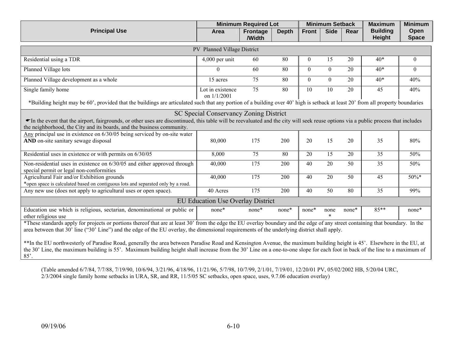|                                                                                                                                                                                                                                                                                                                                                                        |                                          | <b>Minimum Required Lot</b> |              |                  | <b>Minimum Setback</b> |                 | <b>Maximum</b>                   | <b>Minimum</b>       |  |
|------------------------------------------------------------------------------------------------------------------------------------------------------------------------------------------------------------------------------------------------------------------------------------------------------------------------------------------------------------------------|------------------------------------------|-----------------------------|--------------|------------------|------------------------|-----------------|----------------------------------|----------------------|--|
| <b>Principal Use</b>                                                                                                                                                                                                                                                                                                                                                   | Area                                     | <b>Frontage</b><br>/Width   | <b>Depth</b> | <b>Front</b>     | <b>Side</b>            | Rear            | <b>Building</b><br><b>Height</b> | Open<br><b>Space</b> |  |
| PV Planned Village District                                                                                                                                                                                                                                                                                                                                            |                                          |                             |              |                  |                        |                 |                                  |                      |  |
| Residential using a TDR                                                                                                                                                                                                                                                                                                                                                | $4,000$ per unit                         | 60                          | 80           | $\boldsymbol{0}$ | 15                     | 20              | $40*$                            | $\overline{0}$       |  |
| Planned Village lots                                                                                                                                                                                                                                                                                                                                                   | $\Omega$                                 | 60                          | 80           | $\mathbf{0}$     | $\overline{0}$         | 20              | $40*$                            | $\theta$             |  |
| Planned Village development as a whole                                                                                                                                                                                                                                                                                                                                 | 15 acres                                 | 75                          | 80           | $\mathbf{0}$     | $\overline{0}$         | 20              | $40*$                            | 40%                  |  |
| Single family home                                                                                                                                                                                                                                                                                                                                                     | Lot in existence<br>on 1/1/2001          | $\overline{75}$             | 80           | 10               | 10                     | 20              | 45                               | 40%                  |  |
| *Building height may be 60', provided that the buildings are articulated such that any portion of a building over 40' high is setback at least 20' from all property boundaries                                                                                                                                                                                        |                                          |                             |              |                  |                        |                 |                                  |                      |  |
|                                                                                                                                                                                                                                                                                                                                                                        | SC Special Conservancy Zoning District   |                             |              |                  |                        |                 |                                  |                      |  |
| The the event that the airport, fairgrounds, or other uses are discontinued, this table will be reevaluated and the city will seek reuse options via a public process that includes<br>the neighborhood, the City and its boards, and the business community.                                                                                                          |                                          |                             |              |                  |                        |                 |                                  |                      |  |
| Any principal use in existence on $6/30/05$ being serviced by on-site water                                                                                                                                                                                                                                                                                            |                                          |                             |              |                  |                        |                 |                                  |                      |  |
| AND on-site sanitary sewage disposal                                                                                                                                                                                                                                                                                                                                   | 80,000                                   | 175                         | 200          | 20               | 15                     | 20              | 35                               | 80%                  |  |
| Residential uses in existence or with permits on 6/30/05                                                                                                                                                                                                                                                                                                               | 8,000                                    | 75                          | 80           | 20               | 15                     | 20              | $\overline{35}$                  | 50%                  |  |
| Non-residential uses in existence on 6/30/05 and either approved through<br>special permit or legal non-conformities                                                                                                                                                                                                                                                   | 40,000                                   | 175                         | 200          | 40               | $\overline{20}$        | $\overline{50}$ | $\overline{35}$                  | 50%                  |  |
| Agricultural Fair and/or Exhibition grounds                                                                                                                                                                                                                                                                                                                            | 40,000                                   | 175                         | 200          | 40               | 20                     | 50              | 45                               | 50%*                 |  |
| *open space is calculated based on contiguous lots and separated only by a road.                                                                                                                                                                                                                                                                                       | 40 Acres                                 | 175                         | 200          | 40               | $\overline{50}$        | 80              | $\overline{35}$                  | 99%                  |  |
| Any new use (does not apply to agricultural uses or open space).                                                                                                                                                                                                                                                                                                       |                                          |                             |              |                  |                        |                 |                                  |                      |  |
|                                                                                                                                                                                                                                                                                                                                                                        | <b>EU Education Use Overlay District</b> |                             |              |                  |                        |                 |                                  |                      |  |
| Education use which is religious, sectarian, denominational or public or<br>other religious use                                                                                                                                                                                                                                                                        | none*                                    | none*                       | none*        | none*            | none<br>$\star$        | none*           | $85***$                          | none*                |  |
| *These standards apply for projects or portions thereof that are at least 30' from the edge the EU overlay boundary and the edge of any street containing that boundary. In the<br>area between that 30' line ("30' Line") and the edge of the EU overlay, the dimensional requirements of the underlying district shall apply.                                        |                                          |                             |              |                  |                        |                 |                                  |                      |  |
| **In the EU northwesterly of Paradise Road, generally the area between Paradise Road and Kensington Avenue, the maximum building height is 45'. Elsewhere in the EU, at<br>the 30' Line, the maximum building is 55'. Maximum building height shall increase from the 30' Line on a one-to-one slope for each foot in back of the line to a maximum of<br>$85^\circ$ . |                                          |                             |              |                  |                        |                 |                                  |                      |  |

(Table amended 6/7/84, 7/7/88, 7/19/90, 10/6/94, 3/21/96, 4/18/96, 11/21/96, 5/7/98, 10/7/99, 2/1/01, 7/19/01, 12/20/01 PV, 05/02/2002 HB, 5/20/04 URC, 2/3/2004 single family home setbacks in URA, SR, and RR, 11/5/05 SC setbacks, open space, uses, 9.7.06 education overlay)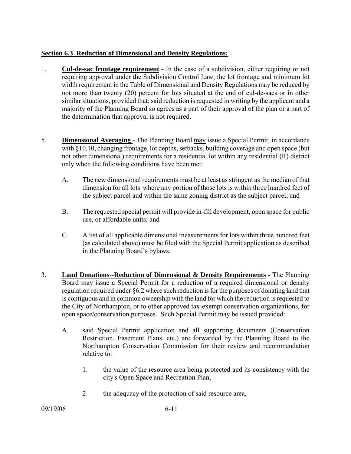## **Section 6.3 Reduction of Dimensional and Density Regulations:**

- 1. **Cul-de-sac frontage requirement** In the case of a subdivision, either requiring or not requiring approval under the Subdivision Control Law, the lot frontage and minimum lot width requirement in the Table of Dimensional and Density Regulations may be reduced by not more than twenty (20) percent for lots situated at the end of cul-de-sacs or in other similar situations, provided that: said reduction is requested in writing by the applicant and a majority of the Planning Board so agrees as a part of their approval of the plan or a part of the determination that approval is not required.
- 5. **Dimensional Averaging**  The Planning Board may issue a Special Permit, in accordance with §10.10, changing frontage, lot depths, setbacks, building coverage and open space (but not other dimensional) requirements for a residential lot within any residential (R) district only when the following conditions have been met:
	- A. The new dimensional requirements must be at least as stringent as the median of that dimension for all lots where any portion of those lots is within three hundred feet of the subject parcel and within the same zoning district as the subject parcel; and
	- B. The requested special permit will provide in-fill development, open space for public use, or affordable units; and
	- C. A list of all applicable dimensional measurements for lots within three hundred feet (as calculated above) must be filed with the Special Permit application as described in the Planning Board's bylaws.
- 3. **Land Donations--Reduction of Dimensional & Density Requirements** The Planning Board may issue a Special Permit for a reduction of a required dimensional or density regulation required under §6.2 where such reduction is for the purposes of donating land that is contiguous and in common ownership with the land for which the reduction is requested to the City of Northampton, or to other approved tax-exempt conservation organizations, for open space/conservation purposes. Such Special Permit may be issued provided:
	- A. said Special Permit application and all supporting documents (Conservation Restriction, Easement Plans, etc.) are forwarded by the Planning Board to the Northampton Conservation Commission for their review and recommendation relative to:
		- 1. the value of the resource area being protected and its consistency with the city's Open Space and Recreation Plan,
		- 2. the adequacy of the protection of said resource area,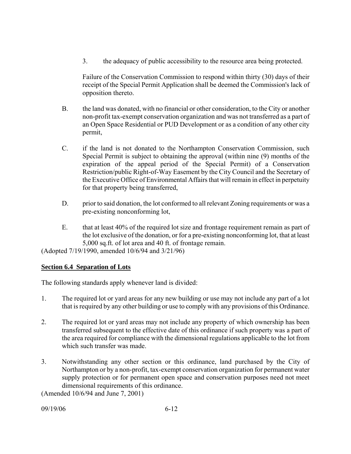3. the adequacy of public accessibility to the resource area being protected.

Failure of the Conservation Commission to respond within thirty (30) days of their receipt of the Special Permit Application shall be deemed the Commission's lack of opposition thereto.

- B. the land was donated, with no financial or other consideration, to the City or another non-profit tax-exempt conservation organization and was not transferred as a part of an Open Space Residential or PUD Development or as a condition of any other city permit,
- C. if the land is not donated to the Northampton Conservation Commission, such Special Permit is subject to obtaining the approval (within nine (9) months of the expiration of the appeal period of the Special Permit) of a Conservation Restriction/public Right-of-Way Easement by the City Council and the Secretary of the Executive Office of Environmental Affairs that will remain in effect in perpetuity for that property being transferred,
- D. prior to said donation, the lot conformed to all relevant Zoning requirements or was a pre-existing nonconforming lot,
- E. that at least 40% of the required lot size and frontage requirement remain as part of the lot exclusive of the donation, or for a pre-existing nonconforming lot, that at least 5,000 sq.ft. of lot area and 40 ft. of frontage remain.

(Adopted 7/19/1990, amended 10/6/94 and 3/21/96)

# **Section 6.4 Separation of Lots**

The following standards apply whenever land is divided:

- 1. The required lot or yard areas for any new building or use may not include any part of a lot that is required by any other building or use to comply with any provisions of this Ordinance.
- 2. The required lot or yard areas may not include any property of which ownership has been transferred subsequent to the effective date of this ordinance if such property was a part of the area required for compliance with the dimensional regulations applicable to the lot from which such transfer was made.
- 3. Notwithstanding any other section or this ordinance, land purchased by the City of Northampton or by a non-profit, tax-exempt conservation organization for permanent water supply protection or for permanent open space and conservation purposes need not meet dimensional requirements of this ordinance.

(Amended 10/6/94 and June 7, 2001)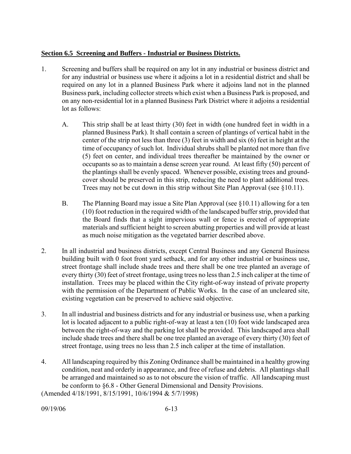## **Section 6.5 Screening and Buffers - Industrial or Business Districts.**

- 1. Screening and buffers shall be required on any lot in any industrial or business district and for any industrial or business use where it adjoins a lot in a residential district and shall be required on any lot in a planned Business Park where it adjoins land not in the planned Business park, including collector streets which exist when a Business Park is proposed, and on any non-residential lot in a planned Business Park District where it adjoins a residential lot as follows:
	- A. This strip shall be at least thirty (30) feet in width (one hundred feet in width in a planned Business Park). It shall contain a screen of plantings of vertical habit in the center of the strip not less than three (3) feet in width and six (6) feet in height at the time of occupancy of such lot. Individual shrubs shall be planted not more than five (5) feet on center, and individual trees thereafter be maintained by the owner or occupants so as to maintain a dense screen year round. At least fifty (50) percent of the plantings shall be evenly spaced. Whenever possible, existing trees and groundcover should be preserved in this strip, reducing the need to plant additional trees. Trees may not be cut down in this strip without Site Plan Approval (see §10.11).
	- B. The Planning Board may issue a Site Plan Approval (see  $\S 10.11$ ) allowing for a ten (10) foot reduction in the required width of the landscaped buffer strip, provided that the Board finds that a sight impervious wall or fence is erected of appropriate materials and sufficient height to screen abutting properties and will provide at least as much noise mitigation as the vegetated barrier described above.
- 2. In all industrial and business districts, except Central Business and any General Business building built with 0 foot front yard setback, and for any other industrial or business use, street frontage shall include shade trees and there shall be one tree planted an average of every thirty (30) feet of street frontage, using trees no less than 2.5 inch caliper at the time of installation. Trees may be placed within the City right-of-way instead of private property with the permission of the Department of Public Works. In the case of an uncleared site, existing vegetation can be preserved to achieve said objective.
- 3. In all industrial and business districts and for any industrial or business use, when a parking lot is located adjacent to a public right-of-way at least a ten (10) foot wide landscaped area between the right-of-way and the parking lot shall be provided. This landscaped area shall include shade trees and there shall be one tree planted an average of every thirty (30) feet of street frontage, using trees no less than 2.5 inch caliper at the time of installation.
- 4. All landscaping required by this Zoning Ordinance shall be maintained in a healthy growing condition, neat and orderly in appearance, and free of refuse and debris. All plantings shall be arranged and maintained so as to not obscure the vision of traffic. All landscaping must be conform to §6.8 - Other General Dimensional and Density Provisions.

(Amended 4/18/1991, 8/15/1991, 10/6/1994 & 5/7/1998)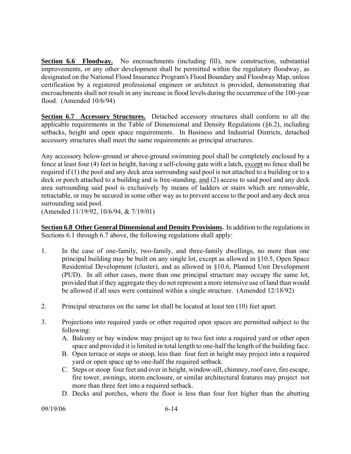**Section 6.6 Floodway.** No encroachments (including fill), new construction, substantial improvements, or any other development shall be permitted within the regulatory floodway, as designated on the National Flood Insurance Program's Flood Boundary and Floodway Map, unless certification by a registered professional engineer or architect is provided, demonstrating that encroachments shall not result in any increase in flood levels during the occurrence of the 100-year flood. (Amended 10/6/94)

**Section 6.7 Accessory Structures.** Detached accessory structures shall conform to all the applicable requirements in the Table of Dimensional and Density Regulations (§6.2), including setbacks, height and open space requirements. In Business and Industrial Districts, detached accessory structures shall meet the same requirements as principal structures.

Any accessory below-ground or above-ground swimming pool shall be completely enclosed by a fence at least four (4) feet in height, having a self-closing gate with a latch, except no fence shall be required if (1) the pool and any deck area surrounding said pool is not attached to a building or to a deck or porch attached to a building and is free-standing, and (2) access to said pool and any deck area surrounding said pool is exclusively by means of ladders or stairs which are removable, retractable, or may be secured in some other way as to prevent access to the pool and any deck area surrounding said pool.

(Amended 11/19/92, 10/6/94, & 7/19/01)

**Section 6.8 Other General Dimensional and Density Provisions.** In addition to the regulations in Sections 6.1 through 6.7 above, the following regulations shall apply:

- 1. In the case of one-family, two-family, and three-family dwellings, no more than one principal building may be built on any single lot, except as allowed in §10.5, Open Space Residential Development (cluster), and as allowed in §10.6, Planned Unit Development (PUD). In all other cases, more than one principal structure may occupy the same lot, provided that if they aggregate they do not represent a more intensive use of land than would be allowed if all uses were contained within a single structure. (Amended 12/18/92)
- 2. Principal structures on the same lot shall be located at least ten (10) feet apart.
- 3. Projections into required yards or other required open spaces are permitted subject to the following:
	- A. Balcony or bay window may project up to two feet into a required yard or other open space and provided it is limited in total length to one-half the length of the building face.
	- B. Open terrace or steps or stoop, less than four feet in height may project into a required yard or open space up to one-half the required setback.
	- C. Steps or stoop four feet and over in height, window-sill, chimney, roof eave, fire escape, fire tower, awnings, storm enclosure, or similar architectural features may project not more than three feet into a required setback.
	- D. Decks and porches, where the floor is less than four feet higher than the abutting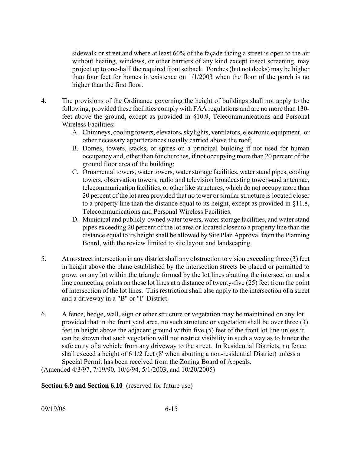sidewalk or street and where at least 60% of the façade facing a street is open to the air without heating, windows, or other barriers of any kind except insect screening, may project up to one-half the required front setback. Porches (but not decks) may be higher than four feet for homes in existence on 1/1/2003 when the floor of the porch is no higher than the first floor.

- 4. The provisions of the Ordinance governing the height of buildings shall not apply to the following, provided these facilities comply with FAA regulations and are no more than 130 feet above the ground, except as provided in §10.9, Telecommunications and Personal Wireless Facilities:
	- A. Chimneys, cooling towers, elevators**,** skylights, ventilators, electronic equipment, or other necessary appurtenances usually carried above the roof;
	- B. Domes, towers, stacks, or spires on a principal building if not used for human occupancy and, other than for churches, if not occupying more than 20 percent of the ground floor area of the building;
	- C. Ornamental towers, water towers, water storage facilities, water stand pipes, cooling towers, observation towers, radio and television broadcasting towers and antennae, telecommunication facilities, or other like structures, which do not occupy more than 20 percent of the lot area provided that no tower or similar structure is located closer to a property line than the distance equal to its height, except as provided in §11.8, Telecommunications and Personal Wireless Facilities.
	- D. Municipal and publicly-owned water towers, water storage facilities, and water stand pipes exceeding 20 percent of the lot area or located closer to a property line than the distance equal to its height shall be allowed by Site Plan Approval from the Planning Board, with the review limited to site layout and landscaping.
- 5. At no street intersection in any district shall any obstruction to vision exceeding three (3) feet in height above the plane established by the intersection streets be placed or permitted to grow, on any lot within the triangle formed by the lot lines abutting the intersection and a line connecting points on these lot lines at a distance of twenty-five (25) feet from the point of intersection of the lot lines. This restriction shall also apply to the intersection of a street and a driveway in a "B" or "I" District.
- 6. A fence, hedge, wall, sign or other structure or vegetation may be maintained on any lot provided that in the front yard area, no such structure or vegetation shall be over three (3) feet in height above the adjacent ground within five (5) feet of the front lot line unless it can be shown that such vegetation will not restrict visibility in such a way as to hinder the safe entry of a vehicle from any driveway to the street. In Residential Districts, no fence shall exceed a height of 6 1/2 feet (8' when abutting a non-residential District) unless a Special Permit has been received from the Zoning Board of Appeals.

(Amended 4/3/97, 7/19/90, 10/6/94, 5/1/2003, and 10/20/2005)

**Section 6.9 and Section 6.10** (reserved for future use)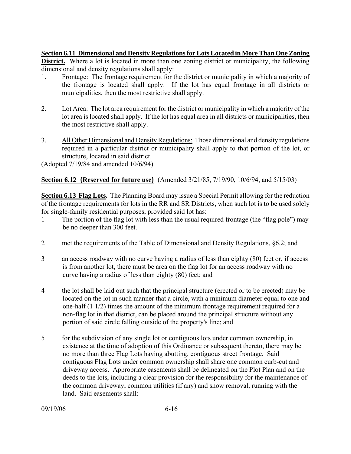**Section 6.11 Dimensional and Density Regulations for Lots Located in More Than One Zoning** 

**District.** Where a lot is located in more than one zoning district or municipality, the following dimensional and density regulations shall apply:

- 1. Frontage: The frontage requirement for the district or municipality in which a majority of the frontage is located shall apply. If the lot has equal frontage in all districts or municipalities, then the most restrictive shall apply.
- 2. Lot Area: The lot area requirement for the district or municipality in which a majority of the lot area is located shall apply. If the lot has equal area in all districts or municipalities, then the most restrictive shall apply.
- 3. All Other Dimensional and Density Regulations: Those dimensional and density regulations required in a particular district or municipality shall apply to that portion of the lot, or structure, located in said district.

(Adopted 7/19/84 and amended 10/6/94)

# **Section 6.12 {Reserved for future use}** (Amended 3/21/85, 7/19/90, 10/6/94, and 5/15/03)

**Section 6.13 Flag Lots.** The Planning Board may issue a Special Permit allowing for the reduction of the frontage requirements for lots in the RR and SR Districts, when such lot is to be used solely for single-family residential purposes, provided said lot has:

- 1 The portion of the flag lot with less than the usual required frontage (the "flag pole") may be no deeper than 300 feet.
- 2 met the requirements of the Table of Dimensional and Density Regulations, §6.2; and
- 3 an access roadway with no curve having a radius of less than eighty (80) feet or, if access is from another lot, there must be area on the flag lot for an access roadway with no curve having a radius of less than eighty (80) feet; and
- 4 the lot shall be laid out such that the principal structure (erected or to be erected) may be located on the lot in such manner that a circle, with a minimum diameter equal to one and one-half (1 1/2) times the amount of the minimum frontage requirement required for a non-flag lot in that district, can be placed around the principal structure without any portion of said circle falling outside of the property's line; and
- 5 for the subdivision of any single lot or contiguous lots under common ownership, in existence at the time of adoption of this Ordinance or subsequent thereto, there may be no more than three Flag Lots having abutting, contiguous street frontage. Said contiguous Flag Lots under common ownership shall share one common curb-cut and driveway access. Appropriate easements shall be delineated on the Plot Plan and on the deeds to the lots, including a clear provision for the responsibility for the maintenance of the common driveway, common utilities (if any) and snow removal, running with the land. Said easements shall: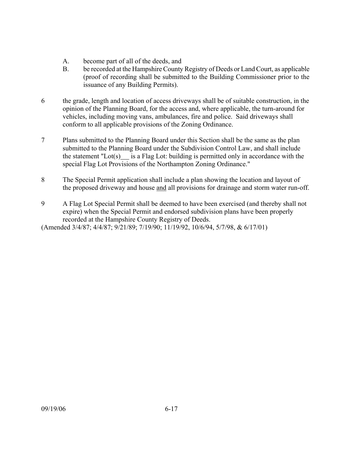- A. become part of all of the deeds, and
- B. be recorded at the Hampshire County Registry of Deeds or Land Court, as applicable (proof of recording shall be submitted to the Building Commissioner prior to the issuance of any Building Permits).
- 6 the grade, length and location of access driveways shall be of suitable construction, in the opinion of the Planning Board, for the access and, where applicable, the turn-around for vehicles, including moving vans, ambulances, fire and police. Said driveways shall conform to all applicable provisions of the Zoning Ordinance.
- 7 Plans submitted to the Planning Board under this Section shall be the same as the plan submitted to the Planning Board under the Subdivision Control Law, and shall include the statement "Lot(s) is a Flag Lot: building is permitted only in accordance with the special Flag Lot Provisions of the Northampton Zoning Ordinance."
- 8 The Special Permit application shall include a plan showing the location and layout of the proposed driveway and house and all provisions for drainage and storm water run-off.
- 9 A Flag Lot Special Permit shall be deemed to have been exercised (and thereby shall not expire) when the Special Permit and endorsed subdivision plans have been properly recorded at the Hampshire County Registry of Deeds.

(Amended 3/4/87; 4/4/87; 9/21/89; 7/19/90; 11/19/92, 10/6/94, 5/7/98, & 6/17/01)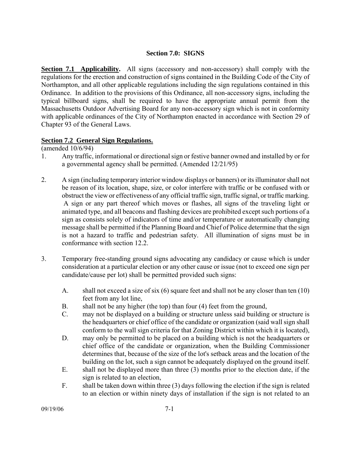## **Section 7.0: SIGNS**

**Section 7.1 Applicability.** All signs (accessory and non-accessory) shall comply with the regulations for the erection and construction of signs contained in the Building Code of the City of Northampton, and all other applicable regulations including the sign regulations contained in this Ordinance. In addition to the provisions of this Ordinance, all non-accessory signs, including the typical billboard signs, shall be required to have the appropriate annual permit from the Massachusetts Outdoor Advertising Board for any non-accessory sign which is not in conformity with applicable ordinances of the City of Northampton enacted in accordance with Section 29 of Chapter 93 of the General Laws.

## **Section 7.2 General Sign Regulations.**

(amended 10/6/94)

- 1. Any traffic, informational or directional sign or festive banner owned and installed by or for a governmental agency shall be permitted. (Amended 12/21/95)
- 2. A sign (including temporary interior window displays or banners) or its illuminator shall not be reason of its location, shape, size, or color interfere with traffic or be confused with or obstruct the view or effectiveness of any official traffic sign, traffic signal, or traffic marking. A sign or any part thereof which moves or flashes, all signs of the traveling light or animated type, and all beacons and flashing devices are prohibited except such portions of a sign as consists solely of indicators of time and/or temperature or automatically changing message shall be permitted if the Planning Board and Chief of Police determine that the sign is not a hazard to traffic and pedestrian safety. All illumination of signs must be in conformance with section 12.2.
- 3. Temporary free-standing ground signs advocating any candidacy or cause which is under consideration at a particular election or any other cause or issue (not to exceed one sign per candidate/cause per lot) shall be permitted provided such signs:
	- A. shall not exceed a size of six  $(6)$  square feet and shall not be any closer than ten  $(10)$ feet from any lot line,
	- B. shall not be any higher (the top) than four (4) feet from the ground,
	- C. may not be displayed on a building or structure unless said building or structure is the headquarters or chief office of the candidate or organization (said wall sign shall conform to the wall sign criteria for that Zoning District within which it is located),
	- D. may only be permitted to be placed on a building which is not the headquarters or chief office of the candidate or organization, when the Building Commissioner determines that, because of the size of the lot's setback areas and the location of the building on the lot, such a sign cannot be adequately displayed on the ground itself.
	- E. shall not be displayed more than three (3) months prior to the election date, if the sign is related to an election,
	- F. shall be taken down within three (3) days following the election if the sign is related to an election or within ninety days of installation if the sign is not related to an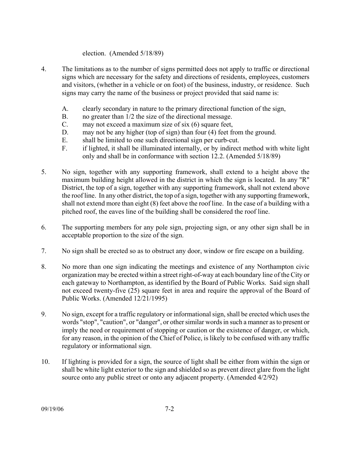### election. (Amended 5/18/89)

- 4. The limitations as to the number of signs permitted does not apply to traffic or directional signs which are necessary for the safety and directions of residents, employees, customers and visitors, (whether in a vehicle or on foot) of the business, industry, or residence. Such signs may carry the name of the business or project provided that said name is:
	- A. clearly secondary in nature to the primary directional function of the sign,
	- B. no greater than 1/2 the size of the directional message.
	- C. may not exceed a maximum size of six (6) square feet,
	- D. may not be any higher (top of sign) than four (4) feet from the ground.
	- E. shall be limited to one such directional sign per curb-cut.
	- F. if lighted, it shall be illuminated internally, or by indirect method with white light only and shall be in conformance with section 12.2. (Amended 5/18/89)
- 5. No sign, together with any supporting framework, shall extend to a height above the maximum building height allowed in the district in which the sign is located. In any "R" District, the top of a sign, together with any supporting framework, shall not extend above the roof line. In any other district, the top of a sign, together with any supporting framework, shall not extend more than eight (8) feet above the roof line. In the case of a building with a pitched roof, the eaves line of the building shall be considered the roof line.
- 6. The supporting members for any pole sign, projecting sign, or any other sign shall be in acceptable proportion to the size of the sign.
- 7. No sign shall be erected so as to obstruct any door, window or fire escape on a building.
- 8. No more than one sign indicating the meetings and existence of any Northampton civic organization may be erected within a street right-of-way at each boundary line of the City or each gateway to Northampton, as identified by the Board of Public Works. Said sign shall not exceed twenty-five (25) square feet in area and require the approval of the Board of Public Works. (Amended 12/21/1995)
- 9. No sign, except for a traffic regulatory or informational sign, shall be erected which uses the words "stop", "caution", or "danger", or other similar words in such a manner as to present or imply the need or requirement of stopping or caution or the existence of danger, or which, for any reason, in the opinion of the Chief of Police, is likely to be confused with any traffic regulatory or informational sign.
- 10. If lighting is provided for a sign, the source of light shall be either from within the sign or shall be white light exterior to the sign and shielded so as prevent direct glare from the light source onto any public street or onto any adjacent property. (Amended 4/2/92)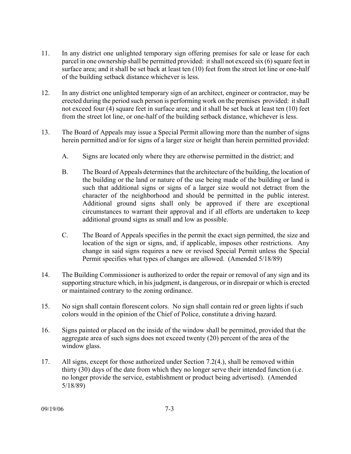- 11. In any district one unlighted temporary sign offering premises for sale or lease for each parcel in one ownership shall be permitted provided: it shall not exceed six (6) square feet in surface area; and it shall be set back at least ten (10) feet from the street lot line or one-half of the building setback distance whichever is less.
- 12. In any district one unlighted temporary sign of an architect, engineer or contractor, may be erected during the period such person is performing work on the premises provided: it shall not exceed four (4) square feet in surface area; and it shall be set back at least ten (10) feet from the street lot line, or one-half of the building setback distance, whichever is less.
- 13. The Board of Appeals may issue a Special Permit allowing more than the number of signs herein permitted and/or for signs of a larger size or height than herein permitted provided:
	- A. Signs are located only where they are otherwise permitted in the district; and
	- B. The Board of Appeals determines that the architecture of the building, the location of the building or the land or nature of the use being made of the building or land is such that additional signs or signs of a larger size would not detract from the character of the neighborhood and should be permitted in the public interest. Additional ground signs shall only be approved if there are exceptional circumstances to warrant their approval and if all efforts are undertaken to keep additional ground signs as small and low as possible.
	- C. The Board of Appeals specifies in the permit the exact sign permitted, the size and location of the sign or signs, and, if applicable, imposes other restrictions. Any change in said signs requires a new or revised Special Permit unless the Special Permit specifies what types of changes are allowed. (Amended 5/18/89)
- 14. The Building Commissioner is authorized to order the repair or removal of any sign and its supporting structure which, in his judgment, is dangerous, or in disrepair or which is erected or maintained contrary to the zoning ordinance.
- 15. No sign shall contain florescent colors. No sign shall contain red or green lights if such colors would in the opinion of the Chief of Police, constitute a driving hazard.
- 16. Signs painted or placed on the inside of the window shall be permitted, provided that the aggregate area of such signs does not exceed twenty (20) percent of the area of the window glass.
- 17. All signs, except for those authorized under Section 7.2(4.), shall be removed within thirty (30) days of the date from which they no longer serve their intended function (i.e. no longer provide the service, establishment or product being advertised). (Amended 5/18/89)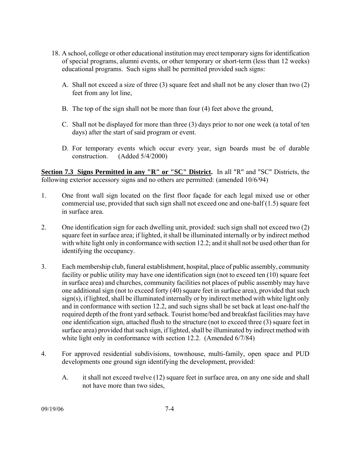- 18. A school, college or other educational institution may erect temporary signs for identification of special programs, alumni events, or other temporary or short-term (less than 12 weeks) educational programs. Such signs shall be permitted provided such signs:
	- A. Shall not exceed a size of three (3) square feet and shall not be any closer than two (2) feet from any lot line,
	- B. The top of the sign shall not be more than four (4) feet above the ground,
	- C. Shall not be displayed for more than three (3) days prior to nor one week (a total of ten days) after the start of said program or event.
	- D. For temporary events which occur every year, sign boards must be of durable construction. (Added 5/4/2000)

**Section 7.3 Signs Permitted in any "R" or "SC" District.** In all "R" and "SC" Districts, the following exterior accessory signs and no others are permitted: (amended 10/6/94)

- 1. One front wall sign located on the first floor façade for each legal mixed use or other commercial use, provided that such sign shall not exceed one and one-half (1.5) square feet in surface area.
- 2. One identification sign for each dwelling unit, provided: such sign shall not exceed two (2) square feet in surface area; if lighted, it shall be illuminated internally or by indirect method with white light only in conformance with section 12.2; and it shall not be used other than for identifying the occupancy.
- 3. Each membership club, funeral establishment, hospital, place of public assembly, community facility or public utility may have one identification sign (not to exceed ten (10) square feet in surface area) and churches, community facilities not places of public assembly may have one additional sign (not to exceed forty (40) square feet in surface area), provided that such sign(s), if lighted, shall be illuminated internally or by indirect method with white light only and in conformance with section 12.2, and such signs shall be set back at least one-half the required depth of the front yard setback. Tourist home/bed and breakfast facilities may have one identification sign, attached flush to the structure (not to exceed three (3) square feet in surface area) provided that such sign, if lighted, shall be illuminated by indirect method with white light only in conformance with section 12.2. (Amended 6/7/84)
- 4. For approved residential subdivisions, townhouse, multi-family, open space and PUD developments one ground sign identifying the development, provided:
	- A. it shall not exceed twelve (12) square feet in surface area, on any one side and shall not have more than two sides,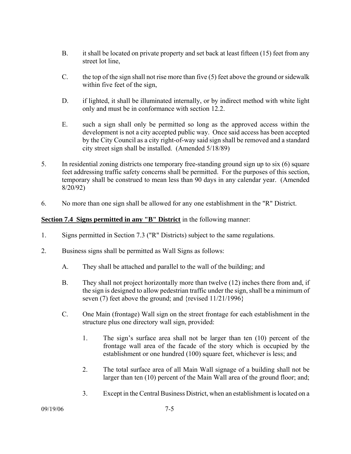- B. it shall be located on private property and set back at least fifteen (15) feet from any street lot line,
- C. the top of the sign shall not rise more than five (5) feet above the ground or sidewalk within five feet of the sign,
- D. if lighted, it shall be illuminated internally, or by indirect method with white light only and must be in conformance with section 12.2.
- E. such a sign shall only be permitted so long as the approved access within the development is not a city accepted public way. Once said access has been accepted by the City Council as a city right-of-way said sign shall be removed and a standard city street sign shall be installed. (Amended 5/18/89)
- 5. In residential zoning districts one temporary free-standing ground sign up to six (6) square feet addressing traffic safety concerns shall be permitted. For the purposes of this section, temporary shall be construed to mean less than 90 days in any calendar year. (Amended 8/20/92)
- 6. No more than one sign shall be allowed for any one establishment in the "R" District.

## **Section 7.4 Signs permitted in any "B" District** in the following manner:

- 1. Signs permitted in Section 7.3 ("R" Districts) subject to the same regulations.
- 2. Business signs shall be permitted as Wall Signs as follows:
	- A. They shall be attached and parallel to the wall of the building; and
	- B. They shall not project horizontally more than twelve (12) inches there from and, if the sign is designed to allow pedestrian traffic under the sign, shall be a minimum of seven (7) feet above the ground; and {revised  $11/21/1996$ }
	- C. One Main (frontage) Wall sign on the street frontage for each establishment in the structure plus one directory wall sign, provided:
		- 1. The sign's surface area shall not be larger than ten (10) percent of the frontage wall area of the facade of the story which is occupied by the establishment or one hundred (100) square feet, whichever is less; and
		- 2. The total surface area of all Main Wall signage of a building shall not be larger than ten (10) percent of the Main Wall area of the ground floor; and;
		- 3. Except in the Central Business District, when an establishment is located on a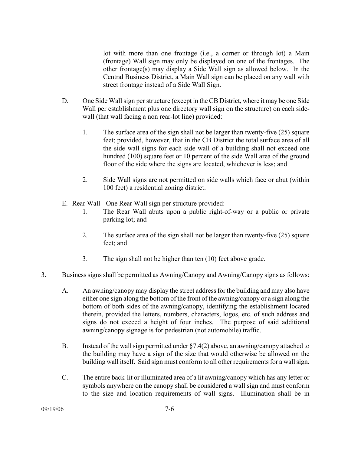lot with more than one frontage (i.e., a corner or through lot) a Main (frontage) Wall sign may only be displayed on one of the frontages. The other frontage(s) may display a Side Wall sign as allowed below. In the Central Business District, a Main Wall sign can be placed on any wall with street frontage instead of a Side Wall Sign.

- D. One Side Wall sign per structure (except in the CB District, where it may be one Side Wall per establishment plus one directory wall sign on the structure) on each sidewall (that wall facing a non rear-lot line) provided:
	- 1. The surface area of the sign shall not be larger than twenty-five (25) square feet; provided, however, that in the CB District the total surface area of all the side wall signs for each side wall of a building shall not exceed one hundred (100) square feet or 10 percent of the side Wall area of the ground floor of the side where the signs are located, whichever is less; and
	- 2. Side Wall signs are not permitted on side walls which face or abut (within 100 feet) a residential zoning district.
- E. Rear Wall One Rear Wall sign per structure provided:
	- 1. The Rear Wall abuts upon a public right-of-way or a public or private parking lot; and
	- 2. The surface area of the sign shall not be larger than twenty-five (25) square feet; and
	- 3. The sign shall not be higher than ten (10) feet above grade.
- 3. Business signs shall be permitted as Awning/Canopy and Awning/Canopy signs as follows:
	- A. An awning/canopy may display the street address for the building and may also have either one sign along the bottom of the front of the awning/canopy or a sign along the bottom of both sides of the awning/canopy, identifying the establishment located therein, provided the letters, numbers, characters, logos, etc. of such address and signs do not exceed a height of four inches. The purpose of said additional awning/canopy signage is for pedestrian (not automobile) traffic.
	- B. Instead of the wall sign permitted under §7.4(2) above, an awning/canopy attached to the building may have a sign of the size that would otherwise be allowed on the building wall itself. Said sign must conform to all other requirements for a wall sign.
	- C. The entire back-lit or illuminated area of a lit awning/canopy which has any letter or symbols anywhere on the canopy shall be considered a wall sign and must conform to the size and location requirements of wall signs. Illumination shall be in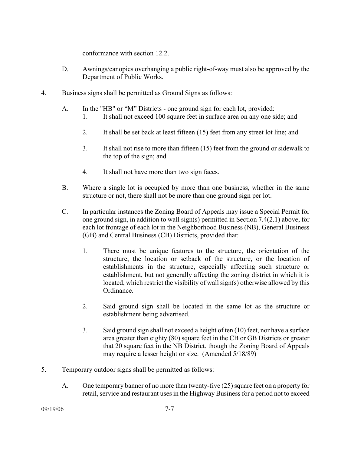conformance with section 12.2.

- D. Awnings/canopies overhanging a public right-of-way must also be approved by the Department of Public Works.
- 4. Business signs shall be permitted as Ground Signs as follows:
	- A. In the "HB" or "M" Districts one ground sign for each lot, provided:
		- 1. It shall not exceed 100 square feet in surface area on any one side; and
		- 2. It shall be set back at least fifteen (15) feet from any street lot line; and
		- 3. It shall not rise to more than fifteen (15) feet from the ground or sidewalk to the top of the sign; and
		- 4. It shall not have more than two sign faces.
	- B. Where a single lot is occupied by more than one business, whether in the same structure or not, there shall not be more than one ground sign per lot.
	- C. In particular instances the Zoning Board of Appeals may issue a Special Permit for one ground sign, in addition to wall sign(s) permitted in Section 7.4(2.1) above, for each lot frontage of each lot in the Neighborhood Business (NB), General Business (GB) and Central Business (CB) Districts, provided that:
		- 1. There must be unique features to the structure, the orientation of the structure, the location or setback of the structure, or the location of establishments in the structure, especially affecting such structure or establishment, but not generally affecting the zoning district in which it is located, which restrict the visibility of wall sign(s) otherwise allowed by this Ordinance.
		- 2. Said ground sign shall be located in the same lot as the structure or establishment being advertised.
		- 3. Said ground sign shall not exceed a height of ten (10) feet, nor have a surface area greater than eighty (80) square feet in the CB or GB Districts or greater that 20 square feet in the NB District, though the Zoning Board of Appeals may require a lesser height or size. (Amended 5/18/89)
- 5. Temporary outdoor signs shall be permitted as follows:
	- A. One temporary banner of no more than twenty-five (25) square feet on a property for retail, service and restaurant uses in the Highway Business for a period not to exceed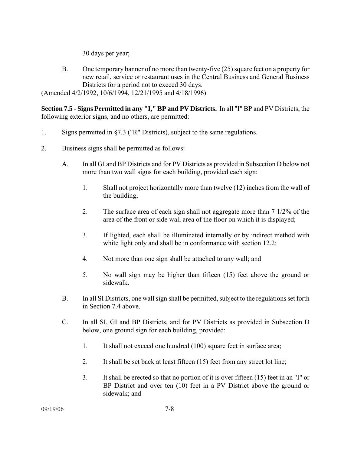30 days per year;

B. One temporary banner of no more than twenty-five (25) square feet on a property for new retail, service or restaurant uses in the Central Business and General Business Districts for a period not to exceed 30 days.

(Amended 4/2/1992, 10/6/1994, 12/21/1995 and 4/18/1996)

**Section 7.5 - Signs Permitted in any "I," BP and PV Districts.** In all "I" BP and PV Districts, the following exterior signs, and no others, are permitted:

- 1. Signs permitted in §7.3 ("R" Districts), subject to the same regulations.
- 2. Business signs shall be permitted as follows:
	- A. In all GI and BP Districts and for PV Districts as provided in Subsection D below not more than two wall signs for each building, provided each sign:
		- 1. Shall not project horizontally more than twelve (12) inches from the wall of the building;
		- 2. The surface area of each sign shall not aggregate more than 7 1/2% of the area of the front or side wall area of the floor on which it is displayed;
		- 3. If lighted, each shall be illuminated internally or by indirect method with white light only and shall be in conformance with section 12.2;
		- 4. Not more than one sign shall be attached to any wall; and
		- 5. No wall sign may be higher than fifteen (15) feet above the ground or sidewalk.
	- B. In all SI Districts, one wall sign shall be permitted, subject to the regulations set forth in Section 7.4 above.
	- C. In all SI, GI and BP Districts, and for PV Districts as provided in Subsection D below, one ground sign for each building, provided:
		- 1. It shall not exceed one hundred (100) square feet in surface area;
		- 2. It shall be set back at least fifteen (15) feet from any street lot line;
		- 3. It shall be erected so that no portion of it is over fifteen (15) feet in an "I" or BP District and over ten (10) feet in a PV District above the ground or sidewalk; and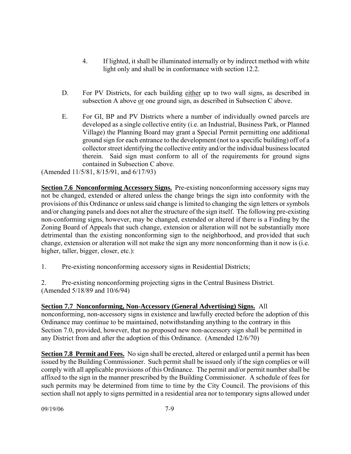- 4. If lighted, it shall be illuminated internally or by indirect method with white light only and shall be in conformance with section 12.2.
- D. For PV Districts, for each building either up to two wall signs, as described in subsection A above or one ground sign, as described in Subsection C above.
- E. For GI, BP and PV Districts where a number of individually owned parcels are developed as a single collective entity (i.e. an Industrial, Business Park, or Planned Village) the Planning Board may grant a Special Permit permitting one additional ground sign for each entrance to the development (not to a specific building) off of a collector street identifying the collective entity and/or the individual business located therein. Said sign must conform to all of the requirements for ground signs contained in Subsection C above.

(Amended 11/5/81, 8/15/91, and 6/17/93)

**Section 7.6 Nonconforming Accessory Signs.** Pre-existing nonconforming accessory signs may not be changed, extended or altered unless the change brings the sign into conformity with the provisions of this Ordinance or unless said change is limited to changing the sign letters or symbols and/or changing panels and does not alter the structure of the sign itself. The following pre-existing non-conforming signs, however, may be changed, extended or altered if there is a Finding by the Zoning Board of Appeals that such change, extension or alteration will not be substantially more detrimental than the existing nonconforming sign to the neighborhood, and provided that such change, extension or alteration will not make the sign any more nonconforming than it now is (i.e. higher, taller, bigger, closer, etc.):

1. Pre-existing nonconforming accessory signs in Residential Districts;

2. Pre-existing nonconforming projecting signs in the Central Business District. (Amended 5/18/89 and 10/6/94)

**Section 7.7 Nonconforming, Non-Accessory (General Advertising) Signs.** All nonconforming, non-accessory signs in existence and lawfully erected before the adoption of this Ordinance may continue to be maintained, notwithstanding anything to the contrary in this Section 7.0, provided, however, that no proposed new non-accessory sign shall be permitted in any District from and after the adoption of this Ordinance. (Amended 12/6/70)

**Section 7.8 Permit and Fees.** No sign shall be erected, altered or enlarged until a permit has been issued by the Building Commissioner. Such permit shall be issued only if the sign complies or will comply with all applicable provisions of this Ordinance. The permit and/or permit number shall be affixed to the sign in the manner prescribed by the Building Commissioner. A schedule of fees for such permits may be determined from time to time by the City Council. The provisions of this section shall not apply to signs permitted in a residential area nor to temporary signs allowed under

09/19/06 7-9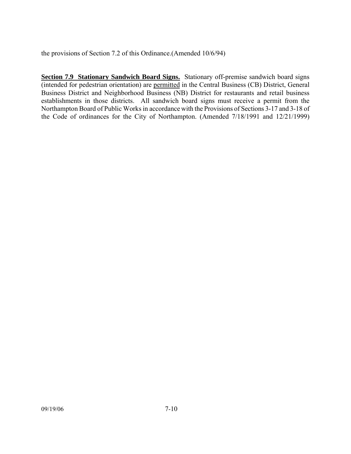the provisions of Section 7.2 of this Ordinance.(Amended 10/6/94)

**Section 7.9 Stationary Sandwich Board Signs.** Stationary off-premise sandwich board signs (intended for pedestrian orientation) are permitted in the Central Business (CB) District, General Business District and Neighborhood Business (NB) District for restaurants and retail business establishments in those districts. All sandwich board signs must receive a permit from the Northampton Board of Public Works in accordance with the Provisions of Sections 3-17 and 3-18 of the Code of ordinances for the City of Northampton. (Amended 7/18/1991 and 12/21/1999)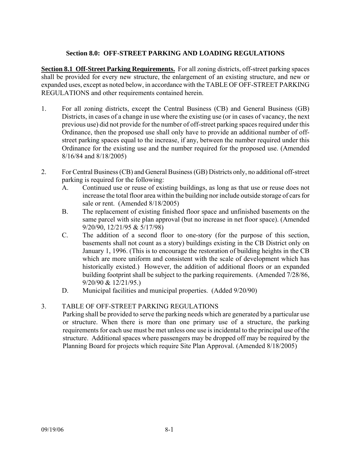## **Section 8.0: OFF-STREET PARKING AND LOADING REGULATIONS**

**Section 8.1 Off-Street Parking Requirements.** For all zoning districts, off-street parking spaces shall be provided for every new structure, the enlargement of an existing structure, and new or expanded uses, except as noted below, in accordance with the TABLE OF OFF-STREET PARKING REGULATIONS and other requirements contained herein.

- 1. For all zoning districts, except the Central Business (CB) and General Business (GB) Districts, in cases of a change in use where the existing use (or in cases of vacancy, the next previous use) did not provide for the number of off-street parking spaces required under this Ordinance, then the proposed use shall only have to provide an additional number of offstreet parking spaces equal to the increase, if any, between the number required under this Ordinance for the existing use and the number required for the proposed use. (Amended 8/16/84 and 8/18/2005)
- 2. For Central Business (CB) and General Business (GB) Districts only, no additional off-street parking is required for the following:
	- A. Continued use or reuse of existing buildings, as long as that use or reuse does not increase the total floor area within the building nor include outside storage of cars for sale or rent. (Amended 8/18/2005)
	- B. The replacement of existing finished floor space and unfinished basements on the same parcel with site plan approval (but no increase in net floor space). (Amended 9/20/90, 12/21/95 & 5/17/98)
	- C. The addition of a second floor to one-story (for the purpose of this section, basements shall not count as a story) buildings existing in the CB District only on January 1, 1996. (This is to encourage the restoration of building heights in the CB which are more uniform and consistent with the scale of development which has historically existed.) However, the addition of additional floors or an expanded building footprint shall be subject to the parking requirements. (Amended 7/28/86, 9/20/90 & 12/21/95.)
	- D. Municipal facilities and municipal properties. (Added 9/20/90)

## 3. TABLE OF OFF-STREET PARKING REGULATIONS

Parking shall be provided to serve the parking needs which are generated by a particular use or structure. When there is more than one primary use of a structure, the parking requirements for each use must be met unless one use is incidental to the principal use of the structure. Additional spaces where passengers may be dropped off may be required by the Planning Board for projects which require Site Plan Approval. (Amended 8/18/2005)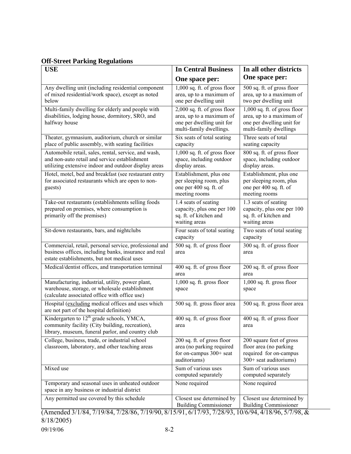# **Off-Street Parking Regulations**

| <b>USE</b>                                                                                                                                                     | <b>In Central Business</b>                                                                                       | In all other districts                                                                                          |
|----------------------------------------------------------------------------------------------------------------------------------------------------------------|------------------------------------------------------------------------------------------------------------------|-----------------------------------------------------------------------------------------------------------------|
|                                                                                                                                                                | One space per:                                                                                                   | One space per:                                                                                                  |
| Any dwelling unit (including residential component<br>of mixed residential/work space), except as noted<br>below                                               | $1,000$ sq. ft. of gross floor<br>area, up to a maximum of<br>one per dwelling unit                              | 500 sq. ft. of gross floor<br>area, up to a maximum of<br>two per dwelling unit                                 |
| Multi-family dwelling for elderly and people with<br>disabilities, lodging house, dormitory, SRO, and<br>halfway house                                         | 2,000 sq. ft. of gross floor<br>area, up to a maximum of<br>one per dwelling unit for<br>multi-family dwellings. | 1,000 sq. ft. of gross floor<br>area, up to a maximum of<br>one per dwelling unit for<br>multi-family dwellings |
| Theater, gymnasium, auditorium, church or similar<br>place of public assembly, with seating facilities                                                         | Six seats of total seating<br>capacity                                                                           | Three seats of total<br>seating capacity                                                                        |
| Automobile retail, sales, rental, service, and wash,<br>and non-auto retail and service establishment<br>utilizing extensive indoor and outdoor display areas  | 1,000 sq. ft. of gross floor<br>space, including outdoor<br>display areas.                                       | 800 sq. ft. of gross floor<br>space, including outdoor<br>display areas.                                        |
| Hotel, motel, bed and breakfast (see restaurant entry<br>for associated restaurants which are open to non-<br>guests)                                          | Establishment, plus one<br>per sleeping room, plus<br>one per 400 sq. ft. of<br>meeting rooms                    | Establishment, plus one<br>per sleeping room, plus<br>one per 400 sq. ft. of<br>meeting rooms                   |
| Take-out restaurants (establishments selling foods<br>prepared on premises, where consumption is<br>primarily off the premises)                                | 1.4 seats of seating<br>capacity, plus one per 100<br>sq. ft. of kitchen and<br>waiting areas                    | $1.3$ seats of seating<br>capacity, plus one per 100<br>sq. ft. of kitchen and<br>waiting areas                 |
| Sit-down restaurants, bars, and nightclubs                                                                                                                     | Four seats of total seating<br>capacity                                                                          | Two seats of total seating<br>capacity                                                                          |
| Commercial, retail, personal service, professional and<br>business offices, including banks, insurance and real<br>estate establishments, but not medical uses | 500 sq. ft. of gross floor<br>area                                                                               | 300 sq. ft. of gross floor<br>area                                                                              |
| Medical/dentist offices, and transportation terminal                                                                                                           | 400 sq. ft. of gross floor<br>area                                                                               | 200 sq. ft. of gross floor<br>area                                                                              |
| Manufacturing, industrial, utility, power plant,<br>warehouse, storage, or wholesale establishment<br>(calculate associated office with office use)            | 1,000 sq. ft. gross floor<br>space                                                                               | $1,000$ sq. ft. gross floor<br>space                                                                            |
| Hospital (excluding medical offices and uses which<br>are not part of the hospital definition)                                                                 | 500 sq. ft. gross floor area                                                                                     | 500 sq. ft. gross floor area                                                                                    |
| Kindergarten to 12 <sup>th</sup> grade schools, YMCA,<br>community facility (City building, recreation),<br>library, museum, funeral parlor, and country club  | 400 sq. ft. of gross floor<br>area                                                                               | $\overline{400}$ sq. ft. of gross floor<br>area                                                                 |
| College, business, trade, or industrial school<br>classroom, laboratory, and other teaching areas                                                              | 200 sq. ft. of gross floor<br>area (no parking required<br>for on-campus 300+ seat<br>auditoriums)               | 200 square feet of gross<br>floor area (no parking<br>required for on-campus<br>300+ seat auditoriums)          |
| Mixed use                                                                                                                                                      | Sum of various uses<br>computed separately                                                                       | Sum of various uses<br>computed separately                                                                      |
| Temporary and seasonal uses in unheated outdoor<br>space in any business or industrial district                                                                | None required                                                                                                    | None required                                                                                                   |
| Any permitted use covered by this schedule<br>12/1017/1017/10017/100/1077/100                                                                                  | Closest use determined by<br><b>Building Commissioner</b>                                                        | Closest use determined by<br><b>Building Commissioner</b><br>$1/10/06$ $F/7/00$                                 |

09/19/06 8-2 (Amended 3/1/84, 7/19/84, 7/28/86, 7/19/90, 8/15/91, 6/17/93, 7/28/93, 10/6/94, 4/18/96, 5/7/98, & 8/18/2005)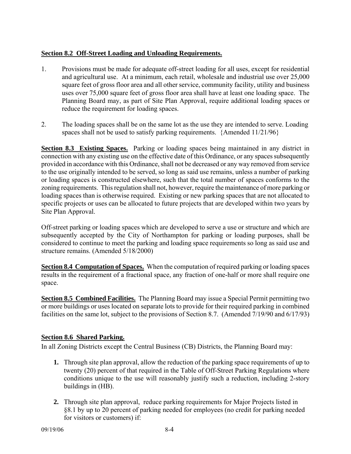# **Section 8.2 Off-Street Loading and Unloading Requirements.**

- 1. Provisions must be made for adequate off-street loading for all uses, except for residential and agricultural use. At a minimum, each retail, wholesale and industrial use over 25,000 square feet of gross floor area and all other service, community facility, utility and business uses over 75,000 square feet of gross floor area shall have at least one loading space. The Planning Board may, as part of Site Plan Approval, require additional loading spaces or reduce the requirement for loading spaces.
- 2. The loading spaces shall be on the same lot as the use they are intended to serve. Loading spaces shall not be used to satisfy parking requirements. {Amended 11/21/96}

**Section 8.3 Existing Spaces.** Parking or loading spaces being maintained in any district in connection with any existing use on the effective date of this Ordinance, or any spaces subsequently provided in accordance with this Ordinance, shall not be decreased or any way removed from service to the use originally intended to be served, so long as said use remains, unless a number of parking or loading spaces is constructed elsewhere, such that the total number of spaces conforms to the zoning requirements. This regulation shall not, however, require the maintenance of more parking or loading spaces than is otherwise required. Existing or new parking spaces that are not allocated to specific projects or uses can be allocated to future projects that are developed within two years by Site Plan Approval.

Off-street parking or loading spaces which are developed to serve a use or structure and which are subsequently accepted by the City of Northampton for parking or loading purposes, shall be considered to continue to meet the parking and loading space requirements so long as said use and structure remains. (Amended 5/18/2000)

**Section 8.4 Computation of Spaces.** When the computation of required parking or loading spaces results in the requirement of a fractional space, any fraction of one-half or more shall require one space.

**Section 8.5 Combined Facilities.** The Planning Board may issue a Special Permit permitting two or more buildings or uses located on separate lots to provide for their required parking in combined facilities on the same lot, subject to the provisions of Section 8.7. (Amended 7/19/90 and 6/17/93)

# **Section 8.6 Shared Parking.**

In all Zoning Districts except the Central Business (CB) Districts, the Planning Board may:

- **1.** Through site plan approval, allow the reduction of the parking space requirements of up to twenty (20) percent of that required in the Table of Off-Street Parking Regulations where conditions unique to the use will reasonably justify such a reduction, including 2-story buildings in (HB).
- **2.** Through site plan approval, reduce parking requirements for Major Projects listed in §8.1 by up to 20 percent of parking needed for employees (no credit for parking needed for visitors or customers) if: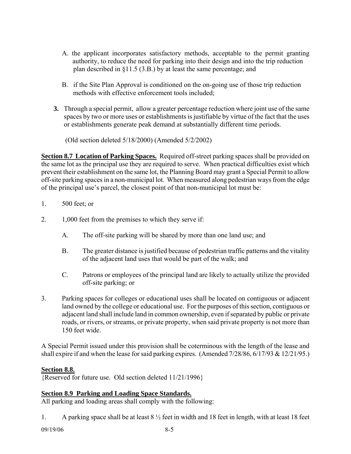- A. the applicant incorporates satisfactory methods, acceptable to the permit granting authority, to reduce the need for parking into their design and into the trip reduction plan described in §11.5 (3.B.) by at least the same percentage; and
- B. if the Site Plan Approval is conditioned on the on-going use of those trip reduction methods with effective enforcement tools included;
- **3.** Through a special permit, allow a greater percentage reduction where joint use of the same spaces by two or more uses or establishments is justifiable by virtue of the fact that the uses or establishments generate peak demand at substantially different time periods.

(Old section deleted 5/18/2000) (Amended 5/2/2002)

**Section 8.7 Location of Parking Spaces.** Required off-street parking spaces shall be provided on the same lot as the principal use they are required to serve. When practical difficulties exist which prevent their establishment on the same lot, the Planning Board may grant a Special Permit to allow off-site parking spaces in a non-municipal lot. When measured along pedestrian ways from the edge of the principal use's parcel, the closest point of that non-municipal lot must be:

- 1. 500 feet; or
- 2. 1,000 feet from the premises to which they serve if:
	- A. The off-site parking will be shared by more than one land use; and
	- B. The greater distance is justified because of pedestrian traffic patterns and the vitality of the adjacent land uses that would be part of the walk; and
	- C. Patrons or employees of the principal land are likely to actually utilize the provided off-site parking; or
- 3. Parking spaces for colleges or educational uses shall be located on contiguous or adjacent land owned by the college or educational use. For the purposes of this section, contiguous or adjacent land shall include land in common ownership, even if separated by public or private roads, or rivers, or streams, or private property, when said private property is not more than 150 feet wide.

A Special Permit issued under this provision shall be coterminous with the length of the lease and shall expire if and when the lease for said parking expires. (Amended 7/28/86, 6/17/93 & 12/21/95.)

# **Section 8.8.**

{Reserved for future use. Old section deleted 11/21/1996}

# **Section 8.9 Parking and Loading Space Standards.**

All parking and loading areas shall comply with the following:

1. A parking space shall be at least 8 ½ feet in width and 18 feet in length, with at least 18 feet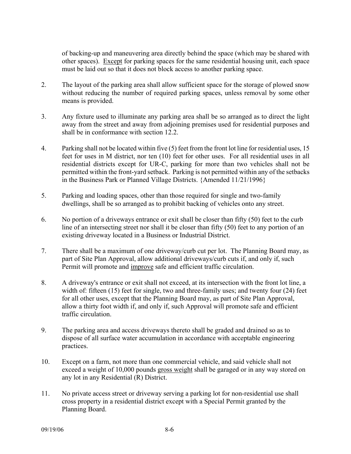of backing-up and maneuvering area directly behind the space (which may be shared with other spaces). Except for parking spaces for the same residential housing unit, each space must be laid out so that it does not block access to another parking space.

- 2. The layout of the parking area shall allow sufficient space for the storage of plowed snow without reducing the number of required parking spaces, unless removal by some other means is provided.
- 3. Any fixture used to illuminate any parking area shall be so arranged as to direct the light away from the street and away from adjoining premises used for residential purposes and shall be in conformance with section 12.2.
- 4. Parking shall not be located within five (5) feet from the front lot line for residential uses, 15 feet for uses in M district, nor ten (10) feet for other uses. For all residential uses in all residential districts except for UR-C, parking for more than two vehicles shall not be permitted within the front-yard setback. Parking is not permitted within any of the setbacks in the Business Park or Planned Village Districts. {Amended 11/21/1996}
- 5. Parking and loading spaces, other than those required for single and two-family dwellings, shall be so arranged as to prohibit backing of vehicles onto any street.
- 6. No portion of a driveways entrance or exit shall be closer than fifty (50) feet to the curb line of an intersecting street nor shall it be closer than fifty (50) feet to any portion of an existing driveway located in a Business or Industrial District.
- 7. There shall be a maximum of one driveway/curb cut per lot. The Planning Board may, as part of Site Plan Approval, allow additional driveways/curb cuts if, and only if, such Permit will promote and improve safe and efficient traffic circulation.
- 8. A driveway's entrance or exit shall not exceed, at its intersection with the front lot line, a width of: fifteen (15) feet for single, two and three-family uses; and twenty four (24) feet for all other uses, except that the Planning Board may, as part of Site Plan Approval, allow a thirty foot width if, and only if, such Approval will promote safe and efficient traffic circulation.
- 9. The parking area and access driveways thereto shall be graded and drained so as to dispose of all surface water accumulation in accordance with acceptable engineering practices.
- 10. Except on a farm, not more than one commercial vehicle, and said vehicle shall not exceed a weight of 10,000 pounds gross weight shall be garaged or in any way stored on any lot in any Residential (R) District.
- 11. No private access street or driveway serving a parking lot for non-residential use shall cross property in a residential district except with a Special Permit granted by the Planning Board.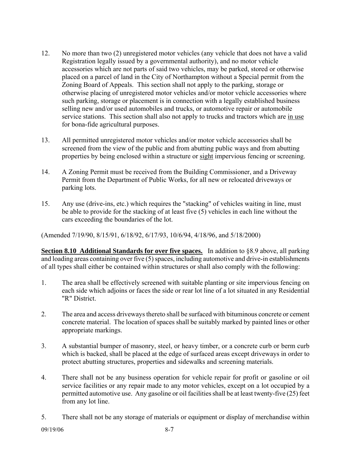- 12. No more than two (2) unregistered motor vehicles (any vehicle that does not have a valid Registration legally issued by a governmental authority), and no motor vehicle accessories which are not parts of said two vehicles, may be parked, stored or otherwise placed on a parcel of land in the City of Northampton without a Special permit from the Zoning Board of Appeals. This section shall not apply to the parking, storage or otherwise placing of unregistered motor vehicles and/or motor vehicle accessories where such parking, storage or placement is in connection with a legally established business selling new and/or used automobiles and trucks, or automotive repair or automobile service stations. This section shall also not apply to trucks and tractors which are in use for bona-fide agricultural purposes.
- 13. All permitted unregistered motor vehicles and/or motor vehicle accessories shall be screened from the view of the public and from abutting public ways and from abutting properties by being enclosed within a structure or sight impervious fencing or screening.
- 14. A Zoning Permit must be received from the Building Commissioner, and a Driveway Permit from the Department of Public Works, for all new or relocated driveways or parking lots.
- 15. Any use (drive-ins, etc.) which requires the "stacking" of vehicles waiting in line, must be able to provide for the stacking of at least five (5) vehicles in each line without the cars exceeding the boundaries of the lot.

(Amended 7/19/90, 8/15/91, 6/18/92, 6/17/93, 10/6/94, 4/18/96, and 5/18/2000)

**Section 8.10 Additional Standards for over five spaces.** In addition to §8.9 above, all parking and loading areas containing over five (5) spaces, including automotive and drive-in establishments of all types shall either be contained within structures or shall also comply with the following:

- 1. The area shall be effectively screened with suitable planting or site impervious fencing on each side which adjoins or faces the side or rear lot line of a lot situated in any Residential "R" District.
- 2. The area and access driveways thereto shall be surfaced with bituminous concrete or cement concrete material. The location of spaces shall be suitably marked by painted lines or other appropriate markings.
- 3. A substantial bumper of masonry, steel, or heavy timber, or a concrete curb or berm curb which is backed, shall be placed at the edge of surfaced areas except driveways in order to protect abutting structures, properties and sidewalks and screening materials.
- 4. There shall not be any business operation for vehicle repair for profit or gasoline or oil service facilities or any repair made to any motor vehicles, except on a lot occupied by a permitted automotive use. Any gasoline or oil facilities shall be at least twenty-five (25) feet from any lot line.
- 5. There shall not be any storage of materials or equipment or display of merchandise within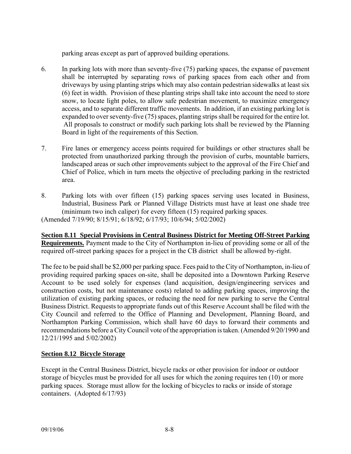parking areas except as part of approved building operations.

- 6. In parking lots with more than seventy-five (75) parking spaces, the expanse of pavement shall be interrupted by separating rows of parking spaces from each other and from driveways by using planting strips which may also contain pedestrian sidewalks at least six (6) feet in width. Provision of these planting strips shall take into account the need to store snow, to locate light poles, to allow safe pedestrian movement, to maximize emergency access, and to separate different traffic movements. In addition, if an existing parking lot is expanded to over seventy-five (75) spaces, planting strips shall be required for the entire lot. All proposals to construct or modify such parking lots shall be reviewed by the Planning Board in light of the requirements of this Section.
- 7. Fire lanes or emergency access points required for buildings or other structures shall be protected from unauthorized parking through the provision of curbs, mountable barriers, landscaped areas or such other improvements subject to the approval of the Fire Chief and Chief of Police, which in turn meets the objective of precluding parking in the restricted area.
- 8. Parking lots with over fifteen (15) parking spaces serving uses located in Business, Industrial, Business Park or Planned Village Districts must have at least one shade tree (minimum two inch caliper) for every fifteen (15) required parking spaces.

(Amended 7/19/90; 8/15/91; 6/18/92; 6/17/93; 10/6/94; 5/02/2002)

**Section 8.11 Special Provisions in Central Business District for Meeting Off-Street Parking Requirements.** Payment made to the City of Northampton in-lieu of providing some or all of the required off-street parking spaces for a project in the CB district shall be allowed by-right.

The fee to be paid shall be \$2,000 per parking space. Fees paid to the City of Northampton, in-lieu of providing required parking spaces on-site, shall be deposited into a Downtown Parking Reserve Account to be used solely for expenses (land acquisition, design/engineering services and construction costs, but not maintenance costs) related to adding parking spaces, improving the utilization of existing parking spaces, or reducing the need for new parking to serve the Central Business District. Requests to appropriate funds out of this Reserve Account shall be filed with the City Council and referred to the Office of Planning and Development, Planning Board, and Northampton Parking Commission, which shall have 60 days to forward their comments and recommendations before a City Council vote of the appropriation is taken. (Amended 9/20/1990 and 12/21/1995 and 5/02/2002)

# **Section 8.12 Bicycle Storage**

Except in the Central Business District, bicycle racks or other provision for indoor or outdoor storage of bicycles must be provided for all uses for which the zoning requires ten (10) or more parking spaces. Storage must allow for the locking of bicycles to racks or inside of storage containers. (Adopted 6/17/93)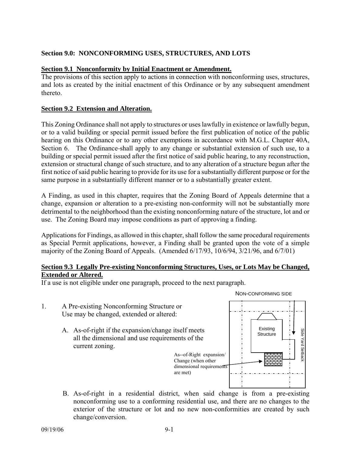# **Section 9.0: NONCONFORMING USES, STRUCTURES, AND LOTS**

#### **Section 9.1 Nonconformity by Initial Enactment or Amendment.**

The provisions of this section apply to actions in connection with nonconforming uses, structures, and lots as created by the initial enactment of this Ordinance or by any subsequent amendment thereto.

#### **Section 9.2 Extension and Alteration.**

This Zoning Ordinance shall not apply to structures or uses lawfully in existence or lawfully begun, or to a valid building or special permit issued before the first publication of notice of the public hearing on this Ordinance or to any other exemptions in accordance with M.G.L. Chapter 40A, Section 6. The Ordinance-shall apply to any change or substantial extension of such use, to a building or special permit issued after the first notice of said public hearing, to any reconstruction, extension or structural change of such structure, and to any alteration of a structure begun after the first notice of said public hearing to provide for its use for a substantially different purpose or for the same purpose in a substantially different manner or to a substantially greater extent.

A Finding, as used in this chapter, requires that the Zoning Board of Appeals determine that a change, expansion or alteration to a pre-existing non-conformity will not be substantially more detrimental to the neighborhood than the existing nonconforming nature of the structure, lot and or use. The Zoning Board may impose conditions as part of approving a finding.

Applications for Findings, as allowed in this chapter, shall follow the same procedural requirements as Special Permit applications, however, a Finding shall be granted upon the vote of a simple majority of the Zoning Board of Appeals. (Amended 6/17/93, 10/6/94, 3/21/96, and 6/7/01)

#### **Section 9.3 Legally Pre-existing Nonconforming Structures, Uses, or Lots May be Changed, Extended or Altered.**

If a use is not eligible under one paragraph, proceed to the next paragraph.

- 1. A Pre-existing Nonconforming Structure or Use may be changed, extended or altered:
	- A. As-of-right if the expansion/change itself meets all the dimensional and use requirements of the current zoning.



B. As-of-right in a residential district, when said change is from a pre-existing nonconforming use to a conforming residential use, and there are no changes to the exterior of the structure or lot and no new non-conformities are created by such change/conversion.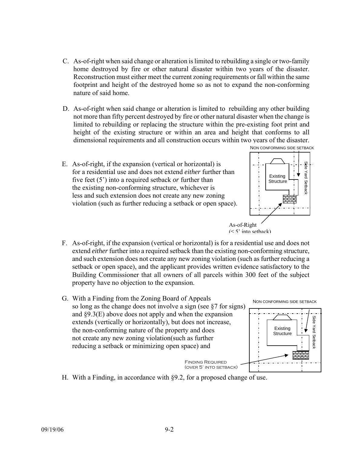- C. As-of-right when said change or alteration is limited to rebuilding a single or two-family home destroyed by fire or other natural disaster within two years of the disaster. Reconstruction must either meet the current zoning requirements or fall within the same footprint and height of the destroyed home so as not to expand the non-conforming nature of said home.
- D. As-of-right when said change or alteration is limited to rebuilding any other building not more than fifty percent destroyed by fire or other natural disaster when the change is limited to rebuilding or replacing the structure within the pre-existing foot print and height of the existing structure or within an area and height that conforms to all dimensional requirements and all construction occurs within two years of the disaster.
- E. As-of-right, if the expansion (vertical or horizontal) is for a residential use and does not extend *either* further than five feet (5') into a required setback *or* further than the existing non-conforming structure, whichever is less and such extension does not create any new zoning violation (such as further reducing a setback or open space).





- F. As-of-right, if the expansion (vertical or horizontal) is for a residential use and does not extend *either* further into a required setback than the existing non-conforming structure, and such extension does not create any new zoning violation (such as further reducing a setback or open space), and the applicant provides written evidence satisfactory to the Building Commissioner that all owners of all parcels within 300 feet of the subject property have no objection to the expansion.
- G. With a Finding from the Zoning Board of Appeals so long as the change does not involve a sign (see §7 for signs) and §9.3(E) above does not apply and when the expansion extends (vertically or horizontally), but does not increase, the non-conforming nature of the property and does not create any new zoning violation(such as further reducing a setback or minimizing open space) and Side Yard Setback NON CONFORMING SIDE SETBACK Finding Required (over 5' into setback) Existing **Structure**
- H. With a Finding, in accordance with §9.2, for a proposed change of use.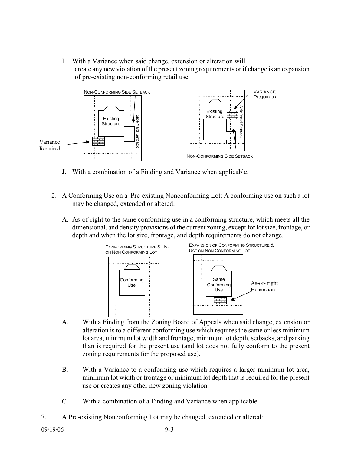I. With a Variance when said change, extension or alteration will create any new violation of the present zoning requirements or if change is an expansion of pre-existing non-conforming retail use.



- J. With a combination of a Finding and Variance when applicable.
- 2. A Conforming Use on a Pre-existing Nonconforming Lot: A conforming use on such a lot may be changed, extended or altered:
	- A. As-of-right to the same conforming use in a conforming structure, which meets all the dimensional, and density provisions of the current zoning, except for lot size, frontage, or depth and when the lot size, frontage, and depth requirements do not change.



- A. With a Finding from the Zoning Board of Appeals when said change, extension or alteration is to a different conforming use which requires the same or less minimum lot area, minimum lot width and frontage, minimum lot depth, setbacks, and parking than is required for the present use (and lot does not fully conform to the present zoning requirements for the proposed use).
- B. With a Variance to a conforming use which requires a larger minimum lot area, minimum lot width or frontage or minimum lot depth that is required for the present use or creates any other new zoning violation.
- C. With a combination of a Finding and Variance when applicable.
- 7. A Pre-existing Nonconforming Lot may be changed, extended or altered:

09/19/06 9-3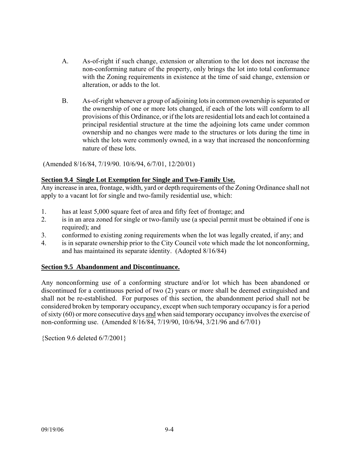- A. As-of-right if such change, extension or alteration to the lot does not increase the non-conforming nature of the property, only brings the lot into total conformance with the Zoning requirements in existence at the time of said change, extension or alteration, or adds to the lot.
- B. As-of-right whenever a group of adjoining lots in common ownership is separated or the ownership of one or more lots changed, if each of the lots will conform to all provisions of this Ordinance, or if the lots are residential lots and each lot contained a principal residential structure at the time the adjoining lots came under common ownership and no changes were made to the structures or lots during the time in which the lots were commonly owned, in a way that increased the nonconforming nature of these lots.

(Amended 8/16/84, 7/19/90. 10/6/94, 6/7/01, 12/20/01)

#### **Section 9.4 Single Lot Exemption for Single and Two-Family Use.**

Any increase in area, frontage, width, yard or depth requirements of the Zoning Ordinance shall not apply to a vacant lot for single and two-family residential use, which:

- 1. has at least 5,000 square feet of area and fifty feet of frontage; and
- 2. is in an area zoned for single or two-family use (a special permit must be obtained if one is required); and
- 3. conformed to existing zoning requirements when the lot was legally created, if any; and
- 4. is in separate ownership prior to the City Council vote which made the lot nonconforming, and has maintained its separate identity. (Adopted 8/16/84)

# **Section 9.5 Abandonment and Discontinuance.**

Any nonconforming use of a conforming structure and/or lot which has been abandoned or discontinued for a continuous period of two (2) years or more shall be deemed extinguished and shall not be re-established. For purposes of this section, the abandonment period shall not be considered broken by temporary occupancy, except when such temporary occupancy is for a period of sixty (60) or more consecutive days and when said temporary occupancy involves the exercise of non-conforming use. (Amended 8/16/84, 7/19/90, 10/6/94, 3/21/96 and 6/7/01)

{Section 9.6 deleted 6/7/2001}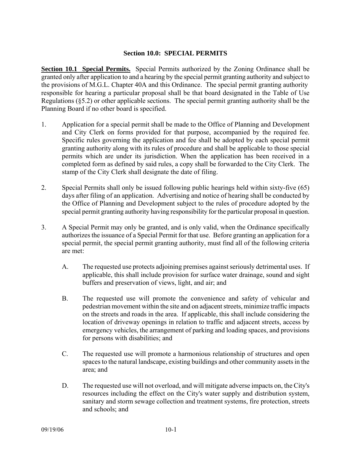#### **Section 10.0: SPECIAL PERMITS**

**Section 10.1 Special Permits.** Special Permits authorized by the Zoning Ordinance shall be granted only after application to and a hearing by the special permit granting authority and subject to the provisions of M.G.L. Chapter 40A and this Ordinance. The special permit granting authority responsible for hearing a particular proposal shall be that board designated in the Table of Use Regulations (§5.2) or other applicable sections. The special permit granting authority shall be the Planning Board if no other board is specified.

- 1. Application for a special permit shall be made to the Office of Planning and Development and City Clerk on forms provided for that purpose, accompanied by the required fee. Specific rules governing the application and fee shall be adopted by each special permit granting authority along with its rules of procedure and shall be applicable to those special permits which are under its jurisdiction. When the application has been received in a completed form as defined by said rules, a copy shall be forwarded to the City Clerk. The stamp of the City Clerk shall designate the date of filing.
- 2. Special Permits shall only be issued following public hearings held within sixty-five (65) days after filing of an application. Advertising and notice of hearing shall be conducted by the Office of Planning and Development subject to the rules of procedure adopted by the special permit granting authority having responsibility for the particular proposal in question.
- 3. A Special Permit may only be granted, and is only valid, when the Ordinance specifically authorizes the issuance of a Special Permit for that use. Before granting an application for a special permit, the special permit granting authority, must find all of the following criteria are met:
	- A. The requested use protects adjoining premises against seriously detrimental uses. If applicable, this shall include provision for surface water drainage, sound and sight buffers and preservation of views, light, and air; and
	- B. The requested use will promote the convenience and safety of vehicular and pedestrian movement within the site and on adjacent streets, minimize traffic impacts on the streets and roads in the area. If applicable, this shall include considering the location of driveway openings in relation to traffic and adjacent streets, access by emergency vehicles, the arrangement of parking and loading spaces, and provisions for persons with disabilities; and
	- C. The requested use will promote a harmonious relationship of structures and open spaces to the natural landscape, existing buildings and other community assets in the area; and
	- D. The requested use will not overload, and will mitigate adverse impacts on, the City's resources including the effect on the City's water supply and distribution system, sanitary and storm sewage collection and treatment systems, fire protection, streets and schools; and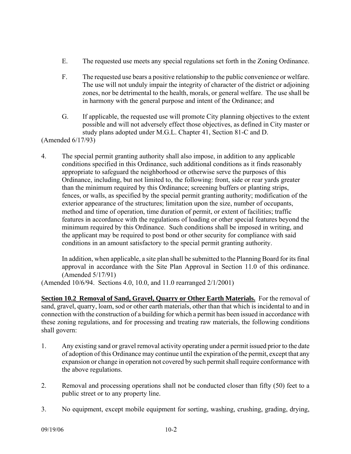- E. The requested use meets any special regulations set forth in the Zoning Ordinance.
- F. The requested use bears a positive relationship to the public convenience or welfare. The use will not unduly impair the integrity of character of the district or adjoining zones, nor be detrimental to the health, morals, or general welfare. The use shall be in harmony with the general purpose and intent of the Ordinance; and
- G. If applicable, the requested use will promote City planning objectives to the extent possible and will not adversely effect those objectives, as defined in City master or study plans adopted under M.G.L. Chapter 41, Section 81-C and D.

(Amended 6/17/93)

4. The special permit granting authority shall also impose, in addition to any applicable conditions specified in this Ordinance, such additional conditions as it finds reasonably appropriate to safeguard the neighborhood or otherwise serve the purposes of this Ordinance, including, but not limited to, the following: front, side or rear yards greater than the minimum required by this Ordinance; screening buffers or planting strips, fences, or walls, as specified by the special permit granting authority; modification of the exterior appearance of the structures; limitation upon the size, number of occupants, method and time of operation, time duration of permit, or extent of facilities; traffic features in accordance with the regulations of loading or other special features beyond the minimum required by this Ordinance. Such conditions shall be imposed in writing, and the applicant may be required to post bond or other security for compliance with said conditions in an amount satisfactory to the special permit granting authority.

In addition, when applicable, a site plan shall be submitted to the Planning Board for its final approval in accordance with the Site Plan Approval in Section 11.0 of this ordinance. (Amended 5/17/91)

(Amended 10/6/94. Sections 4.0, 10.0, and 11.0 rearranged 2/1/2001)

**Section 10.2 Removal of Sand, Gravel, Quarry or Other Earth Materials.** For the removal of sand, gravel, quarry, loam, sod or other earth materials, other than that which is incidental to and in connection with the construction of a building for which a permit has been issued in accordance with these zoning regulations, and for processing and treating raw materials, the following conditions shall govern:

- 1. Any existing sand or gravel removal activity operating under a permit issued prior to the date of adoption of this Ordinance may continue until the expiration of the permit, except that any expansion or change in operation not covered by such permit shall require conformance with the above regulations.
- 2. Removal and processing operations shall not be conducted closer than fifty (50) feet to a public street or to any property line.
- 3. No equipment, except mobile equipment for sorting, washing, crushing, grading, drying,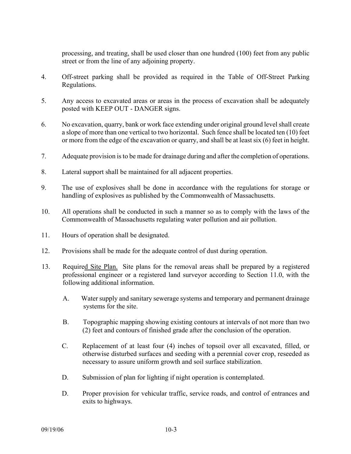processing, and treating, shall be used closer than one hundred (100) feet from any public street or from the line of any adjoining property.

- 4. Off-street parking shall be provided as required in the Table of Off-Street Parking Regulations.
- 5. Any access to excavated areas or areas in the process of excavation shall be adequately posted with KEEP OUT - DANGER signs.
- 6. No excavation, quarry, bank or work face extending under original ground level shall create a slope of more than one vertical to two horizontal. Such fence shall be located ten (10) feet or more from the edge of the excavation or quarry, and shall be at least six (6) feet in height.
- 7. Adequate provision is to be made for drainage during and after the completion of operations.
- 8. Lateral support shall be maintained for all adjacent properties.
- 9. The use of explosives shall be done in accordance with the regulations for storage or handling of explosives as published by the Commonwealth of Massachusetts.
- 10. All operations shall be conducted in such a manner so as to comply with the laws of the Commonwealth of Massachusetts regulating water pollution and air pollution.
- 11. Hours of operation shall be designated.
- 12. Provisions shall be made for the adequate control of dust during operation.
- 13. Required Site Plan. Site plans for the removal areas shall be prepared by a registered professional engineer or a registered land surveyor according to Section 11.0, with the following additional information.
	- A. Water supply and sanitary sewerage systems and temporary and permanent drainage systems for the site.
	- B. Topographic mapping showing existing contours at intervals of not more than two (2) feet and contours of finished grade after the conclusion of the operation.
	- C. Replacement of at least four (4) inches of topsoil over all excavated, filled, or otherwise disturbed surfaces and seeding with a perennial cover crop, reseeded as necessary to assure uniform growth and soil surface stabilization.
	- D. Submission of plan for lighting if night operation is contemplated.
	- D. Proper provision for vehicular traffic, service roads, and control of entrances and exits to highways.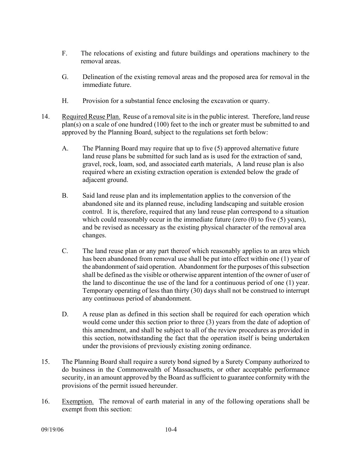- F. The relocations of existing and future buildings and operations machinery to the removal areas.
- G. Delineation of the existing removal areas and the proposed area for removal in the immediate future.
- H. Provision for a substantial fence enclosing the excavation or quarry.
- 14. Required Reuse Plan. Reuse of a removal site is in the public interest. Therefore, land reuse plan(s) on a scale of one hundred (100) feet to the inch or greater must be submitted to and approved by the Planning Board, subject to the regulations set forth below:
	- A. The Planning Board may require that up to five (5) approved alternative future land reuse plans be submitted for such land as is used for the extraction of sand, gravel, rock, loam, sod, and associated earth materials, A land reuse plan is also required where an existing extraction operation is extended below the grade of adjacent ground.
	- B. Said land reuse plan and its implementation applies to the conversion of the abandoned site and its planned reuse, including landscaping and suitable erosion control. It is, therefore, required that any land reuse plan correspond to a situation which could reasonably occur in the immediate future (zero  $(0)$  to five  $(5)$  years), and be revised as necessary as the existing physical character of the removal area changes.
	- C. The land reuse plan or any part thereof which reasonably applies to an area which has been abandoned from removal use shall be put into effect within one (1) year of the abandonment of said operation. Abandonment for the purposes of this subsection shall be defined as the visible or otherwise apparent intention of the owner of user of the land to discontinue the use of the land for a continuous period of one (1) year. Temporary operating of less than thirty (30) days shall not be construed to interrupt any continuous period of abandonment.
	- D. A reuse plan as defined in this section shall be required for each operation which would come under this section prior to three (3) years from the date of adoption of this amendment, and shall be subject to all of the review procedures as provided in this section, notwithstanding the fact that the operation itself is being undertaken under the provisions of previously existing zoning ordinance.
- 15. The Planning Board shall require a surety bond signed by a Surety Company authorized to do business in the Commonwealth of Massachusetts, or other acceptable performance security, in an amount approved by the Board as sufficient to guarantee conformity with the provisions of the permit issued hereunder.
- 16. Exemption. The removal of earth material in any of the following operations shall be exempt from this section: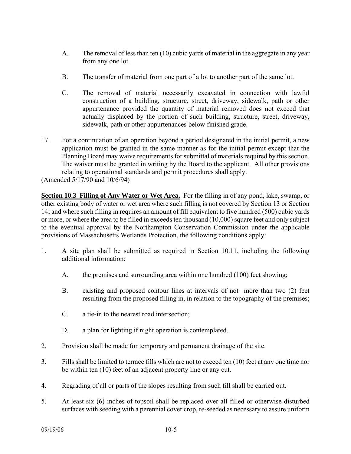- A. The removal of less than ten (10) cubic yards of material in the aggregate in any year from any one lot.
- B. The transfer of material from one part of a lot to another part of the same lot.
- C. The removal of material necessarily excavated in connection with lawful construction of a building, structure, street, driveway, sidewalk, path or other appurtenance provided the quantity of material removed does not exceed that actually displaced by the portion of such building, structure, street, driveway, sidewalk, path or other appurtenances below finished grade.
- 17. For a continuation of an operation beyond a period designated in the initial permit, a new application must be granted in the same manner as for the initial permit except that the Planning Board may waive requirements for submittal of materials required by this section. The waiver must be granted in writing by the Board to the applicant. All other provisions relating to operational standards and permit procedures shall apply.

(Amended 5/17/90 and 10/6/94)

**Section 10.3 Filling of Any Water or Wet Area.** For the filling in of any pond, lake, swamp, or other existing body of water or wet area where such filling is not covered by Section 13 or Section 14; and where such filling in requires an amount of fill equivalent to five hundred (500) cubic yards or more, or where the area to be filled in exceeds ten thousand (10,000) square feet and only subject to the eventual approval by the Northampton Conservation Commission under the applicable provisions of Massachusetts Wetlands Protection, the following conditions apply:

- 1. A site plan shall be submitted as required in Section 10.11, including the following additional information:
	- A. the premises and surrounding area within one hundred (100) feet showing;
	- B. existing and proposed contour lines at intervals of not more than two (2) feet resulting from the proposed filling in, in relation to the topography of the premises;
	- C. a tie-in to the nearest road intersection;
	- D. a plan for lighting if night operation is contemplated.
- 2. Provision shall be made for temporary and permanent drainage of the site.
- 3. Fills shall be limited to terrace fills which are not to exceed ten (10) feet at any one time nor be within ten (10) feet of an adjacent property line or any cut.
- 4. Regrading of all or parts of the slopes resulting from such fill shall be carried out.
- 5. At least six (6) inches of topsoil shall be replaced over all filled or otherwise disturbed surfaces with seeding with a perennial cover crop, re-seeded as necessary to assure uniform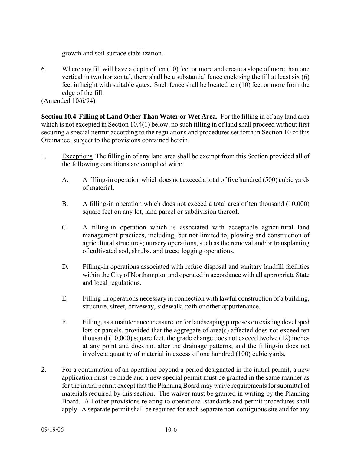growth and soil surface stabilization.

6. Where any fill will have a depth of ten (10) feet or more and create a slope of more than one vertical in two horizontal, there shall be a substantial fence enclosing the fill at least six (6) feet in height with suitable gates. Such fence shall be located ten (10) feet or more from the edge of the fill.

(Amended 10/6/94)

**Section 10.4 Filling of Land Other Than Water or Wet Area.** For the filling in of any land area which is not excepted in Section 10.4(1) below, no such filling in of land shall proceed without first securing a special permit according to the regulations and procedures set forth in Section 10 of this Ordinance, subject to the provisions contained herein.

- 1. Exceptions The filling in of any land area shall be exempt from this Section provided all of the following conditions are complied with:
	- A. A filling-in operation which does not exceed a total of five hundred (500) cubic yards of material.
	- B. A filling-in operation which does not exceed a total area of ten thousand (10,000) square feet on any lot, land parcel or subdivision thereof.
	- C. A filling-in operation which is associated with acceptable agricultural land management practices, including, but not limited to, plowing and construction of agricultural structures; nursery operations, such as the removal and/or transplanting of cultivated sod, shrubs, and trees; logging operations.
	- D. Filling-in operations associated with refuse disposal and sanitary landfill facilities within the City of Northampton and operated in accordance with all appropriate State and local regulations.
	- E. Filling-in operations necessary in connection with lawful construction of a building, structure, street, driveway, sidewalk, path or other appurtenance.
	- F. Filling, as a maintenance measure, or for landscaping purposes on existing developed lots or parcels, provided that the aggregate of area(s) affected does not exceed ten thousand (10,000) square feet, the grade change does not exceed twelve (12) inches at any point and does not alter the drainage patterns; and the filling-in does not involve a quantity of material in excess of one hundred (100) cubic yards.
- 2. For a continuation of an operation beyond a period designated in the initial permit, a new application must be made and a new special permit must be granted in the same manner as for the initial permit except that the Planning Board may waive requirements for submittal of materials required by this section. The waiver must be granted in writing by the Planning Board. All other provisions relating to operational standards and permit procedures shall apply. A separate permit shall be required for each separate non-contiguous site and for any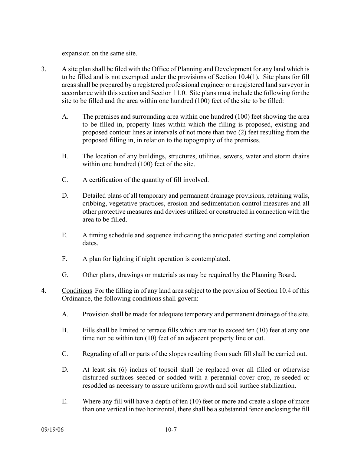expansion on the same site.

- 3. A site plan shall be filed with the Office of Planning and Development for any land which is to be filled and is not exempted under the provisions of Section 10.4(1). Site plans for fill areas shall be prepared by a registered professional engineer or a registered land surveyor in accordance with this section and Section 11.0. Site plans must include the following for the site to be filled and the area within one hundred (100) feet of the site to be filled:
	- A. The premises and surrounding area within one hundred (100) feet showing the area to be filled in, property lines within which the filling is proposed, existing and proposed contour lines at intervals of not more than two (2) feet resulting from the proposed filling in, in relation to the topography of the premises.
	- B. The location of any buildings, structures, utilities, sewers, water and storm drains within one hundred (100) feet of the site.
	- C. A certification of the quantity of fill involved.
	- D. Detailed plans of all temporary and permanent drainage provisions, retaining walls, cribbing, vegetative practices, erosion and sedimentation control measures and all other protective measures and devices utilized or constructed in connection with the area to be filled.
	- E. A timing schedule and sequence indicating the anticipated starting and completion dates.
	- F. A plan for lighting if night operation is contemplated.
	- G. Other plans, drawings or materials as may be required by the Planning Board.
- 4. Conditions For the filling in of any land area subject to the provision of Section 10.4 of this Ordinance, the following conditions shall govern:
	- A. Provision shall be made for adequate temporary and permanent drainage of the site.
	- B. Fills shall be limited to terrace fills which are not to exceed ten (10) feet at any one time nor be within ten (10) feet of an adjacent property line or cut.
	- C. Regrading of all or parts of the slopes resulting from such fill shall be carried out.
	- D. At least six (6) inches of topsoil shall be replaced over all filled or otherwise disturbed surfaces seeded or sodded with a perennial cover crop, re-seeded or resodded as necessary to assure uniform growth and soil surface stabilization.
	- E. Where any fill will have a depth of ten (10) feet or more and create a slope of more than one vertical in two horizontal, there shall be a substantial fence enclosing the fill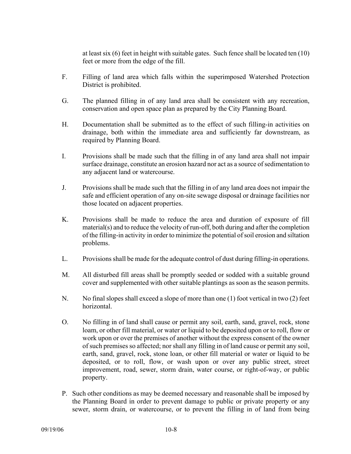at least six (6) feet in height with suitable gates. Such fence shall be located ten (10) feet or more from the edge of the fill.

- F. Filling of land area which falls within the superimposed Watershed Protection District is prohibited.
- G. The planned filling in of any land area shall be consistent with any recreation, conservation and open space plan as prepared by the City Planning Board.
- H. Documentation shall be submitted as to the effect of such filling-in activities on drainage, both within the immediate area and sufficiently far downstream, as required by Planning Board.
- I. Provisions shall be made such that the filling in of any land area shall not impair surface drainage, constitute an erosion hazard nor act as a source of sedimentation to any adjacent land or watercourse.
- J. Provisions shall be made such that the filling in of any land area does not impair the safe and efficient operation of any on-site sewage disposal or drainage facilities nor those located on adjacent properties.
- K. Provisions shall be made to reduce the area and duration of exposure of fill material(s) and to reduce the velocity of run-off, both during and after the completion of the filling-in activity in order to minimize the potential of soil erosion and siltation problems.
- L. Provisions shall be made for the adequate control of dust during filling-in operations.
- M. All disturbed fill areas shall be promptly seeded or sodded with a suitable ground cover and supplemented with other suitable plantings as soon as the season permits.
- N. No final slopes shall exceed a slope of more than one (1) foot vertical in two (2) feet horizontal.
- O. No filling in of land shall cause or permit any soil, earth, sand, gravel, rock, stone loam, or other fill material, or water or liquid to be deposited upon or to roll, flow or work upon or over the premises of another without the express consent of the owner of such premises so affected; nor shall any filling in of land cause or permit any soil, earth, sand, gravel, rock, stone loan, or other fill material or water or liquid to be deposited, or to roll, flow, or wash upon or over any public street, street improvement, road, sewer, storm drain, water course, or right-of-way, or public property.
- P. Such other conditions as may be deemed necessary and reasonable shall be imposed by the Planning Board in order to prevent damage to public or private property or any sewer, storm drain, or watercourse, or to prevent the filling in of land from being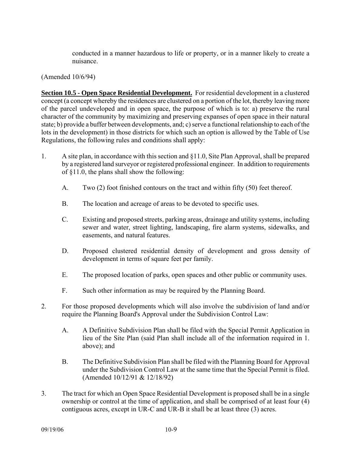conducted in a manner hazardous to life or property, or in a manner likely to create a nuisance.

(Amended 10/6/94)

**Section 10.5 - Open Space Residential Development.** For residential development in a clustered concept (a concept whereby the residences are clustered on a portion of the lot, thereby leaving more of the parcel undeveloped and in open space, the purpose of which is to: a) preserve the rural character of the community by maximizing and preserving expanses of open space in their natural state; b) provide a buffer between developments, and; c) serve a functional relationship to each of the lots in the development) in those districts for which such an option is allowed by the Table of Use Regulations, the following rules and conditions shall apply:

- 1. A site plan, in accordance with this section and §11.0, Site Plan Approval, shall be prepared by a registered land surveyor or registered professional engineer. In addition to requirements of §11.0, the plans shall show the following:
	- A. Two (2) foot finished contours on the tract and within fifty (50) feet thereof.
	- B. The location and acreage of areas to be devoted to specific uses.
	- C. Existing and proposed streets, parking areas, drainage and utility systems, including sewer and water, street lighting, landscaping, fire alarm systems, sidewalks, and easements, and natural features.
	- D. Proposed clustered residential density of development and gross density of development in terms of square feet per family.
	- E. The proposed location of parks, open spaces and other public or community uses.
	- F. Such other information as may be required by the Planning Board.
- 2. For those proposed developments which will also involve the subdivision of land and/or require the Planning Board's Approval under the Subdivision Control Law:
	- A. A Definitive Subdivision Plan shall be filed with the Special Permit Application in lieu of the Site Plan (said Plan shall include all of the information required in 1. above); and
	- B. The Definitive Subdivision Plan shall be filed with the Planning Board for Approval under the Subdivision Control Law at the same time that the Special Permit is filed. (Amended 10/12/91 & 12/18/92)
- 3. The tract for which an Open Space Residential Development is proposed shall be in a single ownership or control at the time of application, and shall be comprised of at least four (4) contiguous acres, except in UR-C and UR-B it shall be at least three (3) acres.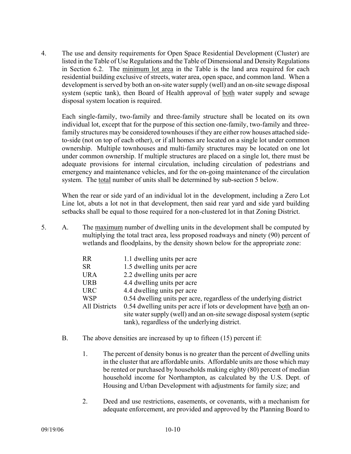4. The use and density requirements for Open Space Residential Development (Cluster) are listed in the Table of Use Regulations and the Table of Dimensional and Density Regulations in Section 6.2. The minimum lot area in the Table is the land area required for each residential building exclusive of streets, water area, open space, and common land. When a development is served by both an on-site water supply (well) and an on-site sewage disposal system (septic tank), then Board of Health approval of both water supply and sewage disposal system location is required.

Each single-family, two-family and three-family structure shall be located on its own individual lot, except that for the purpose of this section one-family, two-family and threefamily structures may be considered townhouses if they are either row houses attached sideto-side (not on top of each other), or if all homes are located on a single lot under common ownership. Multiple townhouses and multi-family structures may be located on one lot under common ownership. If multiple structures are placed on a single lot, there must be adequate provisions for internal circulation, including circulation of pedestrians and emergency and maintenance vehicles, and for the on-going maintenance of the circulation system. The total number of units shall be determined by sub-section 5 below.

When the rear or side yard of an individual lot in the development, including a Zero Lot Line lot, abuts a lot not in that development, then said rear yard and side yard building setbacks shall be equal to those required for a non-clustered lot in that Zoning District.

5. A. The maximum number of dwelling units in the development shall be computed by multiplying the total tract area, less proposed roadways and ninety (90) percent of wetlands and floodplains, by the density shown below for the appropriate zone:

| <b>RR</b>            | 1.1 dwelling units per acre                                            |
|----------------------|------------------------------------------------------------------------|
| <b>SR</b>            | 1.5 dwelling units per acre                                            |
| <b>URA</b>           | 2.2 dwelling units per acre                                            |
| <b>URB</b>           | 4.4 dwelling units per acre                                            |
| <b>URC</b>           | 4.4 dwelling units per acre                                            |
| <b>WSP</b>           | 0.54 dwelling units per acre, regardless of the underlying district    |
| <b>All Districts</b> | 0.54 dwelling units per acre if lots or development have both an on-   |
|                      | site water supply (well) and an on-site sewage disposal system (septic |
|                      | tank), regardless of the underlying district.                          |

- B. The above densities are increased by up to fifteen (15) percent if:
	- 1. The percent of density bonus is no greater than the percent of dwelling units in the cluster that are affordable units. Affordable units are those which may be rented or purchased by households making eighty (80) percent of median household income for Northampton, as calculated by the U.S. Dept. of Housing and Urban Development with adjustments for family size; and
	- 2. Deed and use restrictions, easements, or covenants, with a mechanism for adequate enforcement, are provided and approved by the Planning Board to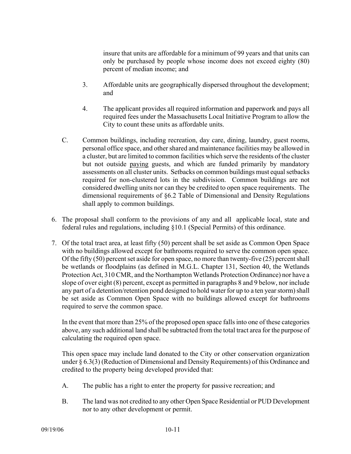insure that units are affordable for a minimum of 99 years and that units can only be purchased by people whose income does not exceed eighty (80) percent of median income; and

- 3. Affordable units are geographically dispersed throughout the development; and
- 4. The applicant provides all required information and paperwork and pays all required fees under the Massachusetts Local Initiative Program to allow the City to count these units as affordable units.
- C. Common buildings, including recreation, day care, dining, laundry, guest rooms, personal office space, and other shared and maintenance facilities may be allowed in a cluster, but are limited to common facilities which serve the residents of the cluster but not outside paying guests, and which are funded primarily by mandatory assessments on all cluster units. Setbacks on common buildings must equal setbacks required for non-clustered lots in the subdivision. Common buildings are not considered dwelling units nor can they be credited to open space requirements. The dimensional requirements of §6.2 Table of Dimensional and Density Regulations shall apply to common buildings.
- 6. The proposal shall conform to the provisions of any and all applicable local, state and federal rules and regulations, including §10.1 (Special Permits) of this ordinance.
- 7. Of the total tract area, at least fifty (50) percent shall be set aside as Common Open Space with no buildings allowed except for bathrooms required to serve the common open space. Of the fifty (50) percent set aside for open space, no more than twenty-five (25) percent shall be wetlands or floodplains (as defined in M.G.L. Chapter 131, Section 40, the Wetlands Protection Act, 310 CMR, and the Northampton Wetlands Protection Ordinance) nor have a slope of over eight (8) percent, except as permitted in paragraphs 8 and 9 below, nor include any part of a detention/retention pond designed to hold water for up to a ten year storm) shall be set aside as Common Open Space with no buildings allowed except for bathrooms required to serve the common space.

 In the event that more than 25% of the proposed open space falls into one of these categories above, any such additional land shall be subtracted from the total tract area for the purpose of calculating the required open space.

This open space may include land donated to the City or other conservation organization under § 6.3(3) (Reduction of Dimensional and Density Requirements) of this Ordinance and credited to the property being developed provided that:

- A. The public has a right to enter the property for passive recreation; and
- B. The land was not credited to any other Open Space Residential or PUD Development nor to any other development or permit.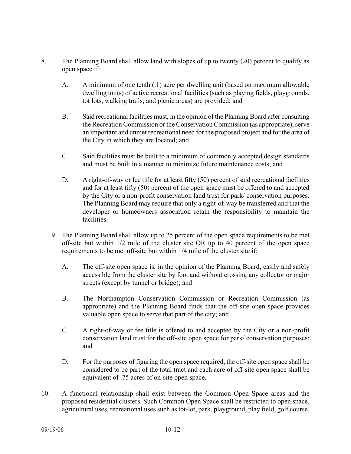- 8. The Planning Board shall allow land with slopes of up to twenty (20) percent to qualify as open space if:
	- A. A minimum of one tenth (.1) acre per dwelling unit (based on maximum allowable dwelling units) of active recreational facilities (such as playing fields, playgrounds, tot lots, walking trails, and picnic areas) are provided; and
	- B. Said recreational facilities must, in the opinion of the Planning Board after consulting the Recreation Commission or the Conservation Commission (as appropriate), serve an important and unmet recreational need for the proposed project and for the area of the City in which they are located; and
	- C. Said facilities must be built to a minimum of commonly accepted design standards and must be built in a manner to minimize future maintenance costs; and
	- D. A right-of-way or fee title for at least fifty (50) percent of said recreational facilities and for at least fifty (50) percent of the open space must be offered to and accepted by the City or a non-profit conservation land trust for park/ conservation purposes. The Planning Board may require that only a right-of-way be transferred and that the developer or homeowners association retain the responsibility to maintain the facilities.
	- 9. The Planning Board shall allow up to 25 percent of the open space requirements to be met off-site but within 1/2 mile of the cluster site OR up to 40 percent of the open space requirements to be met off-site but within 1/4 mile of the cluster site if:
		- A. The off-site open space is, in the opinion of the Planning Board, easily and safely accessible from the cluster site by foot and without crossing any collector or major streets (except by tunnel or bridge); and
		- B. The Northampton Conservation Commission or Recreation Commission (as appropriate) and the Planning Board finds that the off-site open space provides valuable open space to serve that part of the city; and
		- C. A right-of-way or fee title is offered to and accepted by the City or a non-profit conservation land trust for the off-site open space for park/ conservation purposes; and
		- D. For the purposes of figuring the open space required, the off-site open space shall be considered to be part of the total tract and each acre of off-site open space shall be equivalent of .75 acres of on-site open space.
- 10. A functional relationship shall exist between the Common Open Space areas and the proposed residential clusters. Such Common Open Space shall be restricted to open space, agricultural uses, recreational uses such as tot-lot, park, playground, play field, golf course,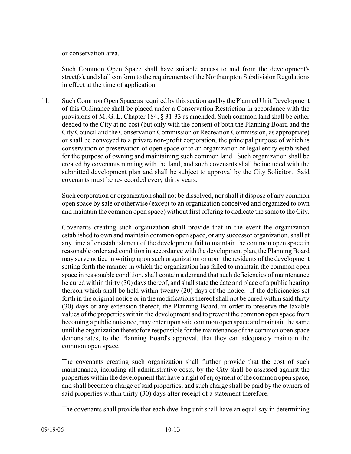or conservation area.

Such Common Open Space shall have suitable access to and from the development's street(s), and shall conform to the requirements of the Northampton Subdivision Regulations in effect at the time of application.

11. Such Common Open Space as required by this section and by the Planned Unit Development of this Ordinance shall be placed under a Conservation Restriction in accordance with the provisions of M. G. L. Chapter 184, § 31-33 as amended. Such common land shall be either deeded to the City at no cost (but only with the consent of both the Planning Board and the City Council and the Conservation Commission or Recreation Commission, as appropriate) or shall be conveyed to a private non-profit corporation, the principal purpose of which is conservation or preservation of open space or to an organization or legal entity established for the purpose of owning and maintaining such common land. Such organization shall be created by covenants running with the land, and such covenants shall be included with the submitted development plan and shall be subject to approval by the City Solicitor. Said covenants must be re-recorded every thirty years.

Such corporation or organization shall not be dissolved, nor shall it dispose of any common open space by sale or otherwise (except to an organization conceived and organized to own and maintain the common open space) without first offering to dedicate the same to the City.

Covenants creating such organization shall provide that in the event the organization established to own and maintain common open space, or any successor organization, shall at any time after establishment of the development fail to maintain the common open space in reasonable order and condition in accordance with the development plan, the Planning Board may serve notice in writing upon such organization or upon the residents of the development setting forth the manner in which the organization has failed to maintain the common open space in reasonable condition, shall contain a demand that such deficiencies of maintenance be cured within thirty (30) days thereof, and shall state the date and place of a public hearing thereon which shall be held within twenty (20) days of the notice. If the deficiencies set forth in the original notice or in the modifications thereof shall not be cured within said thirty (30) days or any extension thereof, the Planning Board, in order to preserve the taxable values of the properties within the development and to prevent the common open space from becoming a public nuisance, may enter upon said common open space and maintain the same until the organization theretofore responsible for the maintenance of the common open space demonstrates, to the Planning Board's approval, that they can adequately maintain the common open space.

The covenants creating such organization shall further provide that the cost of such maintenance, including all administrative costs, by the City shall be assessed against the properties within the development that have a right of enjoyment of the common open space, and shall become a charge of said properties, and such charge shall be paid by the owners of said properties within thirty (30) days after receipt of a statement therefore.

The covenants shall provide that each dwelling unit shall have an equal say in determining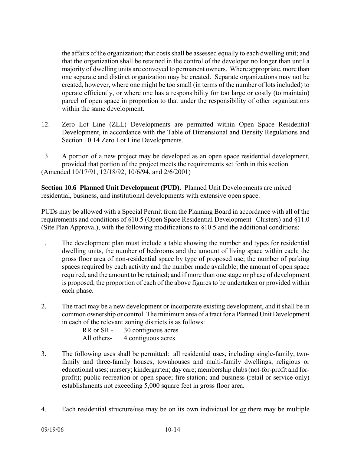the affairs of the organization; that costs shall be assessed equally to each dwelling unit; and that the organization shall be retained in the control of the developer no longer than until a majority of dwelling units are conveyed to permanent owners. Where appropriate, more than one separate and distinct organization may be created. Separate organizations may not be created, however, where one might be too small (in terms of the number of lots included) to operate efficiently, or where one has a responsibility for too large or costly (to maintain) parcel of open space in proportion to that under the responsibility of other organizations within the same development.

- 12. Zero Lot Line (ZLL) Developments are permitted within Open Space Residential Development, in accordance with the Table of Dimensional and Density Regulations and Section 10.14 Zero Lot Line Developments.
- 13. A portion of a new project may be developed as an open space residential development, provided that portion of the project meets the requirements set forth in this section. (Amended 10/17/91, 12/18/92, 10/6/94, and 2/6/2001)

**Section 10.6 Planned Unit Development (PUD).** Planned Unit Developments are mixed residential, business, and institutional developments with extensive open space.

PUDs may be allowed with a Special Permit from the Planning Board in accordance with all of the requirements and conditions of §10.5 (Open Space Residential Development--Clusters) and §11.0 (Site Plan Approval), with the following modifications to  $§10.5$  and the additional conditions:

- 1. The development plan must include a table showing the number and types for residential dwelling units, the number of bedrooms and the amount of living space within each; the gross floor area of non-residential space by type of proposed use; the number of parking spaces required by each activity and the number made available; the amount of open space required, and the amount to be retained; and if more than one stage or phase of development is proposed, the proportion of each of the above figures to be undertaken or provided within each phase.
- 2. The tract may be a new development or incorporate existing development, and it shall be in common ownership or control. The minimum area of a tract for a Planned Unit Development in each of the relevant zoning districts is as follows:

RR or SR - 30 contiguous acres All others- 4 contiguous acres

- 3. The following uses shall be permitted: all residential uses, including single-family, twofamily and three-family houses, townhouses and multi-family dwellings; religious or educational uses; nursery; kindergarten; day care; membership clubs (not-for-profit and forprofit); public recreation or open space; fire station; and business (retail or service only) establishments not exceeding 5,000 square feet in gross floor area.
- 4. Each residential structure/use may be on its own individual lot <u>or</u> there may be multiple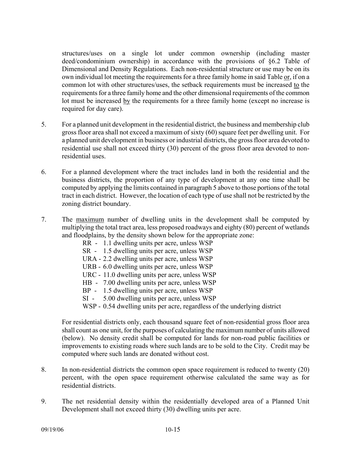structures/uses on a single lot under common ownership (including master deed/condominium ownership) in accordance with the provisions of §6.2 Table of Dimensional and Density Regulations. Each non-residential structure or use may be on its own individual lot meeting the requirements for a three family home in said Table or, if on a common lot with other structures/uses, the setback requirements must be increased to the requirements for a three family home and the other dimensional requirements of the common lot must be increased by the requirements for a three family home (except no increase is required for day care).

- 5. For a planned unit development in the residential district, the business and membership club gross floor area shall not exceed a maximum of sixty (60) square feet per dwelling unit. For a planned unit development in business or industrial districts, the gross floor area devoted to residential use shall not exceed thirty (30) percent of the gross floor area devoted to nonresidential uses.
- 6. For a planned development where the tract includes land in both the residential and the business districts, the proportion of any type of development at any one time shall be computed by applying the limits contained in paragraph 5 above to those portions of the total tract in each district. However, the location of each type of use shall not be restricted by the zoning district boundary.
- 7. The maximum number of dwelling units in the development shall be computed by multiplying the total tract area, less proposed roadways and eighty (80) percent of wetlands and floodplains, by the density shown below for the appropriate zone:
	- RR 1.1 dwelling units per acre, unless WSP
	- SR 1.5 dwelling units per acre, unless WSP
	- URA 2.2 dwelling units per acre, unless WSP
	- URB 6.0 dwelling units per acre, unless WSP
	- URC 11.0 dwelling units per acre, unless WSP
	- HB 7.00 dwelling units per acre, unless WSP
	- BP 1.5 dwelling units per acre, unless WSP
	- SI 5.00 dwelling units per acre, unless WSP
	- WSP 0.54 dwelling units per acre, regardless of the underlying district

For residential districts only, each thousand square feet of non-residential gross floor area shall count as one unit, for the purposes of calculating the maximum number of units allowed (below). No density credit shall be computed for lands for non-road public facilities or improvements to existing roads where such lands are to be sold to the City. Credit may be computed where such lands are donated without cost.

- 8. In non-residential districts the common open space requirement is reduced to twenty (20) percent, with the open space requirement otherwise calculated the same way as for residential districts.
- 9. The net residential density within the residentially developed area of a Planned Unit Development shall not exceed thirty (30) dwelling units per acre.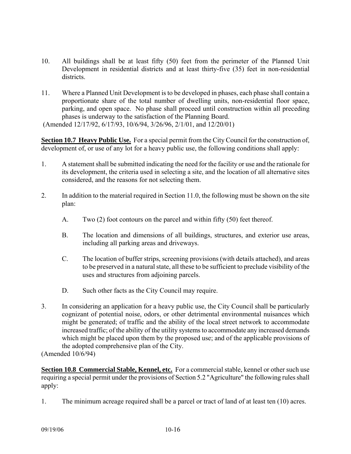- 10. All buildings shall be at least fifty (50) feet from the perimeter of the Planned Unit Development in residential districts and at least thirty-five (35) feet in non-residential districts.
- 11. Where a Planned Unit Development is to be developed in phases, each phase shall contain a proportionate share of the total number of dwelling units, non-residential floor space, parking, and open space. No phase shall proceed until construction within all preceding phases is underway to the satisfaction of the Planning Board.

(Amended 12/17/92, 6/17/93, 10/6/94, 3/26/96, 2/1/01, and 12/20/01)

**Section 10.7 Heavy Public Use.** For a special permit from the City Council for the construction of, development of, or use of any lot for a heavy public use, the following conditions shall apply:

- 1. A statement shall be submitted indicating the need for the facility or use and the rationale for its development, the criteria used in selecting a site, and the location of all alternative sites considered, and the reasons for not selecting them.
- 2. In addition to the material required in Section 11.0, the following must be shown on the site plan:
	- A. Two (2) foot contours on the parcel and within fifty (50) feet thereof.
	- B. The location and dimensions of all buildings, structures, and exterior use areas, including all parking areas and driveways.
	- C. The location of buffer strips, screening provisions (with details attached), and areas to be preserved in a natural state, all these to be sufficient to preclude visibility of the uses and structures from adjoining parcels.
	- D. Such other facts as the City Council may require.
- 3. In considering an application for a heavy public use, the City Council shall be particularly cognizant of potential noise, odors, or other detrimental environmental nuisances which might be generated; of traffic and the ability of the local street network to accommodate increased traffic; of the ability of the utility systems to accommodate any increased demands which might be placed upon them by the proposed use; and of the applicable provisions of the adopted comprehensive plan of the City.

(Amended 10/6/94)

**Section 10.8 Commercial Stable, Kennel, etc.** For a commercial stable, kennel or other such use requiring a special permit under the provisions of Section 5.2 "Agriculture" the following rules shall apply:

1. The minimum acreage required shall be a parcel or tract of land of at least ten (10) acres.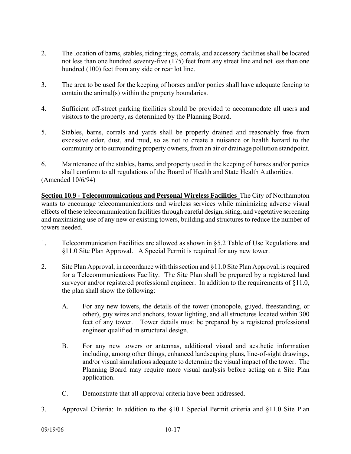- 2. The location of barns, stables, riding rings, corrals, and accessory facilities shall be located not less than one hundred seventy-five (175) feet from any street line and not less than one hundred (100) feet from any side or rear lot line.
- 3. The area to be used for the keeping of horses and/or ponies shall have adequate fencing to contain the animal(s) within the property boundaries.
- 4. Sufficient off-street parking facilities should be provided to accommodate all users and visitors to the property, as determined by the Planning Board.
- 5. Stables, barns, corrals and yards shall be properly drained and reasonably free from excessive odor, dust, and mud, so as not to create a nuisance or health hazard to the community or to surrounding property owners, from an air or drainage pollution standpoint.
- 6. Maintenance of the stables, barns, and property used in the keeping of horses and/or ponies shall conform to all regulations of the Board of Health and State Health Authorities. (Amended 10/6/94)

**Section 10.9 - Telecommunications and Personal Wireless Facilities** The City of Northampton wants to encourage telecommunications and wireless services while minimizing adverse visual effects of these telecommunication facilities through careful design, siting, and vegetative screening and maximizing use of any new or existing towers, building and structures to reduce the number of towers needed.

- 1. Telecommunication Facilities are allowed as shown in §5.2 Table of Use Regulations and §11.0 Site Plan Approval. A Special Permit is required for any new tower.
- 2. Site Plan Approval, in accordance with this section and §11.0 Site Plan Approval, is required for a Telecommunications Facility. The Site Plan shall be prepared by a registered land surveyor and/or registered professional engineer. In addition to the requirements of §11.0, the plan shall show the following:
	- A. For any new towers, the details of the tower (monopole, guyed, freestanding, or other), guy wires and anchors, tower lighting, and all structures located within 300 feet of any tower. Tower details must be prepared by a registered professional engineer qualified in structural design.
	- B. For any new towers or antennas, additional visual and aesthetic information including, among other things, enhanced landscaping plans, line-of-sight drawings, and/or visual simulations adequate to determine the visual impact of the tower. The Planning Board may require more visual analysis before acting on a Site Plan application.
	- C. Demonstrate that all approval criteria have been addressed.
- 3. Approval Criteria: In addition to the §10.1 Special Permit criteria and §11.0 Site Plan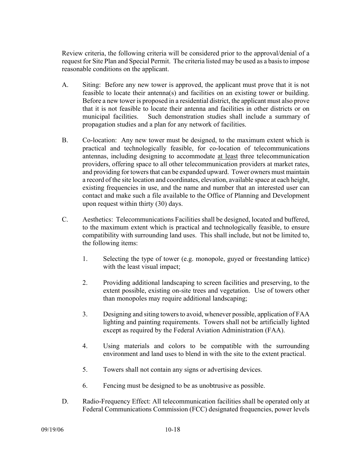Review criteria, the following criteria will be considered prior to the approval/denial of a request for Site Plan and Special Permit. The criteria listed may be used as a basis to impose reasonable conditions on the applicant.

- A. Siting: Before any new tower is approved, the applicant must prove that it is not feasible to locate their antenna(s) and facilities on an existing tower or building. Before a new tower is proposed in a residential district, the applicant must also prove that it is not feasible to locate their antenna and facilities in other districts or on municipal facilities. Such demonstration studies shall include a summary of propagation studies and a plan for any network of facilities.
- B. Co-location: Any new tower must be designed, to the maximum extent which is practical and technologically feasible, for co-location of telecommunications antennas, including designing to accommodate at least three telecommunication providers, offering space to all other telecommunication providers at market rates, and providing for towers that can be expanded upward. Tower owners must maintain a record of the site location and coordinates, elevation, available space at each height, existing frequencies in use, and the name and number that an interested user can contact and make such a file available to the Office of Planning and Development upon request within thirty (30) days.
- C. Aesthetics: Telecommunications Facilities shall be designed, located and buffered, to the maximum extent which is practical and technologically feasible, to ensure compatibility with surrounding land uses. This shall include, but not be limited to, the following items:
	- 1. Selecting the type of tower (e.g. monopole, guyed or freestanding lattice) with the least visual impact;
	- 2. Providing additional landscaping to screen facilities and preserving, to the extent possible, existing on-site trees and vegetation. Use of towers other than monopoles may require additional landscaping;
	- 3. Designing and siting towers to avoid, whenever possible, application of FAA lighting and painting requirements. Towers shall not be artificially lighted except as required by the Federal Aviation Administration (FAA).
	- 4. Using materials and colors to be compatible with the surrounding environment and land uses to blend in with the site to the extent practical.
	- 5. Towers shall not contain any signs or advertising devices.
	- 6. Fencing must be designed to be as unobtrusive as possible.
- D. Radio-Frequency Effect: All telecommunication facilities shall be operated only at Federal Communications Commission (FCC) designated frequencies, power levels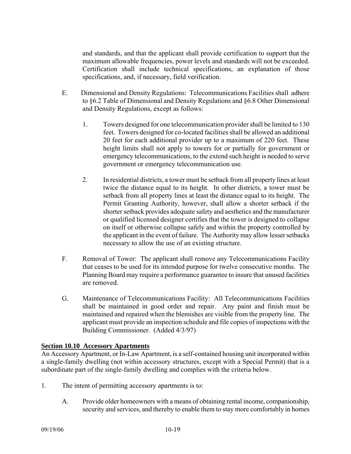and standards, and that the applicant shall provide certification to support that the maximum allowable frequencies, power levels and standards will not be exceeded. Certification shall include technical specifications, an explanation of those specifications, and, if necessary, field verification.

- E. Dimensional and Density Regulations: Telecommunications Facilities shall adhere to §6.2 Table of Dimensional and Density Regulations and §6.8 Other Dimensional and Density Regulations, except as follows:
	- 1. Towers designed for one telecommunication provider shall be limited to 130 feet. Towers designed for co-located facilities shall be allowed an additional 20 feet for each additional provider up to a maximum of 220 feet. These height limits shall not apply to towers for or partially for government or emergency telecommunications, to the extend such height is needed to serve government or emergency telecommunication use.
	- 2. In residential districts, a tower must be setback from all property lines at least twice the distance equal to its height. In other districts, a tower must be setback from all property lines at least the distance equal to its height. The Permit Granting Authority, however, shall allow a shorter setback if the shorter setback provides adequate safety and aesthetics and the manufacturer or qualified licensed designer certifies that the tower is designed to collapse on itself or otherwise collapse safely and within the property controlled by the applicant in the event of failure. The Authority may allow lesser setbacks necessary to allow the use of an existing structure.
- F. Removal of Tower: The applicant shall remove any Telecommunications Facility that ceases to be used for its intended purpose for twelve consecutive months. The Planning Board may require a performance guarantee to insure that unused facilities are removed.
- G. Maintenance of Telecommunications Facility: All Telecommunications Facilities shall be maintained in good order and repair. Any paint and finish must be maintained and repaired when the blemishes are visible from the property line. The applicant must provide an inspection schedule and file copies of inspections with the Building Commissioner. (Added 4/3/97)

# **Section 10.10 Accessory Apartments**

An Accessory Apartment, or In-Law Apartment, is a self-contained housing unit incorporated within a single-family dwelling (not within accessory structures, except with a Special Permit) that is a subordinate part of the single-family dwelling and complies with the criteria below.

- 1. The intent of permitting accessory apartments is to:
	- A. Provide older homeowners with a means of obtaining rental income, companionship, security and services, and thereby to enable them to stay more comfortably in homes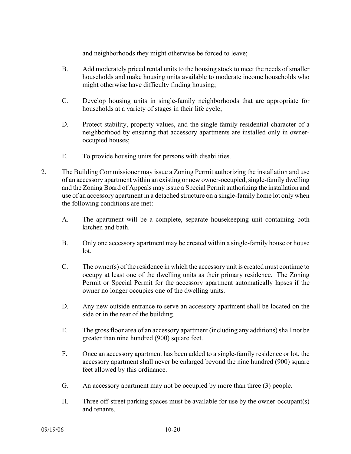and neighborhoods they might otherwise be forced to leave;

- B. Add moderately priced rental units to the housing stock to meet the needs of smaller households and make housing units available to moderate income households who might otherwise have difficulty finding housing;
- C. Develop housing units in single-family neighborhoods that are appropriate for households at a variety of stages in their life cycle;
- D. Protect stability, property values, and the single-family residential character of a neighborhood by ensuring that accessory apartments are installed only in owneroccupied houses;
- E. To provide housing units for persons with disabilities.
- 2. The Building Commissioner may issue a Zoning Permit authorizing the installation and use of an accessory apartment within an existing or new owner-occupied, single-family dwelling and the Zoning Board of Appeals may issue a Special Permit authorizing the installation and use of an accessory apartment in a detached structure on a single-family home lot only when the following conditions are met:
	- A. The apartment will be a complete, separate housekeeping unit containing both kitchen and bath.
	- B. Only one accessory apartment may be created within a single-family house or house lot.
	- C. The owner(s) of the residence in which the accessory unit is created must continue to occupy at least one of the dwelling units as their primary residence. The Zoning Permit or Special Permit for the accessory apartment automatically lapses if the owner no longer occupies one of the dwelling units.
	- D. Any new outside entrance to serve an accessory apartment shall be located on the side or in the rear of the building.
	- E. The gross floor area of an accessory apartment (including any additions) shall not be greater than nine hundred (900) square feet.
	- F. Once an accessory apartment has been added to a single-family residence or lot, the accessory apartment shall never be enlarged beyond the nine hundred (900) square feet allowed by this ordinance.
	- G. An accessory apartment may not be occupied by more than three (3) people.
	- H. Three off-street parking spaces must be available for use by the owner-occupant(s) and tenants.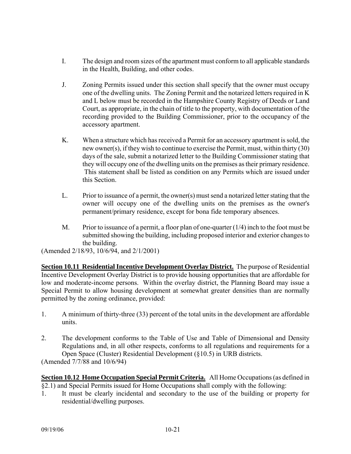- I. The design and room sizes of the apartment must conform to all applicable standards in the Health, Building, and other codes.
- J. Zoning Permits issued under this section shall specify that the owner must occupy one of the dwelling units. The Zoning Permit and the notarized letters required in K and L below must be recorded in the Hampshire County Registry of Deeds or Land Court, as appropriate, in the chain of title to the property, with documentation of the recording provided to the Building Commissioner, prior to the occupancy of the accessory apartment.
- K. When a structure which has received a Permit for an accessory apartment is sold, the new owner(s), if they wish to continue to exercise the Permit, must, within thirty (30) days of the sale, submit a notarized letter to the Building Commissioner stating that they will occupy one of the dwelling units on the premises as their primary residence. This statement shall be listed as condition on any Permits which are issued under this Section.
- L. Prior to issuance of a permit, the owner(s) must send a notarized letter stating that the owner will occupy one of the dwelling units on the premises as the owner's permanent/primary residence, except for bona fide temporary absences.
- M. Prior to issuance of a permit, a floor plan of one-quarter  $(1/4)$  inch to the foot must be submitted showing the building, including proposed interior and exterior changes to the building.

(Amended 2/18/93, 10/6/94, and 2/1/2001)

**Section 10.11 Residential Incentive Development Overlay District.** The purpose of Residential Incentive Development Overlay District is to provide housing opportunities that are affordable for low and moderate-income persons. Within the overlay district, the Planning Board may issue a Special Permit to allow housing development at somewhat greater densities than are normally permitted by the zoning ordinance, provided:

- 1. A minimum of thirty-three (33) percent of the total units in the development are affordable units.
- 2. The development conforms to the Table of Use and Table of Dimensional and Density Regulations and, in all other respects, conforms to all regulations and requirements for a Open Space (Cluster) Residential Development (§10.5) in URB districts.

(Amended 7/7/88 and 10/6/94)

# **Section 10.12 Home Occupation Special Permit Criteria.** All Home Occupations (as defined in §2.1) and Special Permits issued for Home Occupations shall comply with the following:

1. It must be clearly incidental and secondary to the use of the building or property for residential/dwelling purposes.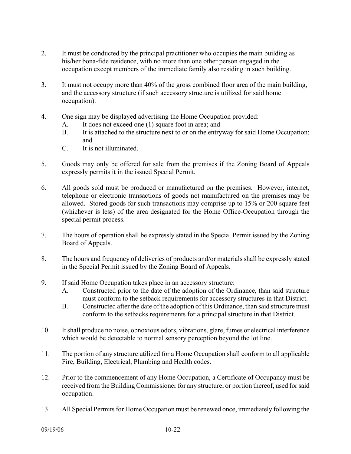- 2. It must be conducted by the principal practitioner who occupies the main building as his/her bona-fide residence, with no more than one other person engaged in the occupation except members of the immediate family also residing in such building.
- 3. It must not occupy more than 40% of the gross combined floor area of the main building, and the accessory structure (if such accessory structure is utilized for said home occupation).
- 4. One sign may be displayed advertising the Home Occupation provided:
	- A. It does not exceed one (1) square foot in area; and
	- B. It is attached to the structure next to or on the entryway for said Home Occupation; and
	- C. It is not illuminated.
- 5. Goods may only be offered for sale from the premises if the Zoning Board of Appeals expressly permits it in the issued Special Permit.
- 6. All goods sold must be produced or manufactured on the premises. However, internet, telephone or electronic transactions of goods not manufactured on the premises may be allowed. Stored goods for such transactions may comprise up to 15% or 200 square feet (whichever is less) of the area designated for the Home Office-Occupation through the special permit process.
- 7. The hours of operation shall be expressly stated in the Special Permit issued by the Zoning Board of Appeals.
- 8. The hours and frequency of deliveries of products and/or materials shall be expressly stated in the Special Permit issued by the Zoning Board of Appeals.
- 9. If said Home Occupation takes place in an accessory structure:
	- A. Constructed prior to the date of the adoption of the Ordinance, than said structure must conform to the setback requirements for accessory structures in that District.
	- B. Constructed after the date of the adoption of this Ordinance, than said structure must conform to the setbacks requirements for a principal structure in that District.
- 10. It shall produce no noise, obnoxious odors, vibrations, glare, fumes or electrical interference which would be detectable to normal sensory perception beyond the lot line.
- 11. The portion of any structure utilized for a Home Occupation shall conform to all applicable Fire, Building, Electrical, Plumbing and Health codes.
- 12. Prior to the commencement of any Home Occupation, a Certificate of Occupancy must be received from the Building Commissioner for any structure, or portion thereof, used for said occupation.
- 13. All Special Permits for Home Occupation must be renewed once, immediately following the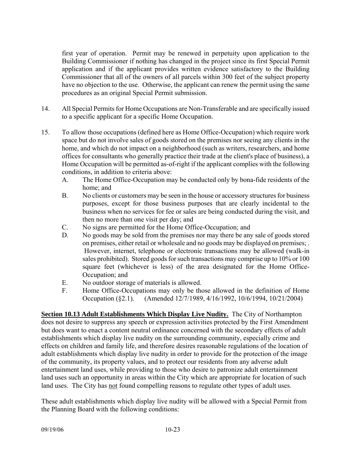first year of operation. Permit may be renewed in perpetuity upon application to the Building Commissioner if nothing has changed in the project since its first Special Permit application and if the applicant provides written evidence satisfactory to the Building Commissioner that all of the owners of all parcels within 300 feet of the subject property have no objection to the use. Otherwise, the applicant can renew the permit using the same procedures as an original Special Permit submission.

- 14. All Special Permits for Home Occupations are Non-Transferable and are specifically issued to a specific applicant for a specific Home Occupation.
- 15. To allow those occupations (defined here as Home Office-Occupation) which require work space but do not involve sales of goods stored on the premises nor seeing any clients in the home, and which do not impact on a neighborhood (such as writers, researchers, and home offices for consultants who generally practice their trade at the client's place of business), a Home Occupation will be permitted as-of-right if the applicant complies with the following conditions, in addition to criteria above:
	- A. The Home Office-Occupation may be conducted only by bona-fide residents of the home; and
	- B. No clients or customers may be seen in the house or accessory structures for business purposes, except for those business purposes that are clearly incidental to the business when no services for fee or sales are being conducted during the visit, and then no more than one visit per day; and
	- C. No signs are permitted for the Home Office-Occupation; and
	- D. No goods may be sold from the premises nor may there be any sale of goods stored on premises, either retail or wholesale and no goods may be displayed on premises; . However, internet, telephone or electronic transactions may be allowed (walk-in sales prohibited). Stored goods for such transactions may comprise up to 10% or 100 square feet (whichever is less) of the area designated for the Home Office-Occupation; and
	- E. No outdoor storage of materials is allowed.
	- F. Home Office-Occupations may only be those allowed in the definition of Home Occupation (§2.1). (Amended 12/7/1989, 4/16/1992, 10/6/1994, 10/21/2004)

**Section 10.13 Adult Establishments Which Display Live Nudity.** The City of Northampton does not desire to suppress any speech or expression activities protected by the First Amendment but does want to enact a content neutral ordinance concerned with the secondary effects of adult establishments which display live nudity on the surrounding community, especially crime and effects on children and family life, and therefore desires reasonable regulations of the location of adult establishments which display live nudity in order to provide for the protection of the image of the community, its property values, and to protect our residents from any adverse adult entertainment land uses, while providing to those who desire to patronize adult entertainment land uses such an opportunity in areas within the City which are appropriate for location of such land uses. The City has not found compelling reasons to regulate other types of adult uses.

These adult establishments which display live nudity will be allowed with a Special Permit from the Planning Board with the following conditions: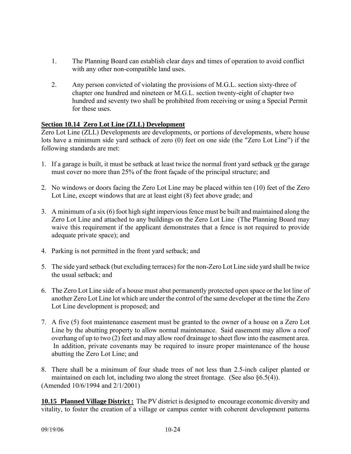- 1. The Planning Board can establish clear days and times of operation to avoid conflict with any other non-compatible land uses.
- 2. Any person convicted of violating the provisions of M.G.L. section sixty-three of chapter one hundred and nineteen or M.G.L. section twenty-eight of chapter two hundred and seventy two shall be prohibited from receiving or using a Special Permit for these uses.

# **Section 10.14 Zero Lot Line (ZLL) Development**

Zero Lot Line (ZLL) Developments are developments, or portions of developments, where house lots have a minimum side yard setback of zero (0) feet on one side (the "Zero Lot Line") if the following standards are met:

- 1. If a garage is built, it must be setback at least twice the normal front yard setback or the garage must cover no more than 25% of the front façade of the principal structure; and
- 2. No windows or doors facing the Zero Lot Line may be placed within ten (10) feet of the Zero Lot Line, except windows that are at least eight (8) feet above grade; and
- 3. A minimum of a six (6) foot high sight impervious fence must be built and maintained along the Zero Lot Line and attached to any buildings on the Zero Lot Line (The Planning Board may waive this requirement if the applicant demonstrates that a fence is not required to provide adequate private space); and
- 4. Parking is not permitted in the front yard setback; and
- 5. The side yard setback (but excluding terraces) for the non-Zero Lot Line side yard shall be twice the usual setback; and
- 6. The Zero Lot Line side of a house must abut permanently protected open space or the lot line of another Zero Lot Line lot which are under the control of the same developer at the time the Zero Lot Line development is proposed; and
- 7. A five (5) foot maintenance easement must be granted to the owner of a house on a Zero Lot Line by the abutting property to allow normal maintenance. Said easement may allow a roof overhang of up to two (2) feet and may allow roof drainage to sheet flow into the easement area. In addition, private covenants may be required to insure proper maintenance of the house abutting the Zero Lot Line; and
- 8. There shall be a minimum of four shade trees of not less than 2.5-inch caliper planted or maintained on each lot, including two along the street frontage. (See also §6.5(4)). (Amended 10/6/1994 and 2/1/2001)

**10.15 Planned Village District :** The PV district is designed to encourage economic diversity and vitality, to foster the creation of a village or campus center with coherent development patterns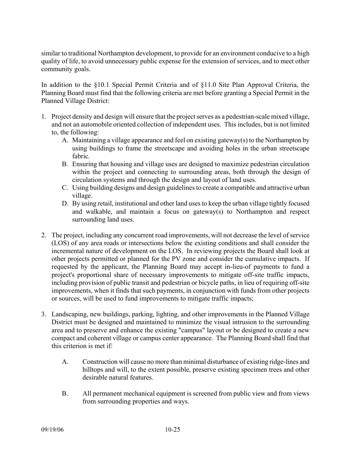similar to traditional Northampton development, to provide for an environment conducive to a high quality of life, to avoid unnecessary public expense for the extension of services, and to meet other community goals.

In addition to the §10.1 Special Permit Criteria and of §11.0 Site Plan Approval Criteria, the Planning Board must find that the following criteria are met before granting a Special Permit in the Planned Village District:

- 1. Project density and design will ensure that the project serves as a pedestrian-scale mixed village, and not an automobile oriented collection of independent uses. This includes, but is not limited to, the following:
	- A. Maintaining a village appearance and feel on existing gateway(s) to the Northampton by using buildings to frame the streetscape and avoiding holes in the urban streetscape fabric.
	- B. Ensuring that housing and village uses are designed to maximize pedestrian circulation within the project and connecting to surrounding areas, both through the design of circulation systems and through the design and layout of land uses.
	- C. Using building designs and design guidelines to create a compatible and attractive urban village.
	- D. By using retail, institutional and other land uses to keep the urban village tightly focused and walkable, and maintain a focus on gateway(s) to Northampton and respect surrounding land uses.
- 2. The project, including any concurrent road improvements, will not decrease the level of service (LOS) of any area roads or intersections below the existing conditions and shall consider the incremental nature of development on the LOS. In reviewing projects the Board shall look at other projects permitted or planned for the PV zone and consider the cumulative impacts. If requested by the applicant, the Planning Board may accept in-lieu-of payments to fund a project's proportional share of necessary improvements to mitigate off-site traffic impacts, including provision of public transit and pedestrian or bicycle paths, in lieu of requiring off-site improvements, when it finds that such payments, in conjunction with funds from other projects or sources, will be used to fund improvements to mitigate traffic impacts;
- 3. Landscaping, new buildings, parking, lighting, and other improvements in the Planned Village District must be designed and maintained to minimize the visual intrusion to the surrounding area and to preserve and enhance the existing "campus" layout or be designed to create a new compact and coherent village or campus center appearance. The Planning Board shall find that this criterion is met if:
	- A. Construction will cause no more than minimal disturbance of existing ridge-lines and hilltops and will, to the extent possible, preserve existing specimen trees and other desirable natural features.
	- B. All permanent mechanical equipment is screened from public view and from views from surrounding properties and ways.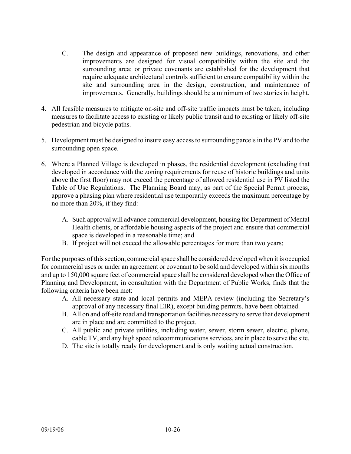- C. The design and appearance of proposed new buildings, renovations, and other improvements are designed for visual compatibility within the site and the surrounding area; or private covenants are established for the development that require adequate architectural controls sufficient to ensure compatibility within the site and surrounding area in the design, construction, and maintenance of improvements. Generally, buildings should be a minimum of two stories in height.
- 4. All feasible measures to mitigate on-site and off-site traffic impacts must be taken, including measures to facilitate access to existing or likely public transit and to existing or likely off-site pedestrian and bicycle paths.
- 5. Development must be designed to insure easy access to surrounding parcels in the PV and to the surrounding open space.
- 6. Where a Planned Village is developed in phases, the residential development (excluding that developed in accordance with the zoning requirements for reuse of historic buildings and units above the first floor) may not exceed the percentage of allowed residential use in PV listed the Table of Use Regulations. The Planning Board may, as part of the Special Permit process, approve a phasing plan where residential use temporarily exceeds the maximum percentage by no more than 20%, if they find:
	- A. Such approval will advance commercial development, housing for Department of Mental Health clients, or affordable housing aspects of the project and ensure that commercial space is developed in a reasonable time; and
	- B. If project will not exceed the allowable percentages for more than two years;

For the purposes of this section, commercial space shall be considered developed when it is occupied for commercial uses or under an agreement or covenant to be sold and developed within six months and up to 150,000 square feet of commercial space shall be considered developed when the Office of Planning and Development, in consultation with the Department of Public Works, finds that the following criteria have been met:

- A. All necessary state and local permits and MEPA review (including the Secretary's approval of any necessary final EIR), except building permits, have been obtained.
- B. All on and off-site road and transportation facilities necessary to serve that development are in place and are committed to the project.
- C. All public and private utilities, including water, sewer, storm sewer, electric, phone, cable TV, and any high speed telecommunications services, are in place to serve the site.
- D. The site is totally ready for development and is only waiting actual construction.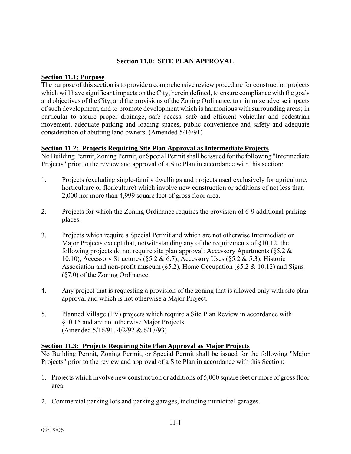### **Section 11.0: SITE PLAN APPROVAL**

### **Section 11.1: Purpose**

The purpose of this section is to provide a comprehensive review procedure for construction projects which will have significant impacts on the City, herein defined, to ensure compliance with the goals and objectives of the City, and the provisions of the Zoning Ordinance, to minimize adverse impacts of such development, and to promote development which is harmonious with surrounding areas; in particular to assure proper drainage, safe access, safe and efficient vehicular and pedestrian movement, adequate parking and loading spaces, public convenience and safety and adequate consideration of abutting land owners. (Amended 5/16/91)

# **Section 11.2: Projects Requiring Site Plan Approval as Intermediate Projects**

No Building Permit, Zoning Permit, or Special Permit shall be issued for the following "Intermediate Projects" prior to the review and approval of a Site Plan in accordance with this section:

- 1. Projects (excluding single-family dwellings and projects used exclusively for agriculture, horticulture or floriculture) which involve new construction or additions of not less than 2,000 nor more than 4,999 square feet of gross floor area.
- 2. Projects for which the Zoning Ordinance requires the provision of 6-9 additional parking places.
- 3. Projects which require a Special Permit and which are not otherwise Intermediate or Major Projects except that, notwithstanding any of the requirements of §10.12, the following projects do not require site plan approval: Accessory Apartments ( $\S 5.2 \&$ 10.10), Accessory Structures (§5.2 & 6.7), Accessory Uses (§5.2 & 5.3), Historic Association and non-profit museum ( $\S5.2$ ), Home Occupation ( $\S5.2 \& 10.12$ ) and Signs (§7.0) of the Zoning Ordinance.
- 4. Any project that is requesting a provision of the zoning that is allowed only with site plan approval and which is not otherwise a Major Project.
- 5. Planned Village (PV) projects which require a Site Plan Review in accordance with §10.15 and are not otherwise Major Projects. (Amended 5/16/91, 4/2/92 & 6/17/93)

### **Section 11.3: Projects Requiring Site Plan Approval as Major Projects**

No Building Permit, Zoning Permit, or Special Permit shall be issued for the following "Major Projects" prior to the review and approval of a Site Plan in accordance with this Section:

- 1. Projects which involve new construction or additions of 5,000 square feet or more of gross floor area.
- 2. Commercial parking lots and parking garages, including municipal garages.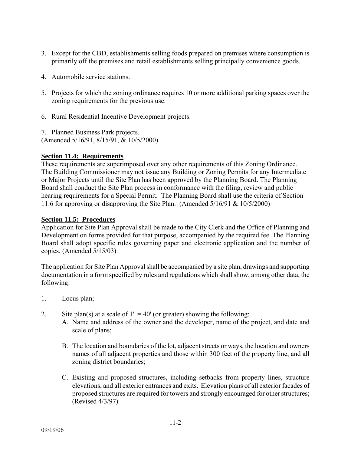- 3. Except for the CBD, establishments selling foods prepared on premises where consumption is primarily off the premises and retail establishments selling principally convenience goods.
- 4. Automobile service stations.
- 5. Projects for which the zoning ordinance requires 10 or more additional parking spaces over the zoning requirements for the previous use.
- 6. Rural Residential Incentive Development projects.
- 7. Planned Business Park projects.

(Amended 5/16/91, 8/15/91, & 10/5/2000)

### **Section 11.4: Requirements**

These requirements are superimposed over any other requirements of this Zoning Ordinance. The Building Commissioner may not issue any Building or Zoning Permits for any Intermediate or Major Projects until the Site Plan has been approved by the Planning Board. The Planning Board shall conduct the Site Plan process in conformance with the filing, review and public hearing requirements for a Special Permit. The Planning Board shall use the criteria of Section 11.6 for approving or disapproving the Site Plan. (Amended 5/16/91 & 10/5/2000)

### **Section 11.5: Procedures**

Application for Site Plan Approval shall be made to the City Clerk and the Office of Planning and Development on forms provided for that purpose, accompanied by the required fee. The Planning Board shall adopt specific rules governing paper and electronic application and the number of copies. (Amended 5/15/03)

The application for Site Plan Approval shall be accompanied by a site plan, drawings and supporting documentation in a form specified by rules and regulations which shall show, among other data, the following:

- 1. Locus plan;
- 2. Site plan(s) at a scale of  $1" = 40'$  (or greater) showing the following:
	- A. Name and address of the owner and the developer, name of the project, and date and scale of plans;
	- B. The location and boundaries of the lot, adjacent streets or ways, the location and owners names of all adjacent properties and those within 300 feet of the property line, and all zoning district boundaries;
	- C. Existing and proposed structures, including setbacks from property lines, structure elevations, and all exterior entrances and exits. Elevation plans of all exterior facades of proposed structures are required for towers and strongly encouraged for other structures; (Revised 4/3/97)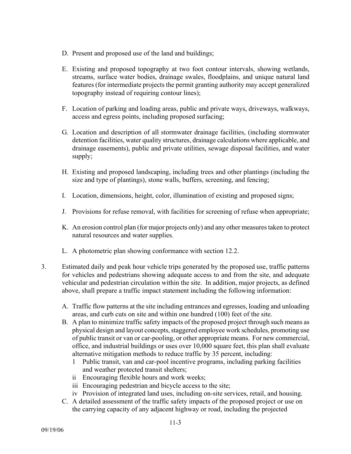- D. Present and proposed use of the land and buildings;
- E. Existing and proposed topography at two foot contour intervals, showing wetlands, streams, surface water bodies, drainage swales, floodplains, and unique natural land features (for intermediate projects the permit granting authority may accept generalized topography instead of requiring contour lines);
- F. Location of parking and loading areas, public and private ways, driveways, walkways, access and egress points, including proposed surfacing;
- G. Location and description of all stormwater drainage facilities, (including stormwater detention facilities, water quality structures, drainage calculations where applicable, and drainage easements), public and private utilities, sewage disposal facilities, and water supply;
- H. Existing and proposed landscaping, including trees and other plantings (including the size and type of plantings), stone walls, buffers, screening, and fencing;
- I. Location, dimensions, height, color, illumination of existing and proposed signs;
- J. Provisions for refuse removal, with facilities for screening of refuse when appropriate;
- K. An erosion control plan (for major projects only) and any other measures taken to protect natural resources and water supplies.
- L. A photometric plan showing conformance with section 12.2.
- 3. Estimated daily and peak hour vehicle trips generated by the proposed use, traffic patterns for vehicles and pedestrians showing adequate access to and from the site, and adequate vehicular and pedestrian circulation within the site. In addition, major projects, as defined above, shall prepare a traffic impact statement including the following information:
	- A. Traffic flow patterns at the site including entrances and egresses, loading and unloading areas, and curb cuts on site and within one hundred (100) feet of the site.
	- B. A plan to minimize traffic safety impacts of the proposed project through such means as physical design and layout concepts, staggered employee work schedules, promoting use of public transit or van or car-pooling, or other appropriate means. For new commercial, office, and industrial buildings or uses over 10,000 square feet, this plan shall evaluate alternative mitigation methods to reduce traffic by 35 percent, including:
		- 1 Public transit, van and car-pool incentive programs, including parking facilities and weather protected transit shelters;
		- ii Encouraging flexible hours and work weeks;
		- iii Encouraging pedestrian and bicycle access to the site;
		- iv Provision of integrated land uses, including on-site services, retail, and housing.
	- C. A detailed assessment of the traffic safety impacts of the proposed project or use on the carrying capacity of any adjacent highway or road, including the projected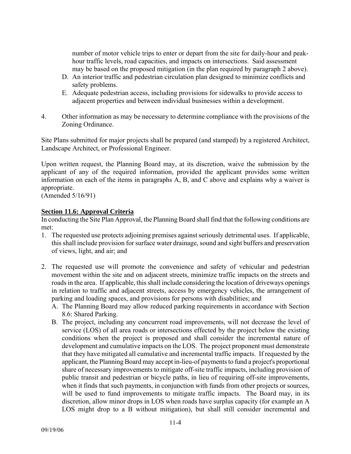number of motor vehicle trips to enter or depart from the site for daily-hour and peakhour traffic levels, road capacities, and impacts on intersections. Said assessment may be based on the proposed mitigation (in the plan required by paragraph 2 above).

- D. An interior traffic and pedestrian circulation plan designed to minimize conflicts and safety problems.
- E. Adequate pedestrian access, including provisions for sidewalks to provide access to adjacent properties and between individual businesses within a development.
- 4. Other information as may be necessary to determine compliance with the provisions of the Zoning Ordinance.

Site Plans submitted for major projects shall be prepared (and stamped) by a registered Architect, Landscape Architect, or Professional Engineer.

Upon written request, the Planning Board may, at its discretion, waive the submission by the applicant of any of the required information, provided the applicant provides some written information on each of the items in paragraphs A, B, and C above and explains why a waiver is appropriate.

(Amended 5/16/91)

# **Section 11.6: Approval Criteria**

In conducting the Site Plan Approval, the Planning Board shall find that the following conditions are met:

- 1. The requested use protects adjoining premises against seriously detrimental uses. If applicable, this shall include provision for surface water drainage, sound and sight buffers and preservation of views, light, and air; and
- 2. The requested use will promote the convenience and safety of vehicular and pedestrian movement within the site and on adjacent streets, minimize traffic impacts on the streets and roads in the area. If applicable, this shall include considering the location of driveways openings in relation to traffic and adjacent streets, access by emergency vehicles, the arrangement of parking and loading spaces, and provisions for persons with disabilities; and
	- A. The Planning Board may allow reduced parking requirements in accordance with Section 8.6: Shared Parking.
	- B. The project, including any concurrent road improvements, will not decrease the level of service (LOS) of all area roads or intersections effected by the project below the existing conditions when the project is proposed and shall consider the incremental nature of development and cumulative impacts on the LOS. The project proponent must demonstrate that they have mitigated all cumulative and incremental traffic impacts. If requested by the applicant, the Planning Board may accept in-lieu-of payments to fund a project's proportional share of necessary improvements to mitigate off-site traffic impacts, including provision of public transit and pedestrian or bicycle paths, in lieu of requiring off-site improvements, when it finds that such payments, in conjunction with funds from other projects or sources, will be used to fund improvements to mitigate traffic impacts. The Board may, in its discretion, allow minor drops in LOS when roads have surplus capacity (for example an A LOS might drop to a B without mitigation), but shall still consider incremental and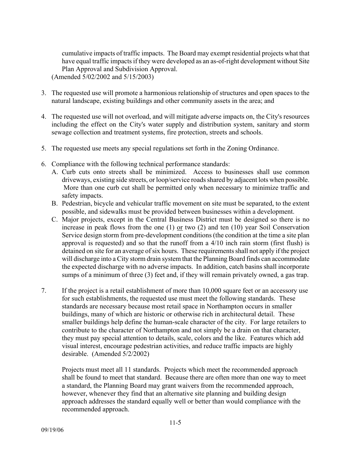cumulative impacts of traffic impacts. The Board may exempt residential projects what that have equal traffic impacts if they were developed as an as-of-right development without Site Plan Approval and Subdivision Approval.

(Amended 5/02/2002 and 5/15/2003)

- 3. The requested use will promote a harmonious relationship of structures and open spaces to the natural landscape, existing buildings and other community assets in the area; and
- 4. The requested use will not overload, and will mitigate adverse impacts on, the City's resources including the effect on the City's water supply and distribution system, sanitary and storm sewage collection and treatment systems, fire protection, streets and schools.
- 5. The requested use meets any special regulations set forth in the Zoning Ordinance.
- 6. Compliance with the following technical performance standards:
	- A. Curb cuts onto streets shall be minimized. Access to businesses shall use common driveways, existing side streets, or loop/service roads shared by adjacent lots when possible. More than one curb cut shall be permitted only when necessary to minimize traffic and safety impacts.
	- B. Pedestrian, bicycle and vehicular traffic movement on site must be separated, to the extent possible, and sidewalks must be provided between businesses within a development.
	- C. Major projects, except in the Central Business District must be designed so there is no increase in peak flows from the one (1) or two (2) and ten (10) year Soil Conservation Service design storm from pre-development conditions (the condition at the time a site plan approval is requested) and so that the runoff from a 4/10 inch rain storm (first flush) is detained on site for an average of six hours. These requirements shall not apply if the project will discharge into a City storm drain system that the Planning Board finds can accommodate the expected discharge with no adverse impacts. In addition, catch basins shall incorporate sumps of a minimum of three (3) feet and, if they will remain privately owned, a gas trap.
- 7. If the project is a retail establishment of more than 10,000 square feet or an accessory use for such establishments, the requested use must meet the following standards. These standards are necessary because most retail space in Northampton occurs in smaller buildings, many of which are historic or otherwise rich in architectural detail. These smaller buildings help define the human-scale character of the city. For large retailers to contribute to the character of Northampton and not simply be a drain on that character, they must pay special attention to details, scale, colors and the like. Features which add visual interest, encourage pedestrian activities, and reduce traffic impacts are highly desirable. (Amended 5/2/2002)

Projects must meet all 11 standards. Projects which meet the recommended approach shall be found to meet that standard. Because there are often more than one way to meet a standard, the Planning Board may grant waivers from the recommended approach, however, whenever they find that an alternative site planning and building design approach addresses the standard equally well or better than would compliance with the recommended approach.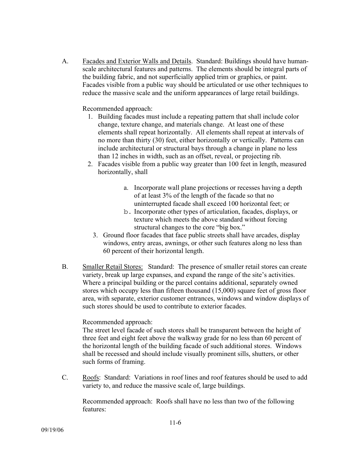A. Facades and Exterior Walls and Details. Standard: Buildings should have humanscale architectural features and patterns. The elements should be integral parts of the building fabric, and not superficially applied trim or graphics, or paint. Facades visible from a public way should be articulated or use other techniques to reduce the massive scale and the uniform appearances of large retail buildings.

Recommended approach:

- 1. Building facades must include a repeating pattern that shall include color change, texture change, and materials change. At least one of these elements shall repeat horizontally. All elements shall repeat at intervals of no more than thirty (30) feet, either horizontally or vertically. Patterns can include architectural or structural bays through a change in plane no less than 12 inches in width, such as an offset, reveal, or projecting rib.
- 2. Facades visible from a public way greater than 100 feet in length, measured horizontally, shall
	- a. Incorporate wall plane projections or recesses having a depth of at least 3% of the length of the facade so that no uninterrupted facade shall exceed 100 horizontal feet; or
	- b. Incorporate other types of articulation, facades, displays, or texture which meets the above standard without forcing structural changes to the core "big box."
	- 3. Ground floor facades that face public streets shall have arcades, display windows, entry areas, awnings, or other such features along no less than 60 percent of their horizontal length.
- B. Smaller Retail Stores: Standard: The presence of smaller retail stores can create variety, break up large expanses, and expand the range of the site's activities. Where a principal building or the parcel contains additional, separately owned stores which occupy less than fifteen thousand (15,000) square feet of gross floor area, with separate, exterior customer entrances, windows and window displays of such stores should be used to contribute to exterior facades.

### Recommended approach:

The street level facade of such stores shall be transparent between the height of three feet and eight feet above the walkway grade for no less than 60 percent of the horizontal length of the building facade of such additional stores. Windows shall be recessed and should include visually prominent sills, shutters, or other such forms of framing.

C. Roofs: Standard: Variations in roof lines and roof features should be used to add variety to, and reduce the massive scale of, large buildings.

Recommended approach: Roofs shall have no less than two of the following features: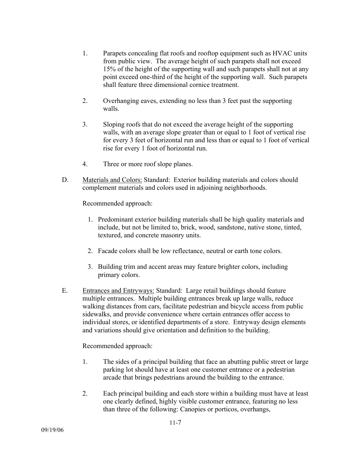- 1. Parapets concealing flat roofs and rooftop equipment such as HVAC units from public view. The average height of such parapets shall not exceed 15% of the height of the supporting wall and such parapets shall not at any point exceed one-third of the height of the supporting wall. Such parapets shall feature three dimensional cornice treatment.
- 2. Overhanging eaves, extending no less than 3 feet past the supporting walls.
- 3. Sloping roofs that do not exceed the average height of the supporting walls, with an average slope greater than or equal to 1 foot of vertical rise for every 3 feet of horizontal run and less than or equal to 1 foot of vertical rise for every 1 foot of horizontal run.
- 4. Three or more roof slope planes.
- D. Materials and Colors: Standard: Exterior building materials and colors should complement materials and colors used in adjoining neighborhoods.

Recommended approach:

- 1. Predominant exterior building materials shall be high quality materials and include, but not be limited to, brick, wood, sandstone, native stone, tinted, textured, and concrete masonry units.
- 2. Facade colors shall be low reflectance, neutral or earth tone colors.
- 3. Building trim and accent areas may feature brighter colors, including primary colors.
- E. Entrances and Entryways: Standard: Large retail buildings should feature multiple entrances. Multiple building entrances break up large walls, reduce walking distances from cars, facilitate pedestrian and bicycle access from public sidewalks, and provide convenience where certain entrances offer access to individual stores, or identified departments of a store. Entryway design elements and variations should give orientation and definition to the building.

Recommended approach:

- 1. The sides of a principal building that face an abutting public street or large parking lot should have at least one customer entrance or a pedestrian arcade that brings pedestrians around the building to the entrance.
- 2. Each principal building and each store within a building must have at least one clearly defined, highly visible customer entrance, featuring no less than three of the following: Canopies or porticos, overhangs,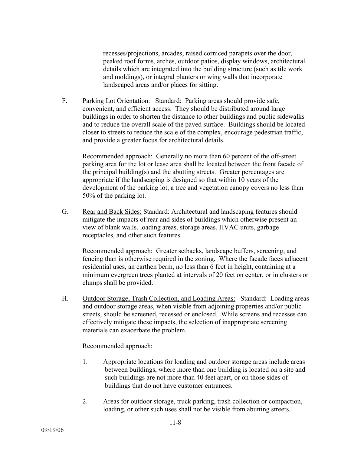recesses/projections, arcades, raised corniced parapets over the door, peaked roof forms, arches, outdoor patios, display windows, architectural details which are integrated into the building structure (such as tile work and moldings), or integral planters or wing walls that incorporate landscaped areas and/or places for sitting.

F. Parking Lot Orientation: Standard: Parking areas should provide safe, convenient, and efficient access. They should be distributed around large buildings in order to shorten the distance to other buildings and public sidewalks and to reduce the overall scale of the paved surface. Buildings should be located closer to streets to reduce the scale of the complex, encourage pedestrian traffic, and provide a greater focus for architectural details.

Recommended approach: Generally no more than 60 percent of the off-street parking area for the lot or lease area shall be located between the front facade of the principal building(s) and the abutting streets. Greater percentages are appropriate if the landscaping is designed so that within 10 years of the development of the parking lot, a tree and vegetation canopy covers no less than 50% of the parking lot.

G. Rear and Back Sides: Standard: Architectural and landscaping features should mitigate the impacts of rear and sides of buildings which otherwise present an view of blank walls, loading areas, storage areas, HVAC units, garbage receptacles, and other such features.

Recommended approach: Greater setbacks, landscape buffers, screening, and fencing than is otherwise required in the zoning. Where the facade faces adjacent residential uses, an earthen berm, no less than 6 feet in height, containing at a minimum evergreen trees planted at intervals of 20 feet on center, or in clusters or clumps shall be provided.

H. Outdoor Storage, Trash Collection, and Loading Areas: Standard: Loading areas and outdoor storage areas, when visible from adjoining properties and/or public streets, should be screened, recessed or enclosed. While screens and recesses can effectively mitigate these impacts, the selection of inappropriate screening materials can exacerbate the problem.

Recommended approach:

- 1. Appropriate locations for loading and outdoor storage areas include areas between buildings, where more than one building is located on a site and such buildings are not more than 40 feet apart, or on those sides of buildings that do not have customer entrances.
- 2. Areas for outdoor storage, truck parking, trash collection or compaction, loading, or other such uses shall not be visible from abutting streets.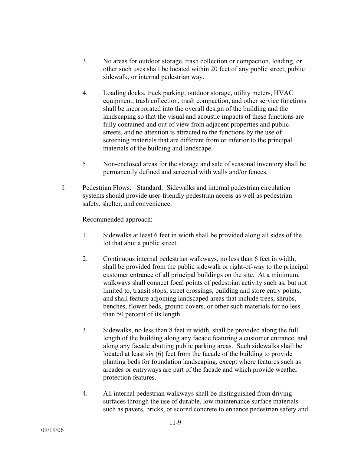- 3. No areas for outdoor storage, trash collection or compaction, loading, or other such uses shall be located within 20 feet of any public street, public sidewalk, or internal pedestrian way.
- 4. Loading docks, truck parking, outdoor storage, utility meters, HVAC equipment, trash collection, trash compaction, and other service functions shall be incorporated into the overall design of the building and the landscaping so that the visual and acoustic impacts of these functions are fully contained and out of view from adjacent properties and public streets, and no attention is attracted to the functions by the use of screening materials that are different from or inferior to the principal materials of the building and landscape.
- 5. Non-enclosed areas for the storage and sale of seasonal inventory shall be permanently defined and screened with walls and/or fences.
- I. Pedestrian Flows: Standard: Sidewalks and internal pedestrian circulation systems should provide user-friendly pedestrian access as well as pedestrian safety, shelter, and convenience.

Recommended approach:

- 1. Sidewalks at least 6 feet in width shall be provided along all sides of the lot that abut a public street.
- 2. Continuous internal pedestrian walkways, no less than 6 feet in width, shall be provided from the public sidewalk or right-of-way to the principal customer entrance of all principal buildings on the site. At a minimum, walkways shall connect focal points of pedestrian activity such as, but not limited to, transit stops, street crossings, building and store entry points, and shall feature adjoining landscaped areas that include trees, shrubs, benches, flower beds, ground covers, or other such materials for no less than 50 percent of its length.
- 3. Sidewalks, no less than 8 feet in width, shall be provided along the full length of the building along any facade featuring a customer entrance, and along any facade abutting public parking areas. Such sidewalks shall be located at least six (6) feet from the facade of the building to provide planting beds for foundation landscaping, except where features such as arcades or entryways are part of the facade and which provide weather protection features.
- 4. All internal pedestrian walkways shall be distinguished from driving surfaces through the use of durable, low maintenance surface materials such as pavers, bricks, or scored concrete to enhance pedestrian safety and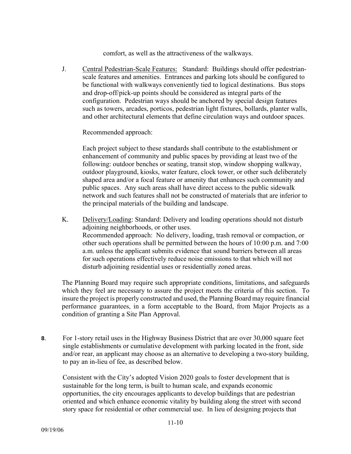comfort, as well as the attractiveness of the walkways.

J. Central Pedestrian-Scale Features: Standard: Buildings should offer pedestrianscale features and amenities. Entrances and parking lots should be configured to be functional with walkways conveniently tied to logical destinations. Bus stops and drop-off/pick-up points should be considered as integral parts of the configuration. Pedestrian ways should be anchored by special design features such as towers, arcades, porticos, pedestrian light fixtures, bollards, planter walls, and other architectural elements that define circulation ways and outdoor spaces.

Recommended approach:

Each project subject to these standards shall contribute to the establishment or enhancement of community and public spaces by providing at least two of the following: outdoor benches or seating, transit stop, window shopping walkway, outdoor playground, kiosks, water feature, clock tower, or other such deliberately shaped area and/or a focal feature or amenity that enhances such community and public spaces. Any such areas shall have direct access to the public sidewalk network and such features shall not be constructed of materials that are inferior to the principal materials of the building and landscape.

K. Delivery/Loading: Standard: Delivery and loading operations should not disturb adjoining neighborhoods, or other uses. Recommended approach: No delivery, loading, trash removal or compaction, or other such operations shall be permitted between the hours of 10:00 p.m. and 7:00 a.m. unless the applicant submits evidence that sound barriers between all areas for such operations effectively reduce noise emissions to that which will not disturb adjoining residential uses or residentially zoned areas.

The Planning Board may require such appropriate conditions, limitations, and safeguards which they feel are necessary to assure the project meets the criteria of this section. To insure the project is properly constructed and used, the Planning Board may require financial performance guarantees, in a form acceptable to the Board, from Major Projects as a condition of granting a Site Plan Approval.

**8**. For 1-story retail uses in the Highway Business District that are over 30,000 square feet single establishments or cumulative development with parking located in the front, side and/or rear, an applicant may choose as an alternative to developing a two-story building, to pay an in-lieu of fee, as described below.

Consistent with the City's adopted Vision 2020 goals to foster development that is sustainable for the long term, is built to human scale, and expands economic opportunities, the city encourages applicants to develop buildings that are pedestrian oriented and which enhance economic vitality by building along the street with second story space for residential or other commercial use. In lieu of designing projects that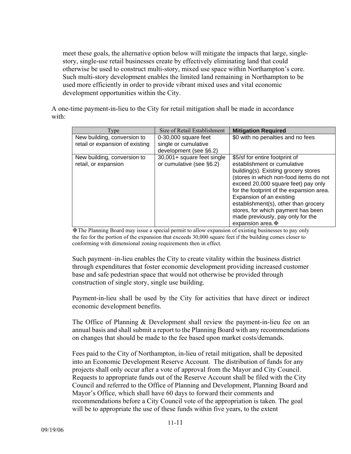meet these goals, the alternative option below will mitigate the impacts that large, singlestory, single-use retail businesses create by effectively eliminating land that could otherwise be used to construct multi-story, mixed use space within Northampton's core. Such multi-story development enables the limited land remaining in Northampton to be used more efficiently in order to provide vibrant mixed uses and vital economic development opportunities within the City.

A one-time payment-in-lieu to the City for retail mitigation shall be made in accordance with:

| Type                                                | Size of Retail Establishment                           | <b>Mitigation Required</b>                                                                                                                                                                                                                                                                                                                                                                           |
|-----------------------------------------------------|--------------------------------------------------------|------------------------------------------------------------------------------------------------------------------------------------------------------------------------------------------------------------------------------------------------------------------------------------------------------------------------------------------------------------------------------------------------------|
| New building, conversion to                         | $0-30,000$ square feet                                 | \$0 with no penalties and no fees                                                                                                                                                                                                                                                                                                                                                                    |
| retail or expansion of existing                     | single or cumulative                                   |                                                                                                                                                                                                                                                                                                                                                                                                      |
|                                                     | development (see §6.2)                                 |                                                                                                                                                                                                                                                                                                                                                                                                      |
| New building, conversion to<br>retail, or expansion | 30,001+ square feet single<br>or cumulative (see §6.2) | \$5/sf for entire footprint of<br>establishment or cumulative<br>building(s). Existing grocery stores<br>(stores in which non-food items do not<br>exceed 20,000 square feet) pay only<br>for the footprint of the expansion area.<br>Expansion of an existing<br>establishment(s), other than grocery<br>stores, for which payment has been<br>made previously, pay only for the<br>expansion area. |

The Planning Board may issue a special permit to allow expansion of existing businesses to pay only the fee for the portion of the expansion that exceeds 30,000 square feet if the building comes closer to conforming with dimensional zoning requirements then in effect.

Such payment–in-lieu enables the City to create vitality within the business district through expenditures that foster economic development providing increased customer base and safe pedestrian space that would not otherwise be provided through construction of single story, single use building.

Payment-in-lieu shall be used by the City for activities that have direct or indirect economic development benefits.

The Office of Planning & Development shall review the payment-in-lieu fee on an annual basis and shall submit a report to the Planning Board with any recommendations on changes that should be made to the fee based upon market costs/demands.

Fees paid to the City of Northampton, in-lieu of retail mitigation, shall be deposited into an Economic Development Reserve Account. The distribution of funds for any projects shall only occur after a vote of approval from the Mayor and City Council. Requests to appropriate funds out of the Reserve Account shall be filed with the City Council and referred to the Office of Planning and Development, Planning Board and Mayor's Office, which shall have 60 days to forward their comments and recommendations before a City Council vote of the appropriation is taken. The goal will be to appropriate the use of these funds within five years, to the extent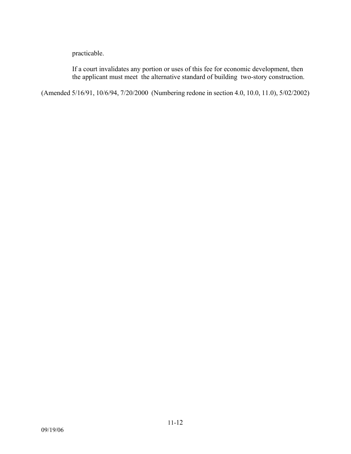practicable.

If a court invalidates any portion or uses of this fee for economic development, then the applicant must meet the alternative standard of building two-story construction.

(Amended 5/16/91, 10/6/94, 7/20/2000 (Numbering redone in section 4.0, 10.0, 11.0), 5/02/2002)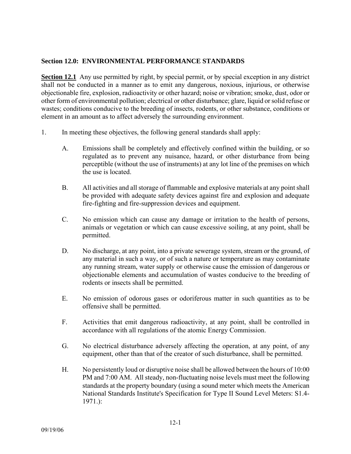### **Section 12.0: ENVIRONMENTAL PERFORMANCE STANDARDS**

**Section 12.1** Any use permitted by right, by special permit, or by special exception in any district shall not be conducted in a manner as to emit any dangerous, noxious, injurious, or otherwise objectionable fire, explosion, radioactivity or other hazard; noise or vibration; smoke, dust, odor or other form of environmental pollution; electrical or other disturbance; glare, liquid or solid refuse or wastes; conditions conducive to the breeding of insects, rodents, or other substance, conditions or element in an amount as to affect adversely the surrounding environment.

- 1. In meeting these objectives, the following general standards shall apply:
	- A. Emissions shall be completely and effectively confined within the building, or so regulated as to prevent any nuisance, hazard, or other disturbance from being perceptible (without the use of instruments) at any lot line of the premises on which the use is located.
	- B. All activities and all storage of flammable and explosive materials at any point shall be provided with adequate safety devices against fire and explosion and adequate fire-fighting and fire-suppression devices and equipment.
	- C. No emission which can cause any damage or irritation to the health of persons, animals or vegetation or which can cause excessive soiling, at any point, shall be permitted.
	- D. No discharge, at any point, into a private sewerage system, stream or the ground, of any material in such a way, or of such a nature or temperature as may contaminate any running stream, water supply or otherwise cause the emission of dangerous or objectionable elements and accumulation of wastes conducive to the breeding of rodents or insects shall be permitted.
	- E. No emission of odorous gases or odoriferous matter in such quantities as to be offensive shall be permitted.
	- F. Activities that emit dangerous radioactivity, at any point, shall be controlled in accordance with all regulations of the atomic Energy Commission.
	- G. No electrical disturbance adversely affecting the operation, at any point, of any equipment, other than that of the creator of such disturbance, shall be permitted.
	- H. No persistently loud or disruptive noise shall be allowed between the hours of 10:00 PM and 7:00 AM. All steady, non-fluctuating noise levels must meet the following standards at the property boundary (using a sound meter which meets the American National Standards Institute's Specification for Type II Sound Level Meters: S1.4- 1971.):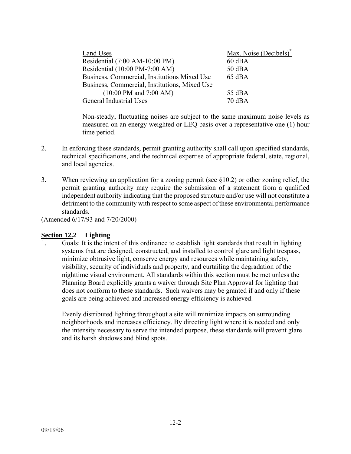| Land Uses                                         | Max. Noise (Decibels) <sup>*</sup> |
|---------------------------------------------------|------------------------------------|
| Residential (7:00 AM-10:00 PM)                    | $60$ dBA                           |
| Residential (10:00 PM-7:00 AM)                    | $50$ dBA                           |
| Business, Commercial, Institutions Mixed Use      | $65$ dBA                           |
| Business, Commercial, Institutions, Mixed Use     |                                    |
| $(10:00 \text{ PM} \text{ and } 7:00 \text{ AM})$ | $55 \text{ dBA}$                   |
| General Industrial Uses                           | $70 \text{ dB}$                    |
|                                                   |                                    |

Non-steady, fluctuating noises are subject to the same maximum noise levels as measured on an energy weighted or LEQ basis over a representative one (1) hour time period.

- 2. In enforcing these standards, permit granting authority shall call upon specified standards, technical specifications, and the technical expertise of appropriate federal, state, regional, and local agencies.
- 3. When reviewing an application for a zoning permit (see §10.2) or other zoning relief, the permit granting authority may require the submission of a statement from a qualified independent authority indicating that the proposed structure and/or use will not constitute a detriment to the community with respect to some aspect of these environmental performance standards.

(Amended 6/17/93 and 7/20/2000)

### **Section 12.2 Lighting**

1. Goals: It is the intent of this ordinance to establish light standards that result in lighting systems that are designed, constructed, and installed to control glare and light trespass, minimize obtrusive light, conserve energy and resources while maintaining safety, visibility, security of individuals and property, and curtailing the degradation of the nighttime visual environment. All standards within this section must be met unless the Planning Board explicitly grants a waiver through Site Plan Approval for lighting that does not conform to these standards. Such waivers may be granted if and only if these goals are being achieved and increased energy efficiency is achieved.

Evenly distributed lighting throughout a site will minimize impacts on surrounding neighborhoods and increases efficiency. By directing light where it is needed and only the intensity necessary to serve the intended purpose, these standards will prevent glare and its harsh shadows and blind spots.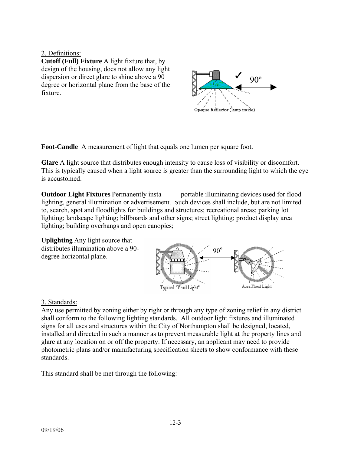### 2. Definitions:

**Cutoff (Full) Fixture** A light fixture that, by design of the housing, does not allow any light dispersion or direct glare to shine above a 90 degree or horizontal plane from the base of the fixture.



**Foot-Candle** A measurement of light that equals one lumen per square foot.

**Glare** A light source that distributes enough intensity to cause loss of visibility or discomfort. This is typically caused when a light source is greater than the surrounding light to which the eye is accustomed.

**Outdoor Light Fixtures** Permanently insta portable illuminating devices used for flood lighting, general illumination or advertisement. Such devices shall include, but are not limited to, search, spot and floodlights for buildings and structures; recreational areas; parking lot lighting; landscape lighting; billboards and other signs; street lighting; product display area lighting; building overhangs and open canopies;





# 3. Standards:

Any use permitted by zoning either by right or through any type of zoning relief in any district shall conform to the following lighting standards. All outdoor light fixtures and illuminated signs for all uses and structures within the City of Northampton shall be designed, located, installed and directed in such a manner as to prevent measurable light at the property lines and glare at any location on or off the property. If necessary, an applicant may need to provide photometric plans and/or manufacturing specification sheets to show conformance with these standards.

This standard shall be met through the following: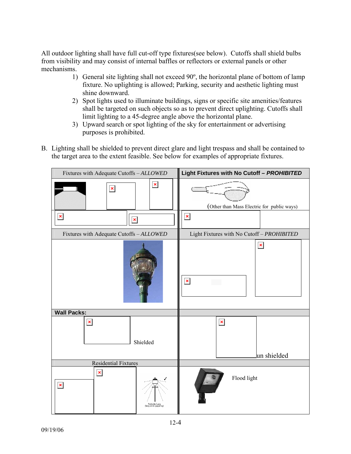All outdoor lighting shall have full cut-off type fixtures(see below). Cutoffs shall shield bulbs from visibility and may consist of internal baffles or reflectors or external panels or other mechanisms.

- 1) General site lighting shall not exceed 90º, the horizontal plane of bottom of lamp fixture. No uplighting is allowed; Parking, security and aesthetic lighting must shine downward.
- 2) Spot lights used to illuminate buildings, signs or specific site amenities/features shall be targeted on such objects so as to prevent direct uplighting. Cutoffs shall limit lighting to a 45-degree angle above the horizontal plane.
- 3) Upward search or spot lighting of the sky for entertainment or advertising purposes is prohibited.
- B. Lighting shall be shielded to prevent direct glare and light trespass and shall be contained to the target area to the extent feasible. See below for examples of appropriate fixtures.

| Fixtures with Adequate Cutoffs - ALLOWED                                                                                                                                                                                                                                                                                                                                                                                                                                                                                                                    | Light Fixtures with No Cutoff - PROHIBITED |  |
|-------------------------------------------------------------------------------------------------------------------------------------------------------------------------------------------------------------------------------------------------------------------------------------------------------------------------------------------------------------------------------------------------------------------------------------------------------------------------------------------------------------------------------------------------------------|--------------------------------------------|--|
| $\pmb{\mathsf{x}}$<br>$\pmb{\times}$                                                                                                                                                                                                                                                                                                                                                                                                                                                                                                                        | (Other than Mass Electric for public ways) |  |
| ×<br>×                                                                                                                                                                                                                                                                                                                                                                                                                                                                                                                                                      | $\pmb{\times}$                             |  |
| Fixtures with Adequate Cutoffs - ALLOWED                                                                                                                                                                                                                                                                                                                                                                                                                                                                                                                    | Light Fixtures with No Cutoff - PROHIBITED |  |
|                                                                                                                                                                                                                                                                                                                                                                                                                                                                                                                                                             | $\pmb{\times}$<br>$\pmb{\times}$           |  |
| <b>Wall Packs:</b><br>$\pmb{\times}$<br>Shielded                                                                                                                                                                                                                                                                                                                                                                                                                                                                                                            | $\pmb{\times}$<br>lun shielded             |  |
| <b>Residential Fixtures</b>                                                                                                                                                                                                                                                                                                                                                                                                                                                                                                                                 |                                            |  |
| $\pmb{\times}$<br>×<br>${\rm Post \mbox{-} style Lamp \label{c:1} and the \mbox{-} \varepsilon \mbox{-} \varepsilon \mbox{-} \varepsilon \mbox{-} \varepsilon \mbox{-} \varepsilon \mbox{-} \varepsilon \mbox{-} \varepsilon \mbox{-} \varepsilon \mbox{-} \varepsilon \mbox{-} \varepsilon \mbox{-} \varepsilon \mbox{-} \varepsilon \mbox{-} \varepsilon \mbox{-} \varepsilon \mbox{-} \varepsilon \mbox{-} \varepsilon \mbox{-} \varepsilon \mbox{-} \varepsilon \mbox{-} \varepsilon \mbox{-} \varepsilon \mbox{-} \varepsilon \mbox{-} \varepsilon \m$ | Flood light                                |  |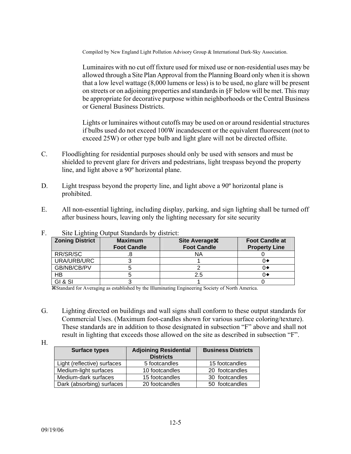Compiled by New England Light Pollution Advisory Group & International Dark-Sky Association.

 Luminaires with no cut off fixture used for mixed use or non-residential uses may be allowed through a Site Plan Approval from the Planning Board only when it is shown that a low level wattage (8,000 lumens or less) is to be used, no glare will be present on streets or on adjoining properties and standards in §F below will be met. This may be appropriate for decorative purpose within neighborhoods or the Central Business or General Business Districts.

 Lights or luminaires without cutoffs may be used on or around residential structures if bulbs used do not exceed 100W incandescent or the equivalent fluorescent (not to exceed 25W) or other type bulb and light glare will not be directed offsite.

- C. Floodlighting for residential purposes should only be used with sensors and must be shielded to prevent glare for drivers and pedestrians, light trespass beyond the property line, and light above a 90º horizontal plane.
- D. Light trespass beyond the property line, and light above a 90<sup>°</sup> horizontal plane is prohibited.
- E. All non-essential lighting, including display, parking, and sign lighting shall be turned off after business hours, leaving only the lighting necessary for site security

| $\frac{1}{2}$<br>.     |                                      |                                             |                                               |  |
|------------------------|--------------------------------------|---------------------------------------------|-----------------------------------------------|--|
| <b>Zoning District</b> | <b>Maximum</b><br><b>Foot Candle</b> | <b>Site Average #</b><br><b>Foot Candle</b> | <b>Foot Candle at</b><br><b>Property Line</b> |  |
| RR/SR/SC               |                                      | ΝA                                          |                                               |  |
| URA/URB/URC            |                                      |                                             |                                               |  |
| GB/NB/CB/PV            |                                      |                                             |                                               |  |
| HB                     |                                      | 2.5                                         |                                               |  |
| GI&SI                  |                                      |                                             |                                               |  |

### F. Site Lighting Output Standards by district:

aStandard for Averaging as established by the Illuminating Engineering Society of North America.

- G. Lighting directed on buildings and wall signs shall conform to these output standards for Commercial Uses. (Maximum foot-candles shown for various surface coloring/texture). These standards are in addition to those designated in subsection "F" above and shall not result in lighting that exceeds those allowed on the site as described in subsection "F".
- H.

| <b>Surface types</b>        | <b>Adjoining Residential</b><br><b>Districts</b> | <b>Business Districts</b> |
|-----------------------------|--------------------------------------------------|---------------------------|
| Light (reflective) surfaces | 5 footcandles                                    | 15 footcandles            |
| Medium-light surfaces       | 10 footcandles                                   | 20 footcandles            |
| Medium-dark surfaces        | 15 footcandles                                   | 30 footcandles            |
| Dark (absorbing) surfaces   | 20 footcandles                                   | 50 footcandles            |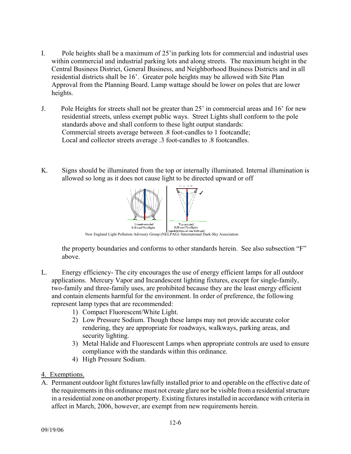- I. Pole heights shall be a maximum of 25'in parking lots for commercial and industrial uses within commercial and industrial parking lots and along streets. The maximum height in the Central Business District, General Business, and Neighborhood Business Districts and in all residential districts shall be 16'. Greater pole heights may be allowed with Site Plan Approval from the Planning Board. Lamp wattage should be lower on poles that are lower heights.
- J. Pole Heights for streets shall not be greater than 25' in commercial areas and 16' for new residential streets, unless exempt public ways. Street Lights shall conform to the pole standards above and shall conform to these light output standards: Commercial streets average between .8 foot-candles to 1 footcandle; Local and collector streets average .3 foot-candles to .8 footcandles.
- K. Signs should be illuminated from the top or internally illuminated. Internal illumination is allowed so long as it does not cause light to be directed upward or off



the property boundaries and conforms to other standards herein. See also subsection "F" above.

- L. Energy efficiency- The city encourages the use of energy efficient lamps for all outdoor applications. Mercury Vapor and Incandescent lighting fixtures, except for single-family, two-family and three-family uses, are prohibited because they are the least energy efficient and contain elements harmful for the environment. In order of preference, the following represent lamp types that are recommended:
	- 1) Compact Fluorescent/White Light.
	- 2) Low Pressure Sodium. Though these lamps may not provide accurate color rendering, they are appropriate for roadways, walkways, parking areas, and security lighting.
	- 3) Metal Halide and Fluorescent Lamps when appropriate controls are used to ensure compliance with the standards within this ordinance.
	- 4) High Pressure Sodium.
- 4. Exemptions.
- A. Permanent outdoor light fixtures lawfully installed prior to and operable on the effective date of the requirements in this ordinance must not create glare nor be visible from a residential structure in a residential zone on another property. Existing fixtures installed in accordance with criteria in affect in March, 2006, however, are exempt from new requirements herein.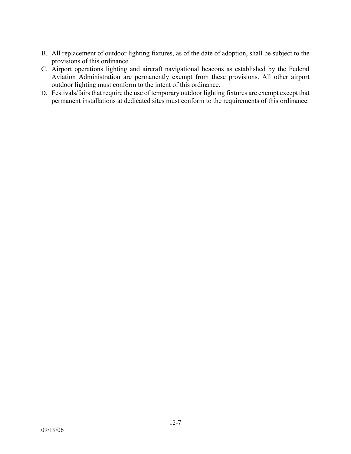- B. All replacement of outdoor lighting fixtures, as of the date of adoption, shall be subject to the provisions of this ordinance.
- C. Airport operations lighting and aircraft navigational beacons as established by the Federal Aviation Administration are permanently exempt from these provisions. All other airport outdoor lighting must conform to the intent of this ordinance.
- D. Festivals/fairs that require the use of temporary outdoor lighting fixtures are exempt except that permanent installations at dedicated sites must conform to the requirements of this ordinance.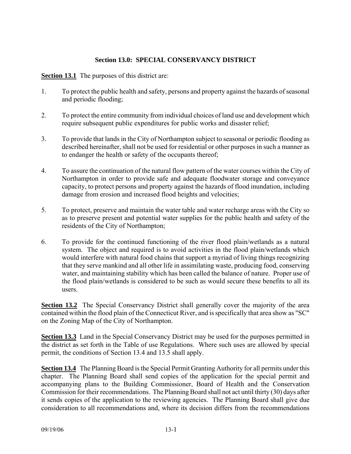# **Section 13.0: SPECIAL CONSERVANCY DISTRICT**

**Section 13.1** The purposes of this district are:

- 1. To protect the public health and safety, persons and property against the hazards of seasonal and periodic flooding;
- 2. To protect the entire community from individual choices of land use and development which require subsequent public expenditures for public works and disaster relief;
- 3. To provide that lands in the City of Northampton subject to seasonal or periodic flooding as described hereinafter, shall not be used for residential or other purposes in such a manner as to endanger the health or safety of the occupants thereof;
- 4. To assure the continuation of the natural flow pattern of the water courses within the City of Northampton in order to provide safe and adequate floodwater storage and conveyance capacity, to protect persons and property against the hazards of flood inundation, including damage from erosion and increased flood heights and velocities;
- 5. To protect, preserve and maintain the water table and water recharge areas with the City so as to preserve present and potential water supplies for the public health and safety of the residents of the City of Northampton;
- 6. To provide for the continued functioning of the river flood plain/wetlands as a natural system. The object and required is to avoid activities in the flood plain/wetlands which would interfere with natural food chains that support a myriad of living things recognizing that they serve mankind and all other life in assimilating waste, producing food, conserving water, and maintaining stability which has been called the balance of nature. Proper use of the flood plain/wetlands is considered to be such as would secure these benefits to all its users.

**Section 13.2** The Special Conservancy District shall generally cover the majority of the area contained within the flood plain of the Connecticut River, and is specifically that area show as "SC" on the Zoning Map of the City of Northampton.

**Section 13.3** Land in the Special Conservancy District may be used for the purposes permitted in the district as set forth in the Table of use Regulations. Where such uses are allowed by special permit, the conditions of Section 13.4 and 13.5 shall apply.

**Section 13.4** The Planning Board is the Special Permit Granting Authority for all permits under this chapter. The Planning Board shall send copies of the application for the special permit and accompanying plans to the Building Commissioner, Board of Health and the Conservation Commission for their recommendations. The Planning Board shall not act until thirty (30) days after it sends copies of the application to the reviewing agencies. The Planning Board shall give due consideration to all recommendations and, where its decision differs from the recommendations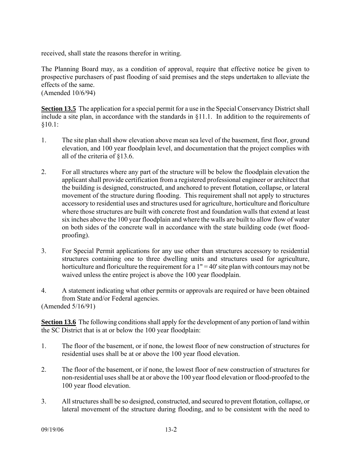received, shall state the reasons therefor in writing.

The Planning Board may, as a condition of approval, require that effective notice be given to prospective purchasers of past flooding of said premises and the steps undertaken to alleviate the effects of the same.

(Amended 10/6/94)

**Section 13.5** The application for a special permit for a use in the Special Conservancy District shall include a site plan, in accordance with the standards in §11.1. In addition to the requirements of §10.1:

- 1. The site plan shall show elevation above mean sea level of the basement, first floor, ground elevation, and 100 year floodplain level, and documentation that the project complies with all of the criteria of §13.6.
- 2. For all structures where any part of the structure will be below the floodplain elevation the applicant shall provide certification from a registered professional engineer or architect that the building is designed, constructed, and anchored to prevent flotation, collapse, or lateral movement of the structure during flooding. This requirement shall not apply to structures accessory to residential uses and structures used for agriculture, horticulture and floriculture where those structures are built with concrete frost and foundation walls that extend at least six inches above the 100 year floodplain and where the walls are built to allow flow of water on both sides of the concrete wall in accordance with the state building code (wet floodproofing).
- 3. For Special Permit applications for any use other than structures accessory to residential structures containing one to three dwelling units and structures used for agriculture, horticulture and floriculture the requirement for a  $1" = 40'$  site plan with contours may not be waived unless the entire project is above the 100 year floodplain.
- 4. A statement indicating what other permits or approvals are required or have been obtained from State and/or Federal agencies. (Amended 5/16/91)

**Section 13.6** The following conditions shall apply for the development of any portion of land within the SC District that is at or below the 100 year floodplain:

- 1. The floor of the basement, or if none, the lowest floor of new construction of structures for residential uses shall be at or above the 100 year flood elevation.
- 2. The floor of the basement, or if none, the lowest floor of new construction of structures for non-residential uses shall be at or above the 100 year flood elevation or flood-proofed to the 100 year flood elevation.
- 3. All structures shall be so designed, constructed, and secured to prevent flotation, collapse, or lateral movement of the structure during flooding, and to be consistent with the need to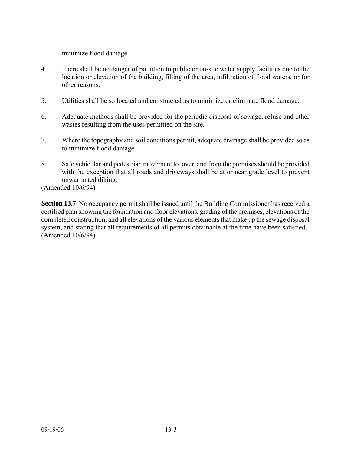minimize flood damage.

- 4. There shall be no danger of pollution to public or on-site water supply facilities due to the location or elevation of the building, filling of the area, infiltration of flood waters, or for other reasons.
- 5. Utilities shall be so located and constructed as to minimize or eliminate flood damage.
- 6. Adequate methods shall be provided for the periodic disposal of sewage, refuse and other wastes resulting from the uses permitted on the site.
- 7. Where the topography and soil conditions permit, adequate drainage shall be provided so as to minimize flood damage.
- 8. Safe vehicular and pedestrian movement to, over, and from the premises should be provided with the exception that all roads and driveways shall be at or near grade level to prevent unwarranted diking.

(Amended 10/6/94)

**Section 13.7** No occupancy permit shall be issued until the Building Commissioner has received a certified plan showing the foundation and floor elevations, grading of the premises, elevations of the completed construction, and all elevations of the various elements that make up the sewage disposal system, and stating that all requirements of all permits obtainable at the time have been satisfied. (Amended 10/6/94)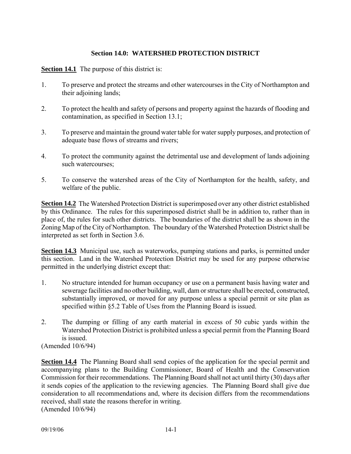## **Section 14.0: WATERSHED PROTECTION DISTRICT**

**Section 14.1** The purpose of this district is:

- 1. To preserve and protect the streams and other watercourses in the City of Northampton and their adjoining lands;
- 2. To protect the health and safety of persons and property against the hazards of flooding and contamination, as specified in Section 13.1;
- 3. To preserve and maintain the ground water table for water supply purposes, and protection of adequate base flows of streams and rivers;
- 4. To protect the community against the detrimental use and development of lands adjoining such watercourses;
- 5. To conserve the watershed areas of the City of Northampton for the health, safety, and welfare of the public.

**Section 14.2** The Watershed Protection District is superimposed over any other district established by this Ordinance. The rules for this superimposed district shall be in addition to, rather than in place of, the rules for such other districts. The boundaries of the district shall be as shown in the Zoning Map of the City of Northampton. The boundary of the Watershed Protection District shall be interpreted as set forth in Section 3.6.

**Section 14.3** Municipal use, such as waterworks, pumping stations and parks, is permitted under this section. Land in the Watershed Protection District may be used for any purpose otherwise permitted in the underlying district except that:

- 1. No structure intended for human occupancy or use on a permanent basis having water and sewerage facilities and no other building, wall, dam or structure shall be erected, constructed, substantially improved, or moved for any purpose unless a special permit or site plan as specified within §5.2 Table of Uses from the Planning Board is issued.
- 2. The dumping or filling of any earth material in excess of 50 cubic yards within the Watershed Protection District is prohibited unless a special permit from the Planning Board is issued.

(Amended 10/6/94)

**Section 14.4** The Planning Board shall send copies of the application for the special permit and accompanying plans to the Building Commissioner, Board of Health and the Conservation Commission for their recommendations. The Planning Board shall not act until thirty (30) days after it sends copies of the application to the reviewing agencies. The Planning Board shall give due consideration to all recommendations and, where its decision differs from the recommendations received, shall state the reasons therefor in writing. (Amended 10/6/94)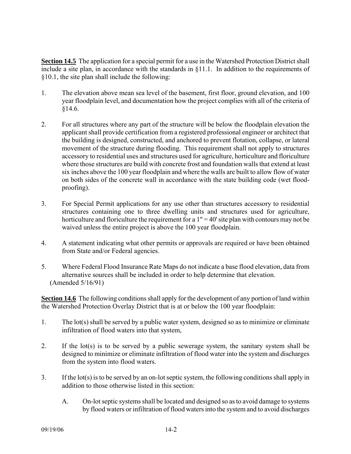**Section 14.5** The application for a special permit for a use in the Watershed Protection District shall include a site plan, in accordance with the standards in §11.1. In addition to the requirements of §10.1, the site plan shall include the following:

- 1. The elevation above mean sea level of the basement, first floor, ground elevation, and 100 year floodplain level, and documentation how the project complies with all of the criteria of §14.6.
- 2. For all structures where any part of the structure will be below the floodplain elevation the applicant shall provide certification from a registered professional engineer or architect that the building is designed, constructed, and anchored to prevent flotation, collapse, or lateral movement of the structure during flooding. This requirement shall not apply to structures accessory to residential uses and structures used for agriculture, horticulture and floriculture where those structures are build with concrete frost and foundation walls that extend at least six inches above the 100 year floodplain and where the walls are built to allow flow of water on both sides of the concrete wall in accordance with the state building code (wet floodproofing).
- 3. For Special Permit applications for any use other than structures accessory to residential structures containing one to three dwelling units and structures used for agriculture, horticulture and floriculture the requirement for a  $1" = 40'$  site plan with contours may not be waived unless the entire project is above the 100 year floodplain.
- 4. A statement indicating what other permits or approvals are required or have been obtained from State and/or Federal agencies.
- 5. Where Federal Flood Insurance Rate Maps do not indicate a base flood elevation, data from alternative sources shall be included in order to help determine that elevation. (Amended 5/16/91)

**Section 14.6** The following conditions shall apply for the development of any portion of land within the Watershed Protection Overlay District that is at or below the 100 year floodplain:

- 1. The lot(s) shall be served by a public water system, designed so as to minimize or eliminate infiltration of flood waters into that system,
- 2. If the lot(s) is to be served by a public sewerage system, the sanitary system shall be designed to minimize or eliminate infiltration of flood water into the system and discharges from the system into flood waters.
- 3. If the lot(s) is to be served by an on-lot septic system, the following conditions shall apply in addition to those otherwise listed in this section:
	- A. On-lot septic systems shall be located and designed so as to avoid damage to systems by flood waters or infiltration of flood waters into the system and to avoid discharges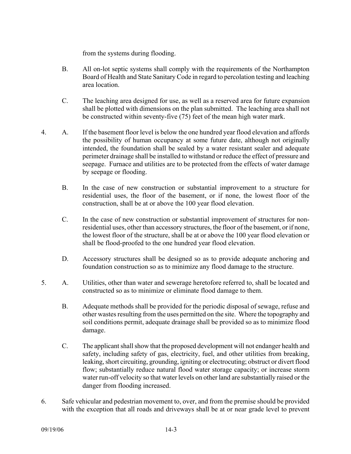from the systems during flooding.

- B. All on-lot septic systems shall comply with the requirements of the Northampton Board of Health and State Sanitary Code in regard to percolation testing and leaching area location.
- C. The leaching area designed for use, as well as a reserved area for future expansion shall be plotted with dimensions on the plan submitted. The leaching area shall not be constructed within seventy-five (75) feet of the mean high water mark.
- 4. A. If the basement floor level is below the one hundred year flood elevation and affords the possibility of human occupancy at some future date, although not originally intended, the foundation shall be sealed by a water resistant sealer and adequate perimeter drainage shall be installed to withstand or reduce the effect of pressure and seepage. Furnace and utilities are to be protected from the effects of water damage by seepage or flooding.
	- B. In the case of new construction or substantial improvement to a structure for residential uses, the floor of the basement, or if none, the lowest floor of the construction, shall be at or above the 100 year flood elevation.
	- C. In the case of new construction or substantial improvement of structures for nonresidential uses, other than accessory structures, the floor of the basement, or if none, the lowest floor of the structure, shall be at or above the 100 year flood elevation or shall be flood-proofed to the one hundred year flood elevation.
	- D. Accessory structures shall be designed so as to provide adequate anchoring and foundation construction so as to minimize any flood damage to the structure.
- 5. A. Utilities, other than water and sewerage heretofore referred to, shall be located and constructed so as to minimize or eliminate flood damage to them.
	- B. Adequate methods shall be provided for the periodic disposal of sewage, refuse and other wastes resulting from the uses permitted on the site. Where the topography and soil conditions permit, adequate drainage shall be provided so as to minimize flood damage.
	- C. The applicant shall show that the proposed development will not endanger health and safety, including safety of gas, electricity, fuel, and other utilities from breaking, leaking, short circuiting, grounding, igniting or electrocuting; obstruct or divert flood flow; substantially reduce natural flood water storage capacity; or increase storm water run-off velocity so that water levels on other land are substantially raised or the danger from flooding increased.
- 6. Safe vehicular and pedestrian movement to, over, and from the premise should be provided with the exception that all roads and driveways shall be at or near grade level to prevent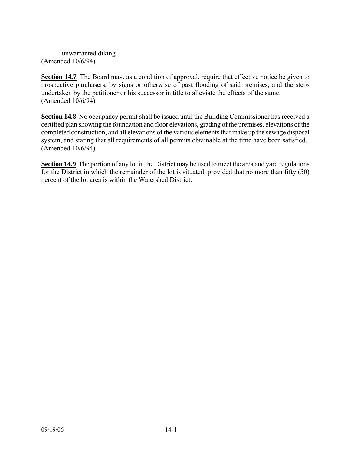unwarranted diking. (Amended 10/6/94)

**Section 14.7** The Board may, as a condition of approval, require that effective notice be given to prospective purchasers, by signs or otherwise of past flooding of said premises, and the steps undertaken by the petitioner or his successor in title to alleviate the effects of the same. (Amended 10/6/94)

**Section 14.8** No occupancy permit shall be issued until the Building Commissioner has received a certified plan showing the foundation and floor elevations, grading of the premises, elevations of the completed construction, and all elevations of the various elements that make up the sewage disposal system, and stating that all requirements of all permits obtainable at the time have been satisfied. (Amended 10/6/94)

**Section 14.9** The portion of any lot in the District may be used to meet the area and yard regulations for the District in which the remainder of the lot is situated, provided that no more than fifty (50) percent of the lot area is within the Watershed District.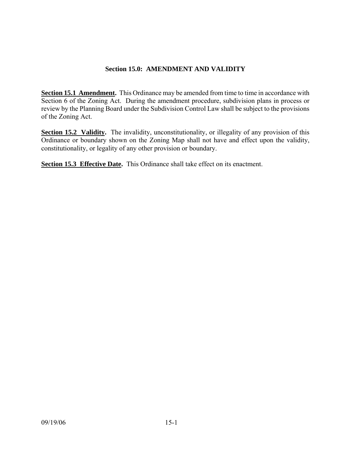# **Section 15.0: AMENDMENT AND VALIDITY**

**Section 15.1 Amendment.** This Ordinance may be amended from time to time in accordance with Section 6 of the Zoning Act. During the amendment procedure, subdivision plans in process or review by the Planning Board under the Subdivision Control Law shall be subject to the provisions of the Zoning Act.

**Section 15.2 Validity.** The invalidity, unconstitutionality, or illegality of any provision of this Ordinance or boundary shown on the Zoning Map shall not have and effect upon the validity, constitutionality, or legality of any other provision or boundary.

**Section 15.3 Effective Date.** This Ordinance shall take effect on its enactment.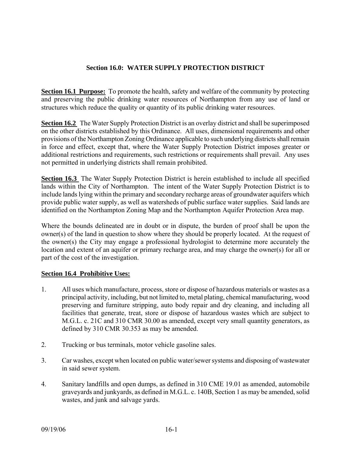# **Section 16.0: WATER SUPPLY PROTECTION DISTRICT**

**Section 16.1 Purpose:** To promote the health, safety and welfare of the community by protecting and preserving the public drinking water resources of Northampton from any use of land or structures which reduce the quality or quantity of its public drinking water resources.

**Section 16.2** The Water Supply Protection District is an overlay district and shall be superimposed on the other districts established by this Ordinance. All uses, dimensional requirements and other provisions of the Northampton Zoning Ordinance applicable to such underlying districts shall remain in force and effect, except that, where the Water Supply Protection District imposes greater or additional restrictions and requirements, such restrictions or requirements shall prevail. Any uses not permitted in underlying districts shall remain prohibited.

**Section 16.3** The Water Supply Protection District is herein established to include all specified lands within the City of Northampton. The intent of the Water Supply Protection District is to include lands lying within the primary and secondary recharge areas of groundwater aquifers which provide public water supply, as well as watersheds of public surface water supplies. Said lands are identified on the Northampton Zoning Map and the Northampton Aquifer Protection Area map.

Where the bounds delineated are in doubt or in dispute, the burden of proof shall be upon the owner(s) of the land in question to show where they should be properly located. At the request of the owner(s) the City may engage a professional hydrologist to determine more accurately the location and extent of an aquifer or primary recharge area, and may charge the owner(s) for all or part of the cost of the investigation.

### **Section 16.4 Prohibitive Uses:**

- 1. All uses which manufacture, process, store or dispose of hazardous materials or wastes as a principal activity, including, but not limited to, metal plating, chemical manufacturing, wood preserving and furniture stripping, auto body repair and dry cleaning, and including all facilities that generate, treat, store or dispose of hazardous wastes which are subject to M.G.L. c. 21C and 310 CMR 30.00 as amended, except very small quantity generators, as defined by 310 CMR 30.353 as may be amended.
- 2. Trucking or bus terminals, motor vehicle gasoline sales.
- 3. Car washes, except when located on public water/sewer systems and disposing of wastewater in said sewer system.
- 4. Sanitary landfills and open dumps, as defined in 310 CME 19.01 as amended, automobile graveyards and junkyards, as defined in M.G.L. c. 140B, Section 1 as may be amended, solid wastes, and junk and salvage yards.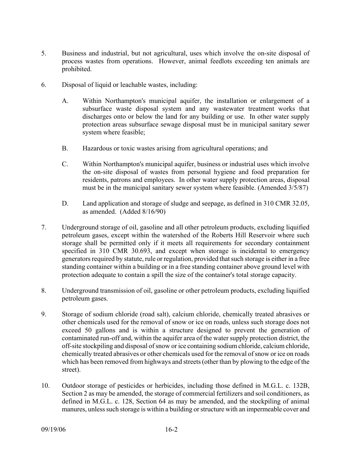- 5. Business and industrial, but not agricultural, uses which involve the on-site disposal of process wastes from operations. However, animal feedlots exceeding ten animals are prohibited.
- 6. Disposal of liquid or leachable wastes, including:
	- A. Within Northampton's municipal aquifer, the installation or enlargement of a subsurface waste disposal system and any wastewater treatment works that discharges onto or below the land for any building or use. In other water supply protection areas subsurface sewage disposal must be in municipal sanitary sewer system where feasible;
	- B. Hazardous or toxic wastes arising from agricultural operations; and
	- C. Within Northampton's municipal aquifer, business or industrial uses which involve the on-site disposal of wastes from personal hygiene and food preparation for residents, patrons and employees. In other water supply protection areas, disposal must be in the municipal sanitary sewer system where feasible. (Amended 3/5/87)
	- D. Land application and storage of sludge and seepage, as defined in 310 CMR 32.05, as amended. (Added 8/16/90)
- 7. Underground storage of oil, gasoline and all other petroleum products, excluding liquified petroleum gases, except within the watershed of the Roberts Hill Reservoir where such storage shall be permitted only if it meets all requirements for secondary containment specified in 310 CMR 30.693, and except when storage is incidental to emergency generators required by statute, rule or regulation, provided that such storage is either in a free standing container within a building or in a free standing container above ground level with protection adequate to contain a spill the size of the container's total storage capacity.
- 8. Underground transmission of oil, gasoline or other petroleum products, excluding liquified petroleum gases.
- 9. Storage of sodium chloride (road salt), calcium chloride, chemically treated abrasives or other chemicals used for the removal of snow or ice on roads, unless such storage does not exceed 50 gallons and is within a structure designed to prevent the generation of contaminated run-off and, within the aquifer area of the water supply protection district, the off-site stockpiling and disposal of snow or ice containing sodium chloride, calcium chloride, chemically treated abrasives or other chemicals used for the removal of snow or ice on roads which has been removed from highways and streets (other than by plowing to the edge of the street).
- 10. Outdoor storage of pesticides or herbicides, including those defined in M.G.L. c. 132B, Section 2 as may be amended, the storage of commercial fertilizers and soil conditioners, as defined in M.G.L. c. 128, Section 64 as may be amended, and the stockpiling of animal manures, unless such storage is within a building or structure with an impermeable cover and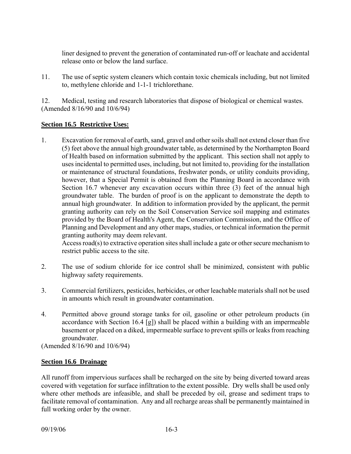liner designed to prevent the generation of contaminated run-off or leachate and accidental release onto or below the land surface.

11. The use of septic system cleaners which contain toxic chemicals including, but not limited to, methylene chloride and 1-1-1 trichlorethane.

12. Medical, testing and research laboratories that dispose of biological or chemical wastes. (Amended 8/16/90 and 10/6/94)

# **Section 16.5 Restrictive Uses:**

1. Excavation for removal of earth, sand, gravel and other soils shall not extend closer than five (5) feet above the annual high groundwater table, as determined by the Northampton Board of Health based on information submitted by the applicant. This section shall not apply to uses incidental to permitted uses, including, but not limited to, providing for the installation or maintenance of structural foundations, freshwater ponds, or utility conduits providing, however, that a Special Permit is obtained from the Planning Board in accordance with Section 16.7 whenever any excavation occurs within three (3) feet of the annual high groundwater table. The burden of proof is on the applicant to demonstrate the depth to annual high groundwater. In addition to information provided by the applicant, the permit granting authority can rely on the Soil Conservation Service soil mapping and estimates provided by the Board of Health's Agent, the Conservation Commission, and the Office of Planning and Development and any other maps, studies, or technical information the permit granting authority may deem relevant.

Access road(s) to extractive operation sites shall include a gate or other secure mechanism to restrict public access to the site.

- 2. The use of sodium chloride for ice control shall be minimized, consistent with public highway safety requirements.
- 3. Commercial fertilizers, pesticides, herbicides, or other leachable materials shall not be used in amounts which result in groundwater contamination.
- 4. Permitted above ground storage tanks for oil, gasoline or other petroleum products (in accordance with Section 16.4 [g]) shall be placed within a building with an impermeable basement or placed on a diked, impermeable surface to prevent spills or leaks from reaching groundwater.

(Amended 8/16/90 and 10/6/94)

### **Section 16.6 Drainage**

All runoff from impervious surfaces shall be recharged on the site by being diverted toward areas covered with vegetation for surface infiltration to the extent possible. Dry wells shall be used only where other methods are infeasible, and shall be preceded by oil, grease and sediment traps to facilitate removal of contamination. Any and all recharge areas shall be permanently maintained in full working order by the owner.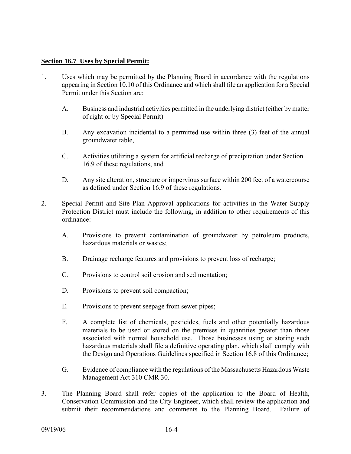#### **Section 16.7 Uses by Special Permit:**

- 1. Uses which may be permitted by the Planning Board in accordance with the regulations appearing in Section 10.10 of this Ordinance and which shall file an application for a Special Permit under this Section are:
	- A. Business and industrial activities permitted in the underlying district (either by matter of right or by Special Permit)
	- B. Any excavation incidental to a permitted use within three (3) feet of the annual groundwater table,
	- C. Activities utilizing a system for artificial recharge of precipitation under Section 16.9 of these regulations, and
	- D. Any site alteration, structure or impervious surface within 200 feet of a watercourse as defined under Section 16.9 of these regulations.
- 2. Special Permit and Site Plan Approval applications for activities in the Water Supply Protection District must include the following, in addition to other requirements of this ordinance:
	- A. Provisions to prevent contamination of groundwater by petroleum products, hazardous materials or wastes;
	- B. Drainage recharge features and provisions to prevent loss of recharge;
	- C. Provisions to control soil erosion and sedimentation;
	- D. Provisions to prevent soil compaction;
	- E. Provisions to prevent seepage from sewer pipes;
	- F. A complete list of chemicals, pesticides, fuels and other potentially hazardous materials to be used or stored on the premises in quantities greater than those associated with normal household use. Those businesses using or storing such hazardous materials shall file a definitive operating plan, which shall comply with the Design and Operations Guidelines specified in Section 16.8 of this Ordinance;
	- G. Evidence of compliance with the regulations of the Massachusetts Hazardous Waste Management Act 310 CMR 30.
- 3. The Planning Board shall refer copies of the application to the Board of Health, Conservation Commission and the City Engineer, which shall review the application and submit their recommendations and comments to the Planning Board. Failure of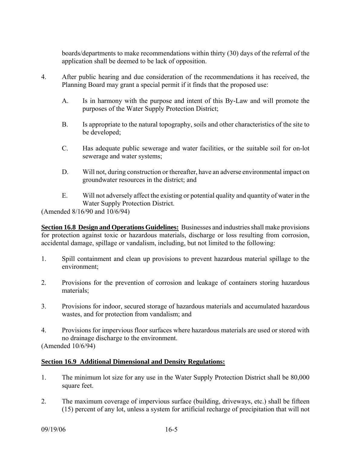boards/departments to make recommendations within thirty (30) days of the referral of the application shall be deemed to be lack of opposition.

- 4. After public hearing and due consideration of the recommendations it has received, the Planning Board may grant a special permit if it finds that the proposed use:
	- A. Is in harmony with the purpose and intent of this By-Law and will promote the purposes of the Water Supply Protection District;
	- B. Is appropriate to the natural topography, soils and other characteristics of the site to be developed;
	- C. Has adequate public sewerage and water facilities, or the suitable soil for on-lot sewerage and water systems;
	- D. Will not, during construction or thereafter, have an adverse environmental impact on groundwater resources in the district; and
	- E. Will not adversely affect the existing or potential quality and quantity of water in the Water Supply Protection District.

(Amended 8/16/90 and 10/6/94)

**Section 16.8 Design and Operations Guidelines:** Businesses and industries shall make provisions for protection against toxic or hazardous materials, discharge or loss resulting from corrosion, accidental damage, spillage or vandalism, including, but not limited to the following:

- 1. Spill containment and clean up provisions to prevent hazardous material spillage to the environment;
- 2. Provisions for the prevention of corrosion and leakage of containers storing hazardous materials;
- 3. Provisions for indoor, secured storage of hazardous materials and accumulated hazardous wastes, and for protection from vandalism; and
- 4. Provisions for impervious floor surfaces where hazardous materials are used or stored with no drainage discharge to the environment.

(Amended 10/6/94)

### **Section 16.9 Additional Dimensional and Density Regulations:**

- 1. The minimum lot size for any use in the Water Supply Protection District shall be 80,000 square feet.
- 2. The maximum coverage of impervious surface (building, driveways, etc.) shall be fifteen (15) percent of any lot, unless a system for artificial recharge of precipitation that will not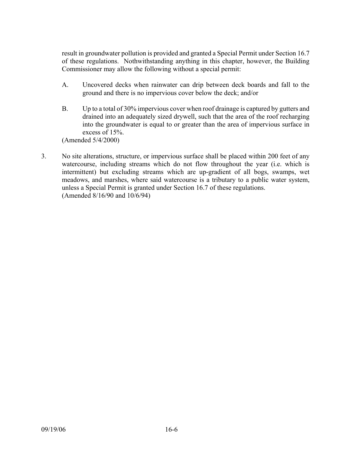result in groundwater pollution is provided and granted a Special Permit under Section 16.7 of these regulations. Nothwithstanding anything in this chapter, however, the Building Commissioner may allow the following without a special permit:

- A. Uncovered decks when rainwater can drip between deck boards and fall to the ground and there is no impervious cover below the deck; and/or
- B. Up to a total of 30% impervious cover when roof drainage is captured by gutters and drained into an adequately sized drywell, such that the area of the roof recharging into the groundwater is equal to or greater than the area of impervious surface in excess of 15%.

(Amended 5/4/2000)

3. No site alterations, structure, or impervious surface shall be placed within 200 feet of any watercourse, including streams which do not flow throughout the year (i.e. which is intermittent) but excluding streams which are up-gradient of all bogs, swamps, wet meadows, and marshes, where said watercourse is a tributary to a public water system, unless a Special Permit is granted under Section 16.7 of these regulations. (Amended 8/16/90 and 10/6/94)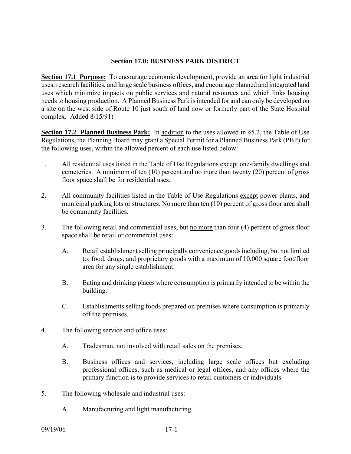#### **Section 17.0: BUSINESS PARK DISTRICT**

**Section 17.1 Purpose:** To encourage economic development, provide an area for light industrial uses, research facilities, and large scale business offices, and encourage planned and integrated land uses which minimize impacts on public services and natural resources and which links housing needs to housing production. A Planned Business Park is intended for and can only be developed on a site on the west side of Route 10 just south of land now or formerly part of the State Hospital complex. Added 8/15/91)

**Section 17.2 Planned Business Park:** In addition to the uses allowed in §5.2, the Table of Use Regulations, the Planning Board may grant a Special Permit for a Planned Business Park (PBP) for the following uses, within the allowed percent of each use listed below:

- 1. All residential uses listed in the Table of Use Regulations except one-family dwellings and cemeteries. A minimum of ten (10) percent and no more than twenty (20) percent of gross floor space shall be for residential uses.
- 2. All community facilities listed in the Table of Use Regulations except power plants, and municipal parking lots or structures. No more than ten (10) percent of gross floor area shall be community facilities.
- 3. The following retail and commercial uses, but no more than four (4) percent of gross floor space shall be retail or commercial uses:
	- A. Retail establishment selling principally convenience goods including, but not limited to: food, drugs, and proprietary goods with a maximum of 10,000 square foot/floor area for any single establishment.
	- B. Eating and drinking places where consumption is primarily intended to be within the building.
	- C. Establishments selling foods prepared on premises where consumption is primarily off the premises.
- 4. The following service and office uses:
	- A. Tradesman, not involved with retail sales on the premises.
	- B. Business offices and services, including large scale offices but excluding professional offices, such as medical or legal offices, and any offices where the primary function is to provide services to retail customers or individuals.
- 5. The following wholesale and industrial uses:
	- A. Manufacturing and light manufacturing.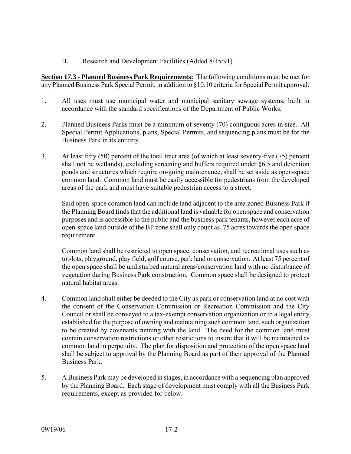B. Research and Development Facilities.(Added 8/15/91)

**Section 17.3 - Planned Business Park Requirements:** The following conditions must be met for any Planned Business Park Special Permit, in addition to §10.10 criteria for Special Permit approval:

- 1. All uses must use municipal water and municipal sanitary sewage systems, built in accordance with the standard specifications of the Department of Public Works.
- 2. Planned Business Parks must be a minimum of seventy (70) contiguous acres in size. All Special Permit Applications, plans, Special Permits, and sequencing plans must be for the Business Park in its entirety.
- 3. At least fifty (50) percent of the total tract area (of which at least seventy-five (75) percent shall not be wetlands), excluding screening and buffers required under §6.5 and detention ponds and structures which require on-going maintenance, shall be set aside as open-space common land. Common land must be easily accessible for pedestrians from the developed areas of the park and must have suitable pedestrian access to a street.

Said open-space common land can include land adjacent to the area zoned Business Park if the Planning Board finds that the additional land is valuable for open space and conservation purposes and is accessible to the public and the business park tenants, however each acre of open-space land outside of the BP zone shall only count as .75 acres towards the open space requirement.

Common land shall be restricted to open space, conservation, and recreational uses such as tot-lots, playground, play field, golf course, park land or conservation. At least 75 percent of the open space shall be undisturbed natural areas/conservation land with no disturbance of vegetation during Business Park construction. Common space shall be designed to protect natural habitat areas.

- 4. Common land shall either be deeded to the City as park or conservation land at no cost with the consent of the Conservation Commission or Recreation Commission and the City Council or shall be conveyed to a tax-exempt conservation organization or to a legal entity established for the purpose of owning and maintaining such common land, such organization to be created by covenants running with the land. The deed for the common land must contain conservation restrictions or other restrictions to insure that it will be maintained as common land in perpetuity. The plan for disposition and protection of the open space land shall be subject to approval by the Planning Board as part of their approval of the Planned Business Park.
- 5. A Business Park may be developed in stages, in accordance with a sequencing plan approved by the Planning Board. Each stage of development must comply with all the Business Park requirements, except as provided for below.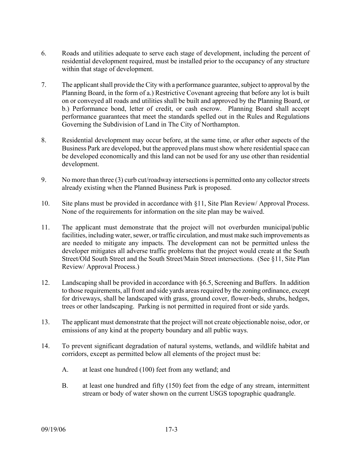- 6. Roads and utilities adequate to serve each stage of development, including the percent of residential development required, must be installed prior to the occupancy of any structure within that stage of development.
- 7. The applicant shall provide the City with a performance guarantee, subject to approval by the Planning Board, in the form of a.) Restrictive Covenant agreeing that before any lot is built on or conveyed all roads and utilities shall be built and approved by the Planning Board, or b.) Performance bond, letter of credit, or cash escrow. Planning Board shall accept performance guarantees that meet the standards spelled out in the Rules and Regulations Governing the Subdivision of Land in The City of Northampton.
- 8. Residential development may occur before, at the same time, or after other aspects of the Business Park are developed, but the approved plans must show where residential space can be developed economically and this land can not be used for any use other than residential development.
- 9. No more than three (3) curb cut/roadway intersections is permitted onto any collector streets already existing when the Planned Business Park is proposed.
- 10. Site plans must be provided in accordance with §11, Site Plan Review/ Approval Process. None of the requirements for information on the site plan may be waived.
- 11. The applicant must demonstrate that the project will not overburden municipal/public facilities, including water, sewer, or traffic circulation, and must make such improvements as are needed to mitigate any impacts. The development can not be permitted unless the developer mitigates all adverse traffic problems that the project would create at the South Street/Old South Street and the South Street/Main Street intersections. (See §11, Site Plan Review/ Approval Process.)
- 12. Landscaping shall be provided in accordance with §6.5, Screening and Buffers. In addition to those requirements, all front and side yards areas required by the zoning ordinance, except for driveways, shall be landscaped with grass, ground cover, flower-beds, shrubs, hedges, trees or other landscaping. Parking is not permitted in required front or side yards.
- 13. The applicant must demonstrate that the project will not create objectionable noise, odor, or emissions of any kind at the property boundary and all public ways.
- 14. To prevent significant degradation of natural systems, wetlands, and wildlife habitat and corridors, except as permitted below all elements of the project must be:
	- A. at least one hundred (100) feet from any wetland; and
	- B. at least one hundred and fifty (150) feet from the edge of any stream, intermittent stream or body of water shown on the current USGS topographic quadrangle.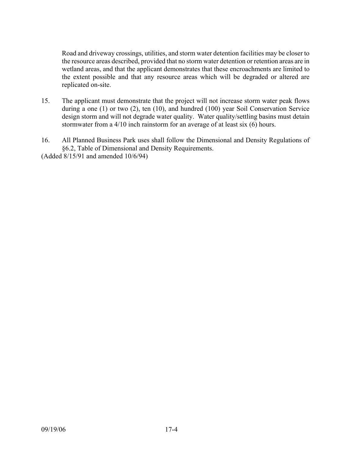Road and driveway crossings, utilities, and storm water detention facilities may be closer to the resource areas described, provided that no storm water detention or retention areas are in wetland areas, and that the applicant demonstrates that these encroachments are limited to the extent possible and that any resource areas which will be degraded or altered are replicated on-site.

- 15. The applicant must demonstrate that the project will not increase storm water peak flows during a one (1) or two (2), ten (10), and hundred (100) year Soil Conservation Service design storm and will not degrade water quality. Water quality/settling basins must detain stormwater from a 4/10 inch rainstorm for an average of at least six (6) hours.
- 16. All Planned Business Park uses shall follow the Dimensional and Density Regulations of §6.2, Table of Dimensional and Density Requirements.

(Added 8/15/91 and amended 10/6/94)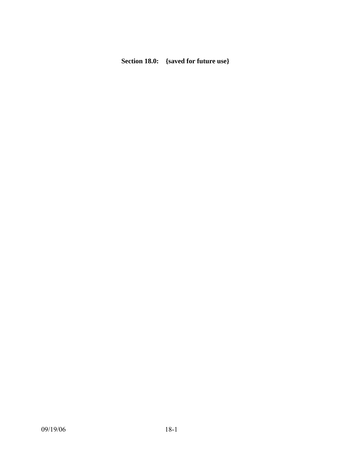# **Section 18.0: {saved for future use}**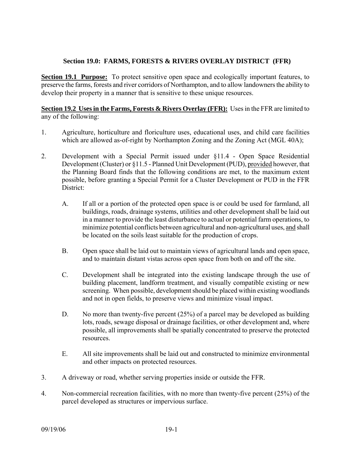# **Section 19.0: FARMS, FORESTS & RIVERS OVERLAY DISTRICT (FFR)**

**Section 19.1 Purpose:** To protect sensitive open space and ecologically important features, to preserve the farms, forests and river corridors of Northampton, and to allow landowners the ability to develop their property in a manner that is sensitive to these unique resources.

**Section 19.2 Uses in the Farms, Forests & Rivers Overlay (FFR):** Uses in the FFR are limited to any of the following:

- 1. Agriculture, horticulture and floriculture uses, educational uses, and child care facilities which are allowed as-of-right by Northampton Zoning and the Zoning Act (MGL 40A);
- 2. Development with a Special Permit issued under §11.4 Open Space Residential Development (Cluster) or §11.5 - Planned Unit Development (PUD), provided however, that the Planning Board finds that the following conditions are met, to the maximum extent possible, before granting a Special Permit for a Cluster Development or PUD in the FFR District:
	- A. If all or a portion of the protected open space is or could be used for farmland, all buildings, roads, drainage systems, utilities and other development shall be laid out in a manner to provide the least disturbance to actual or potential farm operations, to minimize potential conflicts between agricultural and non-agricultural uses, and shall be located on the soils least suitable for the production of crops.
	- B. Open space shall be laid out to maintain views of agricultural lands and open space, and to maintain distant vistas across open space from both on and off the site.
	- C. Development shall be integrated into the existing landscape through the use of building placement, landform treatment, and visually compatible existing or new screening. When possible, development should be placed within existing woodlands and not in open fields, to preserve views and minimize visual impact.
	- D. No more than twenty-five percent (25%) of a parcel may be developed as building lots, roads, sewage disposal or drainage facilities, or other development and, where possible, all improvements shall be spatially concentrated to preserve the protected resources.
	- E. All site improvements shall be laid out and constructed to minimize environmental and other impacts on protected resources.
- 3. A driveway or road, whether serving properties inside or outside the FFR.
- 4. Non-commercial recreation facilities, with no more than twenty-five percent (25%) of the parcel developed as structures or impervious surface.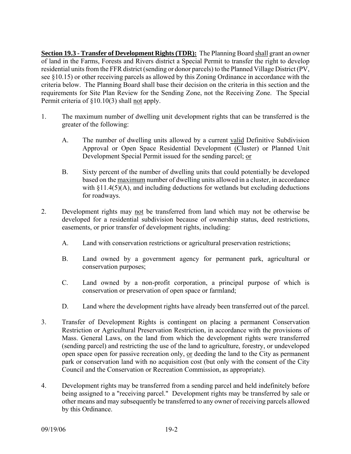**Section 19.3 - Transfer of Development Rights (TDR):** The Planning Board shall grant an owner of land in the Farms, Forests and Rivers district a Special Permit to transfer the right to develop residential units from the FFR district (sending or donor parcels) to the Planned Village District (PV, see §10.15) or other receiving parcels as allowed by this Zoning Ordinance in accordance with the criteria below. The Planning Board shall base their decision on the criteria in this section and the requirements for Site Plan Review for the Sending Zone, not the Receiving Zone. The Special Permit criteria of §10.10(3) shall not apply.

- 1. The maximum number of dwelling unit development rights that can be transferred is the greater of the following:
	- A. The number of dwelling units allowed by a current valid Definitive Subdivision Approval or Open Space Residential Development (Cluster) or Planned Unit Development Special Permit issued for the sending parcel; or
	- B. Sixty percent of the number of dwelling units that could potentially be developed based on the maximum number of dwelling units allowed in a cluster, in accordance with  $\S11.4(5)(A)$ , and including deductions for wetlands but excluding deductions for roadways.
- 2. Development rights may not be transferred from land which may not be otherwise be developed for a residential subdivision because of ownership status, deed restrictions, easements, or prior transfer of development rights, including:
	- A. Land with conservation restrictions or agricultural preservation restrictions;
	- B. Land owned by a government agency for permanent park, agricultural or conservation purposes;
	- C. Land owned by a non-profit corporation, a principal purpose of which is conservation or preservation of open space or farmland;
	- D. Land where the development rights have already been transferred out of the parcel.
- 3. Transfer of Development Rights is contingent on placing a permanent Conservation Restriction or Agricultural Preservation Restriction, in accordance with the provisions of Mass. General Laws, on the land from which the development rights were transferred (sending parcel) and restricting the use of the land to agriculture, forestry, or undeveloped open space open for passive recreation only, or deeding the land to the City as permanent park or conservation land with no acquisition cost (but only with the consent of the City Council and the Conservation or Recreation Commission, as appropriate).
- 4. Development rights may be transferred from a sending parcel and held indefinitely before being assigned to a "receiving parcel." Development rights may be transferred by sale or other means and may subsequently be transferred to any owner of receiving parcels allowed by this Ordinance.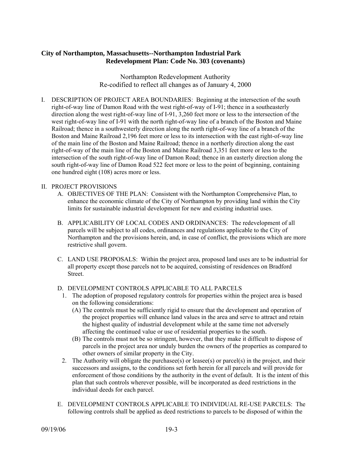## **City of Northampton, Massachusetts--Northampton Industrial Park Redevelopment Plan: Code No. 303 (covenants)**

Northampton Redevelopment Authority Re-codified to reflect all changes as of January 4, 2000

I. DESCRIPTION OF PROJECT AREA BOUNDARIES: Beginning at the intersection of the south right-of-way line of Damon Road with the west right-of-way of I-91; thence in a southeasterly direction along the west right-of-way line of I-91, 3,260 feet more or less to the intersection of the west right-of-way line of I-91 with the north right-of-way line of a branch of the Boston and Maine Railroad; thence in a southwesterly direction along the north right-of-way line of a branch of the Boston and Maine Railroad 2,196 feet more or less to its intersection with the east right-of-way line of the main line of the Boston and Maine Railroad; thence in a northerly direction along the east right-of-way of the main line of the Boston and Maine Railroad 3,351 feet more or less to the intersection of the south right-of-way line of Damon Road; thence in an easterly direction along the south right-of-way line of Damon Road 522 feet more or less to the point of beginning, containing one hundred eight (108) acres more or less.

#### II. PROJECT PROVISIONS

- A. OBJECTIVES OF THE PLAN: Consistent with the Northampton Comprehensive Plan, to enhance the economic climate of the City of Northampton by providing land within the City limits for sustainable industrial development for new and existing industrial uses.
- B. APPLICABILITY OF LOCAL CODES AND ORDINANCES: The redevelopment of all parcels will be subject to all codes, ordinances and regulations applicable to the City of Northampton and the provisions herein, and, in case of conflict, the provisions which are more restrictive shall govern.
- C. LAND USE PROPOSALS: Within the project area, proposed land uses are to be industrial for all property except those parcels not to be acquired, consisting of residences on Bradford Street.

### D. DEVELOPMENT CONTROLS APPLICABLE TO ALL PARCELS

- 1. The adoption of proposed regulatory controls for properties within the project area is based on the following considerations:
	- (A) The controls must be sufficiently rigid to ensure that the development and operation of the project properties will enhance land values in the area and serve to attract and retain the highest quality of industrial development while at the same time not adversely affecting the continued value or use of residential properties to the south.
	- (B) The controls must not be so stringent, however, that they make it difficult to dispose of parcels in the project area nor unduly burden the owners of the properties as compared to other owners of similar property in the City.
- 2. The Authority will obligate the purchasee(s) or leasee(s) or parcel(s) in the project, and their successors and assigns, to the conditions set forth herein for all parcels and will provide for enforcement of those conditions by the authority in the event of default. It is the intent of this plan that such controls wherever possible, will be incorporated as deed restrictions in the individual deeds for each parcel.
- E. DEVELOPMENT CONTROLS APPLICABLE TO INDIVIDUAL RE-USE PARCELS: The following controls shall be applied as deed restrictions to parcels to be disposed of within the